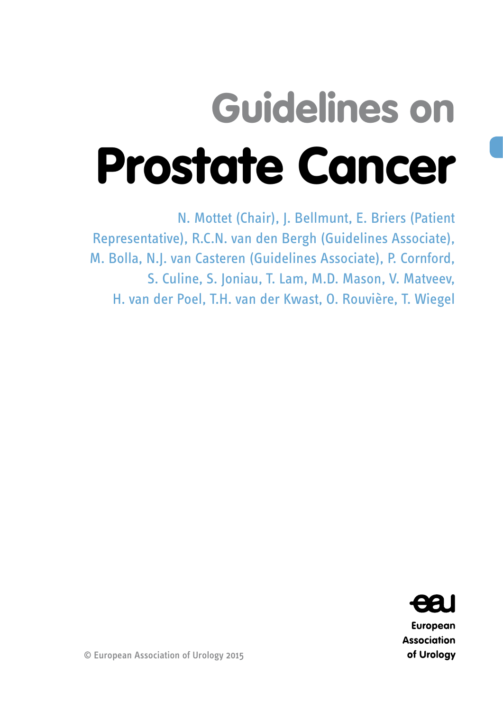# Guidelines on Prostate Cancer

N. Mottet (Chair), J. Bellmunt, E. Briers (Patient Representative), R.C.N. van den Bergh (Guidelines Associate), M. Bolla, N.J. van Casteren (Guidelines Associate), P. Cornford, S. Culine, S. Joniau, T. Lam, M.D. Mason, V. Matveev, H. van der Poel, T.H. van der Kwast, O. Rouvière, T. Wiegel



European **Association** of Urology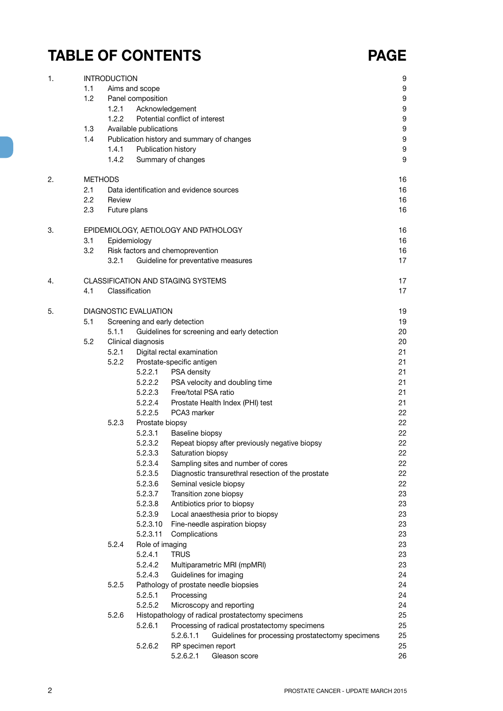## **TABLE OF CONTENTS PAGE**

| 1. |     | <b>INTRODUCTION</b> |                              |                                                                                                                 | 9        |
|----|-----|---------------------|------------------------------|-----------------------------------------------------------------------------------------------------------------|----------|
|    | 1.1 |                     | Aims and scope               |                                                                                                                 | 9        |
|    | 1.2 |                     | Panel composition            |                                                                                                                 | 9        |
|    |     | 1.2.1               | Acknowledgement              |                                                                                                                 | 9        |
|    |     | 1.2.2               |                              | Potential conflict of interest                                                                                  | 9        |
|    | 1.3 |                     | Available publications       |                                                                                                                 | 9        |
|    | 1.4 |                     |                              | Publication history and summary of changes                                                                      | 9        |
|    |     | 1.4.1               | Publication history          |                                                                                                                 | 9        |
|    |     | 1.4.2               |                              | Summary of changes                                                                                              | 9        |
| 2. |     | <b>METHODS</b>      |                              |                                                                                                                 | 16       |
|    | 2.1 |                     |                              | Data identification and evidence sources                                                                        | 16       |
|    | 2.2 | Review              |                              |                                                                                                                 | 16       |
|    | 2.3 | Future plans        |                              |                                                                                                                 | 16       |
| 3. |     |                     |                              | EPIDEMIOLOGY, AETIOLOGY AND PATHOLOGY                                                                           | 16       |
|    | 3.1 | Epidemiology        |                              |                                                                                                                 | 16       |
|    | 3.2 |                     |                              | Risk factors and chemoprevention                                                                                | 16       |
|    |     | 3.2.1               |                              | Guideline for preventative measures                                                                             | 17       |
| 4. |     |                     |                              | <b>CLASSIFICATION AND STAGING SYSTEMS</b>                                                                       | 17       |
|    | 4.1 | Classification      |                              |                                                                                                                 | 17       |
| 5. |     |                     | <b>DIAGNOSTIC EVALUATION</b> |                                                                                                                 | 19       |
|    | 5.1 |                     |                              | Screening and early detection                                                                                   | 19       |
|    |     | 5.1.1               |                              | Guidelines for screening and early detection                                                                    | 20       |
|    | 5.2 |                     | Clinical diagnosis           |                                                                                                                 | 20       |
|    |     | 5.2.1               |                              | Digital rectal examination                                                                                      | 21       |
|    |     | 5.2.2               |                              | Prostate-specific antigen                                                                                       | 21       |
|    |     |                     | 5.2.2.1                      | PSA density                                                                                                     | 21       |
|    |     |                     | 5.2.2.2                      | PSA velocity and doubling time                                                                                  | 21       |
|    |     |                     | 5.2.2.3                      | Free/total PSA ratio                                                                                            | 21       |
|    |     |                     | 5.2.2.4                      | Prostate Health Index (PHI) test                                                                                | 21       |
|    |     |                     | 5.2.2.5                      | PCA3 marker                                                                                                     | 22       |
|    |     | 5.2.3               | Prostate biopsy              |                                                                                                                 | 22       |
|    |     |                     | 5.2.3.1                      | Baseline biopsy                                                                                                 | 22       |
|    |     |                     | 5.2.3.2<br>5.2.3.3           | Repeat biopsy after previously negative biopsy                                                                  | 22<br>22 |
|    |     |                     | 5.2.3.4                      | Saturation biopsy<br>Sampling sites and number of cores                                                         | 22       |
|    |     |                     | 5.2.3.5                      | Diagnostic transurethral resection of the prostate                                                              | 22       |
|    |     |                     | 5.2.3.6                      | Seminal vesicle biopsy                                                                                          | 22       |
|    |     |                     | 5.2.3.7                      | Transition zone biopsy                                                                                          | 23       |
|    |     |                     | 5.2.3.8                      | Antibiotics prior to biopsy                                                                                     | 23       |
|    |     |                     | 5.2.3.9                      | Local anaesthesia prior to biopsy                                                                               | 23       |
|    |     |                     | 5.2.3.10                     | Fine-needle aspiration biopsy                                                                                   | 23       |
|    |     |                     | 5.2.3.11                     | Complications                                                                                                   | 23       |
|    |     | 5.2.4               | Role of imaging              |                                                                                                                 | 23       |
|    |     |                     | 5.2.4.1                      | <b>TRUS</b>                                                                                                     | 23       |
|    |     |                     | 5.2.4.2                      | Multiparametric MRI (mpMRI)                                                                                     | 23       |
|    |     |                     | 5.2.4.3                      | Guidelines for imaging                                                                                          | 24       |
|    |     | 5.2.5               |                              | Pathology of prostate needle biopsies                                                                           | 24       |
|    |     |                     | 5.2.5.1                      | Processing                                                                                                      | 24       |
|    |     |                     | 5.2.5.2                      | Microscopy and reporting                                                                                        | 24       |
|    |     | 5.2.6               |                              | Histopathology of radical prostatectomy specimens                                                               | 25       |
|    |     |                     | 5.2.6.1                      | Processing of radical prostatectomy specimens<br>5.2.6.1.1<br>Guidelines for processing prostatectomy specimens | 25<br>25 |
|    |     |                     | 5.2.6.2                      | RP specimen report                                                                                              | 25       |
|    |     |                     |                              | 5.2.6.2.1<br>Gleason score                                                                                      | 26       |
|    |     |                     |                              |                                                                                                                 |          |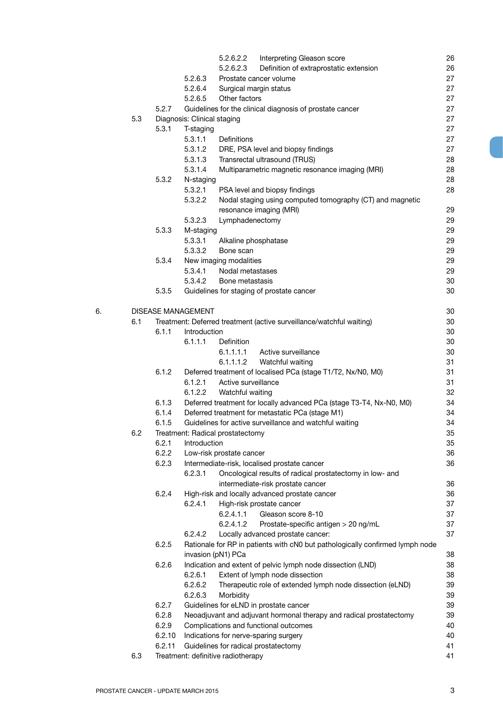|    |     |        | 5.2.6.2.2<br>Interpreting Gleason score                                                       | 26       |
|----|-----|--------|-----------------------------------------------------------------------------------------------|----------|
|    |     |        | Definition of extraprostatic extension<br>5.2.6.2.3                                           | 26       |
|    |     |        | Prostate cancer volume<br>5.2.6.3                                                             | 27       |
|    |     |        | 5.2.6.4<br>Surgical margin status                                                             | 27       |
|    |     |        | Other factors<br>5.2.6.5                                                                      | 27       |
|    |     | 5.2.7  | Guidelines for the clinical diagnosis of prostate cancer                                      | 27       |
|    | 5.3 |        | Diagnosis: Clinical staging                                                                   | 27       |
|    |     | 5.3.1  | T-staging                                                                                     | 27       |
|    |     |        | 5.3.1.1<br>Definitions                                                                        | 27       |
|    |     |        | 5.3.1.2<br>DRE, PSA level and biopsy findings                                                 | 27       |
|    |     |        | 5.3.1.3<br>Transrectal ultrasound (TRUS)                                                      | 28       |
|    |     |        | 5.3.1.4<br>Multiparametric magnetic resonance imaging (MRI)                                   | 28       |
|    |     | 5.3.2  | N-staging                                                                                     | 28       |
|    |     |        | 5.3.2.1<br>PSA level and biopsy findings                                                      | 28       |
|    |     |        | 5.3.2.2<br>Nodal staging using computed tomography (CT) and magnetic                          |          |
|    |     |        | resonance imaging (MRI)                                                                       | 29       |
|    |     |        | 5.3.2.3<br>Lymphadenectomy                                                                    | 29       |
|    |     | 5.3.3  | M-staging                                                                                     | 29       |
|    |     |        | 5.3.3.1<br>Alkaline phosphatase<br>5.3.3.2<br>Bone scan                                       | 29<br>29 |
|    |     | 5.3.4  | New imaging modalities                                                                        | 29       |
|    |     |        | 5.3.4.1<br>Nodal metastases                                                                   | 29       |
|    |     |        | 5.3.4.2<br>Bone metastasis                                                                    | 30       |
|    |     | 5.3.5  | Guidelines for staging of prostate cancer                                                     | 30       |
|    |     |        |                                                                                               |          |
| 6. |     |        | <b>DISEASE MANAGEMENT</b>                                                                     | 30       |
|    | 6.1 |        | Treatment: Deferred treatment (active surveillance/watchful waiting)                          | 30       |
|    |     | 6.1.1  | Introduction                                                                                  | 30       |
|    |     |        | <b>Definition</b><br>6.1.1.1                                                                  | 30       |
|    |     |        | Active surveillance<br>6.1.1.1.1                                                              | 30       |
|    |     |        | Watchful waiting<br>6.1.1.1.2                                                                 | 31       |
|    |     | 6.1.2  | Deferred treatment of localised PCa (stage T1/T2, Nx/N0, M0)                                  | 31       |
|    |     |        | 6.1.2.1<br>Active surveillance                                                                | 31       |
|    |     |        | 6.1.2.2<br>Watchful waiting                                                                   | 32       |
|    |     | 6.1.3  | Deferred treatment for locally advanced PCa (stage T3-T4, Nx-N0, M0)                          | 34       |
|    |     | 6.1.4  | Deferred treatment for metastatic PCa (stage M1)                                              | 34       |
|    |     | 6.1.5  | Guidelines for active surveillance and watchful waiting                                       | 34       |
|    | 6.2 |        | Treatment: Radical prostatectomy                                                              | 35       |
|    |     | 6.2.1  | Introduction                                                                                  | 35       |
|    |     | 6.2.2  | Low-risk prostate cancer                                                                      | 36       |
|    |     | 6.2.3  | Intermediate-risk, localised prostate cancer<br>6.2.3.1                                       | 36       |
|    |     |        | Oncological results of radical prostatectomy in low- and<br>intermediate-risk prostate cancer | 36       |
|    |     | 6.2.4  | High-risk and locally advanced prostate cancer                                                | 36       |
|    |     |        | 6.2.4.1<br>High-risk prostate cancer                                                          | 37       |
|    |     |        | 6.2.4.1.1<br>Gleason score 8-10                                                               | 37       |
|    |     |        | 6.2.4.1.2<br>Prostate-specific antigen > 20 ng/mL                                             | 37       |
|    |     |        | 6.2.4.2<br>Locally advanced prostate cancer:                                                  | 37       |
|    |     | 6.2.5  | Rationale for RP in patients with cN0 but pathologically confirmed lymph node                 |          |
|    |     |        | invasion (pN1) PCa                                                                            | 38       |
|    |     | 6.2.6  | Indication and extent of pelvic lymph node dissection (LND)                                   | 38       |
|    |     |        | 6.2.6.1<br>Extent of lymph node dissection                                                    | 38       |
|    |     |        | 6.2.6.2<br>Therapeutic role of extended lymph node dissection (eLND)                          | 39       |
|    |     |        | 6.2.6.3<br>Morbidity                                                                          | 39       |
|    |     | 6.2.7  | Guidelines for eLND in prostate cancer                                                        | 39       |
|    |     | 6.2.8  | Neoadjuvant and adjuvant hormonal therapy and radical prostatectomy                           | 39       |
|    |     | 6.2.9  | Complications and functional outcomes                                                         | 40       |
|    |     | 6.2.10 | Indications for nerve-sparing surgery                                                         | 40       |
|    |     | 6.2.11 | Guidelines for radical prostatectomy                                                          | 41       |
|    | 6.3 |        | Treatment: definitive radiotherapy                                                            | 41       |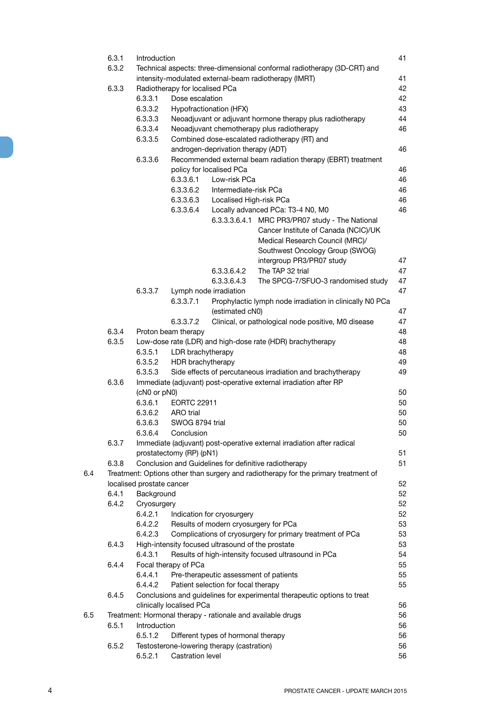| 6.3.1 | Introduction                                                |                                |                                                   |                                                                                     | 41 |
|-------|-------------------------------------------------------------|--------------------------------|---------------------------------------------------|-------------------------------------------------------------------------------------|----|
|       | 6.3.2                                                       |                                |                                                   | Technical aspects: three-dimensional conformal radiotherapy (3D-CRT) and            |    |
|       |                                                             |                                |                                                   | intensity-modulated external-beam radiotherapy (IMRT)                               | 41 |
|       | 6.3.3                                                       | Radiotherapy for localised PCa |                                                   |                                                                                     | 42 |
|       | 6.3.3.1                                                     | Dose escalation                |                                                   |                                                                                     | 42 |
|       | 6.3.3.2                                                     |                                | Hypofractionation (HFX)                           |                                                                                     | 43 |
|       | 6.3.3.3                                                     |                                |                                                   | Neoadjuvant or adjuvant hormone therapy plus radiotherapy                           | 44 |
|       | 6.3.3.4                                                     |                                |                                                   | Neoadjuvant chemotherapy plus radiotherapy                                          | 46 |
|       | 6.3.3.5                                                     |                                |                                                   | Combined dose-escalated radiotherapy (RT) and                                       |    |
|       |                                                             |                                | androgen-deprivation therapy (ADT)                |                                                                                     | 46 |
|       | 6.3.3.6                                                     |                                |                                                   | Recommended external beam radiation therapy (EBRT) treatment                        |    |
|       |                                                             |                                | policy for localised PCa                          |                                                                                     | 46 |
|       |                                                             | 6.3.3.6.1                      | Low-risk PCa                                      |                                                                                     | 46 |
|       |                                                             |                                | Intermediate-risk PCa                             |                                                                                     |    |
|       |                                                             | 6.3.3.6.2                      |                                                   |                                                                                     | 46 |
|       |                                                             | 6.3.3.6.3                      | Localised High-risk PCa                           |                                                                                     | 46 |
|       |                                                             | 6.3.3.6.4                      |                                                   | Locally advanced PCa: T3-4 N0, M0                                                   | 46 |
|       |                                                             |                                |                                                   | 6.3.3.3.6.4.1 MRC PR3/PR07 study - The National                                     |    |
|       |                                                             |                                |                                                   | Cancer Institute of Canada (NCIC)/UK                                                |    |
|       |                                                             |                                |                                                   | Medical Research Council (MRC)/                                                     |    |
|       |                                                             |                                |                                                   | Southwest Oncology Group (SWOG)                                                     |    |
|       |                                                             |                                |                                                   | intergroup PR3/PR07 study                                                           | 47 |
|       |                                                             |                                | 6.3.3.6.4.2                                       | The TAP 32 trial                                                                    | 47 |
|       |                                                             |                                | 6.3.3.6.4.3                                       | The SPCG-7/SFUO-3 randomised study                                                  | 47 |
|       | 6.3.3.7                                                     |                                | Lymph node irradiation                            |                                                                                     | 47 |
|       |                                                             | 6.3.3.7.1                      |                                                   | Prophylactic lymph node irradiation in clinically N0 PCa                            |    |
|       |                                                             |                                | (estimated cN0)                                   |                                                                                     | 47 |
|       |                                                             | 6.3.3.7.2                      |                                                   | Clinical, or pathological node positive, M0 disease                                 | 47 |
|       | 6.3.4                                                       | Proton beam therapy            |                                                   |                                                                                     | 48 |
|       | 6.3.5                                                       |                                |                                                   | Low-dose rate (LDR) and high-dose rate (HDR) brachytherapy                          | 48 |
|       | 6.3.5.1                                                     | LDR brachytherapy              |                                                   |                                                                                     | 48 |
|       |                                                             |                                |                                                   |                                                                                     |    |
|       | 6.3.5.2                                                     | HDR brachytherapy              |                                                   |                                                                                     | 49 |
|       | 6.3.5.3                                                     |                                |                                                   | Side effects of percutaneous irradiation and brachytherapy                          | 49 |
|       | 6.3.6                                                       |                                |                                                   | Immediate (adjuvant) post-operative external irradiation after RP                   |    |
|       | (cN0 or pN0)                                                |                                |                                                   |                                                                                     | 50 |
|       | 6.3.6.1                                                     | <b>EORTC 22911</b>             |                                                   |                                                                                     | 50 |
|       | 6.3.6.2                                                     | ARO trial                      |                                                   |                                                                                     | 50 |
|       | 6.3.6.3                                                     | SWOG 8794 trial                |                                                   |                                                                                     | 50 |
|       | 6.3.6.4                                                     | Conclusion                     |                                                   |                                                                                     | 50 |
|       | 6.3.7                                                       |                                |                                                   | Immediate (adjuvant) post-operative external irradiation after radical              |    |
|       |                                                             | prostatectomy (RP) (pN1)       |                                                   |                                                                                     | 51 |
|       | 6.3.8                                                       |                                |                                                   | Conclusion and Guidelines for definitive radiotherapy                               | 51 |
| 6.4   |                                                             |                                |                                                   | Treatment: Options other than surgery and radiotherapy for the primary treatment of |    |
|       | localised prostate cancer                                   |                                |                                                   |                                                                                     | 52 |
|       | 6.4.1<br>Background                                         |                                |                                                   |                                                                                     | 52 |
|       | 6.4.2<br>Cryosurgery                                        |                                |                                                   |                                                                                     | 52 |
|       | 6.4.2.1                                                     |                                | Indication for cryosurgery                        |                                                                                     | 52 |
|       | 6.4.2.2                                                     |                                | Results of modern cryosurgery for PCa             |                                                                                     | 53 |
|       | 6.4.2.3                                                     |                                |                                                   | Complications of cryosurgery for primary treatment of PCa                           | 53 |
|       | 6.4.3                                                       |                                | High-intensity focused ultrasound of the prostate |                                                                                     | 53 |
|       | 6.4.3.1                                                     |                                |                                                   | Results of high-intensity focused ultrasound in PCa                                 | 54 |
|       | 6.4.4                                                       | Focal therapy of PCa           |                                                   |                                                                                     | 55 |
|       | 6.4.4.1                                                     |                                |                                                   |                                                                                     | 55 |
|       |                                                             |                                | Pre-therapeutic assessment of patients            |                                                                                     |    |
|       | 6.4.4.2                                                     |                                | Patient selection for focal therapy               |                                                                                     | 55 |
|       | 6.4.5                                                       |                                |                                                   | Conclusions and guidelines for experimental therapeutic options to treat            |    |
|       |                                                             | clinically localised PCa       |                                                   |                                                                                     | 56 |
| 6.5   | Treatment: Hormonal therapy - rationale and available drugs |                                |                                                   |                                                                                     | 56 |
|       | 6.5.1<br>Introduction                                       |                                |                                                   |                                                                                     | 56 |
|       | 6.5.1.2                                                     |                                | Different types of hormonal therapy               |                                                                                     | 56 |
|       | 6.5.2                                                       |                                | Testosterone-lowering therapy (castration)        |                                                                                     | 56 |
|       | 6.5.2.1                                                     | Castration level               |                                                   |                                                                                     | 56 |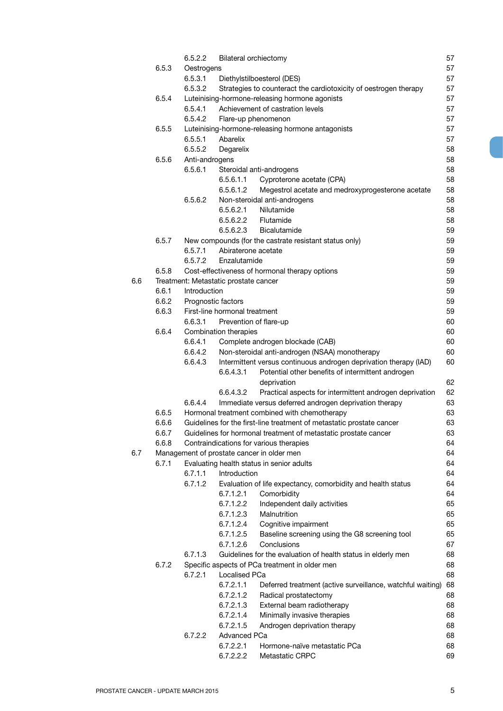|     |       | 6.5.2.2            | <b>Bilateral orchiectomy</b>          |                                                                       | 57       |
|-----|-------|--------------------|---------------------------------------|-----------------------------------------------------------------------|----------|
|     | 6.5.3 | Oestrogens         |                                       |                                                                       | 57       |
|     |       | 6.5.3.1            |                                       | Diethylstilboesterol (DES)                                            | 57       |
|     |       | 6.5.3.2            |                                       | Strategies to counteract the cardiotoxicity of oestrogen therapy      | 57       |
|     | 6.5.4 |                    |                                       | Luteinising-hormone-releasing hormone agonists                        | 57       |
|     |       | 6.5.4.1            |                                       | Achievement of castration levels                                      | 57       |
|     |       | 6.5.4.2            |                                       | Flare-up phenomenon                                                   | 57       |
|     | 6.5.5 |                    |                                       | Luteinising-hormone-releasing hormone antagonists                     | 57       |
|     |       | 6.5.5.1            | Abarelix                              |                                                                       | 57       |
|     |       | 6.5.5.2            | Degarelix                             |                                                                       | 58       |
|     | 6.5.6 | Anti-androgens     |                                       |                                                                       | 58       |
|     |       | 6.5.6.1            |                                       | Steroidal anti-androgens                                              | 58       |
|     |       |                    | 6.5.6.1.1                             | Cyproterone acetate (CPA)                                             | 58       |
|     |       |                    | 6.5.6.1.2                             | Megestrol acetate and medroxyprogesterone acetate                     | 58       |
|     |       | 6.5.6.2            |                                       | Non-steroidal anti-androgens                                          | 58       |
|     |       |                    | 6.5.6.2.1                             | Nilutamide                                                            | 58       |
|     |       |                    | 6.5.6.2.2<br>6.5.6.2.3                | Flutamide                                                             | 58       |
|     |       |                    |                                       | Bicalutamide                                                          | 59       |
|     | 6.5.7 |                    | Abiraterone acetate                   | New compounds (for the castrate resistant status only)                | 59<br>59 |
|     |       | 6.5.7.1<br>6.5.7.2 | Enzalutamide                          |                                                                       | 59       |
|     | 6.5.8 |                    |                                       | Cost-effectiveness of hormonal therapy options                        | 59       |
| 6.6 |       |                    | Treatment: Metastatic prostate cancer |                                                                       | 59       |
|     | 6.6.1 | Introduction       |                                       |                                                                       | 59       |
|     | 6.6.2 | Prognostic factors |                                       |                                                                       | 59       |
|     | 6.6.3 |                    | First-line hormonal treatment         |                                                                       | 59       |
|     |       | 6.6.3.1            | Prevention of flare-up                |                                                                       | 60       |
|     | 6.6.4 |                    | Combination therapies                 |                                                                       | 60       |
|     |       | 6.6.4.1            |                                       | Complete androgen blockade (CAB)                                      | 60       |
|     |       | 6.6.4.2            |                                       | Non-steroidal anti-androgen (NSAA) monotherapy                        | 60       |
|     |       | 6.6.4.3            |                                       | Intermittent versus continuous androgen deprivation therapy (IAD)     | 60       |
|     |       |                    | 6.6.4.3.1                             | Potential other benefits of intermittent androgen                     |          |
|     |       |                    |                                       | deprivation                                                           | 62       |
|     |       |                    | 6.6.4.3.2                             | Practical aspects for intermittent androgen deprivation               | 62       |
|     |       | 6.6.4.4            |                                       | Immediate versus deferred androgen deprivation therapy                | 63       |
|     | 6.6.5 |                    |                                       | Hormonal treatment combined with chemotherapy                         | 63       |
|     | 6.6.6 |                    |                                       | Guidelines for the first-line treatment of metastatic prostate cancer | 63       |
|     | 6.6.7 |                    |                                       | Guidelines for hormonal treatment of metastatic prostate cancer       | 63       |
|     | 6.6.8 |                    |                                       | Contraindications for various therapies                               | 64       |
| 6.7 |       |                    |                                       | Management of prostate cancer in older men                            | 64       |
|     | 6.7.1 |                    |                                       | Evaluating health status in senior adults                             | 64       |
|     |       | 6.7.1.1            | Introduction                          |                                                                       | 64       |
|     |       | 6.7.1.2            |                                       | Evaluation of life expectancy, comorbidity and health status          | 64       |
|     |       |                    | 6.7.1.2.1                             | Comorbidity                                                           | 64       |
|     |       |                    | 6.7.1.2.2                             | Independent daily activities                                          | 65       |
|     |       |                    | 6.7.1.2.3                             | Malnutrition                                                          | 65       |
|     |       |                    | 6.7.1.2.4                             | Cognitive impairment                                                  | 65       |
|     |       |                    | 6.7.1.2.5                             | Baseline screening using the G8 screening tool                        | 65       |
|     |       |                    | 6.7.1.2.6                             | Conclusions                                                           | 67       |
|     |       | 6.7.1.3            |                                       | Guidelines for the evaluation of health status in elderly men         | 68       |
|     | 6.7.2 |                    |                                       | Specific aspects of PCa treatment in older men                        | 68       |
|     |       | 6.7.2.1            | Localised PCa                         |                                                                       | 68       |
|     |       |                    | 6.7.2.1.1                             | Deferred treatment (active surveillance, watchful waiting)            | 68       |
|     |       |                    | 6.7.2.1.2                             | Radical prostatectomy                                                 | 68       |
|     |       |                    | 6.7.2.1.3                             | External beam radiotherapy                                            | 68       |
|     |       |                    | 6.7.2.1.4                             | Minimally invasive therapies                                          | 68       |
|     |       |                    | 6.7.2.1.5                             | Androgen deprivation therapy                                          | 68       |
|     |       | 6.7.2.2            | Advanced PCa                          |                                                                       | 68       |
|     |       |                    | 6.7.2.2.1                             | Hormone-naïve metastatic PCa                                          | 68       |
|     |       |                    | 6.7.2.2.2                             | Metastatic CRPC                                                       | 69       |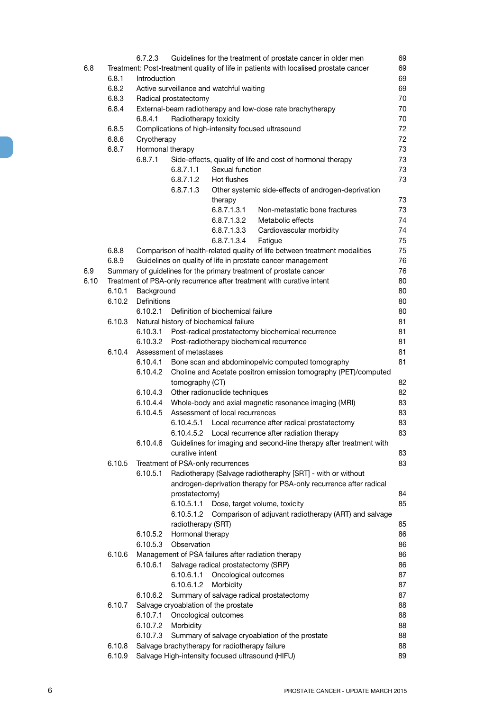|      |        | 6.7.2.3          |                          |                                                  | Guidelines for the treatment of prostate cancer in older men                                                        | 69       |
|------|--------|------------------|--------------------------|--------------------------------------------------|---------------------------------------------------------------------------------------------------------------------|----------|
| 6.8  |        |                  |                          |                                                  | Treatment: Post-treatment quality of life in patients with localised prostate cancer                                | 69       |
|      | 6.8.1  | Introduction     |                          |                                                  |                                                                                                                     | 69       |
|      | 6.8.2  |                  |                          | Active surveillance and watchful waiting         |                                                                                                                     | 69       |
|      | 6.8.3  |                  | Radical prostatectomy    |                                                  |                                                                                                                     | 70       |
|      | 6.8.4  |                  |                          |                                                  | External-beam radiotherapy and low-dose rate brachytherapy                                                          | 70       |
|      |        | 6.8.4.1          | Radiotherapy toxicity    |                                                  |                                                                                                                     | 70       |
|      | 6.8.5  |                  |                          |                                                  | Complications of high-intensity focused ultrasound                                                                  | 72       |
|      | 6.8.6  | Cryotherapy      |                          |                                                  |                                                                                                                     | 72       |
|      | 6.8.7  | Hormonal therapy |                          |                                                  |                                                                                                                     | 73       |
|      |        | 6.8.7.1          |                          |                                                  | Side-effects, quality of life and cost of hormonal therapy                                                          | 73       |
|      |        |                  | 6.8.7.1.1                | Sexual function                                  |                                                                                                                     | 73       |
|      |        |                  | 6.8.7.1.2                | Hot flushes                                      |                                                                                                                     | 73       |
|      |        |                  | 6.8.7.1.3                |                                                  | Other systemic side-effects of androgen-deprivation                                                                 |          |
|      |        |                  |                          | therapy                                          |                                                                                                                     | 73       |
|      |        |                  |                          | 6.8.7.1.3.1                                      | Non-metastatic bone fractures                                                                                       | 73       |
|      |        |                  |                          | 6.8.7.1.3.2                                      | Metabolic effects                                                                                                   | 74       |
|      |        |                  |                          | 6.8.7.1.3.3                                      | Cardiovascular morbidity                                                                                            | 74       |
|      |        |                  |                          | 6.8.7.1.3.4                                      | Fatigue                                                                                                             | 75       |
|      | 6.8.8  |                  |                          |                                                  | Comparison of health-related quality of life between treatment modalities                                           | 75       |
|      | 6.8.9  |                  |                          |                                                  | Guidelines on quality of life in prostate cancer management                                                         | 76       |
| 6.9  |        |                  |                          |                                                  | Summary of guidelines for the primary treatment of prostate cancer                                                  | 76       |
| 6.10 |        |                  |                          |                                                  | Treatment of PSA-only recurrence after treatment with curative intent                                               | 80       |
|      | 6.10.1 | Background       |                          |                                                  |                                                                                                                     | 80       |
|      | 6.10.2 | Definitions      |                          |                                                  |                                                                                                                     | 80       |
|      |        | 6.10.2.1         |                          | Definition of biochemical failure                |                                                                                                                     | 80       |
|      | 6.10.3 |                  |                          | Natural history of biochemical failure           |                                                                                                                     | 81       |
|      |        | 6.10.3.1         |                          |                                                  | Post-radical prostatectomy biochemical recurrence                                                                   | 81       |
|      |        | 6.10.3.2         |                          |                                                  | Post-radiotherapy biochemical recurrence                                                                            | 81       |
|      | 6.10.4 | 6.10.4.1         | Assessment of metastases |                                                  |                                                                                                                     | 81<br>81 |
|      |        | 6.10.4.2         |                          |                                                  | Bone scan and abdominopelvic computed tomography<br>Choline and Acetate positron emission tomography (PET)/computed |          |
|      |        |                  | tomography (CT)          |                                                  |                                                                                                                     | 82       |
|      |        | 6.10.4.3         |                          | Other radionuclide techniques                    |                                                                                                                     | 82       |
|      |        | 6.10.4.4         |                          |                                                  | Whole-body and axial magnetic resonance imaging (MRI)                                                               | 83       |
|      |        | 6.10.4.5         |                          | Assessment of local recurrences                  |                                                                                                                     | 83       |
|      |        |                  | 6.10.4.5.1               |                                                  | Local recurrence after radical prostatectomy                                                                        | 83       |
|      |        |                  |                          |                                                  | 6.10.4.5.2 Local recurrence after radiation therapy                                                                 | 83       |
|      |        | 6.10.4.6         |                          |                                                  | Guidelines for imaging and second-line therapy after treatment with                                                 |          |
|      |        |                  | curative intent          |                                                  |                                                                                                                     | 83       |
|      | 6.10.5 |                  |                          | Treatment of PSA-only recurrences                |                                                                                                                     | 83       |
|      |        | 6.10.5.1         |                          |                                                  | Radiotherapy (Salvage radiotheraphy [SRT] - with or without                                                         |          |
|      |        |                  |                          |                                                  | androgen-deprivation therapy for PSA-only recurrence after radical                                                  |          |
|      |        |                  | prostatectomy)           |                                                  |                                                                                                                     | 84       |
|      |        |                  | 6.10.5.1.1               |                                                  | Dose, target volume, toxicity                                                                                       | 85       |
|      |        |                  | 6.10.5.1.2               |                                                  | Comparison of adjuvant radiotherapy (ART) and salvage                                                               |          |
|      |        |                  | radiotherapy (SRT)       |                                                  |                                                                                                                     | 85       |
|      |        | 6.10.5.2         | Hormonal therapy         |                                                  |                                                                                                                     | 86       |
|      |        |                  | 6.10.5.3 Observation     |                                                  |                                                                                                                     | 86       |
|      | 6.10.6 |                  |                          |                                                  | Management of PSA failures after radiation therapy                                                                  | 86       |
|      |        | 6.10.6.1         |                          | Salvage radical prostatectomy (SRP)              |                                                                                                                     | 86       |
|      |        |                  | 6.10.6.1.1               | Oncological outcomes                             |                                                                                                                     | 87       |
|      |        |                  | 6.10.6.1.2               | Morbidity                                        |                                                                                                                     | 87       |
|      |        | 6.10.6.2         |                          |                                                  | Summary of salvage radical prostatectomy                                                                            | 87       |
|      | 6.10.7 |                  |                          | Salvage cryoablation of the prostate             |                                                                                                                     | 88       |
|      |        | 6.10.7.1         |                          | Oncological outcomes                             |                                                                                                                     | 88       |
|      |        | 6.10.7.2         | Morbidity                |                                                  |                                                                                                                     | 88       |
|      |        | 6.10.7.3         |                          |                                                  | Summary of salvage cryoablation of the prostate                                                                     | 88       |
|      | 6.10.8 |                  |                          | Salvage brachytherapy for radiotherapy failure   |                                                                                                                     | 88       |
|      | 6.10.9 |                  |                          | Salvage High-intensity focused ultrasound (HIFU) |                                                                                                                     | 89       |
|      |        |                  |                          |                                                  |                                                                                                                     |          |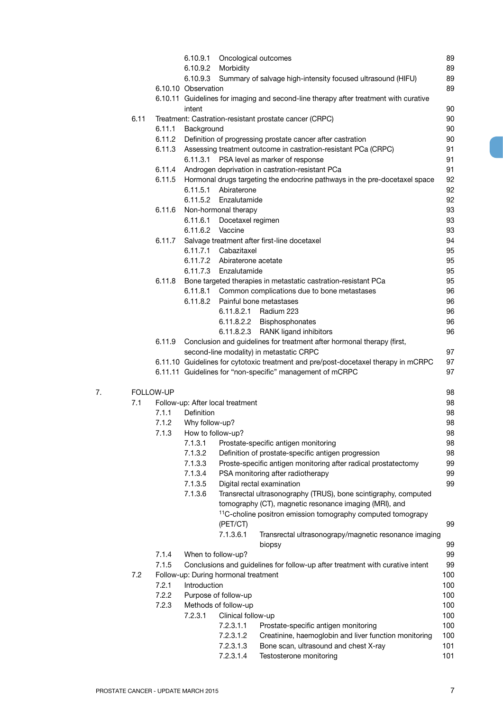|    |      |           | 6.10.9.1                | Oncological outcomes                                                                       | 89         |
|----|------|-----------|-------------------------|--------------------------------------------------------------------------------------------|------------|
|    |      |           | 6.10.9.2                | Morbidity                                                                                  | 89         |
|    |      |           | 6.10.9.3                | Summary of salvage high-intensity focused ultrasound (HIFU)                                | 89         |
|    |      |           | 6.10.10 Observation     |                                                                                            | 89         |
|    |      |           |                         | 6.10.11 Guidelines for imaging and second-line therapy after treatment with curative       |            |
|    |      |           | intent                  |                                                                                            | 90         |
|    | 6.11 |           |                         | Treatment: Castration-resistant prostate cancer (CRPC)                                     | 90         |
|    |      | 6.11.1    | Background              |                                                                                            | 90         |
|    |      | 6.11.2    |                         | Definition of progressing prostate cancer after castration                                 | 90         |
|    |      | 6.11.3    |                         | Assessing treatment outcome in castration-resistant PCa (CRPC)                             | 91         |
|    |      |           | 6.11.3.1                | PSA level as marker of response                                                            | 91         |
|    |      | 6.11.4    |                         | Androgen deprivation in castration-resistant PCa                                           | 91         |
|    |      | 6.11.5    |                         | Hormonal drugs targeting the endocrine pathways in the pre-docetaxel space                 | 92         |
|    |      |           |                         | 6.11.5.1 Abiraterone                                                                       | 92         |
|    |      |           |                         | 6.11.5.2 Enzalutamide                                                                      | 92         |
|    |      | 6.11.6    |                         | Non-hormonal therapy                                                                       | 93         |
|    |      |           |                         | 6.11.6.1 Docetaxel regimen                                                                 | 93         |
|    |      |           |                         | 6.11.6.2 Vaccine                                                                           | 93         |
|    |      | 6.11.7    |                         | Salvage treatment after first-line docetaxel                                               | 94         |
|    |      |           |                         | 6.11.7.1 Cabazitaxel                                                                       |            |
|    |      |           |                         |                                                                                            | 95         |
|    |      |           |                         | 6.11.7.2 Abiraterone acetate                                                               | 95         |
|    |      |           |                         | 6.11.7.3 Enzalutamide                                                                      | 95         |
|    |      | 6.11.8    |                         | Bone targeted therapies in metastatic castration-resistant PCa                             | 95         |
|    |      |           | 6.11.8.1                | Common complications due to bone metastases                                                | 96         |
|    |      |           | 6.11.8.2                | Painful bone metastases                                                                    | 96         |
|    |      |           |                         | 6.11.8.2.1<br>Radium 223                                                                   | 96         |
|    |      |           |                         | 6.11.8.2.2 Bisphosphonates                                                                 | 96         |
|    |      |           |                         | 6.11.8.2.3 RANK ligand inhibitors                                                          | 96         |
|    |      | 6.11.9    |                         | Conclusion and guidelines for treatment after hormonal therapy (first,                     |            |
|    |      |           |                         | second-line modality) in metastatic CRPC                                                   | 97         |
|    |      |           |                         | 6.11.10 Guidelines for cytotoxic treatment and pre/post-docetaxel therapy in mCRPC         | 97         |
|    |      |           |                         | 6.11.11 Guidelines for "non-specific" management of mCRPC                                  | 97         |
|    |      |           |                         |                                                                                            |            |
| 7. |      | FOLLOW-UP |                         |                                                                                            | 98         |
|    | 7.1  |           |                         | Follow-up: After local treatment                                                           | 98         |
|    |      | 7.1.1     | <b>Definition</b>       |                                                                                            | 98         |
|    |      | 7.1.2     | Why follow-up?          |                                                                                            | 98         |
|    |      |           | 7.1.3 How to follow-up? |                                                                                            | 98         |
|    |      |           |                         | Prostate-specific antigen monitoring                                                       |            |
|    |      |           | 7.1.3.1                 |                                                                                            | 98         |
|    |      |           | 7.1.3.2                 | Definition of prostate-specific antigen progression                                        | 98         |
|    |      |           | 7.1.3.3                 |                                                                                            | 99         |
|    |      |           |                         | Proste-specific antigen monitoring after radical prostatectomy                             | 99         |
|    |      |           | 7.1.3.4                 | PSA monitoring after radiotherapy                                                          | 99         |
|    |      |           | 7.1.3.5                 | Digital rectal examination                                                                 |            |
|    |      |           | 7.1.3.6                 | Transrectal ultrasonography (TRUS), bone scintigraphy, computed                            |            |
|    |      |           |                         | tomography (CT), magnetic resonance imaging (MRI), and                                     |            |
|    |      |           |                         | <sup>11</sup> C-choline positron emission tomography computed tomograpy                    |            |
|    |      |           |                         | (PET/CT)                                                                                   | 99         |
|    |      |           |                         | 7.1.3.6.1<br>Transrectal ultrasonograpy/magnetic resonance imaging                         |            |
|    |      |           |                         | biopsy                                                                                     | 99         |
|    |      | 7.1.4     |                         | When to follow-up?                                                                         | 99         |
|    |      | 7.1.5     |                         | Conclusions and guidelines for follow-up after treatment with curative intent              | 99         |
|    | 7.2  |           |                         | Follow-up: During hormonal treatment                                                       | 100        |
|    |      | 7.2.1     | Introduction            |                                                                                            | 100        |
|    |      | 7.2.2     |                         | Purpose of follow-up                                                                       | 100        |
|    |      | 7.2.3     |                         | Methods of follow-up                                                                       | 100        |
|    |      |           | 7.2.3.1                 | Clinical follow-up                                                                         | 100        |
|    |      |           |                         | 7.2.3.1.1<br>Prostate-specific antigen monitoring                                          | 100        |
|    |      |           |                         | Creatinine, haemoglobin and liver function monitoring<br>7.2.3.1.2                         | 100        |
|    |      |           |                         | 7.2.3.1.3<br>Bone scan, ultrasound and chest X-ray<br>Testosterone monitoring<br>7.2.3.1.4 | 101<br>101 |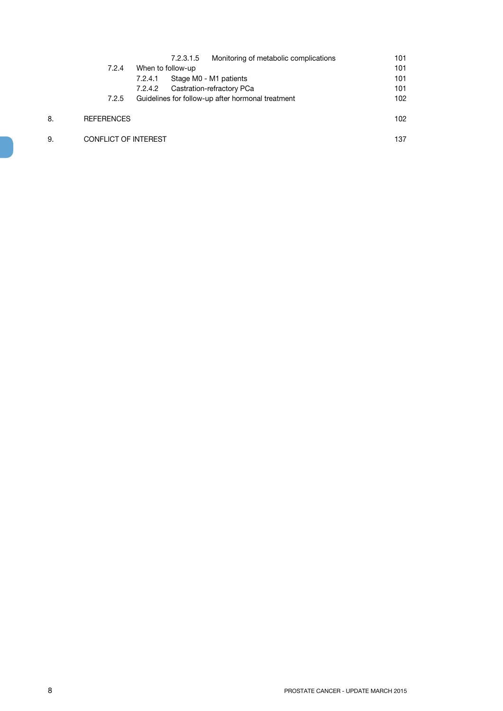|    |                             |         | 7.2.3.1.5         | Monitoring of metabolic complications             | 101 |
|----|-----------------------------|---------|-------------------|---------------------------------------------------|-----|
|    | 7.2.4                       |         | When to follow-up |                                                   | 101 |
|    |                             | 7.2.4.1 |                   | Stage M0 - M1 patients                            | 101 |
|    |                             | 7.2.4.2 |                   | Castration-refractory PCa                         | 101 |
|    | 7.2.5                       |         |                   | Guidelines for follow-up after hormonal treatment | 102 |
| 8. | <b>REFERENCES</b>           |         |                   |                                                   | 102 |
| 9. | <b>CONFLICT OF INTEREST</b> |         |                   |                                                   | 137 |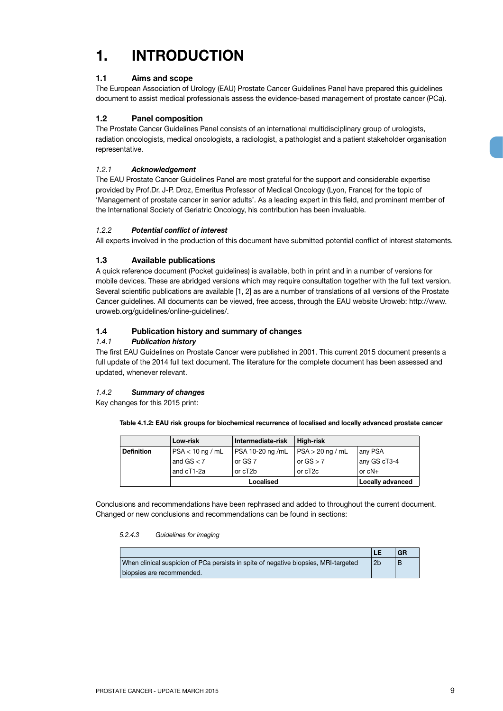## **1. INTRODUCTION**

#### **1.1 Aims and scope**

The European Association of Urology (EAU) Prostate Cancer Guidelines Panel have prepared this guidelines document to assist medical professionals assess the evidence-based management of prostate cancer (PCa).

#### **1.2 Panel composition**

The Prostate Cancer Guidelines Panel consists of an international multidisciplinary group of urologists, radiation oncologists, medical oncologists, a radiologist, a pathologist and a patient stakeholder organisation representative.

#### *1.2.1 Acknowledgement*

The EAU Prostate Cancer Guidelines Panel are most grateful for the support and considerable expertise provided by Prof.Dr. J-P. Droz, Emeritus Professor of Medical Oncology (Lyon, France) for the topic of 'Management of prostate cancer in senior adults'. As a leading expert in this field, and prominent member of the International Society of Geriatric Oncology, his contribution has been invaluable.

#### *1.2.2 Potential conflict of interest*

All experts involved in the production of this document have submitted potential conflict of interest statements.

#### **1.3 Available publications**

A quick reference document (Pocket guidelines) is available, both in print and in a number of versions for mobile devices. These are abridged versions which may require consultation together with the full text version. Several scientific publications are available [1, 2] as are a number of translations of all versions of the Prostate Cancer guidelines. All documents can be viewed, free access, through the EAU website Uroweb: http://www. uroweb.org/guidelines/online-guidelines/.

#### **1.4 Publication history and summary of changes**

#### *1.4.1 Publication history*

The first EAU Guidelines on Prostate Cancer were published in 2001. This current 2015 document presents a full update of the 2014 full text document. The literature for the complete document has been assessed and updated, whenever relevant.

#### *1.4.2 Summary of changes*

Key changes for this 2015 print:

**Table 4.1.2: EAU risk groups for biochemical recurrence of localised and locally advanced prostate cancer**

|                   | Low-risk           | Intermediate-risk | High-risk            |                         |
|-------------------|--------------------|-------------------|----------------------|-------------------------|
| <b>Definition</b> | $PSA < 10$ ng / mL | PSA 10-20 ng /mL  | $PSA > 20$ ng / mL   | any PSA                 |
|                   | and $GS < 7$       | or GS 7           | or $GS > 7$          | any GS cT3-4            |
|                   | and cT1-2a         | or cT2b           | or cT <sub>2</sub> c | or $cN+$                |
|                   |                    | Localised         |                      | <b>Locally advanced</b> |

Conclusions and recommendations have been rephrased and added to throughout the current document. Changed or new conclusions and recommendations can be found in sections:

#### *5.2.4.3 Guidelines for imaging*

|                                                                                     |    | GR |
|-------------------------------------------------------------------------------------|----|----|
| When clinical suspicion of PCa persists in spite of negative biopsies, MRI-targeted | 2b | B  |
| biopsies are recommended.                                                           |    |    |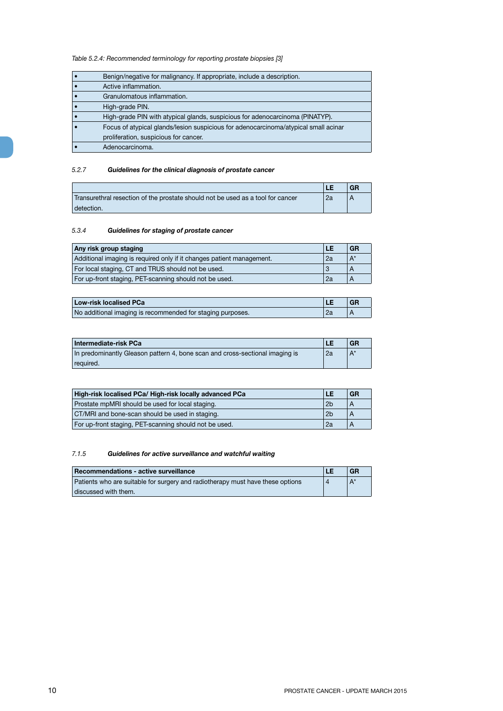*Table 5.2.4: Recommended terminology for reporting prostate biopsies [3]*

| Benign/negative for malignancy. If appropriate, include a description.              |
|-------------------------------------------------------------------------------------|
| Active inflammation.                                                                |
| Granulomatous inflammation.                                                         |
| High-grade PIN.                                                                     |
| High-grade PIN with atypical glands, suspicious for adenocarcinoma (PINATYP).       |
| Focus of atypical glands/lesion suspicious for adenocarcinoma/atypical small acinar |
| proliferation, suspicious for cancer.                                               |
| Adenocarcinoma.                                                                     |

#### *5.2.7 Guidelines for the clinical diagnosis of prostate cancer*

|                                                                                 |    | <b>GR</b> |
|---------------------------------------------------------------------------------|----|-----------|
| Transurethral resection of the prostate should not be used as a tool for cancer | 2a |           |
| detection.                                                                      |    |           |

#### *5.3.4 Guidelines for staging of prostate cancer*

| Any risk group staging                                                | LE | <b>GR</b> |
|-----------------------------------------------------------------------|----|-----------|
| Additional imaging is required only if it changes patient management. | 2a | $A^*$     |
| For local staging, CT and TRUS should not be used.                    |    |           |
| For up-front staging, PET-scanning should not be used.                | 2a |           |

| <b>Low-risk localised PCa</b>                              |    | <b>GF</b> |
|------------------------------------------------------------|----|-----------|
| No additional imaging is recommended for staging purposes. | 2a |           |

| Intermediate-risk PCa                                                        | LE | <b>GR</b> |
|------------------------------------------------------------------------------|----|-----------|
| In predominantly Gleason pattern 4, bone scan and cross-sectional imaging is | 2a | $A^*$     |
| required.                                                                    |    |           |

| High-risk localised PCa/ High-risk locally advanced PCa<br>LE |                | <b>GR</b> |
|---------------------------------------------------------------|----------------|-----------|
| Prostate mpMRI should be used for local staging.              | 2 <sub>b</sub> |           |
| CT/MRI and bone-scan should be used in staging.               | 2 <sub>b</sub> |           |
| For up-front staging, PET-scanning should not be used.        | 2a             |           |

#### *7.1.5 Guidelines for active surveillance and watchful waiting*

| Recommendations - active surveillance                                          | LE | <b>GR</b> |
|--------------------------------------------------------------------------------|----|-----------|
| Patients who are suitable for surgery and radiotherapy must have these options |    | $A^*$     |
| discussed with them.                                                           |    |           |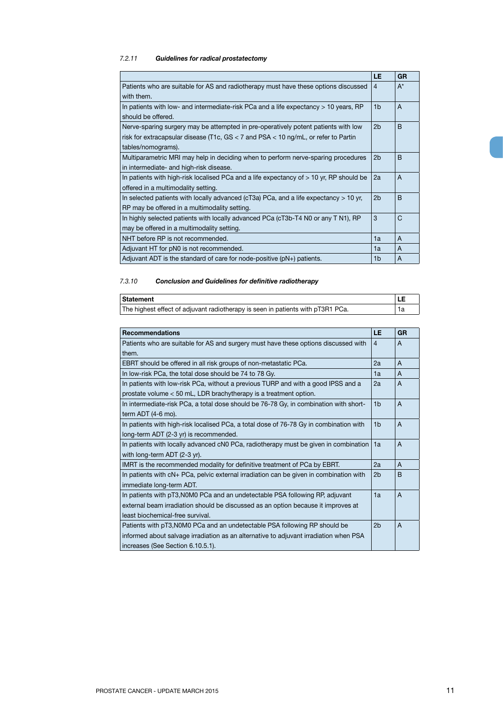### *7.2.11 Guidelines for radical prostatectomy*

|                                                                                             | LE.            | <b>GR</b>    |
|---------------------------------------------------------------------------------------------|----------------|--------------|
| Patients who are suitable for AS and radiotherapy must have these options discussed         | 4              | $A^*$        |
| with them.                                                                                  |                |              |
| In patients with low- and intermediate-risk PCa and a life expectancy $> 10$ years, RP      | 1 <sub>b</sub> | $\mathsf{A}$ |
| should be offered.                                                                          |                |              |
| Nerve-sparing surgery may be attempted in pre-operatively potent patients with low          | 2b             | B            |
| risk for extracapsular disease (T1c, GS $<$ 7 and PSA $<$ 10 ng/mL, or refer to Partin      |                |              |
| tables/nomograms).                                                                          |                |              |
| Multiparametric MRI may help in deciding when to perform nerve-sparing procedures           | 2 <sub>b</sub> | B            |
| in intermediate- and high-risk disease.                                                     |                |              |
| In patients with high-risk localised PCa and a life expectancy of $> 10$ yr, RP should be   | 2a             | $\mathsf{A}$ |
| offered in a multimodality setting.                                                         |                |              |
| In selected patients with locally advanced ( $cT3a$ ) PCa, and a life expectancy $> 10$ yr, | 2 <sub>b</sub> | <sub>B</sub> |
| RP may be offered in a multimodality setting.                                               |                |              |
| In highly selected patients with locally advanced PCa (cT3b-T4 N0 or any T N1), RP          | 3              | C            |
| may be offered in a multimodality setting.                                                  |                |              |
| NHT before RP is not recommended.                                                           | 1a             | A            |
| Adjuvant HT for pN0 is not recommended.                                                     | 1a             | A            |
| Adjuvant ADT is the standard of care for node-positive $(pN+)$ patients.                    | 1 <sub>b</sub> | A            |

#### *7.3.10 Conclusion and Guidelines for definitive radiotherapy*

| Statement                                                                       |  |
|---------------------------------------------------------------------------------|--|
| The highest effect of adjuvant radiotherapy is seen in patients with pT3R1 PCa. |  |

| <b>Recommendations</b>                                                                 | LE.            | <b>GR</b> |
|----------------------------------------------------------------------------------------|----------------|-----------|
| Patients who are suitable for AS and surgery must have these options discussed with    | $\overline{4}$ | A         |
| them.                                                                                  |                |           |
| EBRT should be offered in all risk groups of non-metastatic PCa.                       | 2a             | A         |
| In low-risk PCa, the total dose should be 74 to 78 Gy.                                 | 1a             | A         |
| In patients with low-risk PCa, without a previous TURP and with a good IPSS and a      | 2a             | A         |
| prostate volume < 50 mL, LDR brachytherapy is a treatment option.                      |                |           |
| In intermediate-risk PCa, a total dose should be 76-78 Gy, in combination with short-  | 1 <sub>b</sub> | A         |
| term ADT (4-6 mo).                                                                     |                |           |
| In patients with high-risk localised PCa, a total dose of 76-78 Gy in combination with | 1 <sub>b</sub> | A         |
| long-term ADT (2-3 yr) is recommended.                                                 |                |           |
| In patients with locally advanced cN0 PCa, radiotherapy must be given in combination   | 1a             | A         |
| with long-term ADT (2-3 yr).                                                           |                |           |
| IMRT is the recommended modality for definitive treatment of PCa by EBRT.              | 2a             | A         |
| In patients with cN+ PCa, pelvic external irradiation can be given in combination with | 2 <sub>b</sub> | B         |
| immediate long-term ADT.                                                               |                |           |
| In patients with pT3, NOMO PCa and an undetectable PSA following RP, adjuvant          | 1a             | A         |
| external beam irradiation should be discussed as an option because it improves at      |                |           |
| least biochemical-free survival.                                                       |                |           |
| Patients with pT3, NOMO PCa and an undetectable PSA following RP should be             | 2 <sub>b</sub> | A         |
| informed about salvage irradiation as an alternative to adjuvant irradiation when PSA  |                |           |
| increases (See Section 6.10.5.1).                                                      |                |           |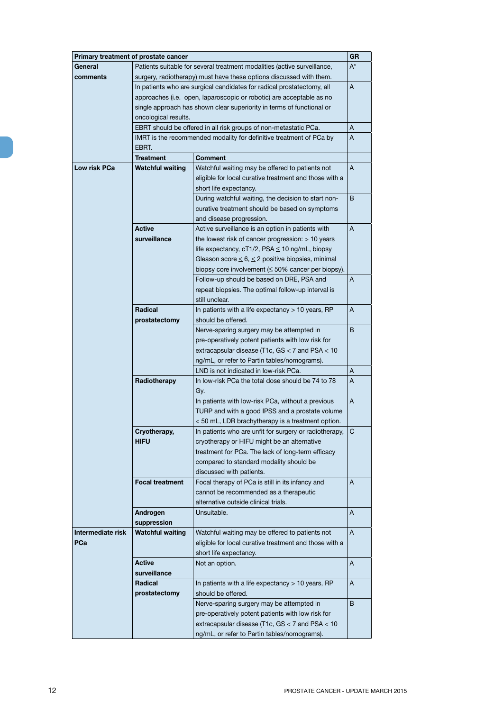|                   | Primary treatment of prostate cancer                                                                                                            |                                                                       | GR    |
|-------------------|-------------------------------------------------------------------------------------------------------------------------------------------------|-----------------------------------------------------------------------|-------|
| General           |                                                                                                                                                 |                                                                       | $A^*$ |
| comments          | Patients suitable for several treatment modalities (active surveillance,<br>surgery, radiotherapy) must have these options discussed with them. |                                                                       |       |
|                   | In patients who are surgical candidates for radical prostatectomy, all                                                                          |                                                                       | Α     |
|                   |                                                                                                                                                 | approaches (i.e. open, laparoscopic or robotic) are acceptable as no  |       |
|                   |                                                                                                                                                 |                                                                       |       |
|                   |                                                                                                                                                 | single approach has shown clear superiority in terms of functional or |       |
|                   | oncological results.                                                                                                                            |                                                                       |       |
|                   |                                                                                                                                                 | EBRT should be offered in all risk groups of non-metastatic PCa.      | Α     |
|                   |                                                                                                                                                 | IMRT is the recommended modality for definitive treatment of PCa by   | A     |
|                   | EBRT.                                                                                                                                           |                                                                       |       |
|                   | <b>Treatment</b>                                                                                                                                | <b>Comment</b>                                                        |       |
| Low risk PCa      | <b>Watchful waiting</b>                                                                                                                         | Watchful waiting may be offered to patients not                       | A     |
|                   |                                                                                                                                                 | eligible for local curative treatment and those with a                |       |
|                   |                                                                                                                                                 | short life expectancy.                                                |       |
|                   |                                                                                                                                                 | During watchful waiting, the decision to start non-                   | B     |
|                   |                                                                                                                                                 | curative treatment should be based on symptoms                        |       |
|                   |                                                                                                                                                 | and disease progression.                                              |       |
|                   | <b>Active</b>                                                                                                                                   | Active surveillance is an option in patients with                     | A     |
|                   | surveillance                                                                                                                                    | the lowest risk of cancer progression: > 10 years                     |       |
|                   |                                                                                                                                                 | life expectancy, cT1/2, PSA ≤ 10 ng/mL, biopsy                        |       |
|                   |                                                                                                                                                 | Gleason score $\leq 6, \leq 2$ positive biopsies, minimal             |       |
|                   |                                                                                                                                                 | biopsy core involvement $(\leq 50\%$ cancer per biopsy).              |       |
|                   |                                                                                                                                                 | Follow-up should be based on DRE, PSA and                             | A     |
|                   |                                                                                                                                                 | repeat biopsies. The optimal follow-up interval is                    |       |
|                   |                                                                                                                                                 | still unclear.                                                        |       |
|                   | Radical                                                                                                                                         | In patients with a life expectancy > 10 years, RP                     | A     |
|                   | prostatectomy                                                                                                                                   | should be offered.                                                    |       |
|                   |                                                                                                                                                 | Nerve-sparing surgery may be attempted in                             | B     |
|                   |                                                                                                                                                 | pre-operatively potent patients with low risk for                     |       |
|                   |                                                                                                                                                 | extracapsular disease (T1c, GS < 7 and PSA < 10                       |       |
|                   |                                                                                                                                                 | ng/mL, or refer to Partin tables/nomograms).                          |       |
|                   |                                                                                                                                                 | LND is not indicated in low-risk PCa.                                 | Α     |
|                   | Radiotherapy                                                                                                                                    | In low-risk PCa the total dose should be 74 to 78                     | Α     |
|                   |                                                                                                                                                 | Gy.                                                                   |       |
|                   |                                                                                                                                                 | In patients with low-risk PCa, without a previous                     | Α     |
|                   |                                                                                                                                                 | TURP and with a good IPSS and a prostate volume                       |       |
|                   |                                                                                                                                                 | < 50 mL, LDR brachytherapy is a treatment option.                     |       |
|                   | Cryotherapy,                                                                                                                                    | In patients who are unfit for surgery or radiotherapy,                | C     |
|                   | <b>HIFU</b>                                                                                                                                     | cryotherapy or HIFU might be an alternative                           |       |
|                   |                                                                                                                                                 | treatment for PCa. The lack of long-term efficacy                     |       |
|                   |                                                                                                                                                 | compared to standard modality should be                               |       |
|                   |                                                                                                                                                 | discussed with patients.                                              |       |
|                   | <b>Focal treatment</b>                                                                                                                          | Focal therapy of PCa is still in its infancy and                      | A     |
|                   |                                                                                                                                                 | cannot be recommended as a therapeutic                                |       |
|                   |                                                                                                                                                 | alternative outside clinical trials.                                  |       |
|                   | Androgen                                                                                                                                        | Unsuitable.                                                           | Α     |
|                   | suppression                                                                                                                                     |                                                                       |       |
| Intermediate risk | <b>Watchful waiting</b>                                                                                                                         | Watchful waiting may be offered to patients not                       | A     |
| PCa               |                                                                                                                                                 | eligible for local curative treatment and those with a                |       |
|                   |                                                                                                                                                 | short life expectancy.                                                |       |
|                   | <b>Active</b>                                                                                                                                   | Not an option.                                                        | Α     |
|                   | surveillance                                                                                                                                    |                                                                       |       |
|                   | Radical                                                                                                                                         | In patients with a life expectancy > 10 years, RP                     | Α     |
|                   | prostatectomy                                                                                                                                   | should be offered.                                                    |       |
|                   |                                                                                                                                                 | Nerve-sparing surgery may be attempted in                             | B     |
|                   |                                                                                                                                                 | pre-operatively potent patients with low risk for                     |       |
|                   |                                                                                                                                                 | extracapsular disease (T1c, GS < 7 and PSA < 10                       |       |
|                   |                                                                                                                                                 |                                                                       |       |
|                   |                                                                                                                                                 | ng/mL, or refer to Partin tables/nomograms).                          |       |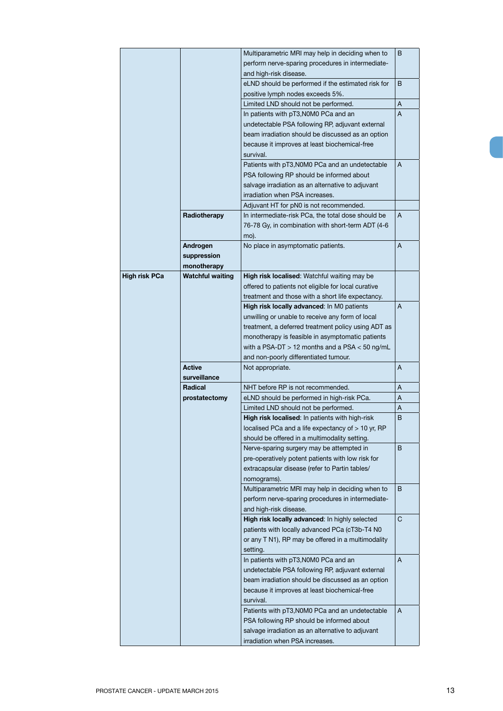|                      |                         | Multiparametric MRI may help in deciding when to    | B |
|----------------------|-------------------------|-----------------------------------------------------|---|
|                      |                         | perform nerve-sparing procedures in intermediate-   |   |
|                      |                         | and high-risk disease.                              |   |
|                      |                         | eLND should be performed if the estimated risk for  | B |
|                      |                         | positive lymph nodes exceeds 5%.                    |   |
|                      |                         | Limited LND should not be performed.                | A |
|                      |                         | In patients with pT3, N0M0 PCa and an               | A |
|                      |                         | undetectable PSA following RP, adjuvant external    |   |
|                      |                         | beam irradiation should be discussed as an option   |   |
|                      |                         | because it improves at least biochemical-free       |   |
|                      |                         | survival.                                           |   |
|                      |                         | Patients with pT3, N0M0 PCa and an undetectable     | A |
|                      |                         | PSA following RP should be informed about           |   |
|                      |                         | salvage irradiation as an alternative to adjuvant   |   |
|                      |                         | irradiation when PSA increases.                     |   |
|                      |                         | Adjuvant HT for pN0 is not recommended.             |   |
|                      | Radiotherapy            | In intermediate-risk PCa, the total dose should be  | A |
|                      |                         | 76-78 Gy, in combination with short-term ADT (4-6   |   |
|                      |                         | mo).                                                |   |
|                      | Androgen                | No place in asymptomatic patients.                  | A |
|                      | suppression             |                                                     |   |
|                      | monotherapy             |                                                     |   |
| <b>High risk PCa</b> | <b>Watchful waiting</b> | High risk localised: Watchful waiting may be        |   |
|                      |                         | offered to patients not eligible for local curative |   |
|                      |                         | treatment and those with a short life expectancy.   |   |
|                      |                         | High risk locally advanced: In M0 patients          | A |
|                      |                         | unwilling or unable to receive any form of local    |   |
|                      |                         | treatment, a deferred treatment policy using ADT as |   |
|                      |                         | monotherapy is feasible in asymptomatic patients    |   |
|                      |                         | with a PSA-DT $>$ 12 months and a PSA $<$ 50 ng/mL  |   |
|                      |                         | and non-poorly differentiated tumour.               |   |
|                      | <b>Active</b>           | Not appropriate.                                    | A |
|                      | surveillance            |                                                     |   |
|                      | Radical                 | NHT before RP is not recommended.                   | Α |
|                      | prostatectomy           | eLND should be performed in high-risk PCa.          | Α |
|                      |                         | Limited LND should not be performed.                | Α |
|                      |                         | High risk localised: In patients with high-risk     | B |
|                      |                         | localised PCa and a life expectancy of > 10 yr, RP  |   |
|                      |                         | should be offered in a multimodality setting.       |   |
|                      |                         | Nerve-sparing surgery may be attempted in           | B |
|                      |                         | pre-operatively potent patients with low risk for   |   |
|                      |                         | extracapsular disease (refer to Partin tables/      |   |
|                      |                         | nomograms).                                         |   |
|                      |                         | Multiparametric MRI may help in deciding when to    | В |
|                      |                         | perform nerve-sparing procedures in intermediate-   |   |
|                      |                         | and high-risk disease.                              |   |
|                      |                         | High risk locally advanced: In highly selected      | C |
|                      |                         | patients with locally advanced PCa (cT3b-T4 N0      |   |
|                      |                         | or any T N1), RP may be offered in a multimodality  |   |
|                      |                         | setting.                                            |   |
|                      |                         | In patients with pT3, N0M0 PCa and an               | A |
|                      |                         | undetectable PSA following RP, adjuvant external    |   |
|                      |                         | beam irradiation should be discussed as an option   |   |
|                      |                         | because it improves at least biochemical-free       |   |
|                      |                         | survival.                                           |   |
|                      |                         | Patients with pT3, N0M0 PCa and an undetectable     | A |
|                      |                         | PSA following RP should be informed about           |   |
|                      |                         | salvage irradiation as an alternative to adjuvant   |   |
|                      |                         | irradiation when PSA increases.                     |   |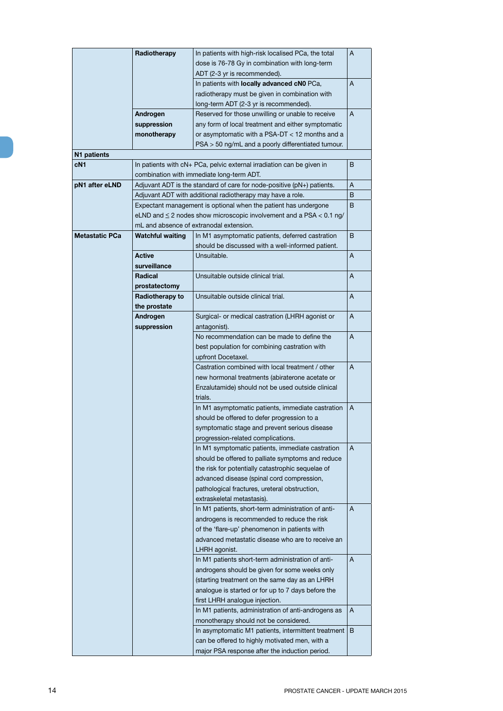|                       | Radiotherapy            | In patients with high-risk localised PCa, the total<br>dose is 76-78 Gy in combination with long-term                 | A |
|-----------------------|-------------------------|-----------------------------------------------------------------------------------------------------------------------|---|
|                       |                         | ADT (2-3 yr is recommended).                                                                                          |   |
|                       |                         | In patients with locally advanced cN0 PCa,                                                                            | A |
|                       |                         | radiotherapy must be given in combination with                                                                        |   |
|                       |                         | long-term ADT (2-3 yr is recommended).                                                                                |   |
|                       | Androgen                | Reserved for those unwilling or unable to receive                                                                     | A |
|                       | suppression             | any form of local treatment and either symptomatic                                                                    |   |
|                       | monotherapy             | or asymptomatic with a PSA-DT < 12 months and a                                                                       |   |
|                       |                         | PSA > 50 ng/mL and a poorly differentiated tumour.                                                                    |   |
| N1 patients           |                         |                                                                                                                       |   |
| cN <sub>1</sub>       |                         | In patients with cN+ PCa, pelvic external irradiation can be given in                                                 | B |
|                       |                         | combination with immediate long-term ADT.                                                                             |   |
| pN1 after eLND        |                         | Adjuvant ADT is the standard of care for node-positive (pN+) patients.                                                | Α |
|                       |                         | Adjuvant ADT with additional radiotherapy may have a role.                                                            | B |
|                       |                         | Expectant management is optional when the patient has undergone                                                       | B |
|                       |                         | eLND and $\leq$ 2 nodes show microscopic involvement and a PSA $<$ 0.1 ng/<br>mL and absence of extranodal extension. |   |
| <b>Metastatic PCa</b> | <b>Watchful waiting</b> | In M1 asymptomatic patients, deferred castration                                                                      | B |
|                       |                         | should be discussed with a well-informed patient.                                                                     |   |
|                       | <b>Active</b>           | Unsuitable.                                                                                                           | A |
|                       | surveillance            |                                                                                                                       |   |
|                       | Radical                 | Unsuitable outside clinical trial.                                                                                    | A |
|                       | prostatectomy           |                                                                                                                       |   |
|                       | Radiotherapy to         | Unsuitable outside clinical trial.                                                                                    | Α |
|                       | the prostate            |                                                                                                                       |   |
|                       | Androgen                | Surgical- or medical castration (LHRH agonist or                                                                      | A |
|                       | suppression             | antagonist).                                                                                                          |   |
|                       |                         | No recommendation can be made to define the                                                                           | A |
|                       |                         | best population for combining castration with                                                                         |   |
|                       |                         | upfront Docetaxel.                                                                                                    |   |
|                       |                         | Castration combined with local treatment / other                                                                      | A |
|                       |                         | new hormonal treatments (abiraterone acetate or                                                                       |   |
|                       |                         | Enzalutamide) should not be used outside clinical                                                                     |   |
|                       |                         | trials.                                                                                                               | A |
|                       |                         | In M1 asymptomatic patients, immediate castration<br>should be offered to defer progression to a                      |   |
|                       |                         | symptomatic stage and prevent serious disease                                                                         |   |
|                       |                         | progression-related complications.                                                                                    |   |
|                       |                         | In M1 symptomatic patients, immediate castration                                                                      | A |
|                       |                         | should be offered to palliate symptoms and reduce                                                                     |   |
|                       |                         | the risk for potentially catastrophic sequelae of                                                                     |   |
|                       |                         | advanced disease (spinal cord compression,                                                                            |   |
|                       |                         | pathological fractures, ureteral obstruction,                                                                         |   |
|                       |                         | extraskeletal metastasis).                                                                                            |   |
|                       |                         | In M1 patients, short-term administration of anti-                                                                    | A |
|                       |                         | androgens is recommended to reduce the risk                                                                           |   |
|                       |                         | of the 'flare-up' phenomenon in patients with                                                                         |   |
|                       |                         | advanced metastatic disease who are to receive an                                                                     |   |
|                       |                         | LHRH agonist.                                                                                                         |   |
|                       |                         | In M1 patients short-term administration of anti-                                                                     | A |
|                       |                         | androgens should be given for some weeks only                                                                         |   |
|                       |                         | (starting treatment on the same day as an LHRH                                                                        |   |
|                       |                         | analogue is started or for up to 7 days before the                                                                    |   |
|                       |                         | first LHRH analogue injection.                                                                                        | A |
|                       |                         | In M1 patients, administration of anti-androgens as<br>monotherapy should not be considered.                          |   |
|                       |                         | In asymptomatic M1 patients, intermittent treatment                                                                   | B |
|                       |                         | can be offered to highly motivated men, with a                                                                        |   |
|                       |                         | major PSA response after the induction period.                                                                        |   |
|                       |                         |                                                                                                                       |   |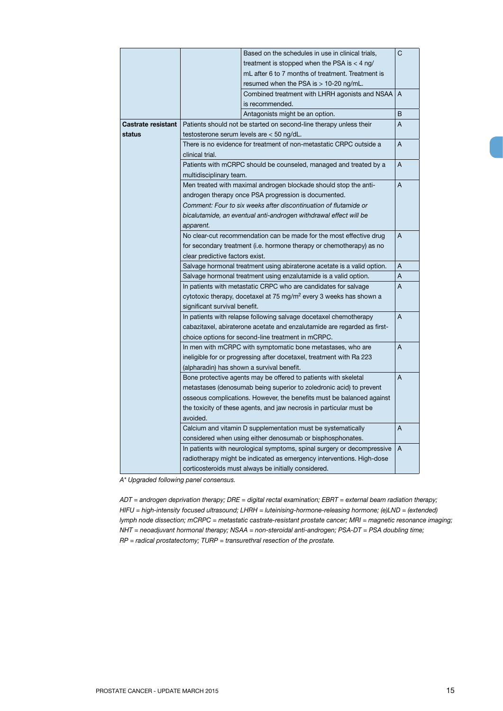|                                                                         | Based on the schedules in use in clinical trials,                              |   | C              |  |
|-------------------------------------------------------------------------|--------------------------------------------------------------------------------|---|----------------|--|
|                                                                         | treatment is stopped when the PSA is $<$ 4 ng/                                 |   |                |  |
|                                                                         | mL after 6 to 7 months of treatment. Treatment is                              |   |                |  |
|                                                                         | resumed when the PSA is $> 10-20$ ng/mL.                                       |   |                |  |
|                                                                         | Combined treatment with LHRH agonists and NSAA                                 |   | $\overline{A}$ |  |
|                                                                         | is recommended.                                                                |   |                |  |
|                                                                         | Antagonists might be an option.                                                |   | B              |  |
| <b>Castrate resistant</b>                                               | Patients should not be started on second-line therapy unless their             |   | A              |  |
| status                                                                  | testosterone serum levels are $<$ 50 ng/dL.                                    |   |                |  |
|                                                                         | There is no evidence for treatment of non-metastatic CRPC outside a<br>A       |   |                |  |
|                                                                         | clinical trial.                                                                |   |                |  |
|                                                                         | Patients with mCRPC should be counseled, managed and treated by a              |   | Α              |  |
|                                                                         | multidisciplinary team.                                                        |   |                |  |
|                                                                         | Men treated with maximal androgen blockade should stop the anti-               |   | Α              |  |
|                                                                         | androgen therapy once PSA progression is documented.                           |   |                |  |
|                                                                         | Comment: Four to six weeks after discontinuation of flutamide or               |   |                |  |
|                                                                         | bicalutamide, an eventual anti-androgen withdrawal effect will be              |   |                |  |
|                                                                         | apparent.                                                                      |   |                |  |
|                                                                         | No clear-cut recommendation can be made for the most effective drug            |   | A              |  |
|                                                                         | for secondary treatment (i.e. hormone therapy or chemotherapy) as no           |   |                |  |
|                                                                         | clear predictive factors exist.                                                |   |                |  |
|                                                                         | Salvage hormonal treatment using abiraterone acetate is a valid option.<br>Α   |   |                |  |
|                                                                         | Salvage hormonal treatment using enzalutamide is a valid option.               |   | Α              |  |
|                                                                         | In patients with metastatic CRPC who are candidates for salvage                |   | A              |  |
|                                                                         | cytotoxic therapy, docetaxel at 75 mg/m <sup>2</sup> every 3 weeks has shown a |   |                |  |
|                                                                         | significant survival benefit.                                                  |   |                |  |
|                                                                         | In patients with relapse following salvage docetaxel chemotherapy              |   | Α              |  |
|                                                                         | cabazitaxel, abiraterone acetate and enzalutamide are regarded as first-       |   |                |  |
|                                                                         | choice options for second-line treatment in mCRPC.                             |   |                |  |
|                                                                         | In men with mCRPC with symptomatic bone metastases, who are                    |   | A              |  |
|                                                                         | ineligible for or progressing after docetaxel, treatment with Ra 223           |   |                |  |
|                                                                         | (alpharadin) has shown a survival benefit.                                     |   |                |  |
|                                                                         | Bone protective agents may be offered to patients with skeletal                |   | A              |  |
|                                                                         | metastases (denosumab being superior to zoledronic acid) to prevent            |   |                |  |
|                                                                         | osseous complications. However, the benefits must be balanced against          |   |                |  |
|                                                                         | the toxicity of these agents, and jaw necrosis in particular must be           |   |                |  |
|                                                                         | avoided.                                                                       |   |                |  |
|                                                                         | Calcium and vitamin D supplementation must be systematically                   |   | A              |  |
|                                                                         | considered when using either denosumab or bisphosphonates.                     |   |                |  |
| In patients with neurological symptoms, spinal surgery or decompressive |                                                                                | A |                |  |
|                                                                         | radiotherapy might be indicated as emergency interventions. High-dose          |   |                |  |
|                                                                         | corticosteroids must always be initially considered.                           |   |                |  |

*A\* Upgraded following panel consensus.*

*ADT = androgen deprivation therapy; DRE = digital rectal examination; EBRT = external beam radiation therapy; HIFU = high-intensity focused ultrasound; LHRH = luteinising-hormone-releasing hormone; (e)LND = (extended) lymph node dissection; mCRPC = metastatic castrate-resistant prostate cancer; MRI = magnetic resonance imaging; NHT = neoadjuvant hormonal therapy; NSAA = non-steroidal anti-androgen; PSA-DT = PSA doubling time; RP = radical prostatectomy; TURP = transurethral resection of the prostate.*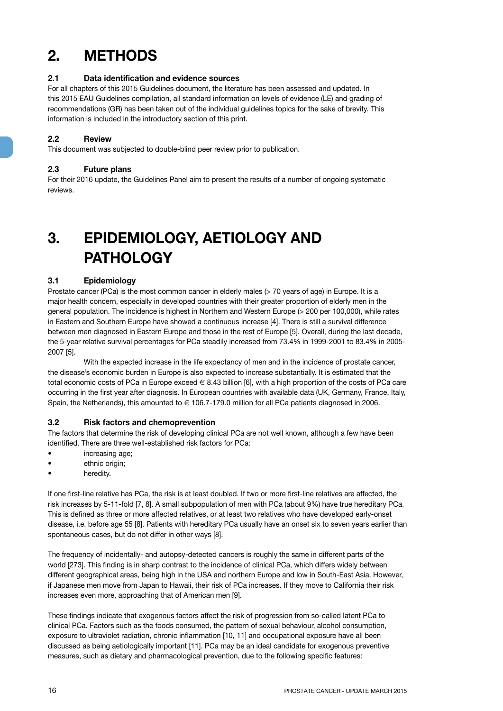## **2. METHODS**

#### **2.1 Data identification and evidence sources**

For all chapters of this 2015 Guidelines document, the literature has been assessed and updated. In this 2015 EAU Guidelines compilation, all standard information on levels of evidence (LE) and grading of recommendations (GR) has been taken out of the individual guidelines topics for the sake of brevity. This information is included in the introductory section of this print.

#### **2.2 Review**

This document was subjected to double-blind peer review prior to publication.

#### **2.3 Future plans**

For their 2016 update, the Guidelines Panel aim to present the results of a number of ongoing systematic reviews.

## **3. EPIDEMIOLOGY, AETIOLOGY AND PATHOLOGY**

#### **3.1 Epidemiology**

Prostate cancer (PCa) is the most common cancer in elderly males (> 70 years of age) in Europe. It is a major health concern, especially in developed countries with their greater proportion of elderly men in the general population. The incidence is highest in Northern and Western Europe (> 200 per 100,000), while rates in Eastern and Southern Europe have showed a continuous increase [4]. There is still a survival difference between men diagnosed in Eastern Europe and those in the rest of Europe [5]. Overall, during the last decade, the 5-year relative survival percentages for PCa steadily increased from 73.4% in 1999-2001 to 83.4% in 2005- 2007 [5].

With the expected increase in the life expectancy of men and in the incidence of prostate cancer, the disease's economic burden in Europe is also expected to increase substantially. It is estimated that the total economic costs of PCa in Europe exceed  $\in$  8.43 billion [6], with a high proportion of the costs of PCa care occurring in the first year after diagnosis. In European countries with available data (UK, Germany, France, Italy, Spain, the Netherlands), this amounted to  $\in$  106.7-179.0 million for all PCa patients diagnosed in 2006.

#### **3.2 Risk factors and chemoprevention**

The factors that determine the risk of developing clinical PCa are not well known, although a few have been identified. There are three well-established risk factors for PCa:

- increasing age;
- ethnic origin;
- heredity.

If one first-line relative has PCa, the risk is at least doubled. If two or more first-line relatives are affected, the risk increases by 5-11-fold [7, 8]. A small subpopulation of men with PCa (about 9%) have true hereditary PCa. This is defined as three or more affected relatives, or at least two relatives who have developed early-onset disease, i.e. before age 55 [8]. Patients with hereditary PCa usually have an onset six to seven years earlier than spontaneous cases, but do not differ in other ways [8].

The frequency of incidentally- and autopsy-detected cancers is roughly the same in different parts of the world [273]. This finding is in sharp contrast to the incidence of clinical PCa, which differs widely between different geographical areas, being high in the USA and northern Europe and low in South-East Asia. However, if Japanese men move from Japan to Hawaii, their risk of PCa increases. If they move to California their risk increases even more, approaching that of American men [9].

These findings indicate that exogenous factors affect the risk of progression from so-called latent PCa to clinical PCa. Factors such as the foods consumed, the pattern of sexual behaviour, alcohol consumption, exposure to ultraviolet radiation, chronic inflammation [10, 11] and occupational exposure have all been discussed as being aetiologically important [11]. PCa may be an ideal candidate for exogenous preventive measures, such as dietary and pharmacological prevention, due to the following specific features: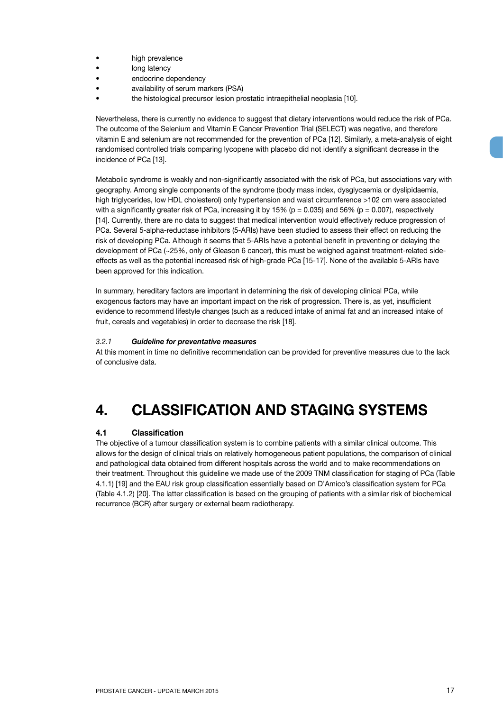- high prevalence
- long latency
- endocrine dependency
- availability of serum markers (PSA)
- the histological precursor lesion prostatic intraepithelial neoplasia [10].

Nevertheless, there is currently no evidence to suggest that dietary interventions would reduce the risk of PCa. The outcome of the Selenium and Vitamin E Cancer Prevention Trial (SELECT) was negative, and therefore vitamin E and selenium are not recommended for the prevention of PCa [12]. Similarly, a meta-analysis of eight randomised controlled trials comparing lycopene with placebo did not identify a significant decrease in the incidence of PCa [13].

Metabolic syndrome is weakly and non-significantly associated with the risk of PCa, but associations vary with geography. Among single components of the syndrome (body mass index, dysglycaemia or dyslipidaemia, high triglycerides, low HDL cholesterol) only hypertension and waist circumference >102 cm were associated with a significantly greater risk of PCa, increasing it by 15% ( $p = 0.035$ ) and 56% ( $p = 0.007$ ), respectively [14]. Currently, there are no data to suggest that medical intervention would effectively reduce progression of PCa. Several 5-alpha-reductase inhibitors (5-ARIs) have been studied to assess their effect on reducing the risk of developing PCa. Although it seems that 5-ARIs have a potential benefit in preventing or delaying the development of PCa (~25%, only of Gleason 6 cancer), this must be weighed against treatment-related sideeffects as well as the potential increased risk of high-grade PCa [15-17]. None of the available 5-ARIs have been approved for this indication.

In summary, hereditary factors are important in determining the risk of developing clinical PCa, while exogenous factors may have an important impact on the risk of progression. There is, as yet, insufficient evidence to recommend lifestyle changes (such as a reduced intake of animal fat and an increased intake of fruit, cereals and vegetables) in order to decrease the risk [18].

#### *3.2.1 Guideline for preventative measures*

At this moment in time no definitive recommendation can be provided for preventive measures due to the lack of conclusive data.

## **4. CLASSIFICATION AND STAGING SYSTEMS**

#### **4.1 Classification**

The objective of a tumour classification system is to combine patients with a similar clinical outcome. This allows for the design of clinical trials on relatively homogeneous patient populations, the comparison of clinical and pathological data obtained from different hospitals across the world and to make recommendations on their treatment. Throughout this guideline we made use of the 2009 TNM classification for staging of PCa (Table 4.1.1) [19] and the EAU risk group classification essentially based on D'Amico's classification system for PCa (Table 4.1.2) [20]. The latter classification is based on the grouping of patients with a similar risk of biochemical recurrence (BCR) after surgery or external beam radiotherapy.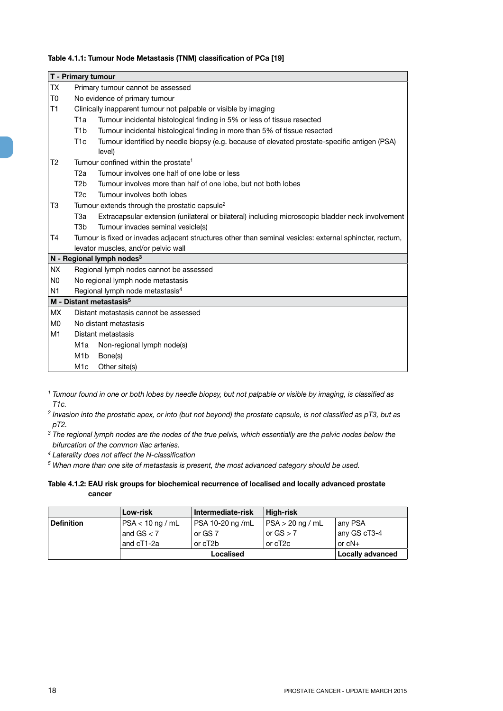#### **Table 4.1.1: Tumour Node Metastasis (TNM) classification of PCa [19]**

|                | T - Primary tumour                  |                                                                                                         |  |
|----------------|-------------------------------------|---------------------------------------------------------------------------------------------------------|--|
| <b>TX</b>      | Primary tumour cannot be assessed   |                                                                                                         |  |
| T <sub>0</sub> |                                     | No evidence of primary tumour                                                                           |  |
| T1             |                                     | Clinically inapparent tumour not palpable or visible by imaging                                         |  |
|                | T1a                                 | Tumour incidental histological finding in 5% or less of tissue resected                                 |  |
|                | T <sub>1</sub> b                    | Tumour incidental histological finding in more than 5% of tissue resected                               |  |
|                | T <sub>1</sub> c                    | Tumour identified by needle biopsy (e.g. because of elevated prostate-specific antigen (PSA)<br>level)  |  |
| T <sub>2</sub> |                                     | Tumour confined within the prostate <sup>1</sup>                                                        |  |
|                | T <sub>2a</sub>                     | Tumour involves one half of one lobe or less                                                            |  |
|                | T <sub>2</sub> b                    | Tumour involves more than half of one lobe, but not both lobes                                          |  |
|                | T2c                                 | Tumour involves both lobes                                                                              |  |
| T3             |                                     | Tumour extends through the prostatic capsule <sup>2</sup>                                               |  |
|                | T3a                                 | Extracapsular extension (unilateral or bilateral) including microscopic bladder neck involvement        |  |
|                | T <sub>3</sub> b                    | Tumour invades seminal vesicle(s)                                                                       |  |
| T <sub>4</sub> |                                     | Tumour is fixed or invades adjacent structures other than seminal vesicles: external sphincter, rectum, |  |
|                |                                     | levator muscles, and/or pelvic wall                                                                     |  |
|                |                                     | N - Regional lymph nodes <sup>3</sup>                                                                   |  |
| <b>NX</b>      |                                     | Regional lymph nodes cannot be assessed                                                                 |  |
| N <sub>0</sub> |                                     | No regional lymph node metastasis                                                                       |  |
| N <sub>1</sub> |                                     | Regional lymph node metastasis <sup>4</sup>                                                             |  |
|                | M - Distant metastasis <sup>5</sup> |                                                                                                         |  |
| <b>MX</b>      |                                     | Distant metastasis cannot be assessed                                                                   |  |
| M <sub>0</sub> |                                     | No distant metastasis                                                                                   |  |
| M1             |                                     | Distant metastasis                                                                                      |  |
|                | M1a                                 | Non-regional lymph node(s)                                                                              |  |
|                | M <sub>1</sub> b                    | Bone(s)                                                                                                 |  |
|                | M <sub>1</sub> c                    | Other site(s)                                                                                           |  |

*<sup>1</sup> Tumour found in one or both lobes by needle biopsy, but not palpable or visible by imaging, is classified as T1c.*

*<sup>2</sup> Invasion into the prostatic apex, or into (but not beyond) the prostate capsule, is not classified as pT3, but as pT2.*

*<sup>3</sup> The regional lymph nodes are the nodes of the true pelvis, which essentially are the pelvic nodes below the bifurcation of the common iliac arteries.* 

*4 Laterality does not affect the N-classification*

*5 When more than one site of metastasis is present, the most advanced category should be used.*

**Table 4.1.2: EAU risk groups for biochemical recurrence of localised and locally advanced prostate cancer**

|                   | Low-risk           | Intermediate-risk    | High-risk        |                  |
|-------------------|--------------------|----------------------|------------------|------------------|
| <b>Definition</b> | $PSA < 10$ ng / mL | PSA 10-20 ng /mL     | PSA > 20 ng / mL | any PSA          |
|                   | and $GS < 7$       | or GS 7              | or $GS > 7$      | any GS cT3-4     |
|                   | and cT1-2a         | or cT <sub>2</sub> b | or cT2c          | or $cN+$         |
|                   | Localised          |                      |                  | Locally advanced |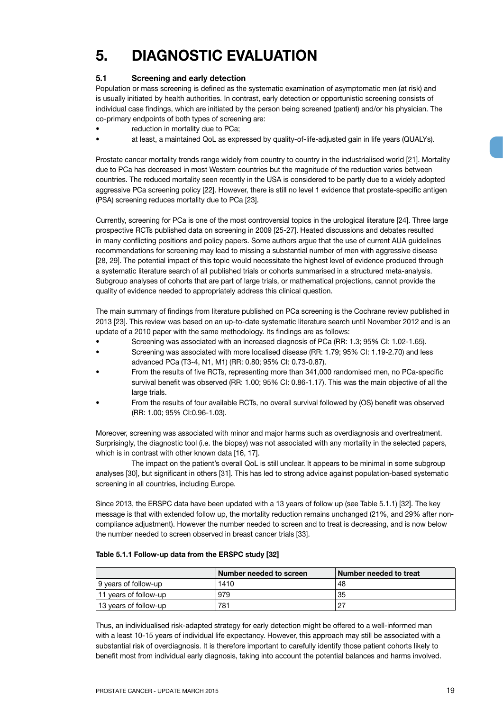## **5. DIAGNOSTIC EVALUATION**

#### **5.1 Screening and early detection**

Population or mass screening is defined as the systematic examination of asymptomatic men (at risk) and is usually initiated by health authorities. In contrast, early detection or opportunistic screening consists of individual case findings, which are initiated by the person being screened (patient) and/or his physician. The co-primary endpoints of both types of screening are:

- reduction in mortality due to PCa;
- at least, a maintained QoL as expressed by quality-of-life-adjusted gain in life years (QUALYs).

Prostate cancer mortality trends range widely from country to country in the industrialised world [21]. Mortality due to PCa has decreased in most Western countries but the magnitude of the reduction varies between countries. The reduced mortality seen recently in the USA is considered to be partly due to a widely adopted aggressive PCa screening policy [22]. However, there is still no level 1 evidence that prostate-specific antigen (PSA) screening reduces mortality due to PCa [23].

Currently, screening for PCa is one of the most controversial topics in the urological literature [24]. Three large prospective RCTs published data on screening in 2009 [25-27]. Heated discussions and debates resulted in many conflicting positions and policy papers. Some authors argue that the use of current AUA guidelines recommendations for screening may lead to missing a substantial number of men with aggressive disease [28, 29]. The potential impact of this topic would necessitate the highest level of evidence produced through a systematic literature search of all published trials or cohorts summarised in a structured meta-analysis. Subgroup analyses of cohorts that are part of large trials, or mathematical projections, cannot provide the quality of evidence needed to appropriately address this clinical question.

The main summary of findings from literature published on PCa screening is the Cochrane review published in 2013 [23]. This review was based on an up-to-date systematic literature search until November 2012 and is an update of a 2010 paper with the same methodology. Its findings are as follows:

- Screening was associated with an increased diagnosis of PCa (RR: 1.3; 95% CI: 1.02-1.65).
- Screening was associated with more localised disease (RR: 1.79; 95% CI: 1.19-2.70) and less advanced PCa (T3-4, N1, M1) (RR: 0.80; 95% CI: 0.73-0.87).
- From the results of five RCTs, representing more than 341,000 randomised men, no PCa-specific survival benefit was observed (RR: 1.00; 95% CI: 0.86-1.17). This was the main objective of all the large trials.
- From the results of four available RCTs, no overall survival followed by (OS) benefit was observed (RR: 1.00; 95% CI:0.96-1.03).

Moreover, screening was associated with minor and major harms such as overdiagnosis and overtreatment. Surprisingly, the diagnostic tool (i.e. the biopsy) was not associated with any mortality in the selected papers, which is in contrast with other known data [16, 17].

The impact on the patient's overall QoL is still unclear. It appears to be minimal in some subgroup analyses [30], but significant in others [31]. This has led to strong advice against population-based systematic screening in all countries, including Europe.

Since 2013, the ERSPC data have been updated with a 13 years of follow up (see Table 5.1.1) [32]. The key message is that with extended follow up, the mortality reduction remains unchanged (21%, and 29% after noncompliance adjustment). However the number needed to screen and to treat is decreasing, and is now below the number needed to screen observed in breast cancer trials [33].

#### **Table 5.1.1 Follow-up data from the ERSPC study [32]**

|                       | Number needed to screen | ∣Number needed to treat |
|-----------------------|-------------------------|-------------------------|
| 9 years of follow-up  | 1410                    | 48                      |
| 11 years of follow-up | 979                     | 35                      |
| 13 years of follow-up | 781                     | . ດ=                    |

Thus, an individualised risk-adapted strategy for early detection might be offered to a well-informed man with a least 10-15 years of individual life expectancy. However, this approach may still be associated with a substantial risk of overdiagnosis. It is therefore important to carefully identify those patient cohorts likely to benefit most from individual early diagnosis, taking into account the potential balances and harms involved.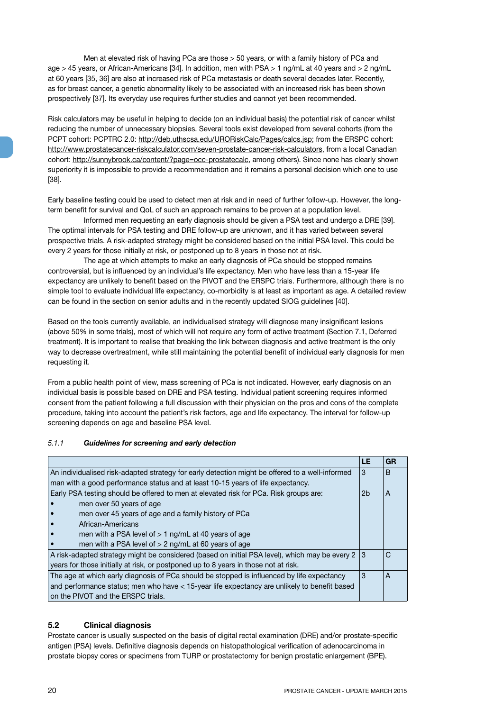Men at elevated risk of having PCa are those > 50 years, or with a family history of PCa and age > 45 years, or African-Americans [34]. In addition, men with PSA > 1 ng/mL at 40 years and > 2 ng/mL at 60 years [35, 36] are also at increased risk of PCa metastasis or death several decades later. Recently, as for breast cancer, a genetic abnormality likely to be associated with an increased risk has been shown prospectively [37]. Its everyday use requires further studies and cannot yet been recommended.

Risk calculators may be useful in helping to decide (on an individual basis) the potential risk of cancer whilst reducing the number of unnecessary biopsies. Several tools exist developed from several cohorts (from the PCPT cohort: PCPTRC 2.0: http://deb.uthscsa.edu/URORiskCalc/Pages/calcs.jsp; from the ERSPC cohort: http://www.prostatecancer-riskcalculator.com/seven-prostate-cancer-risk-calculators, from a local Canadian cohort: http://sunnybrook.ca/content/?page=occ-prostatecalc, among others). Since none has clearly shown superiority it is impossible to provide a recommendation and it remains a personal decision which one to use [38].

Early baseline testing could be used to detect men at risk and in need of further follow-up. However, the longterm benefit for survival and QoL of such an approach remains to be proven at a population level.

Informed men requesting an early diagnosis should be given a PSA test and undergo a DRE [39]. The optimal intervals for PSA testing and DRE follow-up are unknown, and it has varied between several prospective trials. A risk-adapted strategy might be considered based on the initial PSA level. This could be every 2 years for those initially at risk, or postponed up to 8 years in those not at risk.

The age at which attempts to make an early diagnosis of PCa should be stopped remains controversial, but is influenced by an individual's life expectancy. Men who have less than a 15-year life expectancy are unlikely to benefit based on the PIVOT and the ERSPC trials. Furthermore, although there is no simple tool to evaluate individual life expectancy, co-morbidity is at least as important as age. A detailed review can be found in the section on senior adults and in the recently updated SIOG guidelines [40].

Based on the tools currently available, an individualised strategy will diagnose many insignificant lesions (above 50% in some trials), most of which will not require any form of active treatment (Section 7.1, Deferred treatment). It is important to realise that breaking the link between diagnosis and active treatment is the only way to decrease overtreatment, while still maintaining the potential benefit of individual early diagnosis for men requesting it.

From a public health point of view, mass screening of PCa is not indicated. However, early diagnosis on an individual basis is possible based on DRE and PSA testing. Individual patient screening requires informed consent from the patient following a full discussion with their physician on the pros and cons of the complete procedure, taking into account the patient's risk factors, age and life expectancy. The interval for follow-up screening depends on age and baseline PSA level.

#### *5.1.1 Guidelines for screening and early detection*

|                                                                                                 | LE  | GR |
|-------------------------------------------------------------------------------------------------|-----|----|
| An individualised risk-adapted strategy for early detection might be offered to a well-informed | 3   | B  |
| man with a good performance status and at least 10-15 years of life expectancy.                 |     |    |
| Early PSA testing should be offered to men at elevated risk for PCa. Risk groups are:           |     | A  |
| men over 50 years of age                                                                        |     |    |
| men over 45 years of age and a family history of PCa                                            |     |    |
| African-Americans                                                                               |     |    |
| men with a PSA level of $> 1$ ng/mL at 40 years of age                                          |     |    |
| men with a PSA level of $> 2$ ng/mL at 60 years of age                                          |     |    |
| A risk-adapted strategy might be considered (based on initial PSA level), which may be every 2  | l 3 | C  |
| years for those initially at risk, or postponed up to 8 years in those not at risk.             |     |    |
| The age at which early diagnosis of PCa should be stopped is influenced by life expectancy      |     | A  |
| and performance status; men who have < 15-year life expectancy are unlikely to benefit based    |     |    |
| on the PIVOT and the ERSPC trials.                                                              |     |    |

#### **5.2 Clinical diagnosis**

Prostate cancer is usually suspected on the basis of digital rectal examination (DRE) and/or prostate-specific antigen (PSA) levels. Definitive diagnosis depends on histopathological verification of adenocarcinoma in prostate biopsy cores or specimens from TURP or prostatectomy for benign prostatic enlargement (BPE).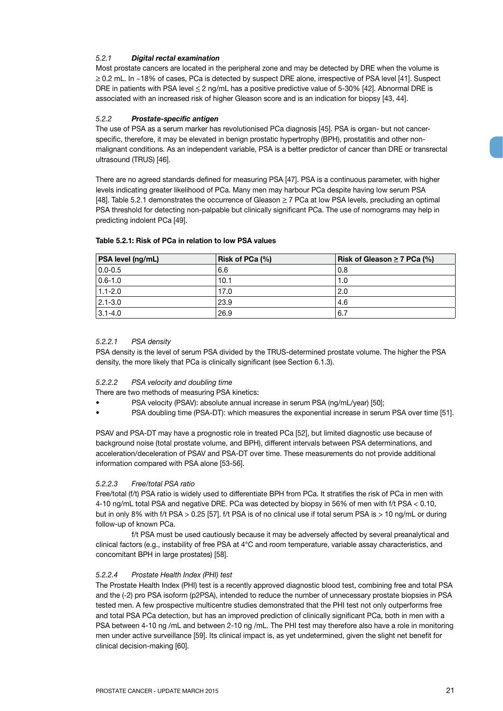#### *5.2.1 Digital rectal examination*

Most prostate cancers are located in the peripheral zone and may be detected by DRE when the volume is ≥ 0.2 mL. In ~18% of cases, PCa is detected by suspect DRE alone, irrespective of PSA level [41]. Suspect DRE in patients with PSA level < 2 ng/mL has a positive predictive value of 5-30% [42]. Abnormal DRE is associated with an increased risk of higher Gleason score and is an indication for biopsy [43, 44].

#### *5.2.2 Prostate-specific antigen*

The use of PSA as a serum marker has revolutionised PCa diagnosis [45]. PSA is organ- but not cancerspecific, therefore, it may be elevated in benign prostatic hypertrophy (BPH), prostatitis and other nonmalignant conditions. As an independent variable, PSA is a better predictor of cancer than DRE or transrectal ultrasound (TRUS) [46].

There are no agreed standards defined for measuring PSA [47]. PSA is a continuous parameter, with higher levels indicating greater likelihood of PCa. Many men may harbour PCa despite having low serum PSA  $[48]$ . Table 5.2.1 demonstrates the occurrence of Gleason  $\geq 7$  PCa at low PSA levels, precluding an optimal PSA threshold for detecting non-palpable but clinically significant PCa. The use of nomograms may help in predicting indolent PCa [49].

| <b>PSA level (ng/mL)</b> | Risk of PCa (%) | Risk of Gleason $\geq 7$ PCa (%) |
|--------------------------|-----------------|----------------------------------|
| $0.0 - 0.5$              | 6.6             | 0.8                              |
| $0.6 - 1.0$              | 10.1            | 1.0                              |
| $1.1 - 2.0$              | 17.0            | 2.0                              |
| $ 2.1 - 3.0 $            | 23.9            | 4.6                              |
| $ 3.1 - 4.0 $            | 26.9            | 6.7                              |

#### **Table 5.2.1: Risk of PCa in relation to low PSA values**

#### *5.2.2.1 PSA density*

PSA density is the level of serum PSA divided by the TRUS-determined prostate volume. The higher the PSA density, the more likely that PCa is clinically significant (see Section 6.1.3).

#### *5.2.2.2 PSA velocity and doubling time*

There are two methods of measuring PSA kinetics:

- PSA velocity (PSAV): absolute annual increase in serum PSA (ng/mL/year) [50];
- PSA doubling time (PSA-DT): which measures the exponential increase in serum PSA over time [51].

PSAV and PSA-DT may have a prognostic role in treated PCa [52], but limited diagnostic use because of background noise (total prostate volume, and BPH), different intervals between PSA determinations, and acceleration/deceleration of PSAV and PSA-DT over time. These measurements do not provide additional information compared with PSA alone [53-56].

#### *5.2.2.3 Free/total PSA ratio*

Free/total (f/t) PSA ratio is widely used to differentiate BPH from PCa. It stratifies the risk of PCa in men with 4-10 ng/mL total PSA and negative DRE. PCa was detected by biopsy in 56% of men with f/t PSA < 0.10, but in only 8% with f/t PSA > 0.25 [57]. f/t PSA is of no clinical use if total serum PSA is > 10 ng/mL or during follow-up of known PCa.

f/t PSA must be used cautiously because it may be adversely affected by several preanalytical and clinical factors (e.g., instability of free PSA at 4°C and room temperature, variable assay characteristics, and concomitant BPH in large prostates) [58].

#### *5.2.2.4 Prostate Health Index (PHI) test*

The Prostate Health Index (PHI) test is a recently approved diagnostic blood test, combining free and total PSA and the (-2) pro PSA isoform (p2PSA), intended to reduce the number of unnecessary prostate biopsies in PSA tested men. A few prospective multicentre studies demonstrated that the PHI test not only outperforms free and total PSA PCa detection, but has an improved prediction of clinically significant PCa, both in men with a PSA between 4-10 ng /mL and between 2-10 ng /mL. The PHI test may therefore also have a role in monitoring men under active surveillance [59]. Its clinical impact is, as yet undetermined, given the slight net benefit for clinical decision-making [60].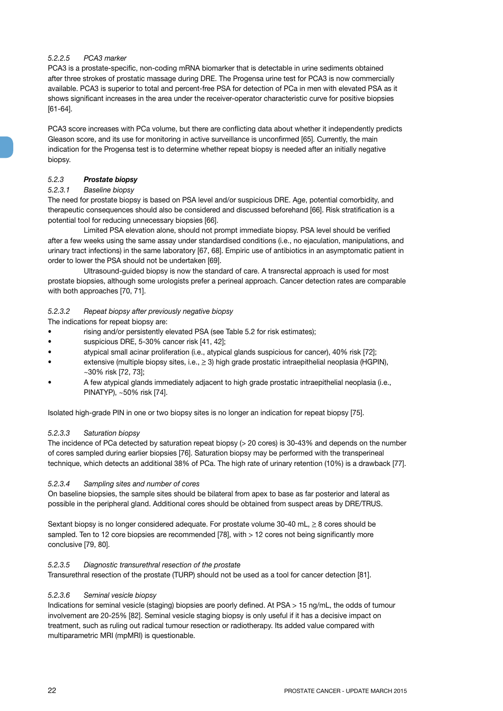#### *5.2.2.5 PCA3 marker*

PCA3 is a prostate-specific, non-coding mRNA biomarker that is detectable in urine sediments obtained after three strokes of prostatic massage during DRE. The Progensa urine test for PCA3 is now commercially available. PCA3 is superior to total and percent-free PSA for detection of PCa in men with elevated PSA as it shows significant increases in the area under the receiver-operator characteristic curve for positive biopsies [61-64].

PCA3 score increases with PCa volume, but there are conflicting data about whether it independently predicts Gleason score, and its use for monitoring in active surveillance is unconfirmed [65]. Currently, the main indication for the Progensa test is to determine whether repeat biopsy is needed after an initially negative biopsy.

#### *5.2.3 Prostate biopsy*

#### *5.2.3.1 Baseline biopsy*

The need for prostate biopsy is based on PSA level and/or suspicious DRE. Age, potential comorbidity, and therapeutic consequences should also be considered and discussed beforehand [66]. Risk stratification is a potential tool for reducing unnecessary biopsies [66].

Limited PSA elevation alone, should not prompt immediate biopsy. PSA level should be verified after a few weeks using the same assay under standardised conditions (i.e., no ejaculation, manipulations, and urinary tract infections) in the same laboratory [67, 68]. Empiric use of antibiotics in an asymptomatic patient in order to lower the PSA should not be undertaken [69].

Ultrasound-guided biopsy is now the standard of care. A transrectal approach is used for most prostate biopsies, although some urologists prefer a perineal approach. Cancer detection rates are comparable with both approaches [70, 71].

#### *5.2.3.2 Repeat biopsy after previously negative biopsy*

The indications for repeat biopsy are:

- rising and/or persistently elevated PSA (see Table 5.2 for risk estimates);
- suspicious DRE, 5-30% cancer risk [41, 42];
- atypical small acinar proliferation (i.e., atypical glands suspicious for cancer), 40% risk [72];
- extensive (multiple biopsy sites, i.e.,  $\geq$  3) high grade prostatic intraepithelial neoplasia (HGPIN), ~30% risk [72, 73];
- A few atypical glands immediately adjacent to high grade prostatic intraepithelial neoplasia (i.e., PINATYP), ~50% risk [74].

Isolated high-grade PIN in one or two biopsy sites is no longer an indication for repeat biopsy [75].

#### *5.2.3.3 Saturation biopsy*

The incidence of PCa detected by saturation repeat biopsy (> 20 cores) is 30-43% and depends on the number of cores sampled during earlier biopsies [76]. Saturation biopsy may be performed with the transperineal technique, which detects an additional 38% of PCa. The high rate of urinary retention (10%) is a drawback [77].

#### *5.2.3.4 Sampling sites and number of cores*

On baseline biopsies, the sample sites should be bilateral from apex to base as far posterior and lateral as possible in the peripheral gland. Additional cores should be obtained from suspect areas by DRE/TRUS.

Sextant biopsy is no longer considered adequate. For prostate volume 30-40 mL,  $\geq 8$  cores should be sampled. Ten to 12 core biopsies are recommended [78], with > 12 cores not being significantly more conclusive [79, 80].

#### *5.2.3.5 Diagnostic transurethral resection of the prostate*

Transurethral resection of the prostate (TURP) should not be used as a tool for cancer detection [81].

#### *5.2.3.6 Seminal vesicle biopsy*

Indications for seminal vesicle (staging) biopsies are poorly defined. At PSA > 15 ng/mL, the odds of tumour involvement are 20-25% [82]. Seminal vesicle staging biopsy is only useful if it has a decisive impact on treatment, such as ruling out radical tumour resection or radiotherapy. Its added value compared with multiparametric MRI (mpMRI) is questionable.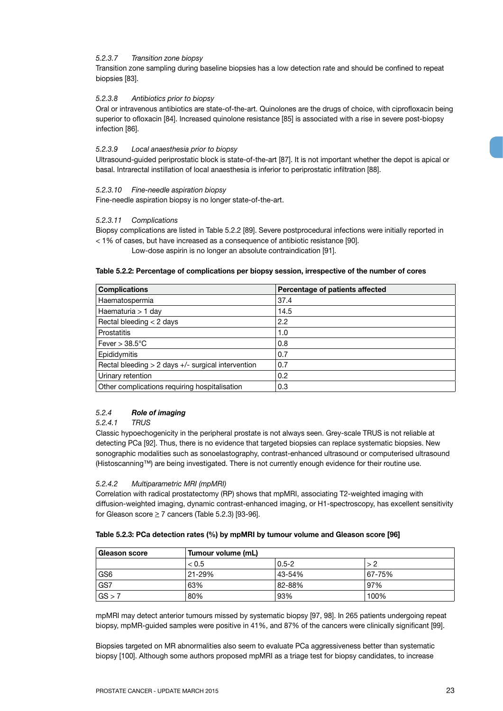#### *5.2.3.7 Transition zone biopsy*

Transition zone sampling during baseline biopsies has a low detection rate and should be confined to repeat biopsies [83].

#### *5.2.3.8 Antibiotics prior to biopsy*

Oral or intravenous antibiotics are state-of-the-art. Quinolones are the drugs of choice, with ciprofloxacin being superior to ofloxacin [84]. Increased quinolone resistance [85] is associated with a rise in severe post-biopsy infection [86].

#### *5.2.3.9 Local anaesthesia prior to biopsy*

Ultrasound-guided periprostatic block is state-of-the-art [87]. It is not important whether the depot is apical or basal. Intrarectal instillation of local anaesthesia is inferior to periprostatic infiltration [88].

#### *5.2.3.10 Fine-needle aspiration biopsy*

Fine-needle aspiration biopsy is no longer state-of-the-art.

#### *5.2.3.11 Complications*

Biopsy complications are listed in Table 5.2.2 [89]. Severe postprocedural infections were initially reported in < 1% of cases, but have increased as a consequence of antibiotic resistance [90].

Low-dose aspirin is no longer an absolute contraindication [91].

#### **Table 5.2.2: Percentage of complications per biopsy session, irrespective of the number of cores**

| <b>Complications</b>                                   | Percentage of patients affected |
|--------------------------------------------------------|---------------------------------|
| Haematospermia                                         | 37.4                            |
| Haematuria > 1 day                                     | 14.5                            |
| Rectal bleeding $<$ 2 days                             | 2.2                             |
| Prostatitis                                            | 1.0                             |
| Fever $> 38.5^{\circ}$ C                               | 0.8                             |
| Epididymitis                                           | 0.7                             |
| Rectal bleeding $> 2$ days $+/-$ surgical intervention | 0.7                             |
| Urinary retention                                      | 0.2                             |
| Other complications requiring hospitalisation          | 0.3                             |

#### *5.2.4 Role of imaging*

#### *5.2.4.1 TRUS*

Classic hypoechogenicity in the peripheral prostate is not always seen. Grey-scale TRUS is not reliable at detecting PCa [92]. Thus, there is no evidence that targeted biopsies can replace systematic biopsies. New sonographic modalities such as sonoelastography, contrast-enhanced ultrasound or computerised ultrasound (Histoscanning™) are being investigated. There is not currently enough evidence for their routine use.

#### *5.2.4.2 Multiparametric MRI (mpMRI)*

Correlation with radical prostatectomy (RP) shows that mpMRI, associating T2-weighted imaging with diffusion-weighted imaging, dynamic contrast-enhanced imaging, or H1-spectroscopy, has excellent sensitivity for Gleason score  $\geq 7$  cancers (Table 5.2.3) [93-96].

#### **Table 5.2.3: PCa detection rates (%) by mpMRI by tumour volume and Gleason score [96]**

| ⊦Gleason score  |        | Tumour volume (mL) |        |  |
|-----------------|--------|--------------------|--------|--|
|                 | < 0.5  | $0.5 - 2$          |        |  |
| GS <sub>6</sub> | 21-29% | 43-54%             | 67-75% |  |
| GS7             | 63%    | 82-88%             | 97%    |  |
| $\sqrt{GS} > 7$ | 80%    | 93%                | 100%   |  |

mpMRI may detect anterior tumours missed by systematic biopsy [97, 98]. In 265 patients undergoing repeat biopsy, mpMR-guided samples were positive in 41%, and 87% of the cancers were clinically significant [99].

Biopsies targeted on MR abnormalities also seem to evaluate PCa aggressiveness better than systematic biopsy [100]. Although some authors proposed mpMRI as a triage test for biopsy candidates, to increase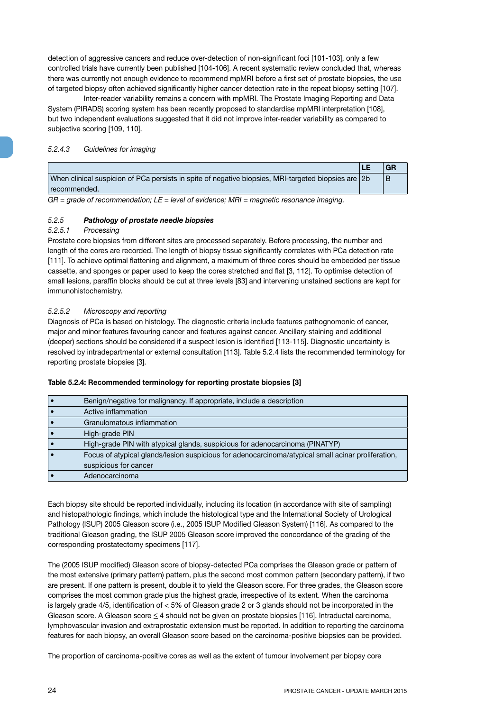detection of aggressive cancers and reduce over-detection of non-significant foci [101-103], only a few controlled trials have currently been published [104-106]. A recent systematic review concluded that, whereas there was currently not enough evidence to recommend mpMRI before a first set of prostate biopsies, the use of targeted biopsy often achieved significantly higher cancer detection rate in the repeat biopsy setting [107].

Inter-reader variability remains a concern with mpMRI. The Prostate Imaging Reporting and Data System (PIRADS) scoring system has been recently proposed to standardise mpMRI interpretation [108], but two independent evaluations suggested that it did not improve inter-reader variability as compared to subjective scoring [109, 110].

#### *5.2.4.3 Guidelines for imaging*

|                                                                                                       | GR |
|-------------------------------------------------------------------------------------------------------|----|
| When clinical suspicion of PCa persists in spite of negative biopsies, MRI-targeted biopsies are $2b$ |    |
| recommended.                                                                                          |    |

*GR = grade of recommendation; LE = level of evidence; MRI = magnetic resonance imaging.*

#### *5.2.5 Pathology of prostate needle biopsies*

#### *5.2.5.1 Processing*

Prostate core biopsies from different sites are processed separately. Before processing, the number and length of the cores are recorded. The length of biopsy tissue significantly correlates with PCa detection rate [111]. To achieve optimal flattening and alignment, a maximum of three cores should be embedded per tissue cassette, and sponges or paper used to keep the cores stretched and flat [3, 112]. To optimise detection of small lesions, paraffin blocks should be cut at three levels [83] and intervening unstained sections are kept for immunohistochemistry.

#### *5.2.5.2 Microscopy and reporting*

Diagnosis of PCa is based on histology. The diagnostic criteria include features pathognomonic of cancer, major and minor features favouring cancer and features against cancer. Ancillary staining and additional (deeper) sections should be considered if a suspect lesion is identified [113-115]. Diagnostic uncertainty is resolved by intradepartmental or external consultation [113]. Table 5.2.4 lists the recommended terminology for reporting prostate biopsies [3].

| Benign/negative for malignancy. If appropriate, include a description                              |
|----------------------------------------------------------------------------------------------------|
| Active inflammation                                                                                |
| Granulomatous inflammation                                                                         |
| High-grade PIN                                                                                     |
| High-grade PIN with atypical glands, suspicious for adenocarcinoma (PINATYP)                       |
| Focus of atypical glands/lesion suspicious for adenocarcinoma/atypical small acinar proliferation, |
| suspicious for cancer                                                                              |
| Adenocarcinoma                                                                                     |

#### **Table 5.2.4: Recommended terminology for reporting prostate biopsies [3]**

Each biopsy site should be reported individually, including its location (in accordance with site of sampling) and histopathologic findings, which include the histological type and the International Society of Urological Pathology (ISUP) 2005 Gleason score (i.e., 2005 ISUP Modified Gleason System) [116]. As compared to the traditional Gleason grading, the ISUP 2005 Gleason score improved the concordance of the grading of the corresponding prostatectomy specimens [117].

The (2005 ISUP modified) Gleason score of biopsy-detected PCa comprises the Gleason grade or pattern of the most extensive (primary pattern) pattern, plus the second most common pattern (secondary pattern), if two are present. If one pattern is present, double it to yield the Gleason score. For three grades, the Gleason score comprises the most common grade plus the highest grade, irrespective of its extent. When the carcinoma is largely grade 4/5, identification of < 5% of Gleason grade 2 or 3 glands should not be incorporated in the Gleason score. A Gleason score < 4 should not be given on prostate biopsies [116]. Intraductal carcinoma, lymphovascular invasion and extraprostatic extension must be reported. In addition to reporting the carcinoma features for each biopsy, an overall Gleason score based on the carcinoma-positive biopsies can be provided.

The proportion of carcinoma-positive cores as well as the extent of tumour involvement per biopsy core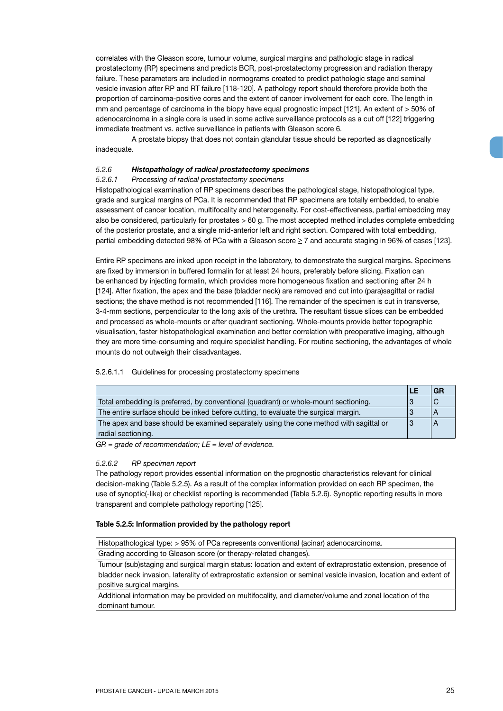correlates with the Gleason score, tumour volume, surgical margins and pathologic stage in radical prostatectomy (RP) specimens and predicts BCR, post-prostatectomy progression and radiation therapy failure. These parameters are included in normograms created to predict pathologic stage and seminal vesicle invasion after RP and RT failure [118-120]. A pathology report should therefore provide both the proportion of carcinoma-positive cores and the extent of cancer involvement for each core. The length in mm and percentage of carcinoma in the biopy have equal prognostic impact [121]. An extent of > 50% of adenocarcinoma in a single core is used in some active surveillance protocols as a cut off [122] triggering immediate treatment vs. active surveillance in patients with Gleason score 6.

A prostate biopsy that does not contain glandular tissue should be reported as diagnostically inadequate.

#### *5.2.6 Histopathology of radical prostatectomy specimens*

#### *5.2.6.1 Processing of radical prostatectomy specimens*

Histopathological examination of RP specimens describes the pathological stage, histopathological type, grade and surgical margins of PCa. It is recommended that RP specimens are totally embedded, to enable assessment of cancer location, multifocality and heterogeneity. For cost-effectiveness, partial embedding may also be considered, particularly for prostates > 60 g. The most accepted method includes complete embedding of the posterior prostate, and a single mid-anterior left and right section. Compared with total embedding, partial embedding detected 98% of PCa with a Gleason score  $\geq$  7 and accurate staging in 96% of cases [123].

Entire RP specimens are inked upon receipt in the laboratory, to demonstrate the surgical margins. Specimens are fixed by immersion in buffered formalin for at least 24 hours, preferably before slicing. Fixation can be enhanced by injecting formalin, which provides more homogeneous fixation and sectioning after 24 h [124]. After fixation, the apex and the base (bladder neck) are removed and cut into (para)sagittal or radial sections; the shave method is not recommended [116]. The remainder of the specimen is cut in transverse, 3-4-mm sections, perpendicular to the long axis of the urethra. The resultant tissue slices can be embedded and processed as whole-mounts or after quadrant sectioning. Whole-mounts provide better topographic visualisation, faster histopathological examination and better correlation with preoperative imaging, although they are more time-consuming and require specialist handling. For routine sectioning, the advantages of whole mounts do not outweigh their disadvantages.

#### 5.2.6.1.1 Guidelines for processing prostatectomy specimens

|                                                                                        | LE |  |
|----------------------------------------------------------------------------------------|----|--|
| Total embedding is preferred, by conventional (quadrant) or whole-mount sectioning.    | 3  |  |
| The entire surface should be inked before cutting, to evaluate the surgical margin.    | 3  |  |
| The apex and base should be examined separately using the cone method with sagittal or | 3  |  |
| radial sectioning.                                                                     |    |  |

*GR = grade of recommendation; LE = level of evidence.*

#### *5.2.6.2 RP specimen report*

The pathology report provides essential information on the prognostic characteristics relevant for clinical decision-making (Table 5.2.5). As a result of the complex information provided on each RP specimen, the use of synoptic(-like) or checklist reporting is recommended (Table 5.2.6). Synoptic reporting results in more transparent and complete pathology reporting [125].

#### **Table 5.2.5: Information provided by the pathology report**

Histopathological type: > 95% of PCa represents conventional (acinar) adenocarcinoma.

Grading according to Gleason score (or therapy-related changes).

Tumour (sub)staging and surgical margin status: location and extent of extraprostatic extension, presence of bladder neck invasion, laterality of extraprostatic extension or seminal vesicle invasion, location and extent of positive surgical margins.

Additional information may be provided on multifocality, and diameter/volume and zonal location of the dominant tumour.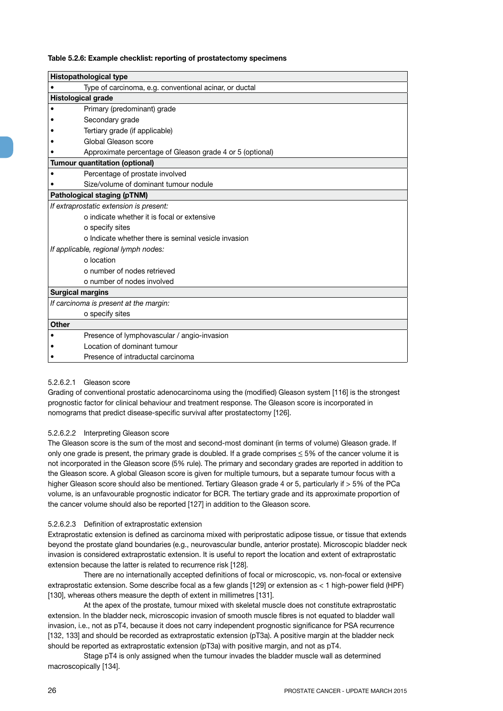#### **Table 5.2.6: Example checklist: reporting of prostatectomy specimens**

|                         | <b>Histopathological type</b>                             |
|-------------------------|-----------------------------------------------------------|
|                         | Type of carcinoma, e.g. conventional acinar, or ductal    |
|                         | <b>Histological grade</b>                                 |
|                         | Primary (predominant) grade                               |
|                         | Secondary grade                                           |
|                         | Tertiary grade (if applicable)                            |
|                         | Global Gleason score                                      |
|                         | Approximate percentage of Gleason grade 4 or 5 (optional) |
|                         | <b>Tumour quantitation (optional)</b>                     |
|                         | Percentage of prostate involved                           |
|                         | Size/volume of dominant tumour nodule                     |
|                         | Pathological staging (pTNM)                               |
|                         | If extraprostatic extension is present:                   |
|                         | o indicate whether it is focal or extensive               |
|                         | o specify sites                                           |
|                         | o Indicate whether there is seminal vesicle invasion      |
|                         | If applicable, regional lymph nodes:                      |
|                         | o location                                                |
|                         | o number of nodes retrieved                               |
|                         | o number of nodes involved                                |
| <b>Surgical margins</b> |                                                           |
|                         | If carcinoma is present at the margin:                    |
|                         | o specify sites                                           |
| Other                   |                                                           |
|                         | Presence of lymphovascular / angio-invasion               |
|                         | Location of dominant tumour                               |
|                         | Presence of intraductal carcinoma                         |

#### 5.2.6.2.1 Gleason score

Grading of conventional prostatic adenocarcinoma using the (modified) Gleason system [116] is the strongest prognostic factor for clinical behaviour and treatment response. The Gleason score is incorporated in nomograms that predict disease-specific survival after prostatectomy [126].

#### 5.2.6.2.2 Interpreting Gleason score

The Gleason score is the sum of the most and second-most dominant (in terms of volume) Gleason grade. If only one grade is present, the primary grade is doubled. If a grade comprises  $\leq$  5% of the cancer volume it is not incorporated in the Gleason score (5% rule). The primary and secondary grades are reported in addition to the Gleason score. A global Gleason score is given for multiple tumours, but a separate tumour focus with a higher Gleason score should also be mentioned. Tertiary Gleason grade 4 or 5, particularly if > 5% of the PCa volume, is an unfavourable prognostic indicator for BCR. The tertiary grade and its approximate proportion of the cancer volume should also be reported [127] in addition to the Gleason score.

#### 5.2.6.2.3 Definition of extraprostatic extension

Extraprostatic extension is defined as carcinoma mixed with periprostatic adipose tissue, or tissue that extends beyond the prostate gland boundaries (e.g., neurovascular bundle, anterior prostate). Microscopic bladder neck invasion is considered extraprostatic extension. It is useful to report the location and extent of extraprostatic extension because the latter is related to recurrence risk [128].

There are no internationally accepted definitions of focal or microscopic, vs. non-focal or extensive extraprostatic extension. Some describe focal as a few glands [129] or extension as < 1 high-power field (HPF) [130], whereas others measure the depth of extent in millimetres [131].

At the apex of the prostate, tumour mixed with skeletal muscle does not constitute extraprostatic extension. In the bladder neck, microscopic invasion of smooth muscle fibres is not equated to bladder wall invasion, i.e., not as pT4, because it does not carry independent prognostic significance for PSA recurrence [132, 133] and should be recorded as extraprostatic extension (pT3a). A positive margin at the bladder neck should be reported as extraprostatic extension (pT3a) with positive margin, and not as pT4.

Stage pT4 is only assigned when the tumour invades the bladder muscle wall as determined macroscopically [134].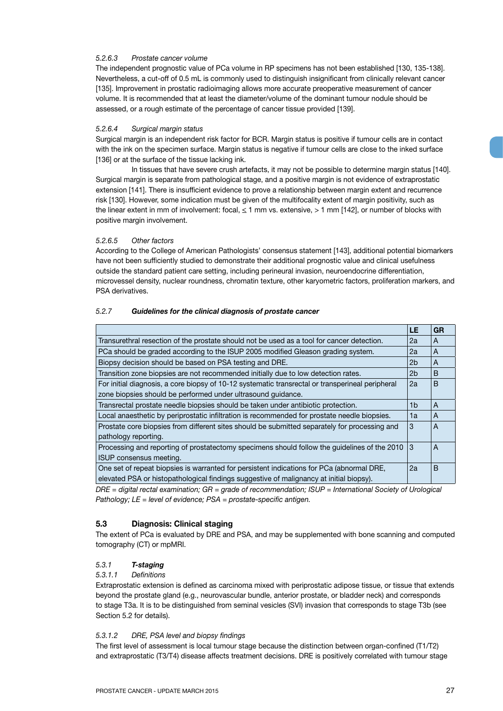#### *5.2.6.3 Prostate cancer volume*

The independent prognostic value of PCa volume in RP specimens has not been established [130, 135-138]. Nevertheless, a cut-off of 0.5 mL is commonly used to distinguish insignificant from clinically relevant cancer [135]. Improvement in prostatic radioimaging allows more accurate preoperative measurement of cancer volume. It is recommended that at least the diameter/volume of the dominant tumour nodule should be assessed, or a rough estimate of the percentage of cancer tissue provided [139].

#### *5.2.6.4 Surgical margin status*

Surgical margin is an independent risk factor for BCR. Margin status is positive if tumour cells are in contact with the ink on the specimen surface. Margin status is negative if tumour cells are close to the inked surface [136] or at the surface of the tissue lacking ink.

In tissues that have severe crush artefacts, it may not be possible to determine margin status [140]. Surgical margin is separate from pathological stage, and a positive margin is not evidence of extraprostatic extension [141]. There is insufficient evidence to prove a relationship between margin extent and recurrence risk [130]. However, some indication must be given of the multifocality extent of margin positivity, such as the linear extent in mm of involvement: focal, < 1 mm vs. extensive, > 1 mm [142], or number of blocks with positive margin involvement.

#### *5.2.6.5 Other factors*

According to the College of American Pathologists' consensus statement [143], additional potential biomarkers have not been sufficiently studied to demonstrate their additional prognostic value and clinical usefulness outside the standard patient care setting, including perineural invasion, neuroendocrine differentiation, microvessel density, nuclear roundness, chromatin texture, other karyometric factors, proliferation markers, and PSA derivatives.

#### *5.2.7 Guidelines for the clinical diagnosis of prostate cancer*

|                                                                                                  | LE             | <b>GR</b>      |
|--------------------------------------------------------------------------------------------------|----------------|----------------|
| Transurethral resection of the prostate should not be used as a tool for cancer detection.       | 2a             | A              |
| PCa should be graded according to the ISUP 2005 modified Gleason grading system.                 | 2a             | A              |
| Biopsy decision should be based on PSA testing and DRE.                                          | 2 <sub>b</sub> | A              |
| Transition zone biopsies are not recommended initially due to low detection rates.               | 2 <sub>b</sub> | B              |
| For initial diagnosis, a core biopsy of 10-12 systematic transrectal or transperineal peripheral | 2a             | <sub>B</sub>   |
| zone biopsies should be performed under ultrasound guidance.                                     |                |                |
| Transrectal prostate needle biopsies should be taken under antibiotic protection.                | 1b             | $\overline{A}$ |
| Local anaesthetic by periprostatic infiltration is recommended for prostate needle biopsies.     | 1a             | A              |
| Prostate core biopsies from different sites should be submitted separately for processing and    | 3              | A              |
| pathology reporting.                                                                             |                |                |
| Processing and reporting of prostatectomy specimens should follow the guidelines of the 2010     | 3              | A              |
| ISUP consensus meeting.                                                                          |                |                |
| One set of repeat biopsies is warranted for persistent indications for PCa (abnormal DRE,        | 2a             | B              |
| elevated PSA or histopathological findings suggestive of malignancy at initial biopsy).          |                |                |

*DRE = digital rectal examination; GR = grade of recommendation; ISUP = International Society of Urological Pathology; LE = level of evidence; PSA = prostate-specific antigen.*

#### **5.3 Diagnosis: Clinical staging**

The extent of PCa is evaluated by DRE and PSA, and may be supplemented with bone scanning and computed tomography (CT) or mpMRI.

#### *5.3.1 T-staging*

#### *5.3.1.1 Definitions*

Extraprostatic extension is defined as carcinoma mixed with periprostatic adipose tissue, or tissue that extends beyond the prostate gland (e.g., neurovascular bundle, anterior prostate, or bladder neck) and corresponds to stage T3a. It is to be distinguished from seminal vesicles (SVI) invasion that corresponds to stage T3b (see Section 5.2 for details).

#### *5.3.1.2 DRE, PSA level and biopsy findings*

The first level of assessment is local tumour stage because the distinction between organ-confined (T1/T2) and extraprostatic (T3/T4) disease affects treatment decisions. DRE is positively correlated with tumour stage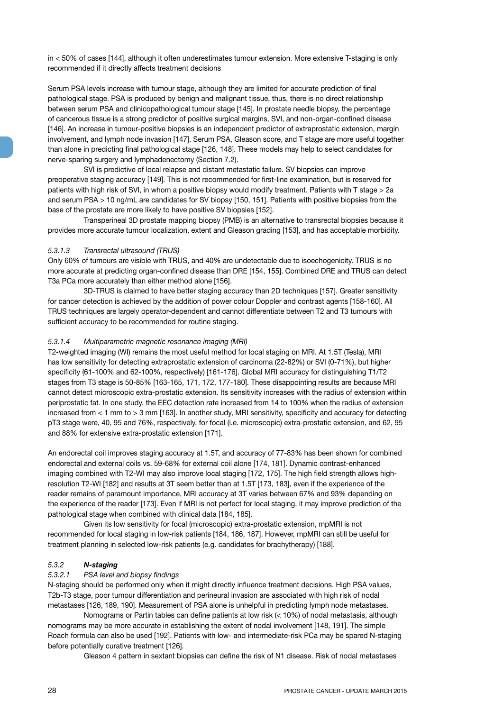in < 50% of cases [144], although it often underestimates tumour extension. More extensive T-staging is only recommended if it directly affects treatment decisions

Serum PSA levels increase with tumour stage, although they are limited for accurate prediction of final pathological stage. PSA is produced by benign and malignant tissue, thus, there is no direct relationship between serum PSA and clinicopathological tumour stage [145]. In prostate needle biopsy, the percentage of cancerous tissue is a strong predictor of positive surgical margins, SVI, and non-organ-confined disease [146]. An increase in tumour-positive biopsies is an independent predictor of extraprostatic extension, margin involvement, and lymph node invasion [147]. Serum PSA, Gleason score, and T stage are more useful together than alone in predicting final pathological stage [126, 148]. These models may help to select candidates for nerve-sparing surgery and lymphadenectomy (Section 7.2).

SVI is predictive of local relapse and distant metastatic failure. SV biopsies can improve preoperative staging accuracy [149]. This is not recommended for first-line examination, but is reserved for patients with high risk of SVI, in whom a positive biopsy would modify treatment. Patients with T stage > 2a and serum PSA > 10 ng/mL are candidates for SV biopsy [150, 151]. Patients with positive biopsies from the base of the prostate are more likely to have positive SV biopsies [152].

Transperineal 3D prostate mapping biopsy (PMB) is an alternative to transrectal biopsies because it provides more accurate tumour localization, extent and Gleason grading [153], and has acceptable morbidity.

#### *5.3.1.3 Transrectal ultrasound (TRUS)*

Only 60% of tumours are visible with TRUS, and 40% are undetectable due to isoechogenicity. TRUS is no more accurate at predicting organ-confined disease than DRE [154, 155]. Combined DRE and TRUS can detect T3a PCa more accurately than either method alone [156].

3D-TRUS is claimed to have better staging accuracy than 2D techniques [157]. Greater sensitivity for cancer detection is achieved by the addition of power colour Doppler and contrast agents [158-160]. All TRUS techniques are largely operator-dependent and cannot differentiate between T2 and T3 tumours with sufficient accuracy to be recommended for routine staging.

#### *5.3.1.4 Multiparametric magnetic resonance imaging (MRI)*

T2-weighted imaging (WI) remains the most useful method for local staging on MRI. At 1.5T (Tesla), MRI has low sensitivity for detecting extraprostatic extension of carcinoma (22-82%) or SVI (0-71%), but higher specificity (61-100% and 62-100%, respectively) [161-176]. Global MRI accuracy for distinguishing T1/T2 stages from T3 stage is 50-85% [163-165, 171, 172, 177-180]. These disappointing results are because MRI cannot detect microscopic extra-prostatic extension. Its sensitivity increases with the radius of extension within periprostatic fat. In one study, the EEC detection rate increased from 14 to 100% when the radius of extension increased from < 1 mm to > 3 mm [163]. In another study, MRI sensitivity, specificity and accuracy for detecting pT3 stage were, 40, 95 and 76%, respectively, for focal (i.e. microscopic) extra-prostatic extension, and 62, 95 and 88% for extensive extra-prostatic extension [171].

An endorectal coil improves staging accuracy at 1.5T, and accuracy of 77-83% has been shown for combined endorectal and external coils vs. 59-68% for external coil alone [174, 181]. Dynamic contrast-enhanced imaging combined with T2-WI may also improve local staging [172, 175]. The high field strength allows highresolution T2-WI [182] and results at 3T seem better than at 1.5T [173, 183], even if the experience of the reader remains of paramount importance, MRI accuracy at 3T varies between 67% and 93% depending on the experience of the reader [173]. Even if MRI is not perfect for local staging, it may improve prediction of the pathological stage when combined with clinical data [184, 185].

Given its low sensitivity for focal (microscopic) extra-prostatic extension, mpMRI is not recommended for local staging in low-risk patients [184, 186, 187]. However, mpMRI can still be useful for treatment planning in selected low-risk patients (e.g. candidates for brachytherapy) [188].

#### *5.3.2 N-staging*

#### *5.3.2.1 PSA level and biopsy findings*

N-staging should be performed only when it might directly influence treatment decisions. High PSA values, T2b-T3 stage, poor tumour differentiation and perineural invasion are associated with high risk of nodal metastases [126, 189, 190]. Measurement of PSA alone is unhelpful in predicting lymph node metastases.

Nomograms or Partin tables can define patients at low risk (< 10%) of nodal metastasis, although nomograms may be more accurate in establishing the extent of nodal involvement [148, 191]. The simple Roach formula can also be used [192]. Patients with low- and intermediate-risk PCa may be spared N-staging before potentially curative treatment [126].

Gleason 4 pattern in sextant biopsies can define the risk of N1 disease. Risk of nodal metastases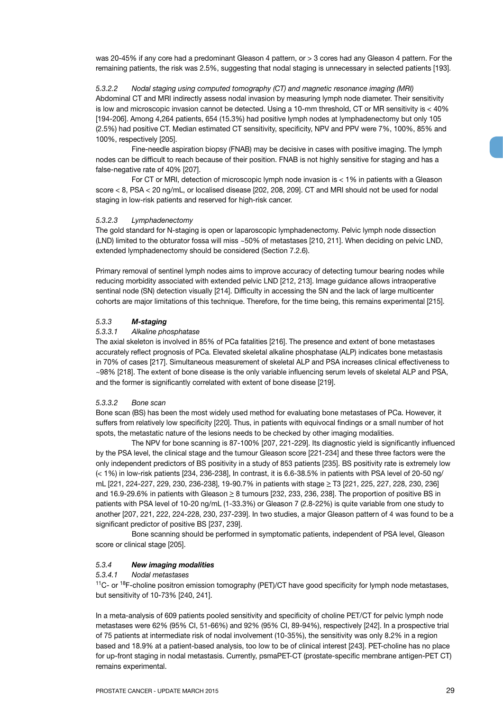was 20-45% if any core had a predominant Gleason 4 pattern, or > 3 cores had any Gleason 4 pattern. For the remaining patients, the risk was 2.5%, suggesting that nodal staging is unnecessary in selected patients [193].

*5.3.2.2 Nodal staging using computed tomography (CT) and magnetic resonance imaging (MRI)* Abdominal CT and MRI indirectly assess nodal invasion by measuring lymph node diameter. Their sensitivity is low and microscopic invasion cannot be detected. Using a 10-mm threshold, CT or MR sensitivity is < 40% [194-206]. Among 4,264 patients, 654 (15.3%) had positive lymph nodes at lymphadenectomy but only 105 (2.5%) had positive CT. Median estimated CT sensitivity, specificity, NPV and PPV were 7%, 100%, 85% and 100%, respectively [205].

Fine-needle aspiration biopsy (FNAB) may be decisive in cases with positive imaging. The lymph nodes can be difficult to reach because of their position. FNAB is not highly sensitive for staging and has a false-negative rate of 40% [207].

For CT or MRI, detection of microscopic lymph node invasion is < 1% in patients with a Gleason score < 8, PSA < 20 ng/mL, or localised disease [202, 208, 209]. CT and MRI should not be used for nodal staging in low-risk patients and reserved for high-risk cancer.

#### *5.3.2.3 Lymphadenectomy*

The gold standard for N-staging is open or laparoscopic lymphadenectomy. Pelvic lymph node dissection (LND) limited to the obturator fossa will miss ~50% of metastases [210, 211]. When deciding on pelvic LND, extended lymphadenectomy should be considered (Section 7.2.6).

Primary removal of sentinel lymph nodes aims to improve accuracy of detecting tumour bearing nodes while reducing morbidity associated with extended pelvic LND [212, 213]. Image guidance allows intraoperative sentinal node (SN) detection visually [214]. Difficulty in accessing the SN and the lack of large multicenter cohorts are major limitations of this technique. Therefore, for the time being, this remains experimental [215].

#### *5.3.3 M-staging*

#### *5.3.3.1 Alkaline phosphatase*

The axial skeleton is involved in 85% of PCa fatalities [216]. The presence and extent of bone metastases accurately reflect prognosis of PCa. Elevated skeletal alkaline phosphatase (ALP) indicates bone metastasis in 70% of cases [217]. Simultaneous measurement of skeletal ALP and PSA increases clinical effectiveness to ~98% [218]. The extent of bone disease is the only variable influencing serum levels of skeletal ALP and PSA, and the former is significantly correlated with extent of bone disease [219].

#### *5.3.3.2 Bone scan*

Bone scan (BS) has been the most widely used method for evaluating bone metastases of PCa. However, it suffers from relatively low specificity [220]. Thus, in patients with equivocal findings or a small number of hot spots, the metastatic nature of the lesions needs to be checked by other imaging modalities.

The NPV for bone scanning is 87-100% [207, 221-229]. Its diagnostic yield is significantly influenced by the PSA level, the clinical stage and the tumour Gleason score [221-234] and these three factors were the only independent predictors of BS positivity in a study of 853 patients [235]. BS positivity rate is extremely low (< 1%) in low-risk patients [234, 236-238], In contrast, it is 6.6-38.5% in patients with PSA level of 20-50 ng/ mL [221, 224-227, 229, 230, 236-238], 19-90.7% in patients with stage > T3 [221, 225, 227, 228, 230, 236] and 16.9-29.6% in patients with Gleason  $\geq 8$  tumours [232, 233, 236, 238]. The proportion of positive BS in patients with PSA level of 10-20 ng/mL (1-33.3%) or Gleason 7 (2.8-22%) is quite variable from one study to another [207, 221, 222, 224-228, 230, 237-239]. In two studies, a major Gleason pattern of 4 was found to be a significant predictor of positive BS [237, 239].

Bone scanning should be performed in symptomatic patients, independent of PSA level, Gleason score or clinical stage [205].

#### *5.3.4 New imaging modalities*

#### *5.3.4.1 Nodal metastases*

<sup>11</sup>C- or <sup>18</sup>F-choline positron emission tomography (PET)/CT have good specificity for lymph node metastases, but sensitivity of 10-73% [240, 241].

In a meta-analysis of 609 patients pooled sensitivity and specificity of choline PET/CT for pelvic lymph node metastases were 62% (95% CI, 51-66%) and 92% (95% CI, 89-94%), respectively [242]. In a prospective trial of 75 patients at intermediate risk of nodal involvement (10-35%), the sensitivity was only 8.2% in a region based and 18.9% at a patient-based analysis, too low to be of clinical interest [243]. PET-choline has no place for up-front staging in nodal metastasis. Currently, psmaPET-CT (prostate-specific membrane antigen-PET CT) remains experimental.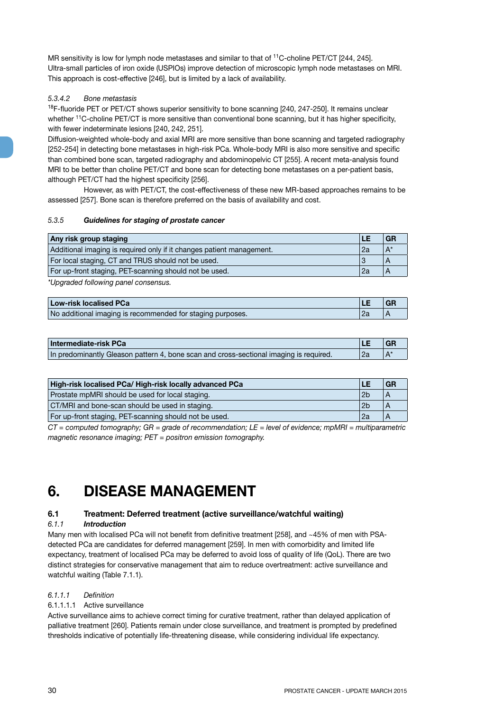MR sensitivity is low for lymph node metastases and similar to that of <sup>11</sup>C-choline PET/CT [244, 245]. Ultra-small particles of iron oxide (USPIOs) improve detection of microscopic lymph node metastases on MRI. This approach is cost-effective [246], but is limited by a lack of availability.

#### *5.3.4.2 Bone metastasis*

<sup>18</sup>F-fluoride PET or PET/CT shows superior sensitivity to bone scanning [240, 247-250]. It remains unclear whether <sup>11</sup>C-choline PET/CT is more sensitive than conventional bone scanning, but it has higher specificity, with fewer indeterminate lesions [240, 242, 251].

Diffusion-weighted whole-body and axial MRI are more sensitive than bone scanning and targeted radiography [252-254] in detecting bone metastases in high-risk PCa. Whole-body MRI is also more sensitive and specific than combined bone scan, targeted radiography and abdominopelvic CT [255]. A recent meta-analysis found MRI to be better than choline PET/CT and bone scan for detecting bone metastases on a per-patient basis, although PET/CT had the highest specificity [256].

However, as with PET/CT, the cost-effectiveness of these new MR-based approaches remains to be assessed [257]. Bone scan is therefore preferred on the basis of availability and cost.

#### *5.3.5 Guidelines for staging of prostate cancer*

| Any risk group staging                                                |    |       |
|-----------------------------------------------------------------------|----|-------|
| Additional imaging is required only if it changes patient management. | 2a | $A^i$ |
| For local staging, CT and TRUS should not be used.                    |    |       |
| For up-front staging, PET-scanning should not be used.                |    |       |

*\*Upgraded following panel consensus.* 

| Low-risk localised PCa                                     |  |
|------------------------------------------------------------|--|
| No additional imaging is recommended for staging purposes. |  |

| Intermediate-risk PCa                                                                  |    | GR |
|----------------------------------------------------------------------------------------|----|----|
| In predominantly Gleason pattern 4, bone scan and cross-sectional imaging is required. | 2a |    |

| High-risk localised PCa/ High-risk locally advanced PCa      |                | GR |
|--------------------------------------------------------------|----------------|----|
| Prostate mpMRI should be used for local staging.             | 2 <sub>b</sub> |    |
| CT/MRI and bone-scan should be used in staging.              |                |    |
| For up-front staging, PET-scanning should not be used.<br>2a |                |    |

*CT = computed tomography; GR = grade of recommendation; LE = level of evidence; mpMRI = multiparametric magnetic resonance imaging; PET = positron emission tomography.*

## **6. DISEASE MANAGEMENT**

#### **6.1 Treatment: Deferred treatment (active surveillance/watchful waiting)**

#### *6.1.1 Introduction*

Many men with localised PCa will not benefit from definitive treatment [258], and ~45% of men with PSAdetected PCa are candidates for deferred management [259]. In men with comorbidity and limited life expectancy, treatment of localised PCa may be deferred to avoid loss of quality of life (QoL). There are two distinct strategies for conservative management that aim to reduce overtreatment: active surveillance and watchful waiting (Table 7.1.1).

#### *6.1.1.1 Definition*

### 6.1.1.1.1 Active surveillance

Active surveillance aims to achieve correct timing for curative treatment, rather than delayed application of palliative treatment [260]. Patients remain under close surveillance, and treatment is prompted by predefined thresholds indicative of potentially life-threatening disease, while considering individual life expectancy.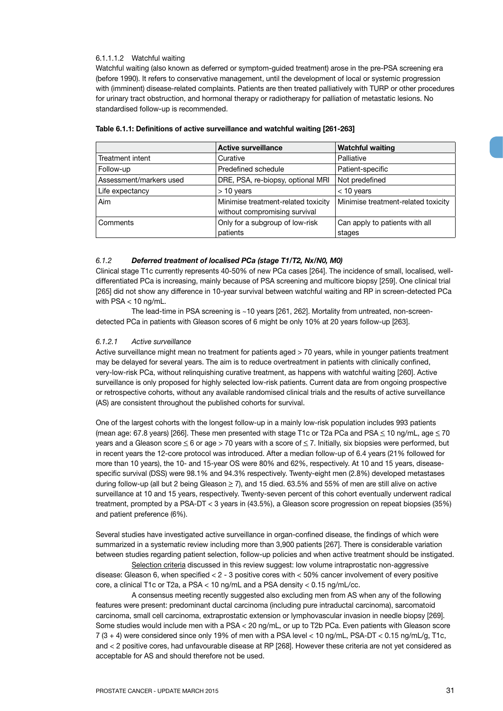#### 6.1.1.1.2 Watchful waiting

Watchful waiting (also known as deferred or symptom-guided treatment) arose in the pre-PSA screening era (before 1990). It refers to conservative management, until the development of local or systemic progression with (imminent) disease-related complaints. Patients are then treated palliatively with TURP or other procedures for urinary tract obstruction, and hormonal therapy or radiotherapy for palliation of metastatic lesions. No standardised follow-up is recommended.

|                         | <b>Active surveillance</b>          | <b>Watchful waiting</b>             |
|-------------------------|-------------------------------------|-------------------------------------|
| Treatment intent        | Curative                            | Palliative                          |
| Follow-up               | Predefined schedule                 | Patient-specific                    |
| Assessment/markers used | DRE, PSA, re-biopsy, optional MRI   | Not predefined                      |
| Life expectancy         | $>$ 10 years                        | $<$ 10 years                        |
| Aim                     | Minimise treatment-related toxicity | Minimise treatment-related toxicity |
|                         | without compromising survival       |                                     |
| Comments                | Only for a subgroup of low-risk     | Can apply to patients with all      |
|                         | patients                            | stages                              |

#### **Table 6.1.1: Definitions of active surveillance and watchful waiting [261-263]**

#### *6.1.2 Deferred treatment of localised PCa (stage T1/T2, Nx/N0, M0)*

Clinical stage T1c currently represents 40-50% of new PCa cases [264]. The incidence of small, localised, welldifferentiated PCa is increasing, mainly because of PSA screening and multicore biopsy [259]. One clinical trial [265] did not show any difference in 10-year survival between watchful waiting and RP in screen-detected PCa with  $PSA < 10$  ng/mL.

The lead-time in PSA screening is ~10 years [261, 262]. Mortality from untreated, non-screendetected PCa in patients with Gleason scores of 6 might be only 10% at 20 years follow-up [263].

#### *6.1.2.1 Active surveillance*

Active surveillance might mean no treatment for patients aged > 70 years, while in younger patients treatment may be delayed for several years. The aim is to reduce overtreatment in patients with clinically confined, very-low-risk PCa, without relinquishing curative treatment, as happens with watchful waiting [260]. Active surveillance is only proposed for highly selected low-risk patients. Current data are from ongoing prospective or retrospective cohorts, without any available randomised clinical trials and the results of active surveillance (AS) are consistent throughout the published cohorts for survival.

One of the largest cohorts with the longest follow-up in a mainly low-risk population includes 993 patients (mean age: 67.8 years) [266]. These men presented with stage T1c or T2a PCa and PSA  $\leq$  10 ng/mL, age  $\leq$  70 years and a Gleason score  $\leq 6$  or age > 70 years with a score of  $\leq 7$ . Initially, six biopsies were performed, but in recent years the 12-core protocol was introduced. After a median follow-up of 6.4 years (21% followed for more than 10 years), the 10- and 15-year OS were 80% and 62%, respectively. At 10 and 15 years, diseasespecific survival (DSS) were 98.1% and 94.3% respectively. Twenty-eight men (2.8%) developed metastases during follow-up (all but 2 being Gleason  $\geq$  7), and 15 died. 63.5% and 55% of men are still alive on active surveillance at 10 and 15 years, respectively. Twenty-seven percent of this cohort eventually underwent radical treatment, prompted by a PSA-DT < 3 years in (43.5%), a Gleason score progression on repeat biopsies (35%) and patient preference (6%).

Several studies have investigated active surveillance in organ-confined disease, the findings of which were summarized in a systematic review including more than 3,900 patients [267]. There is considerable variation between studies regarding patient selection, follow-up policies and when active treatment should be instigated.

Selection criteria discussed in this review suggest: low volume intraprostatic non-aggressive disease: Gleason 6, when specified < 2 - 3 positive cores with < 50% cancer involvement of every positive core, a clinical T1c or T2a, a PSA < 10 ng/mL and a PSA density < 0.15 ng/mL/cc.

A consensus meeting recently suggested also excluding men from AS when any of the following features were present: predominant ductal carcinoma (including pure intraductal carcinoma), sarcomatoid carcinoma, small cell carcinoma, extraprostatic extension or lymphovascular invasion in needle biopsy [269]. Some studies would include men with a PSA < 20 ng/mL, or up to T2b PCa. Even patients with Gleason score 7 (3 + 4) were considered since only 19% of men with a PSA level < 10 ng/mL, PSA-DT < 0.15 ng/mL/g, T1c, and < 2 positive cores, had unfavourable disease at RP [268]. However these criteria are not yet considered as acceptable for AS and should therefore not be used.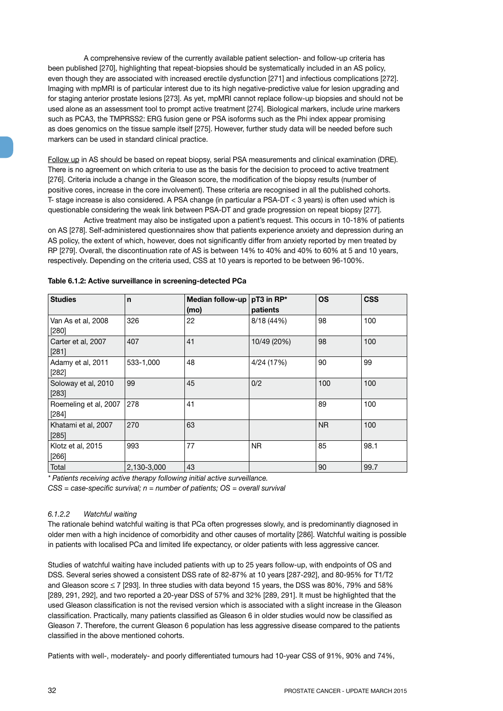A comprehensive review of the currently available patient selection- and follow-up criteria has been published [270], highlighting that repeat-biopsies should be systematically included in an AS policy, even though they are associated with increased erectile dysfunction [271] and infectious complications [272]. Imaging with mpMRI is of particular interest due to its high negative-predictive value for lesion upgrading and for staging anterior prostate lesions [273]. As yet, mpMRI cannot replace follow-up biopsies and should not be used alone as an assessment tool to prompt active treatment [274]. Biological markers, include urine markers such as PCA3, the TMPRSS2: ERG fusion gene or PSA isoforms such as the Phi index appear promising as does genomics on the tissue sample itself [275]. However, further study data will be needed before such markers can be used in standard clinical practice.

Follow up in AS should be based on repeat biopsy, serial PSA measurements and clinical examination (DRE). There is no agreement on which criteria to use as the basis for the decision to proceed to active treatment [276]. Criteria include a change in the Gleason score, the modification of the biopsy results (number of positive cores, increase in the core involvement). These criteria are recognised in all the published cohorts. T- stage increase is also considered. A PSA change (in particular a PSA-DT < 3 years) is often used which is questionable considering the weak link between PSA-DT and grade progression on repeat biopsy [277].

Active treatment may also be instigated upon a patient's request. This occurs in 10-18% of patients on AS [278]. Self-administered questionnaires show that patients experience anxiety and depression during an AS policy, the extent of which, however, does not significantly differ from anxiety reported by men treated by RP [279]. Overall, the discontinuation rate of AS is between 14% to 40% and 40% to 60% at 5 and 10 years, respectively. Depending on the criteria used, CSS at 10 years is reported to be between 96-100%.

| <b>Studies</b>                 | $\mathbf n$ | Median follow-up<br>(mo) | pT3 in RP*<br>patients | <b>OS</b> | <b>CSS</b> |
|--------------------------------|-------------|--------------------------|------------------------|-----------|------------|
| Van As et al, 2008<br>$[280]$  | 326         | 22                       | 8/18 (44%)             | 98        | 100        |
| Carter et al, 2007<br>[281]    | 407         | 41                       | 10/49 (20%)            | 98        | 100        |
| Adamy et al, 2011<br>$[282]$   | 533-1,000   | 48                       | 4/24 (17%)             | 90        | 99         |
| Soloway et al, 2010<br>$[283]$ | 99          | 45                       | 0/2                    | 100       | 100        |
| Roemeling et al, 2007<br>[284] | 278         | 41                       |                        | 89        | 100        |
| Khatami et al, 2007<br>[285]   | 270         | 63                       |                        | <b>NR</b> | 100        |
| Klotz et al, 2015<br>$[266]$   | 993         | 77                       | NR.                    | 85        | 98.1       |
| Total                          | 2.130-3.000 | 43                       |                        | 90        | 99.7       |

| Table 6.1.2: Active surveillance in screening-detected PCa |  |
|------------------------------------------------------------|--|
|------------------------------------------------------------|--|

*\* Patients receiving active therapy following initial active surveillance.* 

*CSS = case-specific survival; n = number of patients; OS = overall survival*

#### *6.1.2.2 Watchful waiting*

The rationale behind watchful waiting is that PCa often progresses slowly, and is predominantly diagnosed in older men with a high incidence of comorbidity and other causes of mortality [286]. Watchful waiting is possible in patients with localised PCa and limited life expectancy, or older patients with less aggressive cancer.

Studies of watchful waiting have included patients with up to 25 years follow-up, with endpoints of OS and DSS. Several series showed a consistent DSS rate of 82-87% at 10 years [287-292], and 80-95% for T1/T2 and Gleason score < 7 [293]. In three studies with data beyond 15 years, the DSS was 80%, 79% and 58% [289, 291, 292], and two reported a 20-year DSS of 57% and 32% [289, 291]. It must be highlighted that the used Gleason classification is not the revised version which is associated with a slight increase in the Gleason classification. Practically, many patients classified as Gleason 6 in older studies would now be classified as Gleason 7. Therefore, the current Gleason 6 population has less aggressive disease compared to the patients classified in the above mentioned cohorts.

Patients with well-, moderately- and poorly differentiated tumours had 10-year CSS of 91%, 90% and 74%,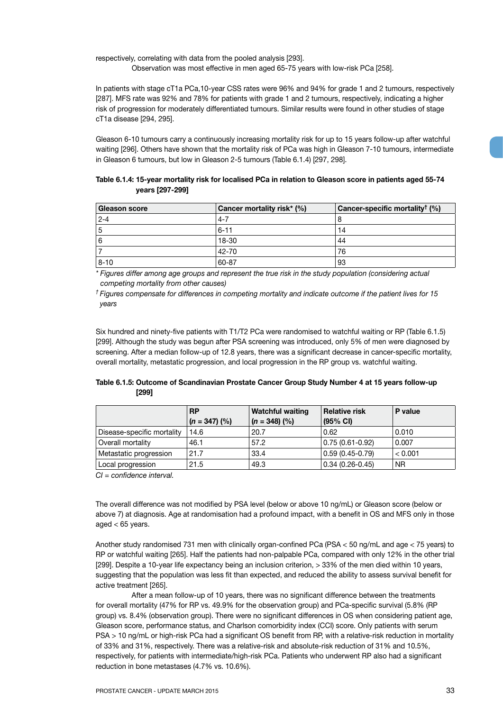respectively, correlating with data from the pooled analysis [293].

Observation was most effective in men aged 65-75 years with low-risk PCa [258].

In patients with stage cT1a PCa,10-year CSS rates were 96% and 94% for grade 1 and 2 tumours, respectively [287]. MFS rate was 92% and 78% for patients with grade 1 and 2 tumours, respectively, indicating a higher risk of progression for moderately differentiated tumours. Similar results were found in other studies of stage cT1a disease [294, 295].

Gleason 6-10 tumours carry a continuously increasing mortality risk for up to 15 years follow-up after watchful waiting [296]. Others have shown that the mortality risk of PCa was high in Gleason 7-10 tumours, intermediate in Gleason 6 tumours, but low in Gleason 2-5 tumours (Table 6.1.4) [297, 298].

| Table 6.1.4: 15-year mortality risk for localised PCa in relation to Gleason score in patients aged 55-74 |  |
|-----------------------------------------------------------------------------------------------------------|--|
| years [297-299]                                                                                           |  |

| Gleason score | Cancer mortality risk* (%) | Cancer-specific mortality <sup>†</sup> $(\%)$ |
|---------------|----------------------------|-----------------------------------------------|
| $2 - 4$       | $4 - 7$                    |                                               |
|               | $6 - 11$                   | 14                                            |
|               | 18-30                      | 44                                            |
|               | 42-70                      | 76                                            |
| $8 - 10$      | 60-87                      | 93                                            |

*\* Figures differ among age groups and represent the true risk in the study population (considering actual competing mortality from other causes)*

*† Figures compensate for differences in competing mortality and indicate outcome if the patient lives for 15 years*

Six hundred and ninety-five patients with T1/T2 PCa were randomised to watchful waiting or RP (Table 6.1.5) [299]. Although the study was begun after PSA screening was introduced, only 5% of men were diagnosed by screening. After a median follow-up of 12.8 years, there was a significant decrease in cancer-specific mortality, overall mortality, metastatic progression, and local progression in the RP group vs. watchful waiting.

|       | Table 6.1.5: Outcome of Scandinavian Prostate Cancer Group Study Number 4 at 15 years follow-up |  |
|-------|-------------------------------------------------------------------------------------------------|--|
| [299] |                                                                                                 |  |

|                            | <b>RP</b>       | <b>Watchful waiting</b> | <b>Relative risk</b> | P value |
|----------------------------|-----------------|-------------------------|----------------------|---------|
|                            | $(n = 347)$ (%) | $(n = 348)$ (%)         | $(95% \text{ Cl})$   |         |
| Disease-specific mortality | 14.6            | 20.7                    | 0.62                 | 0.010   |
| Overall mortality          | 46.1            | 57.2                    | $ 0.75(0.61-0.92) $  | 0.007   |
| Metastatic progression     | 21.7            | 33.4                    | $ 0.59(0.45-0.79) $  | < 0.001 |
| Local progression          | 21.5            | 49.3                    | $ 0.34(0.26-0.45) $  | ΝR      |

*CI = confidence interval.*

The overall difference was not modified by PSA level (below or above 10 ng/mL) or Gleason score (below or above 7) at diagnosis. Age at randomisation had a profound impact, with a benefit in OS and MFS only in those aged  $< 65$  years.

Another study randomised 731 men with clinically organ-confined PCa (PSA < 50 ng/mL and age < 75 years) to RP or watchful waiting [265]. Half the patients had non-palpable PCa, compared with only 12% in the other trial [299]. Despite a 10-year life expectancy being an inclusion criterion, > 33% of the men died within 10 years, suggesting that the population was less fit than expected, and reduced the ability to assess survival benefit for active treatment [265].

After a mean follow-up of 10 years, there was no significant difference between the treatments for overall mortality (47% for RP vs. 49.9% for the observation group) and PCa-specific survival (5.8% (RP group) vs. 8.4% (observation group). There were no significant differences in OS when considering patient age, Gleason score, performance status, and Charlson comorbidity index (CCI) score. Only patients with serum PSA > 10 ng/mL or high-risk PCa had a significant OS benefit from RP, with a relative-risk reduction in mortality of 33% and 31%, respectively. There was a relative-risk and absolute-risk reduction of 31% and 10.5%, respectively, for patients with intermediate/high-risk PCa. Patients who underwent RP also had a significant reduction in bone metastases (4.7% vs. 10.6%).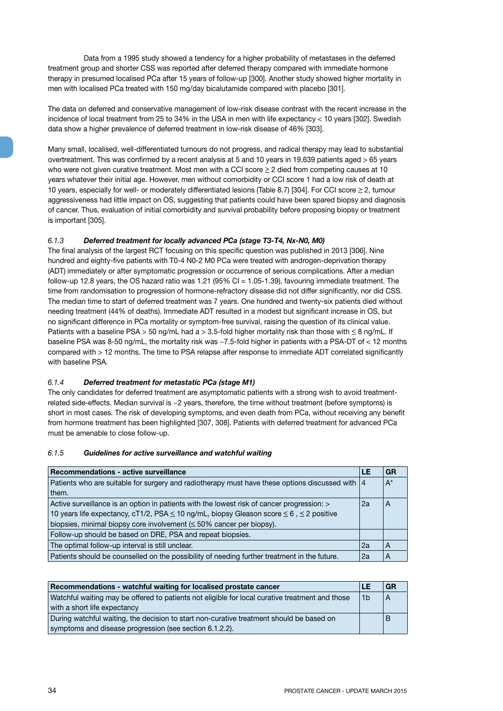Data from a 1995 study showed a tendency for a higher probability of metastases in the deferred treatment group and shorter CSS was reported after deferred therapy compared with immediate hormone therapy in presumed localised PCa after 15 years of follow-up [300]. Another study showed higher mortality in men with localised PCa treated with 150 mg/day bicalutamide compared with placebo [301].

The data on deferred and conservative management of low-risk disease contrast with the recent increase in the incidence of local treatment from 25 to 34% in the USA in men with life expectancy < 10 years [302]. Swedish data show a higher prevalence of deferred treatment in low-risk disease of 46% [303].

Many small, localised, well-differentiated tumours do not progress, and radical therapy may lead to substantial overtreatment. This was confirmed by a recent analysis at 5 and 10 years in 19,639 patients aged > 65 years who were not given curative treatment. Most men with a CCI score  $\geq 2$  died from competing causes at 10 years whatever their initial age. However, men without comorbidity or CCI score 1 had a low risk of death at 10 years, especially for well- or moderately differentiated lesions (Table 8.7) [304]. For CCI score  $\geq 2$ , tumour aggressiveness had little impact on OS, suggesting that patients could have been spared biopsy and diagnosis of cancer. Thus, evaluation of initial comorbidity and survival probability before proposing biopsy or treatment is important [305].

#### *6.1.3 Deferred treatment for locally advanced PCa (stage T3-T4, Nx-N0, M0)*

The final analysis of the largest RCT focusing on this specific question was published in 2013 [306]. Nine hundred and eighty-five patients with T0-4 N0-2 M0 PCa were treated with androgen-deprivation therapy (ADT) immediately or after symptomatic progression or occurrence of serious complications. After a median follow-up 12.8 years, the OS hazard ratio was 1.21 (95% CI = 1.05-1.39), favouring immediate treatment. The time from randomisation to progression of hormone-refractory disease did not differ significantly, nor did CSS. The median time to start of deferred treatment was 7 years. One hundred and twenty-six patients died without needing treatment (44% of deaths). Immediate ADT resulted in a modest but significant increase in OS, but no significant difference in PCa mortality or symptom-free survival, raising the question of its clinical value. Patients with a baseline PSA > 50 ng/mL had a > 3.5-fold higher mortality risk than those with  $\leq$  8 ng/mL. If baseline PSA was 8-50 ng/mL, the mortality risk was ~7.5-fold higher in patients with a PSA-DT of < 12 months compared with > 12 months. The time to PSA relapse after response to immediate ADT correlated significantly with baseline PSA.

#### *6.1.4 Deferred treatment for metastatic PCa (stage M1)*

The only candidates for deferred treatment are asymptomatic patients with a strong wish to avoid treatmentrelated side-effects. Median survival is ~2 years, therefore, the time without treatment (before symptoms) is short in most cases. The risk of developing symptoms, and even death from PCa, without receiving any benefit from hormone treatment has been highlighted [307, 308]. Patients with deferred treatment for advanced PCa must be amenable to close follow-up.

#### *6.1.5 Guidelines for active surveillance and watchful waiting*

| Recommendations - active surveillance                                                             | LE | GR    |
|---------------------------------------------------------------------------------------------------|----|-------|
| Patients who are suitable for surgery and radiotherapy must have these options discussed with   4 |    | $A^*$ |
| them.                                                                                             |    |       |
| Active surveillance is an option in patients with the lowest risk of cancer progression: >        | 2a | A     |
| 10 years life expectancy, cT1/2, PSA ≤ 10 ng/mL, biopsy Gleason score ≤ 6, ≤ 2 positive           |    |       |
| biopsies, minimal biopsy core involvement $(\leq 50\%$ cancer per biopsy).                        |    |       |
| Follow-up should be based on DRE, PSA and repeat biopsies.                                        |    |       |
| The optimal follow-up interval is still unclear.                                                  | 2a | A     |
| Patients should be counselled on the possibility of needing further treatment in the future.      | 2a |       |

| Recommendations - watchful waiting for localised prostate cancer                                                  |  |   |
|-------------------------------------------------------------------------------------------------------------------|--|---|
| Watchful waiting may be offered to patients not eligible for local curative treatment and those<br>1 <sub>b</sub> |  |   |
| with a short life expectancy                                                                                      |  |   |
| During watchful waiting, the decision to start non-curative treatment should be based on                          |  | B |
| symptoms and disease progression (see section 6.1.2.2).                                                           |  |   |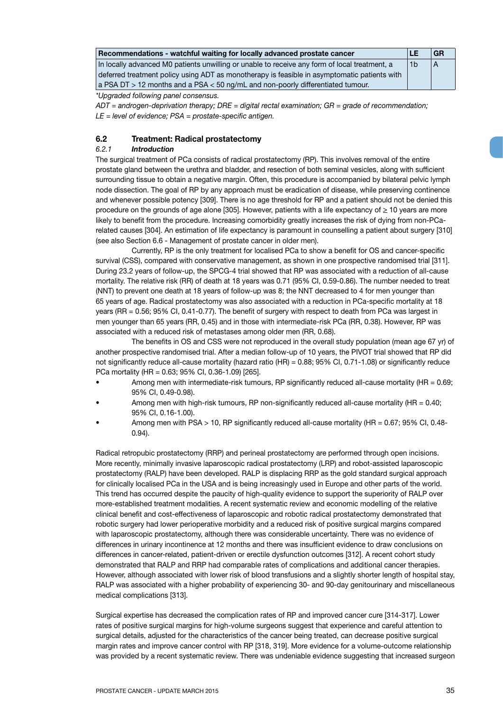| LE<br>Recommendations - watchful waiting for locally advanced prostate cancer                 |    |  |  |
|-----------------------------------------------------------------------------------------------|----|--|--|
| In locally advanced M0 patients unwilling or unable to receive any form of local treatment, a | 1b |  |  |
| deferred treatment policy using ADT as monotherapy is feasible in asymptomatic patients with  |    |  |  |
| $\alpha$ PSA DT $>$ 12 months and a PSA $<$ 50 ng/mL and non-poorly differentiated tumour.    |    |  |  |

*\*Upgraded following panel consensus.* 

*ADT = androgen-deprivation therapy; DRE = digital rectal examination; GR = grade of recommendation; LE = level of evidence; PSA = prostate-specific antigen.*

#### **6.2 Treatment: Radical prostatectomy**

#### *6.2.1 Introduction*

The surgical treatment of PCa consists of radical prostatectomy (RP). This involves removal of the entire prostate gland between the urethra and bladder, and resection of both seminal vesicles, along with sufficient surrounding tissue to obtain a negative margin. Often, this procedure is accompanied by bilateral pelvic lymph node dissection. The goal of RP by any approach must be eradication of disease, while preserving continence and whenever possible potency [309]. There is no age threshold for RP and a patient should not be denied this procedure on the grounds of age alone [305]. However, patients with a life expectancy of  $\geq 10$  years are more likely to benefit from the procedure. Increasing comorbidity greatly increases the risk of dying from non-PCarelated causes [304]. An estimation of life expectancy is paramount in counselling a patient about surgery [310] (see also Section 6.6 - Management of prostate cancer in older men).

Currently, RP is the only treatment for localised PCa to show a benefit for OS and cancer-specific survival (CSS), compared with conservative management, as shown in one prospective randomised trial [311]. During 23.2 years of follow-up, the SPCG-4 trial showed that RP was associated with a reduction of all-cause mortality. The relative risk (RR) of death at 18 years was 0.71 (95% CI, 0.59-0.86). The number needed to treat (NNT) to prevent one death at 18 years of follow-up was 8; the NNT decreased to 4 for men younger than 65 years of age. Radical prostatectomy was also associated with a reduction in PCa-specific mortality at 18 years (RR = 0.56; 95% CI, 0.41-0.77). The benefit of surgery with respect to death from PCa was largest in men younger than 65 years (RR, 0.45) and in those with intermediate-risk PCa (RR, 0.38). However, RP was associated with a reduced risk of metastases among older men (RR, 0.68).

The benefits in OS and CSS were not reproduced in the overall study population (mean age 67 yr) of another prospective randomised trial. After a median follow-up of 10 years, the PIVOT trial showed that RP did not significantly reduce all-cause mortality (hazard ratio (HR) = 0.88; 95% CI, 0.71-1.08) or significantly reduce PCa mortality (HR = 0.63; 95% CI, 0.36-1.09) [265].

- Among men with intermediate-risk tumours, RP significantly reduced all-cause mortality (HR = 0.69; 95% CI, 0.49-0.98).
- Among men with high-risk tumours, RP non-significantly reduced all-cause mortality (HR = 0.40; 95% CI, 0.16-1.00).
- Among men with PSA > 10, RP significantly reduced all-cause mortality (HR = 0.67; 95% CI, 0.48- 0.94).

Radical retropubic prostatectomy (RRP) and perineal prostatectomy are performed through open incisions. More recently, minimally invasive laparoscopic radical prostatectomy (LRP) and robot-assisted laparoscopic prostatectomy (RALP) have been developed. RALP is displacing RRP as the gold standard surgical approach for clinically localised PCa in the USA and is being increasingly used in Europe and other parts of the world. This trend has occurred despite the paucity of high-quality evidence to support the superiority of RALP over more-established treatment modalities. A recent systematic review and economic modelling of the relative clinical benefit and cost-effectiveness of laparoscopic and robotic radical prostatectomy demonstrated that robotic surgery had lower perioperative morbidity and a reduced risk of positive surgical margins compared with laparoscopic prostatectomy, although there was considerable uncertainty. There was no evidence of differences in urinary incontinence at 12 months and there was insufficient evidence to draw conclusions on differences in cancer-related, patient-driven or erectile dysfunction outcomes [312]. A recent cohort study demonstrated that RALP and RRP had comparable rates of complications and additional cancer therapies. However, although associated with lower risk of blood transfusions and a slightly shorter length of hospital stay, RALP was associated with a higher probability of experiencing 30- and 90-day genitourinary and miscellaneous medical complications [313].

Surgical expertise has decreased the complication rates of RP and improved cancer cure [314-317]. Lower rates of positive surgical margins for high-volume surgeons suggest that experience and careful attention to surgical details, adjusted for the characteristics of the cancer being treated, can decrease positive surgical margin rates and improve cancer control with RP [318, 319]. More evidence for a volume-outcome relationship was provided by a recent systematic review. There was undeniable evidence suggesting that increased surgeon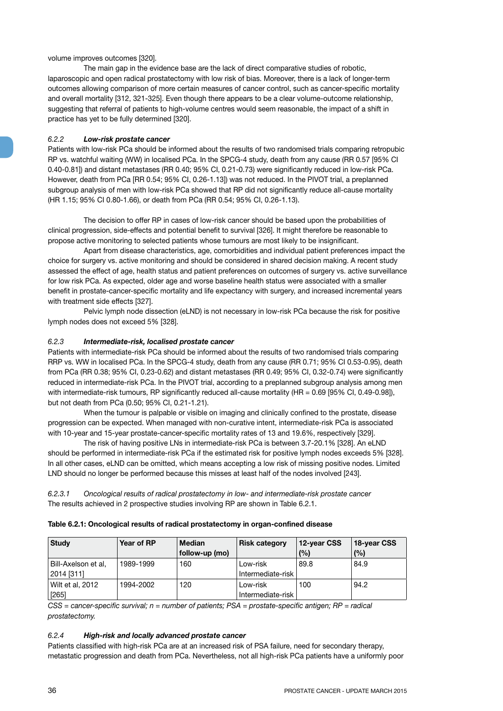#### volume improves outcomes [320].

The main gap in the evidence base are the lack of direct comparative studies of robotic, laparoscopic and open radical prostatectomy with low risk of bias. Moreover, there is a lack of longer-term outcomes allowing comparison of more certain measures of cancer control, such as cancer-specific mortality and overall mortality [312, 321-325]. Even though there appears to be a clear volume-outcome relationship, suggesting that referral of patients to high-volume centres would seem reasonable, the impact of a shift in practice has yet to be fully determined [320].

#### *6.2.2 Low-risk prostate cancer*

Patients with low-risk PCa should be informed about the results of two randomised trials comparing retropubic RP vs. watchful waiting (WW) in localised PCa. In the SPCG-4 study, death from any cause (RR 0.57 [95% CI 0.40-0.81]) and distant metastases (RR 0.40; 95% CI, 0.21-0.73) were significantly reduced in low-risk PCa. However, death from PCa [RR 0.54; 95% CI, 0.26-1.13]) was not reduced. In the PIVOT trial, a preplanned subgroup analysis of men with low-risk PCa showed that RP did not significantly reduce all-cause mortality (HR 1.15; 95% CI 0.80-1.66), or death from PCa (RR 0.54; 95% CI, 0.26-1.13).

The decision to offer RP in cases of low-risk cancer should be based upon the probabilities of clinical progression, side-effects and potential benefit to survival [326]. It might therefore be reasonable to propose active monitoring to selected patients whose tumours are most likely to be insignificant.

Apart from disease characteristics, age, comorbidities and individual patient preferences impact the choice for surgery vs. active monitoring and should be considered in shared decision making. A recent study assessed the effect of age, health status and patient preferences on outcomes of surgery vs. active surveillance for low risk PCa. As expected, older age and worse baseline health status were associated with a smaller benefit in prostate-cancer-specific mortality and life expectancy with surgery, and increased incremental years with treatment side effects [327].

Pelvic lymph node dissection (eLND) is not necessary in low-risk PCa because the risk for positive lymph nodes does not exceed 5% [328].

#### *6.2.3 Intermediate-risk, localised prostate cancer*

Patients with intermediate-risk PCa should be informed about the results of two randomised trials comparing RRP vs. WW in localised PCa. In the SPCG-4 study, death from any cause (RR 0.71; 95% CI 0.53-0.95), death from PCa (RR 0.38; 95% CI, 0.23-0.62) and distant metastases (RR 0.49; 95% CI, 0.32-0.74) were significantly reduced in intermediate-risk PCa. In the PIVOT trial, according to a preplanned subgroup analysis among men with intermediate-risk tumours, RP significantly reduced all-cause mortality (HR = 0.69 [95% CI, 0.49-0.98]), but not death from PCa (0.50; 95% CI, 0.21-1.21).

When the tumour is palpable or visible on imaging and clinically confined to the prostate, disease progression can be expected. When managed with non-curative intent, intermediate-risk PCa is associated with 10-year and 15-year prostate-cancer-specific mortality rates of 13 and 19.6%, respectively [329].

The risk of having positive LNs in intermediate-risk PCa is between 3.7-20.1% [328]. An eLND should be performed in intermediate-risk PCa if the estimated risk for positive lymph nodes exceeds 5% [328]. In all other cases, eLND can be omitted, which means accepting a low risk of missing positive nodes. Limited LND should no longer be performed because this misses at least half of the nodes involved [243].

*6.2.3.1 Oncological results of radical prostatectomy in low- and intermediate-risk prostate cancer* The results achieved in 2 prospective studies involving RP are shown in Table 6.2.1.

|  |  |  | Table 6.2.1: Oncological results of radical prostatectomy in organ-confined disease |
|--|--|--|-------------------------------------------------------------------------------------|
|--|--|--|-------------------------------------------------------------------------------------|

| <b>Study</b>        | Year of RP | <b>Median</b>  | <b>Risk category</b> | 12-year CSS | 18-year CSS |
|---------------------|------------|----------------|----------------------|-------------|-------------|
|                     |            | follow-up (mo) |                      | (%)         | (%)         |
| Bill-Axelson et al, | 1989-1999  | 160            | Low-risk             | 89.8        | 84.9        |
| 2014 [311]          |            |                | Intermediate-risk    |             |             |
| Wilt et al, 2012    | 1994-2002  | 120            | Low-risk             | 100         | 94.2        |
| $[265]$             |            |                | Intermediate-risk    |             |             |

*CSS = cancer-specific survival; n = number of patients; PSA = prostate-specific antigen; RP = radical prostatectomy.*

#### *6.2.4 High-risk and locally advanced prostate cancer*

Patients classified with high-risk PCa are at an increased risk of PSA failure, need for secondary therapy, metastatic progression and death from PCa. Nevertheless, not all high-risk PCa patients have a uniformly poor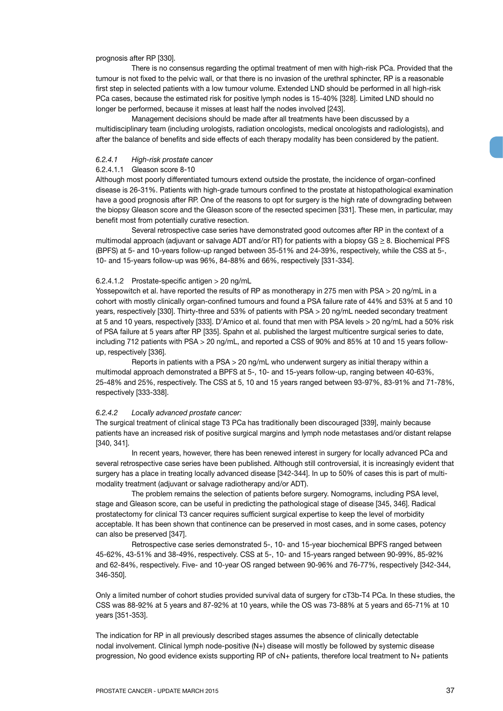#### prognosis after RP [330].

There is no consensus regarding the optimal treatment of men with high-risk PCa. Provided that the tumour is not fixed to the pelvic wall, or that there is no invasion of the urethral sphincter, RP is a reasonable first step in selected patients with a low tumour volume. Extended LND should be performed in all high-risk PCa cases, because the estimated risk for positive lymph nodes is 15-40% [328]. Limited LND should no longer be performed, because it misses at least half the nodes involved [243].

Management decisions should be made after all treatments have been discussed by a multidisciplinary team (including urologists, radiation oncologists, medical oncologists and radiologists), and after the balance of benefits and side effects of each therapy modality has been considered by the patient.

### *6.2.4.1 High-risk prostate cancer*

## 6.2.4.1.1 Gleason score 8-10

Although most poorly differentiated tumours extend outside the prostate, the incidence of organ-confined disease is 26-31%. Patients with high-grade tumours confined to the prostate at histopathological examination have a good prognosis after RP. One of the reasons to opt for surgery is the high rate of downgrading between the biopsy Gleason score and the Gleason score of the resected specimen [331]. These men, in particular, may benefit most from potentially curative resection.

Several retrospective case series have demonstrated good outcomes after RP in the context of a multimodal approach (adjuvant or salvage ADT and/or RT) for patients with a biopsy  $GS \geq 8$ . Biochemical PFS (BPFS) at 5- and 10-years follow-up ranged between 35-51% and 24-39%, respectively, while the CSS at 5-, 10- and 15-years follow-up was 96%, 84-88% and 66%, respectively [331-334].

#### 6.2.4.1.2 Prostate-specific antigen > 20 ng/mL

Yossepowitch et al. have reported the results of RP as monotherapy in 275 men with PSA > 20 ng/mL in a cohort with mostly clinically organ-confined tumours and found a PSA failure rate of 44% and 53% at 5 and 10 years, respectively [330]. Thirty-three and 53% of patients with PSA > 20 ng/mL needed secondary treatment at 5 and 10 years, respectively [333]. D'Amico et al. found that men with PSA levels > 20 ng/mL had a 50% risk of PSA failure at 5 years after RP [335]. Spahn et al. published the largest multicentre surgical series to date, including 712 patients with PSA > 20 ng/mL, and reported a CSS of 90% and 85% at 10 and 15 years followup, respectively [336].

Reports in patients with a PSA > 20 ng/mL who underwent surgery as initial therapy within a multimodal approach demonstrated a BPFS at 5-, 10- and 15-years follow-up, ranging between 40-63%, 25-48% and 25%, respectively. The CSS at 5, 10 and 15 years ranged between 93-97%, 83-91% and 71-78%, respectively [333-338].

### *6.2.4.2 Locally advanced prostate cancer:*

The surgical treatment of clinical stage T3 PCa has traditionally been discouraged [339], mainly because patients have an increased risk of positive surgical margins and lymph node metastases and/or distant relapse [340, 341].

In recent years, however, there has been renewed interest in surgery for locally advanced PCa and several retrospective case series have been published. Although still controversial, it is increasingly evident that surgery has a place in treating locally advanced disease [342-344]. In up to 50% of cases this is part of multimodality treatment (adjuvant or salvage radiotherapy and/or ADT).

The problem remains the selection of patients before surgery. Nomograms, including PSA level, stage and Gleason score, can be useful in predicting the pathological stage of disease [345, 346]. Radical prostatectomy for clinical T3 cancer requires sufficient surgical expertise to keep the level of morbidity acceptable. It has been shown that continence can be preserved in most cases, and in some cases, potency can also be preserved [347].

Retrospective case series demonstrated 5-, 10- and 15-year biochemical BPFS ranged between 45-62%, 43-51% and 38-49%, respectively. CSS at 5-, 10- and 15-years ranged between 90-99%, 85-92% and 62-84%, respectively. Five- and 10-year OS ranged between 90-96% and 76-77%, respectively [342-344, 346-350].

Only a limited number of cohort studies provided survival data of surgery for cT3b-T4 PCa. In these studies, the CSS was 88-92% at 5 years and 87-92% at 10 years, while the OS was 73-88% at 5 years and 65-71% at 10 years [351-353].

The indication for RP in all previously described stages assumes the absence of clinically detectable nodal involvement. Clinical lymph node-positive (N+) disease will mostly be followed by systemic disease progression, No good evidence exists supporting RP of cN+ patients, therefore local treatment to N+ patients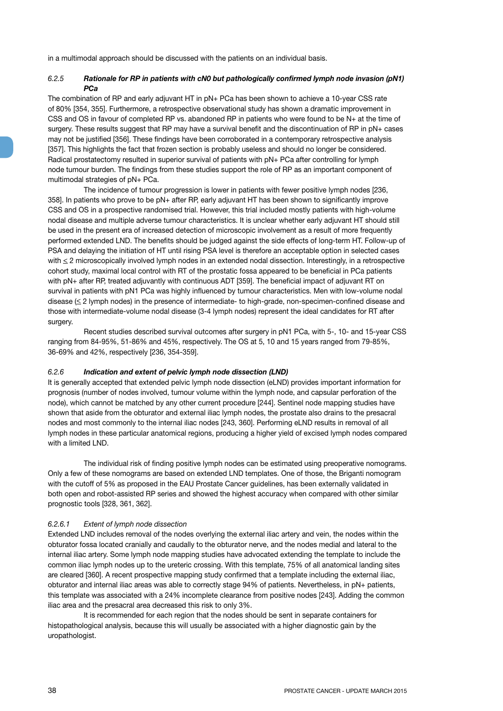in a multimodal approach should be discussed with the patients on an individual basis.

## *6.2.5 Rationale for RP in patients with cN0 but pathologically confirmed lymph node invasion (pN1) PCa*

The combination of RP and early adjuvant HT in pN+ PCa has been shown to achieve a 10-year CSS rate of 80% [354, 355]. Furthermore, a retrospective observational study has shown a dramatic improvement in CSS and OS in favour of completed RP vs. abandoned RP in patients who were found to be N+ at the time of surgery. These results suggest that RP may have a survival benefit and the discontinuation of RP in pN+ cases may not be justified [356]. These findings have been corroborated in a contemporary retrospective analysis [357]. This highlights the fact that frozen section is probably useless and should no longer be considered. Radical prostatectomy resulted in superior survival of patients with pN+ PCa after controlling for lymph node tumour burden. The findings from these studies support the role of RP as an important component of multimodal strategies of pN+ PCa.

The incidence of tumour progression is lower in patients with fewer positive lymph nodes [236, 358]. In patients who prove to be pN+ after RP, early adjuvant HT has been shown to significantly improve CSS and OS in a prospective randomised trial. However, this trial included mostly patients with high-volume nodal disease and multiple adverse tumour characteristics. It is unclear whether early adjuvant HT should still be used in the present era of increased detection of microscopic involvement as a result of more frequently performed extended LND. The benefits should be judged against the side effects of long-term HT. Follow-up of PSA and delaying the initiation of HT until rising PSA level is therefore an acceptable option in selected cases with  $\leq$  2 microscopically involved lymph nodes in an extended nodal dissection. Interestingly, in a retrospective cohort study, maximal local control with RT of the prostatic fossa appeared to be beneficial in PCa patients with pN+ after RP, treated adjuvantly with continuous ADT [359]. The beneficial impact of adjuvant RT on survival in patients with pN1 PCa was highly influenced by tumour characteristics. Men with low-volume nodal disease (< 2 lymph nodes) in the presence of intermediate- to high-grade, non-specimen-confined disease and those with intermediate-volume nodal disease (3-4 lymph nodes) represent the ideal candidates for RT after surgery.

Recent studies described survival outcomes after surgery in pN1 PCa, with 5-, 10- and 15-year CSS ranging from 84-95%, 51-86% and 45%, respectively. The OS at 5, 10 and 15 years ranged from 79-85%, 36-69% and 42%, respectively [236, 354-359].

### *6.2.6 Indication and extent of pelvic lymph node dissection (LND)*

It is generally accepted that extended pelvic lymph node dissection (eLND) provides important information for prognosis (number of nodes involved, tumour volume within the lymph node, and capsular perforation of the node), which cannot be matched by any other current procedure [244]. Sentinel node mapping studies have shown that aside from the obturator and external iliac lymph nodes, the prostate also drains to the presacral nodes and most commonly to the internal iliac nodes [243, 360]. Performing eLND results in removal of all lymph nodes in these particular anatomical regions, producing a higher yield of excised lymph nodes compared with a limited LND.

The individual risk of finding positive lymph nodes can be estimated using preoperative nomograms. Only a few of these nomograms are based on extended LND templates. One of those, the Briganti nomogram with the cutoff of 5% as proposed in the EAU Prostate Cancer guidelines, has been externally validated in both open and robot-assisted RP series and showed the highest accuracy when compared with other similar prognostic tools [328, 361, 362].

### *6.2.6.1 Extent of lymph node dissection*

Extended LND includes removal of the nodes overlying the external iliac artery and vein, the nodes within the obturator fossa located cranially and caudally to the obturator nerve, and the nodes medial and lateral to the internal iliac artery. Some lymph node mapping studies have advocated extending the template to include the common iliac lymph nodes up to the ureteric crossing. With this template, 75% of all anatomical landing sites are cleared [360]. A recent prospective mapping study confirmed that a template including the external iliac, obturator and internal iliac areas was able to correctly stage 94% of patients. Nevertheless, in pN+ patients, this template was associated with a 24% incomplete clearance from positive nodes [243]. Adding the common iliac area and the presacral area decreased this risk to only 3%.

It is recommended for each region that the nodes should be sent in separate containers for histopathological analysis, because this will usually be associated with a higher diagnostic gain by the uropathologist.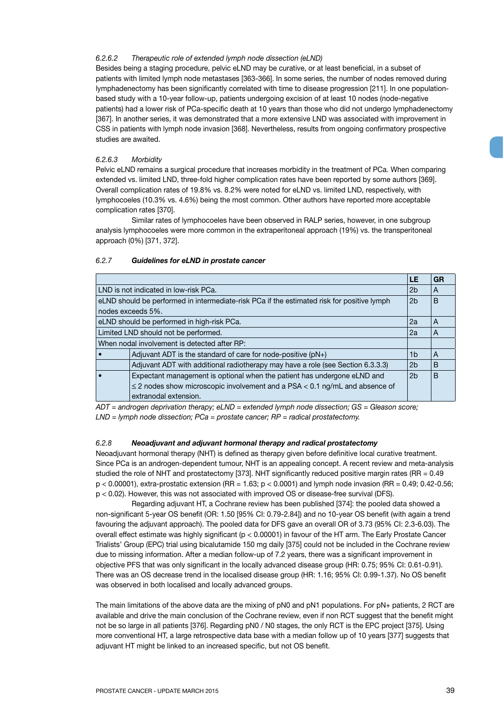## *6.2.6.2 Therapeutic role of extended lymph node dissection (eLND)*

Besides being a staging procedure, pelvic eLND may be curative, or at least beneficial, in a subset of patients with limited lymph node metastases [363-366]. In some series, the number of nodes removed during lymphadenectomy has been significantly correlated with time to disease progression [211]. In one populationbased study with a 10-year follow-up, patients undergoing excision of at least 10 nodes (node-negative patients) had a lower risk of PCa-specific death at 10 years than those who did not undergo lymphadenectomy [367]. In another series, it was demonstrated that a more extensive LND was associated with improvement in CSS in patients with lymph node invasion [368]. Nevertheless, results from ongoing confirmatory prospective studies are awaited.

## *6.2.6.3 Morbidity*

Pelvic eLND remains a surgical procedure that increases morbidity in the treatment of PCa. When comparing extended vs. limited LND, three-fold higher complication rates have been reported by some authors [369]. Overall complication rates of 19.8% vs. 8.2% were noted for eLND vs. limited LND, respectively, with lymphocoeles (10.3% vs. 4.6%) being the most common. Other authors have reported more acceptable complication rates [370].

Similar rates of lymphocoeles have been observed in RALP series, however, in one subgroup analysis lymphocoeles were more common in the extraperitoneal approach (19%) vs. the transperitoneal approach (0%) [371, 372].

|                                                                                            | LE             | GR |  |  |  |  |
|--------------------------------------------------------------------------------------------|----------------|----|--|--|--|--|
| LND is not indicated in low-risk PCa.                                                      |                |    |  |  |  |  |
| eLND should be performed in intermediate-risk PCa if the estimated risk for positive lymph | 2 <sub>b</sub> | B  |  |  |  |  |
| nodes exceeds 5%.                                                                          |                |    |  |  |  |  |
| eLND should be performed in high-risk PCa.                                                 | 2a             | A  |  |  |  |  |
| Limited LND should not be performed.                                                       |                |    |  |  |  |  |
| When nodal involvement is detected after RP:                                               |                |    |  |  |  |  |
| Adjuvant ADT is the standard of care for node-positive $(pN+)$                             | 1b             | A  |  |  |  |  |
| Adjuvant ADT with additional radiotherapy may have a role (see Section 6.3.3.3)            | 2 <sub>b</sub> | B  |  |  |  |  |
| Expectant management is optional when the patient has undergone eLND and                   |                |    |  |  |  |  |
| $\leq$ 2 nodes show microscopic involvement and a PSA < 0.1 ng/mL and absence of           |                |    |  |  |  |  |
| extranodal extension.                                                                      |                |    |  |  |  |  |

## *6.2.7 Guidelines for eLND in prostate cancer*

*ADT = androgen deprivation therapy; eLND = extended lymph node dissection; GS = Gleason score; LND = lymph node dissection; PCa = prostate cancer; RP = radical prostatectomy.*

## *6.2.8 Neoadjuvant and adjuvant hormonal therapy and radical prostatectomy*

Neoadjuvant hormonal therapy (NHT) is defined as therapy given before definitive local curative treatment. Since PCa is an androgen-dependent tumour, NHT is an appealing concept. A recent review and meta-analysis studied the role of NHT and prostatectomy [373]. NHT significantly reduced positive margin rates (RR = 0.49  $p < 0.00001$ ), extra-prostatic extension (RR = 1.63;  $p < 0.0001$ ) and lymph node invasion (RR = 0.49; 0.42-0.56; p < 0.02). However, this was not associated with improved OS or disease-free survival (DFS).

Regarding adjuvant HT, a Cochrane review has been published [374]: the pooled data showed a non-significant 5-year OS benefit (OR: 1.50 [95% CI: 0.79-2.84]) and no 10-year OS benefit (with again a trend favouring the adjuvant approach). The pooled data for DFS gave an overall OR of 3.73 (95% CI: 2.3-6.03). The overall effect estimate was highly significant (p < 0.00001) in favour of the HT arm. The Early Prostate Cancer Trialists' Group (EPC) trial using bicalutamide 150 mg daily [375] could not be included in the Cochrane review due to missing information. After a median follow-up of 7.2 years, there was a significant improvement in objective PFS that was only significant in the locally advanced disease group (HR: 0.75; 95% CI: 0.61-0.91). There was an OS decrease trend in the localised disease group (HR: 1.16; 95% CI: 0.99-1.37). No OS benefit was observed in both localised and locally advanced groups.

The main limitations of the above data are the mixing of pN0 and pN1 populations. For pN+ patients, 2 RCT are available and drive the main conclusion of the Cochrane review, even if non RCT suggest that the benefit might not be so large in all patients [376]. Regarding pN0 / N0 stages, the only RCT is the EPC project [375]. Using more conventional HT, a large retrospective data base with a median follow up of 10 years [377] suggests that adjuvant HT might be linked to an increased specific, but not OS benefit.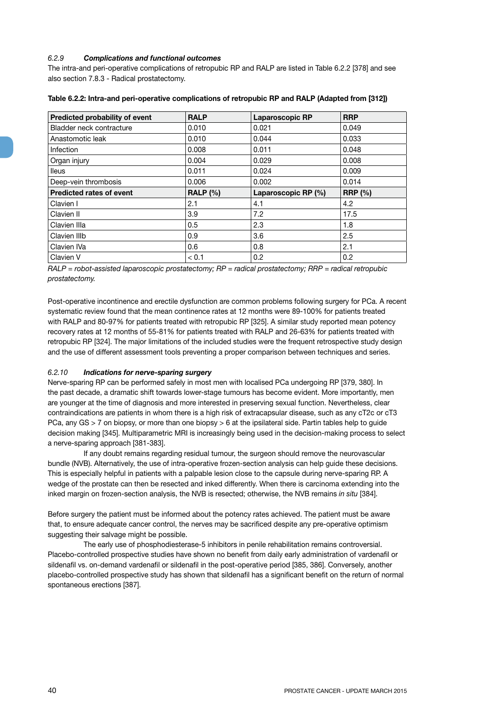## *6.2.9 Complications and functional outcomes*

The intra-and peri-operative complications of retropubic RP and RALP are listed in Table 6.2.2 [378] and see also section 7.8.3 - Radical prostatectomy.

| Predicted probability of event  | <b>RALP</b>     | <b>Laparoscopic RP</b> | <b>RRP</b>     |
|---------------------------------|-----------------|------------------------|----------------|
| Bladder neck contracture        | 0.010           | 0.021                  | 0.049          |
| Anastomotic leak                | 0.010           | 0.044                  | 0.033          |
| <b>Infection</b>                | 0.008           | 0.011                  | 0.048          |
| Organ injury                    | 0.004           | 0.029                  | 0.008          |
| <b>lleus</b>                    | 0.011           | 0.024                  | 0.009          |
| Deep-vein thrombosis            | 0.006           | 0.002                  | 0.014          |
| <b>Predicted rates of event</b> | <b>RALP (%)</b> | Laparoscopic RP (%)    | <b>RRP</b> (%) |
| Clavien I                       | 2.1             | 4.1                    | 4.2            |
| Clavien II                      | 3.9             | 7.2                    | 17.5           |
| Clavien IIIa                    | 0.5             | 2.3                    | 1.8            |
| Clavien IIIb                    | 0.9             | 3.6                    | 2.5            |
| Clavien IVa                     | 0.6             | 0.8                    | 2.1            |
| Clavien V                       | < 0.1           | 0.2                    | 0.2            |

|  |  | Table 6.2.2: Intra-and peri-operative complications of retropubic RP and RALP (Adapted from [312]) |
|--|--|----------------------------------------------------------------------------------------------------|
|  |  |                                                                                                    |

*RALP = robot-assisted laparoscopic prostatectomy; RP = radical prostatectomy; RRP = radical retropubic prostatectomy.*

Post-operative incontinence and erectile dysfunction are common problems following surgery for PCa. A recent systematic review found that the mean continence rates at 12 months were 89-100% for patients treated with RALP and 80-97% for patients treated with retropubic RP [325]. A similar study reported mean potency recovery rates at 12 months of 55-81% for patients treated with RALP and 26-63% for patients treated with retropubic RP [324]. The major limitations of the included studies were the frequent retrospective study design and the use of different assessment tools preventing a proper comparison between techniques and series.

## *6.2.10 Indications for nerve-sparing surgery*

Nerve-sparing RP can be performed safely in most men with localised PCa undergoing RP [379, 380]. In the past decade, a dramatic shift towards lower-stage tumours has become evident. More importantly, men are younger at the time of diagnosis and more interested in preserving sexual function. Nevertheless, clear contraindications are patients in whom there is a high risk of extracapsular disease, such as any cT2c or cT3 PCa, any GS > 7 on biopsy, or more than one biopsy > 6 at the ipsilateral side. Partin tables help to guide decision making [345]. Multiparametric MRI is increasingly being used in the decision-making process to select a nerve-sparing approach [381-383].

If any doubt remains regarding residual tumour, the surgeon should remove the neurovascular bundle (NVB). Alternatively, the use of intra-operative frozen-section analysis can help guide these decisions. This is especially helpful in patients with a palpable lesion close to the capsule during nerve-sparing RP. A wedge of the prostate can then be resected and inked differently. When there is carcinoma extending into the inked margin on frozen-section analysis, the NVB is resected; otherwise, the NVB remains *in situ* [384].

Before surgery the patient must be informed about the potency rates achieved. The patient must be aware that, to ensure adequate cancer control, the nerves may be sacrificed despite any pre-operative optimism suggesting their salvage might be possible.

The early use of phosphodiesterase-5 inhibitors in penile rehabilitation remains controversial. Placebo-controlled prospective studies have shown no benefit from daily early administration of vardenafil or sildenafil vs. on-demand vardenafil or sildenafil in the post-operative period [385, 386]. Conversely, another placebo-controlled prospective study has shown that sildenafil has a significant benefit on the return of normal spontaneous erections [387].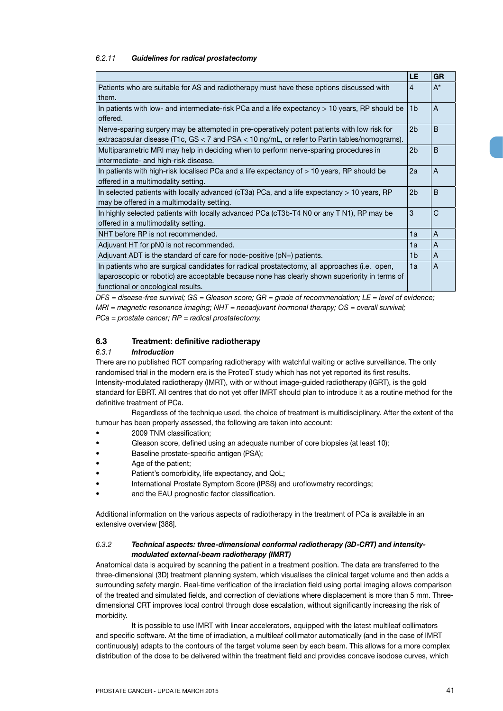### *6.2.11 Guidelines for radical prostatectomy*

|                                                                                                            | LE             | <b>GR</b>    |
|------------------------------------------------------------------------------------------------------------|----------------|--------------|
| Patients who are suitable for AS and radiotherapy must have these options discussed with                   | $\overline{4}$ | $A^*$        |
| them.                                                                                                      |                |              |
| In patients with low- and intermediate-risk PCa and a life expectancy > 10 years, RP should be<br>offered. | 1 <sub>b</sub> | A            |
| Nerve-sparing surgery may be attempted in pre-operatively potent patients with low risk for                | 2 <sub>b</sub> | <sub>B</sub> |
| extracapsular disease (T1c, GS < 7 and PSA < 10 ng/mL, or refer to Partin tables/nomograms).               |                |              |
| Multiparametric MRI may help in deciding when to perform nerve-sparing procedures in                       | 2 <sub>b</sub> | <sub>B</sub> |
| intermediate- and high-risk disease.                                                                       |                |              |
| In patients with high-risk localised PCa and a life expectancy of > 10 years, RP should be                 | 2a             | A            |
| offered in a multimodality setting.                                                                        |                |              |
| In selected patients with locally advanced ( $cT3a$ ) PCa, and a life expectancy $> 10$ years, RP          | 2 <sub>b</sub> | <sub>B</sub> |
| may be offered in a multimodality setting.                                                                 |                |              |
| In highly selected patients with locally advanced PCa (cT3b-T4 N0 or any T N1), RP may be                  | 3              | $\mathsf{C}$ |
| offered in a multimodality setting.                                                                        |                |              |
| NHT before RP is not recommended.                                                                          | 1a             | A            |
| Adjuvant HT for pN0 is not recommended.                                                                    | 1a             | A            |
| Adjuvant ADT is the standard of care for node-positive $(pN+)$ patients.                                   | 1b             | A            |
| In patients who are surgical candidates for radical prostatectomy, all approaches (i.e. open,              | 1a             | A            |
| laparoscopic or robotic) are acceptable because none has clearly shown superiority in terms of             |                |              |
| functional or oncological results.                                                                         |                |              |

*DFS = disease-free survival; GS = Gleason score; GR = grade of recommendation; LE = level of evidence; MRI = magnetic resonance imaging; NHT = neoadjuvant hormonal therapy; OS = overall survival; PCa = prostate cancer; RP = radical prostatectomy.*

## **6.3 Treatment: definitive radiotherapy**

### *6.3.1 Introduction*

There are no published RCT comparing radiotherapy with watchful waiting or active surveillance. The only randomised trial in the modern era is the ProtecT study which has not yet reported its first results. Intensity-modulated radiotherapy (IMRT), with or without image-guided radiotherapy (IGRT), is the gold standard for EBRT. All centres that do not yet offer IMRT should plan to introduce it as a routine method for the definitive treatment of PCa.

Regardless of the technique used, the choice of treatment is multidisciplinary. After the extent of the tumour has been properly assessed, the following are taken into account:

- 2009 TNM classification;
- Gleason score, defined using an adequate number of core biopsies (at least 10);
- Baseline prostate-specific antigen (PSA);
- Age of the patient;
- Patient's comorbidity, life expectancy, and QoL;
- International Prostate Symptom Score (IPSS) and uroflowmetry recordings;
- and the EAU prognostic factor classification.

Additional information on the various aspects of radiotherapy in the treatment of PCa is available in an extensive overview [388].

## *6.3.2 Technical aspects: three-dimensional conformal radiotherapy (3D-CRT) and intensitymodulated external-beam radiotherapy (IMRT)*

Anatomical data is acquired by scanning the patient in a treatment position. The data are transferred to the three-dimensional (3D) treatment planning system, which visualises the clinical target volume and then adds a surrounding safety margin. Real-time verification of the irradiation field using portal imaging allows comparison of the treated and simulated fields, and correction of deviations where displacement is more than 5 mm. Threedimensional CRT improves local control through dose escalation, without significantly increasing the risk of morbidity.

It is possible to use IMRT with linear accelerators, equipped with the latest multileaf collimators and specific software. At the time of irradiation, a multileaf collimator automatically (and in the case of IMRT continuously) adapts to the contours of the target volume seen by each beam. This allows for a more complex distribution of the dose to be delivered within the treatment field and provides concave isodose curves, which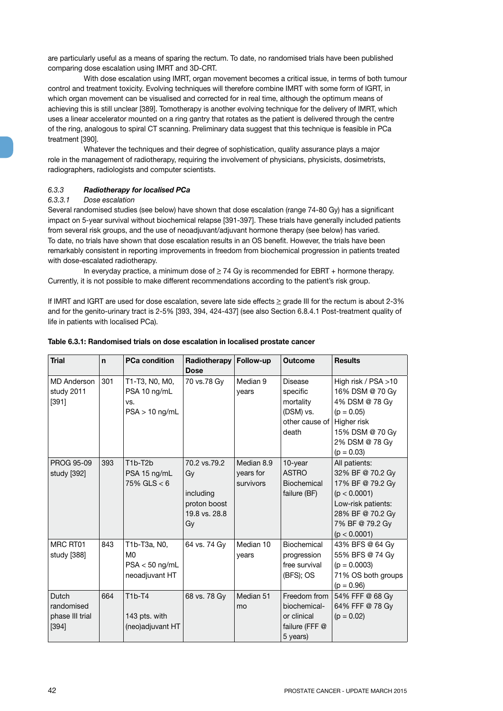are particularly useful as a means of sparing the rectum. To date, no randomised trials have been published comparing dose escalation using IMRT and 3D-CRT.

With dose escalation using IMRT, organ movement becomes a critical issue, in terms of both tumour control and treatment toxicity. Evolving techniques will therefore combine IMRT with some form of IGRT, in which organ movement can be visualised and corrected for in real time, although the optimum means of achieving this is still unclear [389]. Tomotherapy is another evolving technique for the delivery of IMRT, which uses a linear accelerator mounted on a ring gantry that rotates as the patient is delivered through the centre of the ring, analogous to spiral CT scanning. Preliminary data suggest that this technique is feasible in PCa treatment [390].

Whatever the techniques and their degree of sophistication, quality assurance plays a major role in the management of radiotherapy, requiring the involvement of physicians, physicists, dosimetrists, radiographers, radiologists and computer scientists.

## *6.3.3 Radiotherapy for localised PCa*

### *6.3.3.1 Dose escalation*

Several randomised studies (see below) have shown that dose escalation (range 74-80 Gy) has a significant impact on 5-year survival without biochemical relapse [391-397]. These trials have generally included patients from several risk groups, and the use of neoadjuvant/adjuvant hormone therapy (see below) has varied. To date, no trials have shown that dose escalation results in an OS benefit. However, the trials have been remarkably consistent in reporting improvements in freedom from biochemical progression in patients treated with dose-escalated radiotherapy.

In everyday practice, a minimum dose of  $\geq$  74 Gy is recommended for EBRT + hormone therapy. Currently, it is not possible to make different recommendations according to the patient's risk group.

If IMRT and IGRT are used for dose escalation, severe late side effects  $\geq$  grade III for the rectum is about 2-3% and for the genito-urinary tract is 2-5% [393, 394, 424-437] (see also Section 6.8.4.1 Post-treatment quality of life in patients with localised PCa).

| <b>Trial</b>                                    | n   | <b>PCa condition</b>                                      | Radiotherapy<br><b>Dose</b>                                            | Follow-up                            | <b>Outcome</b>                                                            | <b>Results</b>                                                                                                                                     |
|-------------------------------------------------|-----|-----------------------------------------------------------|------------------------------------------------------------------------|--------------------------------------|---------------------------------------------------------------------------|----------------------------------------------------------------------------------------------------------------------------------------------------|
| <b>MD</b> Anderson<br>study 2011<br>[391]       | 301 | T1-T3, N0, M0,<br>PSA 10 ng/mL<br>VS.<br>$PSA > 10$ ng/mL | 70 vs.78 Gy                                                            | Median 9<br>years                    | Disease<br>specific<br>mortality<br>(DSM) vs.<br>other cause of<br>death  | High risk / PSA >10<br>16% DSM @ 70 Gy<br>4% DSM @ 78 Gy<br>$(p = 0.05)$<br>Higher risk<br>15% DSM @ 70 Gy<br>2% DSM @ 78 Gy<br>$(p = 0.03)$       |
| PROG 95-09<br>study [392]                       | 393 | T1b-T2b<br>PSA 15 ng/mL<br>$75\%$ GLS $<$ 6               | 70.2 vs.79.2<br>Gv<br>including<br>proton boost<br>19.8 vs. 28.8<br>Gv | Median 8.9<br>years for<br>survivors | $10$ -year<br><b>ASTRO</b><br>Biochemical<br>failure (BF)                 | All patients:<br>32% BF @ 70.2 Gy<br>17% BF @ 79.2 Gy<br>(p < 0.0001)<br>Low-risk patients:<br>28% BF @ 70.2 Gy<br>7% BF @ 79.2 Gy<br>(p < 0.0001) |
| MRC RT01<br>study [388]                         | 843 | T1b-T3a, N0,<br>M0<br>$PSA < 50$ ng/mL<br>neoadjuvant HT  | 64 vs. 74 Gy                                                           | Median 10<br>years                   | Biochemical<br>progression<br>free survival<br>(BFS); OS                  | 43% BFS @ 64 Gy<br>55% BFS @ 74 Gy<br>$(p = 0.0003)$<br>71% OS both groups<br>$(p = 0.96)$                                                         |
| Dutch<br>randomised<br>phase III trial<br>[394] | 664 | $T1b-T4$<br>143 pts. with<br>(neo)adjuvant HT             | 68 vs. 78 Gy                                                           | Median 51<br>mo                      | Freedom from<br>biochemical-<br>or clinical<br>failure (FFF @<br>5 years) | 54% FFF @ 68 Gy<br>64% FFF @ 78 Gy<br>$(p = 0.02)$                                                                                                 |

#### **Table 6.3.1: Randomised trials on dose escalation in localised prostate cancer**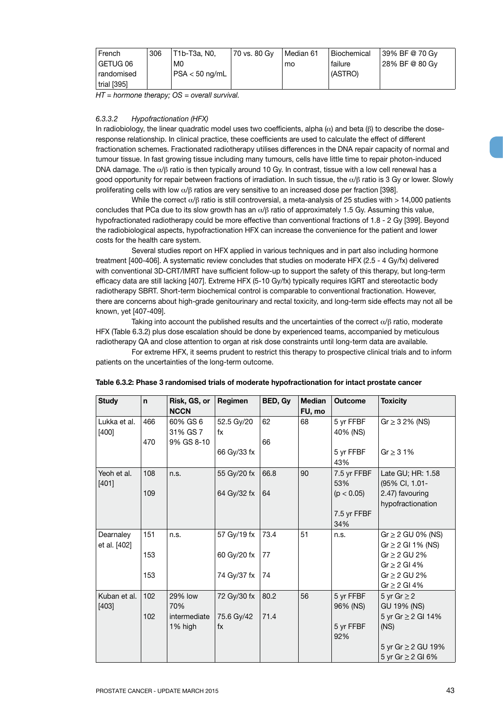| French                    | 306 | T1b-T3a. N0.                | 70 vs. 80 Gy | Median 61 | Biochemical | 39% BF @ 70 Gv   |
|---------------------------|-----|-----------------------------|--------------|-----------|-------------|------------------|
| GETUG 06                  |     | M0                          |              | mo        | failure     | l 28% BF @ 80 Gv |
| randomised                |     | $\epsilon$ PSA $<$ 50 ng/mL |              |           | (ASTRO)     |                  |
| $\frac{1}{2}$ trial [395] |     |                             |              |           |             |                  |

*HT = hormone therapy; OS = overall survival.*

### *6.3.3.2 Hypofractionation (HFX)*

In radiobiology, the linear quadratic model uses two coefficients, alpha  $(\alpha)$  and beta  $(\beta)$  to describe the doseresponse relationship. In clinical practice, these coefficients are used to calculate the effect of different fractionation schemes. Fractionated radiotherapy utilises differences in the DNA repair capacity of normal and tumour tissue. In fast growing tissue including many tumours, cells have little time to repair photon-induced DNA damage. The  $\alpha/\beta$  ratio is then typically around 10 Gy. In contrast, tissue with a low cell renewal has a good opportunity for repair between fractions of irradiation. In such tissue, the α/β ratio is 3 Gy or lower. Slowly proliferating cells with low  $\alpha/\beta$  ratios are very sensitive to an increased dose per fraction [398].

While the correct  $\alpha/\beta$  ratio is still controversial, a meta-analysis of 25 studies with > 14,000 patients concludes that PCa due to its slow growth has an  $\alpha/\beta$  ratio of approximately 1.5 Gy. Assuming this value, hypofractionated radiotherapy could be more effective than conventional fractions of 1.8 - 2 Gy [399]. Beyond the radiobiological aspects, hypofractionation HFX can increase the convenience for the patient and lower costs for the health care system.

Several studies report on HFX applied in various techniques and in part also including hormone treatment [400-406]. A systematic review concludes that studies on moderate HFX (2.5 - 4 Gy/fx) delivered with conventional 3D-CRT/IMRT have sufficient follow-up to support the safety of this therapy, but long-term efficacy data are still lacking [407]. Extreme HFX (5-10 Gy/fx) typically requires IGRT and stereotactic body radiotherapy SBRT. Short-term biochemical control is comparable to conventional fractionation. However, there are concerns about high-grade genitourinary and rectal toxicity, and long-term side effects may not all be known, yet [407-409].

Taking into account the published results and the uncertainties of the correct  $\alpha/\beta$  ratio, moderate HFX (Table 6.3.2) plus dose escalation should be done by experienced teams, accompanied by meticulous radiotherapy QA and close attention to organ at risk dose constraints until long-term data are available.

For extreme HFX, it seems prudent to restrict this therapy to prospective clinical trials and to inform patients on the uncertainties of the long-term outcome.

| <b>Study</b>              | n.  | Risk, GS, or<br><b>NCCN</b> | Regimen                        | BED, Gy | <b>Median</b><br>FU, mo | <b>Outcome</b>        | <b>Toxicity</b>                                 |
|---------------------------|-----|-----------------------------|--------------------------------|---------|-------------------------|-----------------------|-------------------------------------------------|
| Lukka et al.<br>[400]     | 466 | 60% GS 6<br>31% GS 7        | 52.5 Gy/20<br>fx               | 62      | 68                      | 5 yr FFBF<br>40% (NS) | $Gr \ge 32\%$ (NS)                              |
|                           | 470 | 9% GS 8-10                  | 66 Gy/33 fx                    | 66      |                         | 5 yr FFBF<br>43%      | Gr $\geq$ 31%                                   |
| Yeoh et al.<br>[401]      | 108 | n.s.                        | 55 Gy/20 fx                    | 66.8    | 90                      | 7.5 yr FFBF<br>53%    | Late GU; HR: 1.58<br>(95% CI, 1.01-             |
|                           | 109 |                             | 64 Gy/32 fx                    | 64      |                         | (p < 0.05)            | 2.47) favouring<br>hypofractionation            |
|                           |     |                             |                                |         |                         | 7.5 yr FFBF<br>34%    |                                                 |
| Dearnaley<br>et al. [402] | 151 | n.s.                        | 57 Gy/19 fx                    | 73.4    | 51                      | n.s.                  | $Gr \geq 2$ GU 0% (NS)<br>$Gr \ge 2$ GI 1% (NS) |
|                           | 153 |                             | 60 Gy/20 fx                    | 77      |                         |                       | $Gr \geq 2$ GU 2%<br>Gr $\geq$ 2 Gl 4%          |
|                           | 153 |                             | 74 Gy/37 fx                    | 74      |                         |                       | $Gr \geq 2$ GU 2%<br>Gr $\geq$ 2 GI 4%          |
| Kuban et al.<br>$[403]$   | 102 | 29% low<br>70%              | 72 Gy/30 fx                    | 80.2    | 56                      | 5 yr FFBF<br>96% (NS) | 5 yr Gr $\geq$ 2<br>GU 19% (NS)                 |
|                           | 102 | intermediate<br>1% high     | 75.6 Gy/42<br>$f_{\mathsf{X}}$ | 71.4    |                         | 5 yr FFBF<br>92%      | 5 yr Gr ≥ 2 GI 14%<br>(NS)                      |
|                           |     |                             |                                |         |                         |                       | 5 yr Gr ≥ 2 GU 19%<br>5 yr Gr ≥ 2 GI 6%         |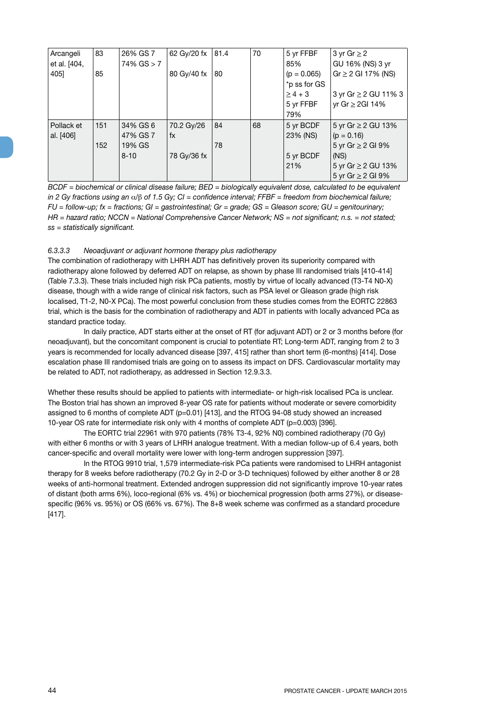| Arcangeli    | 83  | 26% GS 7        | 62 Gy/20 fx | 81.4 | 70 | 5 yr FFBF     | 3 yr Gr $\geq$ 2       |
|--------------|-----|-----------------|-------------|------|----|---------------|------------------------|
| et al. [404, |     | $74\%$ GS $> 7$ |             |      |    | 85%           | GU 16% (NS) 3 yr       |
| 405]         | 85  |                 | 80 Gy/40 fx | 80   |    | $(p = 0.065)$ | $Gr \ge 2$ GI 17% (NS) |
|              |     |                 |             |      |    | *p ss for GS  |                        |
|              |     |                 |             |      |    | $\ge$ 4 + 3   | 3 yr Gr ≥ 2 GU 11% 3   |
|              |     |                 |             |      |    | 5 yr FFBF     | yr Gr ≥ 2GI 14%        |
|              |     |                 |             |      |    | 79%           |                        |
| Pollack et   | 151 | 34% GS 6        | 70.2 Gy/26  | 84   | 68 | 5 yr BCDF     | 5 yr Gr ≥ 2 GU 13%     |
| al. [406]    |     | 47% GS 7        | fx          |      |    | 23% (NS)      | $(p = 0.16)$           |
|              | 152 | 19% GS          |             | 78   |    |               | 5 yr Gr $\geq$ 2 GI 9% |
|              |     | $8 - 10$        | 78 Gy/36 fx |      |    | 5 yr BCDF     | (NS)                   |
|              |     |                 |             |      |    | 21%           | 5 yr Gr ≥ 2 GU 13%     |
|              |     |                 |             |      |    |               | 5 yr Gr $\geq$ 2 GI 9% |

*BCDF* = biochemical or clinical disease failure; *BED* = biologically equivalent dose, calculated to be equivalent *in 2 Gy fractions using an* α*/*β *of 1.5 Gy; CI = confidence interval; FFBF = freedom from biochemical failure; FU = follow-up; fx = fractions; GI = gastrointestinal; Gr = grade; GS = Gleason score; GU = genitourinary; HR = hazard ratio; NCCN = National Comprehensive Cancer Network; NS = not significant; n.s. = not stated; ss = statistically significant.*

### *6.3.3.3 Neoadjuvant or adjuvant hormone therapy plus radiotherapy*

The combination of radiotherapy with LHRH ADT has definitively proven its superiority compared with radiotherapy alone followed by deferred ADT on relapse, as shown by phase III randomised trials [410-414] (Table 7.3.3). These trials included high risk PCa patients, mostly by virtue of locally advanced (T3-T4 N0-X) disease, though with a wide range of clinical risk factors, such as PSA level or Gleason grade (high risk localised, T1-2, N0-X PCa). The most powerful conclusion from these studies comes from the EORTC 22863 trial, which is the basis for the combination of radiotherapy and ADT in patients with locally advanced PCa as standard practice today.

In daily practice, ADT starts either at the onset of RT (for adjuvant ADT) or 2 or 3 months before (for neoadjuvant), but the concomitant component is crucial to potentiate RT; Long-term ADT, ranging from 2 to 3 years is recommended for locally advanced disease [397, 415] rather than short term (6-months) [414]. Dose escalation phase III randomised trials are going on to assess its impact on DFS. Cardiovascular mortality may be related to ADT, not radiotherapy, as addressed in Section 12.9.3.3.

Whether these results should be applied to patients with intermediate- or high-risk localised PCa is unclear. The Boston trial has shown an improved 8-year OS rate for patients without moderate or severe comorbidity assigned to 6 months of complete ADT (p=0.01) [413], and the RTOG 94-08 study showed an increased 10-year OS rate for intermediate risk only with 4 months of complete ADT (p=0.003) [396].

The EORTC trial 22961 with 970 patients (78% T3-4, 92% N0) combined radiotherapy (70 Gy) with either 6 months or with 3 years of LHRH analogue treatment. With a median follow-up of 6.4 years, both cancer-specific and overall mortality were lower with long-term androgen suppression [397].

In the RTOG 9910 trial, 1,579 intermediate-risk PCa patients were randomised to LHRH antagonist therapy for 8 weeks before radiotherapy (70.2 Gy in 2-D or 3-D techniques) followed by either another 8 or 28 weeks of anti-hormonal treatment. Extended androgen suppression did not significantly improve 10-year rates of distant (both arms 6%), loco-regional (6% vs. 4%) or biochemical progression (both arms 27%), or diseasespecific (96% vs. 95%) or OS (66% vs. 67%). The 8+8 week scheme was confirmed as a standard procedure [417].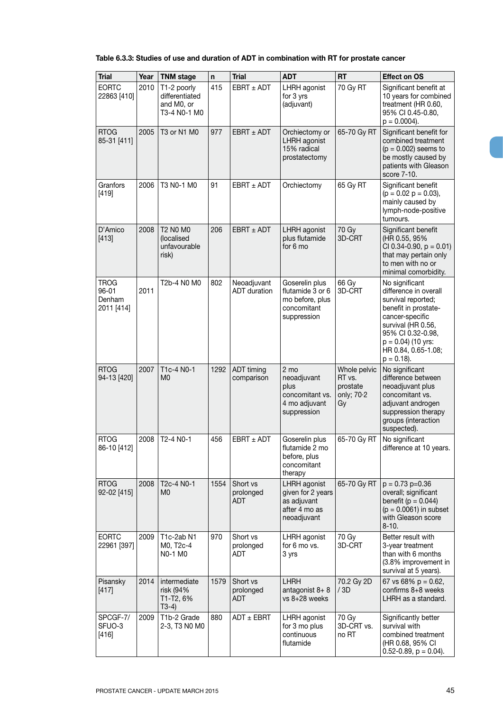# **Table 6.3.3: Studies of use and duration of ADT in combination with RT for prostate cancer**

| <b>Trial</b>                                 | Year | <b>TNM stage</b>                                            | n    | <b>Trial</b>                        | <b>ADT</b>                                                                          | <b>RT</b>                                              | <b>Effect on OS</b>                                                                                                                                                                                                  |
|----------------------------------------------|------|-------------------------------------------------------------|------|-------------------------------------|-------------------------------------------------------------------------------------|--------------------------------------------------------|----------------------------------------------------------------------------------------------------------------------------------------------------------------------------------------------------------------------|
| <b>EORTC</b><br>22863 [410]                  | 2010 | T1-2 poorly<br>differentiated<br>and M0, or<br>T3-4 N0-1 M0 | 415  | $EBRT + ADT$                        | LHRH agonist<br>for 3 yrs<br>(adjuvant)                                             | 70 Gy RT                                               | Significant benefit at<br>10 years for combined<br>treatment (HR 0.60,<br>95% CI 0.45-0.80,<br>$p = 0.0004$ ).                                                                                                       |
| <b>RTOG</b><br>85-31 [411]                   | 2005 | T3 or N1 M0                                                 | 977  | $EBRT \pm ADT$                      | Orchiectomy or<br>LHRH agonist<br>15% radical<br>prostatectomy                      | 65-70 Gy RT                                            | Significant benefit for<br>combined treatment<br>$(p = 0.002)$ seems to<br>be mostly caused by<br>patients with Gleason<br>score 7-10.                                                                               |
| Granfors<br>$[419]$                          | 2006 | T3 N0-1 M0                                                  | 91   | $EBRT \pm ADT$                      | Orchiectomy                                                                         | 65 Gy RT                                               | Significant benefit<br>$(p = 0.02 p = 0.03),$<br>mainly caused by<br>lymph-node-positive<br>tumours.                                                                                                                 |
| D'Amico<br>$[413]$                           | 2008 | T2 N0 M0<br>(localised<br>unfavourable<br>risk)             | 206  | $EBRT + ADT$                        | LHRH agonist<br>plus flutamide<br>for 6 mo                                          | 70 Gy<br>3D-CRT                                        | Significant benefit<br>(HR 0.55, 95%<br>CI 0.34-0.90, $p = 0.01$ )<br>that may pertain only<br>to men with no or<br>minimal comorbidity.                                                                             |
| <b>TROG</b><br>96-01<br>Denham<br>2011 [414] | 2011 | T2b-4 N0 M0                                                 | 802  | Neoadjuvant<br><b>ADT</b> duration  | Goserelin plus<br>flutamide 3 or 6<br>mo before, plus<br>concomitant<br>suppression | 66 Gy<br>3D-CRT                                        | No significant<br>difference in overall<br>survival reported;<br>benefit in prostate-<br>cancer-specific<br>survival (HR 0.56,<br>95% CI 0.32-0.98,<br>$p = 0.04$ ) (10 yrs:<br>HR 0.84, 0.65-1.08;<br>$p = 0.18$ ). |
| <b>RTOG</b><br>94-13 [420]                   | 2007 | T1c-4 N0-1<br>M0                                            | 1292 | ADT timing<br>comparison            | 2 mo<br>neoadjuvant<br>plus<br>concomitant vs.<br>4 mo adjuvant<br>suppression      | Whole pelvic<br>RT vs.<br>prostate<br>only; 70-2<br>Gy | No significant<br>difference between<br>neoadjuvant plus<br>concomitant vs.<br>adjuvant androgen<br>suppression therapy<br>groups (interaction<br>suspected).                                                        |
| <b>RTOG</b><br>86-10 [412]                   | 2008 | T2-4 N0-1                                                   | 456  | $EBRT + ADT$                        | Goserelin plus<br>flutamide 2 mo<br>before, plus<br>concomitant<br>therapy          | 65-70 Gy RT                                            | No significant<br>difference at 10 years.                                                                                                                                                                            |
| <b>RTOG</b><br>92-02 [415]                   | 2008 | T <sub>2</sub> c-4 N <sub>0</sub> -1<br>M0                  | 1554 | Short vs<br>prolonged<br><b>ADT</b> | LHRH agonist<br>given for 2 years<br>as adjuvant<br>after 4 mo as<br>neoadjuvant    | 65-70 Gy RT                                            | $p = 0.73 p=0.36$<br>overall; significant<br>benefit ( $p = 0.044$ )<br>$(p = 0.0061)$ in subset<br>with Gleason score<br>$8 - 10.$                                                                                  |
| <b>EORTC</b><br>22961 [397]                  | 2009 | T1c-2ab N1<br>M0, T2c-4<br>NO-1 MO                          | 970  | Short vs<br>prolonged<br>ADT        | LHRH agonist<br>for 6 mo vs.<br>3 yrs                                               | 70 Gy<br>3D-CRT                                        | Better result with<br>3-year treatment<br>than with 6 months<br>(3.8% improvement in<br>survival at 5 years).                                                                                                        |
| Pisansky<br>$[417]$                          | 2014 | intermediate<br>risk (94%<br>T1-T2, 6%<br>T3-4)             | 1579 | Short vs<br>prolonged<br><b>ADT</b> | <b>LHRH</b><br>antagonist 8+8<br>$vs$ 8+28 weeks                                    | 70.2 Gy 2D<br>/3D                                      | 67 vs 68% $p = 0.62$ ,<br>confirms 8+8 weeks<br>LHRH as a standard.                                                                                                                                                  |
| SPCGF-7/<br>SFUO-3<br>$[416]$                | 2009 | T1b-2 Grade<br>2-3, T3 N0 M0                                | 880  | $ADT \pm EBRT$                      | LHRH agonist<br>for 3 mo plus<br>continuous<br>flutamide                            | 70 Gy<br>3D-CRT vs.<br>no RT                           | Significantly better<br>survival with<br>combined treatment<br>(HR 0.68, 95% CI<br>$0.52 - 0.89$ , $p = 0.04$ ).                                                                                                     |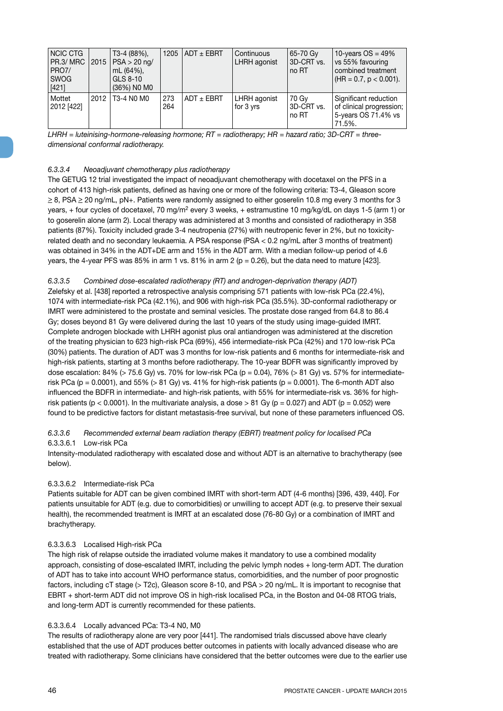| <b>NCIC CTG</b><br>PR.3/ MRC<br>PRO7/<br><b>SWOG</b><br>[421] | 2015 | T3-4 (88%),<br>$PSA > 20$ ng/<br>mL (64%),<br>GLS 8-10<br>(36%) NO MO |            | 1205   ADT $\pm$ EBRT | Continuous<br>LHRH agonist | 65-70 Gy<br>3D-CRT vs.<br>no RT | 10-years $OS = 49\%$<br>vs 55% favouring<br>combined treatment<br>$(HR = 0.7, p < 0.001).$ |
|---------------------------------------------------------------|------|-----------------------------------------------------------------------|------------|-----------------------|----------------------------|---------------------------------|--------------------------------------------------------------------------------------------|
| Mottet<br>2012 [422]                                          | 2012 | T3-4 N0 M0                                                            | 273<br>264 | $ADT \pm EBRT$        | LHRH agonist<br>for 3 yrs  | 70 Gy<br>3D-CRT vs.<br>no RT    | Significant reduction<br>of clinical progression;<br>5-years OS 71.4% vs<br>71.5%.         |

*LHRH = luteinising-hormone-releasing hormone; RT = radiotherapy; HR = hazard ratio; 3D-CRT = threedimensional conformal radiotherapy.*

## *6.3.3.4 Neoadjuvant chemotherapy plus radiotherapy*

The GETUG 12 trial investigated the impact of neoadjuvant chemotherapy with docetaxel on the PFS in a cohort of 413 high-risk patients, defined as having one or more of the following criteria: T3-4, Gleason score  $\geq$  8, PSA  $\geq$  20 ng/mL, pN+. Patients were randomly assigned to either goserelin 10.8 mg every 3 months for 3 years, + four cycles of docetaxel, 70 mg/m2 every 3 weeks, + estramustine 10 mg/kg/dL on days 1-5 (arm 1) or to goserelin alone (arm 2). Local therapy was administered at 3 months and consisted of radiotherapy in 358 patients (87%). Toxicity included grade 3-4 neutropenia (27%) with neutropenic fever in 2%, but no toxicityrelated death and no secondary leukaemia. A PSA response (PSA < 0.2 ng/mL after 3 months of treatment) was obtained in 34% in the ADT+DE arm and 15% in the ADT arm. With a median follow-up period of 4.6 years, the 4-year PFS was 85% in arm 1 vs. 81% in arm 2 ( $p = 0.26$ ), but the data need to mature [423].

## *6.3.3.5 Combined dose-escalated radiotherapy (RT) and androgen-deprivation therapy (ADT)*

Zelefsky et al. [438] reported a retrospective analysis comprising 571 patients with low-risk PCa (22.4%), 1074 with intermediate-risk PCa (42.1%), and 906 with high-risk PCa (35.5%). 3D-conformal radiotherapy or IMRT were administered to the prostate and seminal vesicles. The prostate dose ranged from 64.8 to 86.4 Gy; doses beyond 81 Gy were delivered during the last 10 years of the study using image-guided IMRT. Complete androgen blockade with LHRH agonist plus oral antiandrogen was administered at the discretion of the treating physician to 623 high-risk PCa (69%), 456 intermediate-risk PCa (42%) and 170 low-risk PCa (30%) patients. The duration of ADT was 3 months for low-risk patients and 6 months for intermediate-risk and high-risk patients, starting at 3 months before radiotherapy. The 10-year BDFR was significantly improved by dose escalation: 84% (> 75.6 Gy) vs. 70% for low-risk PCa ( $p = 0.04$ ), 76% (> 81 Gy) vs. 57% for intermediaterisk PCa ( $p = 0.0001$ ), and 55% (> 81 Gy) vs. 41% for high-risk patients ( $p = 0.0001$ ). The 6-month ADT also influenced the BDFR in intermediate- and high-risk patients, with 55% for intermediate-risk vs. 36% for highrisk patients (p < 0.0001). In the multivariate analysis, a dose > 81 Gy (p = 0.027) and ADT (p = 0.052) were found to be predictive factors for distant metastasis-free survival, but none of these parameters influenced OS.

## *6.3.3.6 Recommended external beam radiation therapy (EBRT) treatment policy for localised PCa* 6.3.3.6.1 Low-risk PCa

Intensity-modulated radiotherapy with escalated dose and without ADT is an alternative to brachytherapy (see below).

### 6.3.3.6.2 Intermediate-risk PCa

Patients suitable for ADT can be given combined IMRT with short-term ADT (4-6 months) [396, 439, 440]. For patients unsuitable for ADT (e.g. due to comorbidities) or unwilling to accept ADT (e.g. to preserve their sexual health), the recommended treatment is IMRT at an escalated dose (76-80 Gy) or a combination of IMRT and brachytherapy.

### 6.3.3.6.3 Localised High-risk PCa

The high risk of relapse outside the irradiated volume makes it mandatory to use a combined modality approach, consisting of dose-escalated IMRT, including the pelvic lymph nodes + long-term ADT. The duration of ADT has to take into account WHO performance status, comorbidities, and the number of poor prognostic factors, including cT stage (> T2c), Gleason score 8-10, and PSA > 20 ng/mL. It is important to recognise that EBRT + short-term ADT did not improve OS in high-risk localised PCa, in the Boston and 04-08 RTOG trials, and long-term ADT is currently recommended for these patients.

### 6.3.3.6.4 Locally advanced PCa: T3-4 N0, M0

The results of radiotherapy alone are very poor [441]. The randomised trials discussed above have clearly established that the use of ADT produces better outcomes in patients with locally advanced disease who are treated with radiotherapy. Some clinicians have considered that the better outcomes were due to the earlier use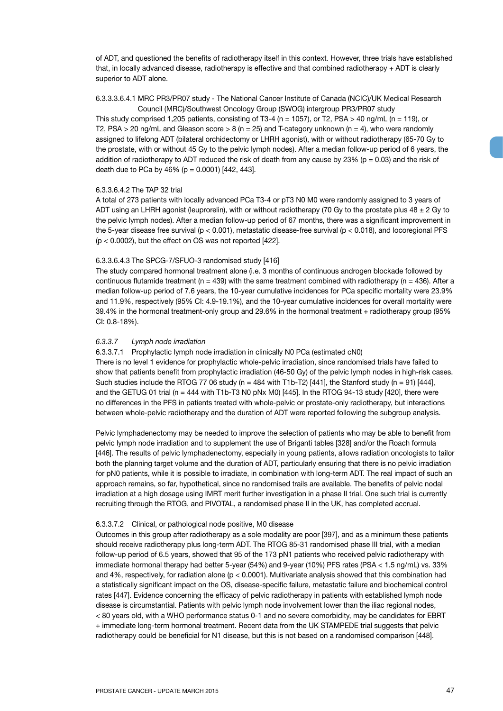of ADT, and questioned the benefits of radiotherapy itself in this context. However, three trials have established that, in locally advanced disease, radiotherapy is effective and that combined radiotherapy + ADT is clearly superior to ADT alone.

#### 6.3.3.3.6.4.1 MRC PR3/PR07 study - The National Cancer Institute of Canada (NCIC)/UK Medical Research Council (MRC)/Southwest Oncology Group (SWOG) intergroup PR3/PR07 study

This study comprised 1,205 patients, consisting of T3-4 (n = 1057), or T2, PSA > 40 ng/mL (n = 119), or T2, PSA > 20 ng/mL and Gleason score > 8 (n = 25) and T-category unknown (n = 4), who were randomly assigned to lifelong ADT (bilateral orchidectomy or LHRH agonist), with or without radiotherapy (65-70 Gy to the prostate, with or without 45 Gy to the pelvic lymph nodes). After a median follow-up period of 6 years, the addition of radiotherapy to ADT reduced the risk of death from any cause by  $23\%$  (p = 0.03) and the risk of death due to PCa by  $46\%$  (p = 0.0001) [442, 443].

### 6.3.3.6.4.2 The TAP 32 trial

A total of 273 patients with locally advanced PCa T3-4 or pT3 N0 M0 were randomly assigned to 3 years of ADT using an LHRH agonist (leuprorelin), with or without radiotherapy (70 Gy to the prostate plus  $48 \pm 2$  Gy to the pelvic lymph nodes). After a median follow-up period of 67 months, there was a significant improvement in the 5-year disease free survival (p < 0.001), metastatic disease-free survival (p < 0.018), and locoregional PFS (p < 0.0002), but the effect on OS was not reported [422].

#### 6.3.3.6.4.3 The SPCG-7/SFUO-3 randomised study [416]

The study compared hormonal treatment alone (i.e. 3 months of continuous androgen blockade followed by continuous flutamide treatment (n = 439) with the same treatment combined with radiotherapy (n = 436). After a median follow-up period of 7.6 years, the 10-year cumulative incidences for PCa specific mortality were 23.9% and 11.9%, respectively (95% CI: 4.9-19.1%), and the 10-year cumulative incidences for overall mortality were 39.4% in the hormonal treatment-only group and 29.6% in the hormonal treatment + radiotherapy group (95% CI: 0.8-18%).

#### *6.3.3.7 Lymph node irradiation*

### 6.3.3.7.1 Prophylactic lymph node irradiation in clinically N0 PCa (estimated cN0)

There is no level 1 evidence for prophylactic whole-pelvic irradiation, since randomised trials have failed to show that patients benefit from prophylactic irradiation (46-50 Gy) of the pelvic lymph nodes in high-risk cases. Such studies include the RTOG 77 06 study (n = 484 with T1b-T2) [441], the Stanford study (n = 91) [444], and the GETUG 01 trial (n = 444 with T1b-T3 N0 pNx M0) [445]. In the RTOG 94-13 study [420], there were no differences in the PFS in patients treated with whole-pelvic or prostate-only radiotherapy, but interactions between whole-pelvic radiotherapy and the duration of ADT were reported following the subgroup analysis.

Pelvic lymphadenectomy may be needed to improve the selection of patients who may be able to benefit from pelvic lymph node irradiation and to supplement the use of Briganti tables [328] and/or the Roach formula [446]. The results of pelvic lymphadenectomy, especially in young patients, allows radiation oncologists to tailor both the planning target volume and the duration of ADT, particularly ensuring that there is no pelvic irradiation for pN0 patients, while it is possible to irradiate, in combination with long-term ADT. The real impact of such an approach remains, so far, hypothetical, since no randomised trails are available. The benefits of pelvic nodal irradiation at a high dosage using IMRT merit further investigation in a phase II trial. One such trial is currently recruiting through the RTOG, and PIVOTAL, a randomised phase II in the UK, has completed accrual.

#### 6.3.3.7.2 Clinical, or pathological node positive, M0 disease

Outcomes in this group after radiotherapy as a sole modality are poor [397], and as a minimum these patients should receive radiotherapy plus long-term ADT. The RTOG 85-31 randomised phase III trial, with a median follow-up period of 6.5 years, showed that 95 of the 173 pN1 patients who received pelvic radiotherapy with immediate hormonal therapy had better 5-year (54%) and 9-year (10%) PFS rates (PSA < 1.5 ng/mL) vs. 33% and 4%, respectively, for radiation alone ( $p < 0.0001$ ). Multivariate analysis showed that this combination had a statistically significant impact on the OS, disease-specific failure, metastatic failure and biochemical control rates [447]. Evidence concerning the efficacy of pelvic radiotherapy in patients with established lymph node disease is circumstantial. Patients with pelvic lymph node involvement lower than the iliac regional nodes, < 80 years old, with a WHO performance status 0-1 and no severe comorbidity, may be candidates for EBRT + immediate long-term hormonal treatment. Recent data from the UK STAMPEDE trial suggests that pelvic radiotherapy could be beneficial for N1 disease, but this is not based on a randomised comparison [448].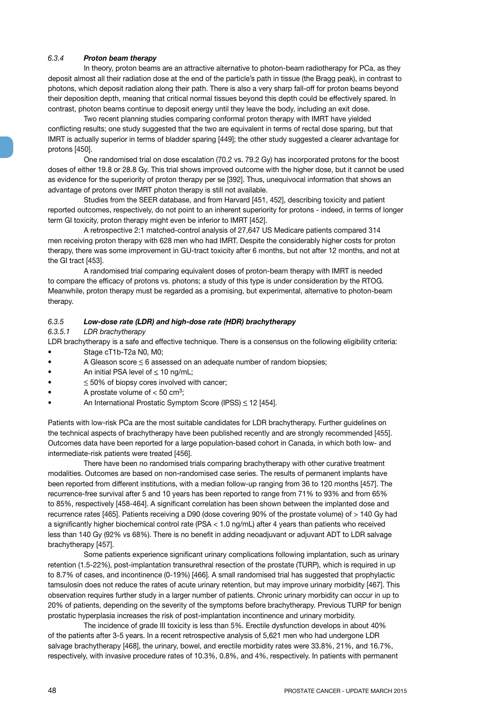## *6.3.4 Proton beam therapy*

In theory, proton beams are an attractive alternative to photon-beam radiotherapy for PCa, as they deposit almost all their radiation dose at the end of the particle's path in tissue (the Bragg peak), in contrast to photons, which deposit radiation along their path. There is also a very sharp fall-off for proton beams beyond their deposition depth, meaning that critical normal tissues beyond this depth could be effectively spared. In contrast, photon beams continue to deposit energy until they leave the body, including an exit dose.

Two recent planning studies comparing conformal proton therapy with IMRT have yielded conflicting results; one study suggested that the two are equivalent in terms of rectal dose sparing, but that IMRT is actually superior in terms of bladder sparing [449]; the other study suggested a clearer advantage for protons [450].

One randomised trial on dose escalation (70.2 vs. 79.2 Gy) has incorporated protons for the boost doses of either 19.8 or 28.8 Gy. This trial shows improved outcome with the higher dose, but it cannot be used as evidence for the superiority of proton therapy per se [392]. Thus, unequivocal information that shows an advantage of protons over IMRT photon therapy is still not available.

Studies from the SEER database, and from Harvard [451, 452], describing toxicity and patient reported outcomes, respectively, do not point to an inherent superiority for protons - indeed, in terms of longer term GI toxicity, proton therapy might even be inferior to IMRT [452].

A retrospective 2:1 matched-control analysis of 27,647 US Medicare patients compared 314 men receiving proton therapy with 628 men who had IMRT. Despite the considerably higher costs for proton therapy, there was some improvement in GU-tract toxicity after 6 months, but not after 12 months, and not at the GI tract [453].

A randomised trial comparing equivalent doses of proton-beam therapy with IMRT is needed to compare the efficacy of protons vs. photons; a study of this type is under consideration by the RTOG. Meanwhile, proton therapy must be regarded as a promising, but experimental, alternative to photon-beam therapy.

## *6.3.5 Low-dose rate (LDR) and high-dose rate (HDR) brachytherapy*

## *6.3.5.1 LDR brachytherapy*

LDR brachytherapy is a safe and effective technique. There is a consensus on the following eligibility criteria: • Stage cT1b-T2a N0, M0;

- A Gleason score  $\leq 6$  assessed on an adequate number of random biopsies;
- An initial PSA level of  $\leq 10$  ng/mL;
- $\leq$  50% of biopsy cores involved with cancer;
- A prostate volume of  $< 50$  cm<sup>3</sup>;
- An International Prostatic Symptom Score (IPSS) < 12 [454].

Patients with low-risk PCa are the most suitable candidates for LDR brachytherapy. Further guidelines on the technical aspects of brachytherapy have been published recently and are strongly recommended [455]. Outcomes data have been reported for a large population-based cohort in Canada, in which both low- and intermediate-risk patients were treated [456].

There have been no randomised trials comparing brachytherapy with other curative treatment modalities. Outcomes are based on non-randomised case series. The results of permanent implants have been reported from different institutions, with a median follow-up ranging from 36 to 120 months [457]. The recurrence-free survival after 5 and 10 years has been reported to range from 71% to 93% and from 65% to 85%, respectively [458-464]. A significant correlation has been shown between the implanted dose and recurrence rates [465]. Patients receiving a D90 (dose covering 90% of the prostate volume) of > 140 Gy had a significantly higher biochemical control rate (PSA < 1.0 ng/mL) after 4 years than patients who received less than 140 Gy (92% vs 68%). There is no benefit in adding neoadjuvant or adjuvant ADT to LDR salvage brachytherapy [457].

Some patients experience significant urinary complications following implantation, such as urinary retention (1.5-22%), post-implantation transurethral resection of the prostate (TURP), which is required in up to 8.7% of cases, and incontinence (0-19%) [466]. A small randomised trial has suggested that prophylactic tamsulosin does not reduce the rates of acute urinary retention, but may improve urinary morbidity [467]. This observation requires further study in a larger number of patients. Chronic urinary morbidity can occur in up to 20% of patients, depending on the severity of the symptoms before brachytherapy. Previous TURP for benign prostatic hyperplasia increases the risk of post-implantation incontinence and urinary morbidity.

The incidence of grade III toxicity is less than 5%. Erectile dysfunction develops in about 40% of the patients after 3-5 years. In a recent retrospective analysis of 5,621 men who had undergone LDR salvage brachytherapy [468], the urinary, bowel, and erectile morbidity rates were 33.8%, 21%, and 16.7%, respectively, with invasive procedure rates of 10.3%, 0.8%, and 4%, respectively. In patients with permanent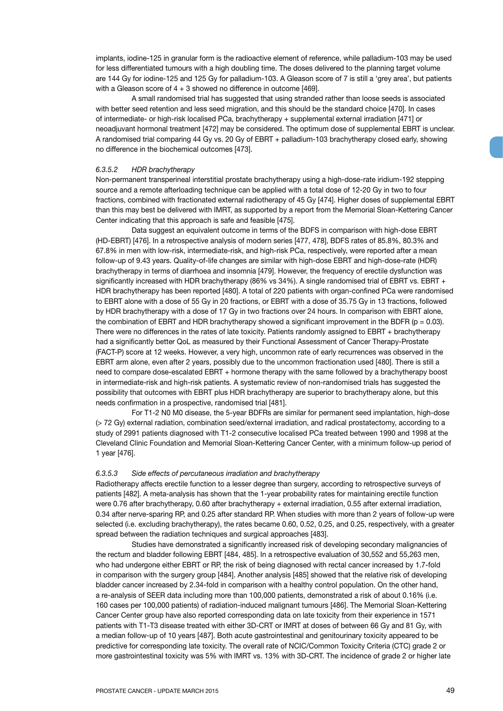implants, iodine-125 in granular form is the radioactive element of reference, while palladium-103 may be used for less differentiated tumours with a high doubling time. The doses delivered to the planning target volume are 144 Gy for iodine-125 and 125 Gy for palladium-103. A Gleason score of 7 is still a 'grey area', but patients with a Gleason score of  $4 + 3$  showed no difference in outcome [469].

A small randomised trial has suggested that using stranded rather than loose seeds is associated with better seed retention and less seed migration, and this should be the standard choice [470]. In cases of intermediate- or high-risk localised PCa, brachytherapy + supplemental external irradiation [471] or neoadjuvant hormonal treatment [472] may be considered. The optimum dose of supplemental EBRT is unclear. A randomised trial comparing 44 Gy vs. 20 Gy of EBRT + palladium-103 brachytherapy closed early, showing no difference in the biochemical outcomes [473].

#### *6.3.5.2 HDR brachytherapy*

Non-permanent transperineal interstitial prostate brachytherapy using a high-dose-rate iridium-192 stepping source and a remote afterloading technique can be applied with a total dose of 12-20 Gy in two to four fractions, combined with fractionated external radiotherapy of 45 Gy [474]. Higher doses of supplemental EBRT than this may best be delivered with IMRT, as supported by a report from the Memorial Sloan-Kettering Cancer Center indicating that this approach is safe and feasible [475].

Data suggest an equivalent outcome in terms of the BDFS in comparison with high-dose EBRT (HD-EBRT) [476]. In a retrospective analysis of modern series [477, 478], BDFS rates of 85.8%, 80.3% and 67.8% in men with low-risk, intermediate-risk, and high-risk PCa, respectively, were reported after a mean follow-up of 9.43 years. Quality-of-life changes are similar with high-dose EBRT and high-dose-rate (HDR) brachytherapy in terms of diarrhoea and insomnia [479]. However, the frequency of erectile dysfunction was significantly increased with HDR brachytherapy (86% vs 34%). A single randomised trial of EBRT vs. EBRT + HDR brachytherapy has been reported [480]. A total of 220 patients with organ-confined PCa were randomised to EBRT alone with a dose of 55 Gy in 20 fractions, or EBRT with a dose of 35.75 Gy in 13 fractions, followed by HDR brachytherapy with a dose of 17 Gy in two fractions over 24 hours. In comparison with EBRT alone, the combination of EBRT and HDR brachytherapy showed a significant improvement in the BDFR ( $p = 0.03$ ). There were no differences in the rates of late toxicity. Patients randomly assigned to EBRT + brachytherapy had a significantly better QoL as measured by their Functional Assessment of Cancer Therapy-Prostate (FACT-P) score at 12 weeks. However, a very high, uncommon rate of early recurrences was observed in the EBRT arm alone, even after 2 years, possibly due to the uncommon fractionation used [480]. There is still a need to compare dose-escalated EBRT + hormone therapy with the same followed by a brachytherapy boost in intermediate-risk and high-risk patients. A systematic review of non-randomised trials has suggested the possibility that outcomes with EBRT plus HDR brachytherapy are superior to brachytherapy alone, but this needs confirmation in a prospective, randomised trial [481].

For T1-2 N0 M0 disease, the 5-year BDFRs are similar for permanent seed implantation, high-dose (> 72 Gy) external radiation, combination seed/external irradiation, and radical prostatectomy, according to a study of 2991 patients diagnosed with T1-2 consecutive localised PCa treated between 1990 and 1998 at the Cleveland Clinic Foundation and Memorial Sloan-Kettering Cancer Center, with a minimum follow-up period of 1 year [476].

#### *6.3.5.3 Side effects of percutaneous irradiation and brachytherapy*

Radiotherapy affects erectile function to a lesser degree than surgery, according to retrospective surveys of patients [482]. A meta-analysis has shown that the 1-year probability rates for maintaining erectile function were 0.76 after brachytherapy, 0.60 after brachytherapy + external irradiation, 0.55 after external irradiation, 0.34 after nerve-sparing RP, and 0.25 after standard RP. When studies with more than 2 years of follow-up were selected (i.e. excluding brachytherapy), the rates became 0.60, 0.52, 0.25, and 0.25, respectively, with a greater spread between the radiation techniques and surgical approaches [483].

Studies have demonstrated a significantly increased risk of developing secondary malignancies of the rectum and bladder following EBRT [484, 485]. In a retrospective evaluation of 30,552 and 55,263 men, who had undergone either EBRT or RP, the risk of being diagnosed with rectal cancer increased by 1.7-fold in comparison with the surgery group [484]. Another analysis [485] showed that the relative risk of developing bladder cancer increased by 2.34-fold in comparison with a healthy control population. On the other hand, a re-analysis of SEER data including more than 100,000 patients, demonstrated a risk of about 0.16% (i.e. 160 cases per 100,000 patients) of radiation-induced malignant tumours [486]. The Memorial Sloan-Kettering Cancer Center group have also reported corresponding data on late toxicity from their experience in 1571 patients with T1-T3 disease treated with either 3D-CRT or IMRT at doses of between 66 Gy and 81 Gy, with a median follow-up of 10 years [487]. Both acute gastrointestinal and genitourinary toxicity appeared to be predictive for corresponding late toxicity. The overall rate of NCIC/Common Toxicity Criteria (CTC) grade 2 or more gastrointestinal toxicity was 5% with IMRT vs. 13% with 3D-CRT. The incidence of grade 2 or higher late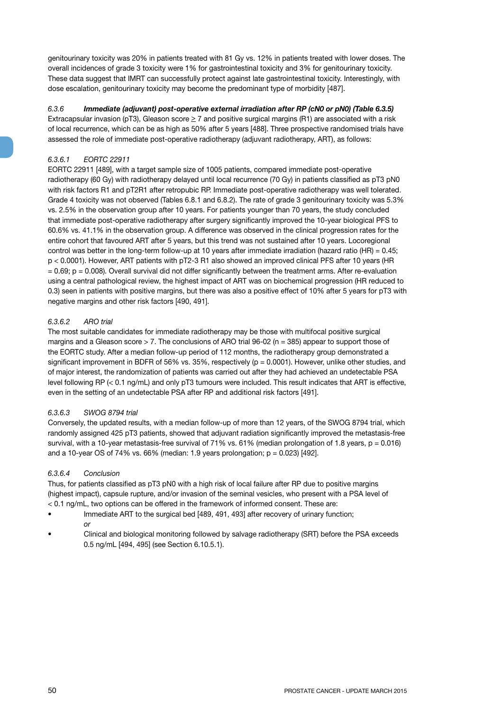genitourinary toxicity was 20% in patients treated with 81 Gy vs. 12% in patients treated with lower doses. The overall incidences of grade 3 toxicity were 1% for gastrointestinal toxicity and 3% for genitourinary toxicity. These data suggest that IMRT can successfully protect against late gastrointestinal toxicity. Interestingly, with dose escalation, genitourinary toxicity may become the predominant type of morbidity [487].

## *6.3.6 Immediate (adjuvant) post-operative external irradiation after RP (cN0 or pN0) (Table 6.3.5)*

Extracapsular invasion (pT3), Gleason score  $\geq 7$  and positive surgical margins (R1) are associated with a risk of local recurrence, which can be as high as 50% after 5 years [488]. Three prospective randomised trials have assessed the role of immediate post-operative radiotherapy (adjuvant radiotherapy, ART), as follows:

## *6.3.6.1 EORTC 22911*

EORTC 22911 [489], with a target sample size of 1005 patients, compared immediate post-operative radiotherapy (60 Gy) with radiotherapy delayed until local recurrence (70 Gy) in patients classified as pT3 pN0 with risk factors R1 and pT2R1 after retropubic RP. Immediate post-operative radiotherapy was well tolerated. Grade 4 toxicity was not observed (Tables 6.8.1 and 6.8.2). The rate of grade 3 genitourinary toxicity was 5.3% vs. 2.5% in the observation group after 10 years. For patients younger than 70 years, the study concluded that immediate post-operative radiotherapy after surgery significantly improved the 10-year biological PFS to 60.6% vs. 41.1% in the observation group. A difference was observed in the clinical progression rates for the entire cohort that favoured ART after 5 years, but this trend was not sustained after 10 years. Locoregional control was better in the long-term follow-up at 10 years after immediate irradiation (hazard ratio (HR) = 0.45; p < 0.0001). However, ART patients with pT2-3 R1 also showed an improved clinical PFS after 10 years (HR  $= 0.69$ ;  $p = 0.008$ ). Overall survival did not differ significantly between the treatment arms. After re-evaluation using a central pathological review, the highest impact of ART was on biochemical progression (HR reduced to 0.3) seen in patients with positive margins, but there was also a positive effect of 10% after 5 years for pT3 with negative margins and other risk factors [490, 491].

## *6.3.6.2 ARO trial*

The most suitable candidates for immediate radiotherapy may be those with multifocal positive surgical margins and a Gleason score > 7. The conclusions of ARO trial 96-02 (n = 385) appear to support those of the EORTC study. After a median follow-up period of 112 months, the radiotherapy group demonstrated a significant improvement in BDFR of 56% vs. 35%, respectively (p = 0.0001). However, unlike other studies, and of major interest, the randomization of patients was carried out after they had achieved an undetectable PSA level following RP (< 0.1 ng/mL) and only pT3 tumours were included. This result indicates that ART is effective, even in the setting of an undetectable PSA after RP and additional risk factors [491].

## *6.3.6.3 SWOG 8794 trial*

Conversely, the updated results, with a median follow-up of more than 12 years, of the SWOG 8794 trial, which randomly assigned 425 pT3 patients, showed that adjuvant radiation significantly improved the metastasis-free survival, with a 10-year metastasis-free survival of 71% vs.  $61\%$  (median prolongation of 1.8 years,  $p = 0.016$ ) and a 10-year OS of 74% vs. 66% (median: 1.9 years prolongation;  $p = 0.023$ ) [492].

## *6.3.6.4 Conclusion*

Thus, for patients classified as pT3 pN0 with a high risk of local failure after RP due to positive margins (highest impact), capsule rupture, and/or invasion of the seminal vesicles, who present with a PSA level of < 0.1 ng/mL, two options can be offered in the framework of informed consent. These are:

- Immediate ART to the surgical bed [489, 491, 493] after recovery of urinary function; *or*
- Clinical and biological monitoring followed by salvage radiotherapy (SRT) before the PSA exceeds 0.5 ng/mL [494, 495] (see Section 6.10.5.1).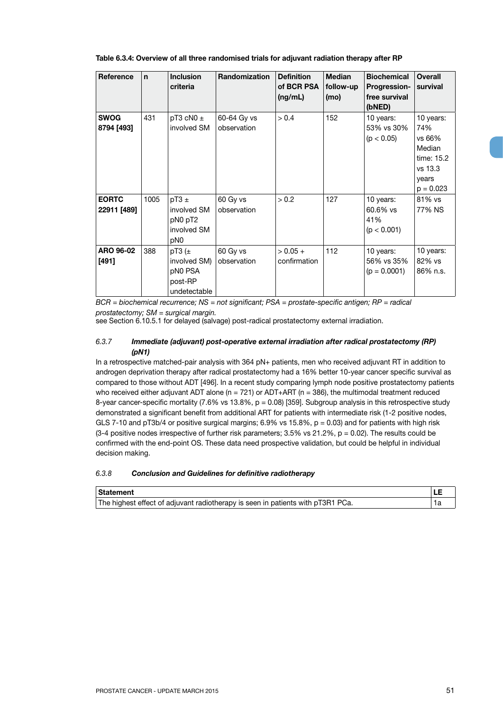|  | Table 6.3.4: Overview of all three randomised trials for adjuvant radiation therapy after RP |  |  |  |
|--|----------------------------------------------------------------------------------------------|--|--|--|
|  |                                                                                              |  |  |  |

| Reference                   | $\mathbf n$ | <b>Inclusion</b><br>criteria                                          | <b>Randomization</b>       | <b>Definition</b><br>of BCR PSA<br>(ng/mL) | <b>Median</b><br>follow-up<br>(mo) | <b>Biochemical</b><br><b>Progression-</b><br>free survival<br>(bNED) | <b>Overall</b><br>survival                                                            |
|-----------------------------|-------------|-----------------------------------------------------------------------|----------------------------|--------------------------------------------|------------------------------------|----------------------------------------------------------------------|---------------------------------------------------------------------------------------|
| <b>SWOG</b><br>8794 [493]   | 431         | pT3 cN0 $\pm$<br>involved SM                                          | 60-64 Gy vs<br>observation | > 0.4                                      | 152                                | 10 years:<br>53% vs 30%<br>(p < 0.05)                                | 10 years:<br>74%<br>vs 66%<br>Median<br>time: 15.2<br>vs 13.3<br>years<br>$p = 0.023$ |
| <b>EORTC</b><br>22911 [489] | 1005        | $pT3 \pm$<br>involved SM<br>pN0 pT2<br>involved SM<br>p <sub>N0</sub> | 60 Gy vs<br>observation    | > 0.2                                      | 127                                | 10 years:<br>$60.6\%$ vs<br>41%<br>(p < 0.001)                       | 81% vs<br>77% NS                                                                      |
| ARO 96-02<br>[491]          | 388         | pT3 $(\pm$<br>involved SM)<br>pN0 PSA<br>post-RP<br>undetectable      | 60 Gy vs<br>observation    | $> 0.05 +$<br>confirmation                 | 112                                | 10 years:<br>56% vs 35%<br>$(p = 0.0001)$                            | 10 years:<br>82% vs<br>86% n.s.                                                       |

*BCR = biochemical recurrence; NS = not significant; PSA = prostate-specific antigen; RP = radical prostatectomy; SM = surgical margin.*

see Section 6.10.5.1 for delayed (salvage) post-radical prostatectomy external irradiation.

## *6.3.7 Immediate (adjuvant) post-operative external irradiation after radical prostatectomy (RP) (pN1)*

In a retrospective matched-pair analysis with 364 pN+ patients, men who received adjuvant RT in addition to androgen deprivation therapy after radical prostatectomy had a 16% better 10-year cancer specific survival as compared to those without ADT [496]. In a recent study comparing lymph node positive prostatectomy patients who received either adjuvant ADT alone ( $n = 721$ ) or ADT+ART ( $n = 386$ ), the multimodal treatment reduced 8-year cancer-specific mortality (7.6% vs 13.8%, p = 0.08) [359]. Subgroup analysis in this retrospective study demonstrated a significant benefit from additional ART for patients with intermediate risk (1-2 positive nodes, GLS 7-10 and pT3b/4 or positive surgical margins;  $6.9\%$  vs 15.8%,  $p = 0.03$ ) and for patients with high risk  $(3-4$  positive nodes irrespective of further risk parameters;  $3.5\%$  vs  $21.2\%$ ,  $p = 0.02$ ). The results could be confirmed with the end-point OS. These data need prospective validation, but could be helpful in individual decision making.

## *6.3.8 Conclusion and Guidelines for definitive radiotherapy*

| Statement                                                                       |  |
|---------------------------------------------------------------------------------|--|
| The highest effect of adjuvant radiotherapy is seen in patients with pT3R1 PCa. |  |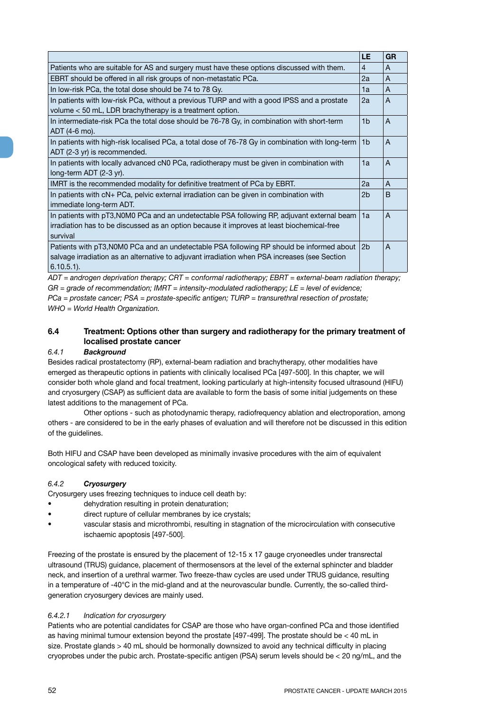|                                                                                                                                                                                                             | <b>LE</b>      | <b>GR</b>    |
|-------------------------------------------------------------------------------------------------------------------------------------------------------------------------------------------------------------|----------------|--------------|
| Patients who are suitable for AS and surgery must have these options discussed with them.                                                                                                                   | 4              | A            |
| EBRT should be offered in all risk groups of non-metastatic PCa.                                                                                                                                            | 2a             | A            |
| In low-risk PCa, the total dose should be 74 to 78 Gy.                                                                                                                                                      | 1a             | A            |
| In patients with low-risk PCa, without a previous TURP and with a good IPSS and a prostate<br>volume < 50 mL, LDR brachytherapy is a treatment option.                                                      | 2a             | A            |
| In intermediate-risk PCa the total dose should be 76-78 Gy, in combination with short-term<br>ADT (4-6 mo).                                                                                                 | 1 <sub>b</sub> | A            |
| In patients with high-risk localised PCa, a total dose of 76-78 Gy in combination with long-term<br>ADT (2-3 yr) is recommended.                                                                            | 1 <sub>b</sub> | A            |
| In patients with locally advanced cN0 PCa, radiotherapy must be given in combination with<br>long-term ADT (2-3 yr).                                                                                        | 1a             | A            |
| IMRT is the recommended modality for definitive treatment of PCa by EBRT.                                                                                                                                   | 2a             | A            |
| In patients with cN+ PCa, pelvic external irradiation can be given in combination with<br>immediate long-term ADT.                                                                                          | 2b             | <sub>B</sub> |
| In patients with pT3, NOMO PCa and an undetectable PSA following RP, adjuvant external beam<br>irradiation has to be discussed as an option because it improves at least biochemical-free<br>survival       | 1a             | A            |
| Patients with pT3, N0M0 PCa and an undetectable PSA following RP should be informed about<br>salvage irradiation as an alternative to adjuvant irradiation when PSA increases (see Section<br>$6.10.5.1$ ). | 2b             | A            |

*ADT = androgen deprivation therapy; CRT = conformal radiotherapy; EBRT = external-beam radiation therapy; GR = grade of recommendation; IMRT = intensity-modulated radiotherapy; LE = level of evidence; PCa = prostate cancer; PSA = prostate-specific antigen; TURP = transurethral resection of prostate; WHO = World Health Organization.*

# **6.4 Treatment: Options other than surgery and radiotherapy for the primary treatment of localised prostate cancer**

## *6.4.1 Background*

Besides radical prostatectomy (RP), external-beam radiation and brachytherapy, other modalities have emerged as therapeutic options in patients with clinically localised PCa [497-500]. In this chapter, we will consider both whole gland and focal treatment, looking particularly at high-intensity focused ultrasound (HIFU) and cryosurgery (CSAP) as sufficient data are available to form the basis of some initial judgements on these latest additions to the management of PCa.

Other options - such as photodynamic therapy, radiofrequency ablation and electroporation, among others - are considered to be in the early phases of evaluation and will therefore not be discussed in this edition of the guidelines.

Both HIFU and CSAP have been developed as minimally invasive procedures with the aim of equivalent oncological safety with reduced toxicity.

## *6.4.2 Cryosurgery*

Cryosurgery uses freezing techniques to induce cell death by:

- dehydration resulting in protein denaturation;
- direct rupture of cellular membranes by ice crystals;
- vascular stasis and microthrombi, resulting in stagnation of the microcirculation with consecutive ischaemic apoptosis [497-500].

Freezing of the prostate is ensured by the placement of 12-15 x 17 gauge cryoneedles under transrectal ultrasound (TRUS) guidance, placement of thermosensors at the level of the external sphincter and bladder neck, and insertion of a urethral warmer. Two freeze-thaw cycles are used under TRUS guidance, resulting in a temperature of -40°C in the mid-gland and at the neurovascular bundle. Currently, the so-called thirdgeneration cryosurgery devices are mainly used.

### *6.4.2.1 Indication for cryosurgery*

Patients who are potential candidates for CSAP are those who have organ-confined PCa and those identified as having minimal tumour extension beyond the prostate [497-499]. The prostate should be < 40 mL in size. Prostate glands > 40 mL should be hormonally downsized to avoid any technical difficulty in placing cryoprobes under the pubic arch. Prostate-specific antigen (PSA) serum levels should be < 20 ng/mL, and the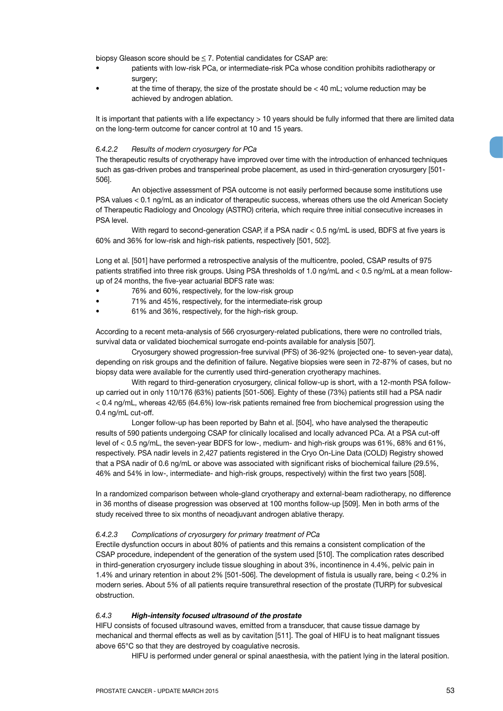biopsy Gleason score should be < 7. Potential candidates for CSAP are:

- patients with low-risk PCa, or intermediate-risk PCa whose condition prohibits radiotherapy or surgery;
- at the time of therapy, the size of the prostate should be  $<$  40 mL; volume reduction may be achieved by androgen ablation.

It is important that patients with a life expectancy > 10 years should be fully informed that there are limited data on the long-term outcome for cancer control at 10 and 15 years.

### *6.4.2.2 Results of modern cryosurgery for PCa*

The therapeutic results of cryotherapy have improved over time with the introduction of enhanced techniques such as gas-driven probes and transperineal probe placement, as used in third-generation cryosurgery [501- 506].

An objective assessment of PSA outcome is not easily performed because some institutions use PSA values < 0.1 ng/mL as an indicator of therapeutic success, whereas others use the old American Society of Therapeutic Radiology and Oncology (ASTRO) criteria, which require three initial consecutive increases in PSA level.

With regard to second-generation CSAP, if a PSA nadir < 0.5 ng/mL is used, BDFS at five years is 60% and 36% for low-risk and high-risk patients, respectively [501, 502].

Long et al. [501] have performed a retrospective analysis of the multicentre, pooled, CSAP results of 975 patients stratified into three risk groups. Using PSA thresholds of 1.0 ng/mL and < 0.5 ng/mL at a mean followup of 24 months, the five-year actuarial BDFS rate was:

- 76% and 60%, respectively, for the low-risk group
- 71% and 45%, respectively, for the intermediate-risk group
- 61% and 36%, respectively, for the high-risk group.

According to a recent meta-analysis of 566 cryosurgery-related publications, there were no controlled trials, survival data or validated biochemical surrogate end-points available for analysis [507].

Cryosurgery showed progression-free survival (PFS) of 36-92% (projected one- to seven-year data), depending on risk groups and the definition of failure. Negative biopsies were seen in 72-87% of cases, but no biopsy data were available for the currently used third-generation cryotherapy machines.

With regard to third-generation cryosurgery, clinical follow-up is short, with a 12-month PSA followup carried out in only 110/176 (63%) patients [501-506]. Eighty of these (73%) patients still had a PSA nadir < 0.4 ng/mL, whereas 42/65 (64.6%) low-risk patients remained free from biochemical progression using the 0.4 ng/mL cut-off.

Longer follow-up has been reported by Bahn et al. [504], who have analysed the therapeutic results of 590 patients undergoing CSAP for clinically localised and locally advanced PCa. At a PSA cut-off level of < 0.5 ng/mL, the seven-year BDFS for low-, medium- and high-risk groups was 61%, 68% and 61%, respectively. PSA nadir levels in 2,427 patients registered in the Cryo On-Line Data (COLD) Registry showed that a PSA nadir of 0.6 ng/mL or above was associated with significant risks of biochemical failure (29.5%, 46% and 54% in low-, intermediate- and high-risk groups, respectively) within the first two years [508].

In a randomized comparison between whole-gland cryotherapy and external-beam radiotherapy, no difference in 36 months of disease progression was observed at 100 months follow-up [509]. Men in both arms of the study received three to six months of neoadjuvant androgen ablative therapy.

### *6.4.2.3 Complications of cryosurgery for primary treatment of PCa*

Erectile dysfunction occurs in about 80% of patients and this remains a consistent complication of the CSAP procedure, independent of the generation of the system used [510]. The complication rates described in third-generation cryosurgery include tissue sloughing in about 3%, incontinence in 4.4%, pelvic pain in 1.4% and urinary retention in about 2% [501-506]. The development of fistula is usually rare, being < 0.2% in modern series. About 5% of all patients require transurethral resection of the prostate (TURP) for subvesical obstruction.

## *6.4.3 High-intensity focused ultrasound of the prostate*

HIFU consists of focused ultrasound waves, emitted from a transducer, that cause tissue damage by mechanical and thermal effects as well as by cavitation [511]. The goal of HIFU is to heat malignant tissues above 65°C so that they are destroyed by coagulative necrosis.

HIFU is performed under general or spinal anaesthesia, with the patient lying in the lateral position.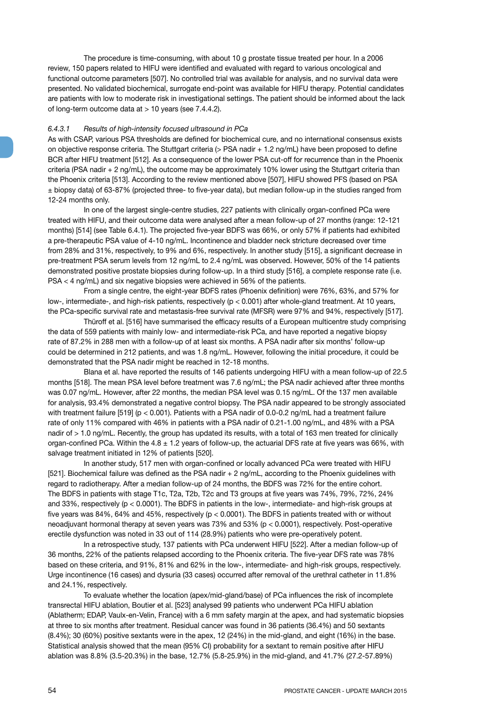The procedure is time-consuming, with about 10 g prostate tissue treated per hour. In a 2006 review, 150 papers related to HIFU were identified and evaluated with regard to various oncological and functional outcome parameters [507]. No controlled trial was available for analysis, and no survival data were presented. No validated biochemical, surrogate end-point was available for HIFU therapy. Potential candidates are patients with low to moderate risk in investigational settings. The patient should be informed about the lack of long-term outcome data at > 10 years (see 7.4.4.2).

#### *6.4.3.1 Results of high-intensity focused ultrasound in PCa*

As with CSAP, various PSA thresholds are defined for biochemical cure, and no international consensus exists on objective response criteria. The Stuttgart criteria (> PSA nadir + 1.2 ng/mL) have been proposed to define BCR after HIFU treatment [512]. As a consequence of the lower PSA cut-off for recurrence than in the Phoenix criteria (PSA nadir + 2 ng/mL), the outcome may be approximately 10% lower using the Stuttgart criteria than the Phoenix criteria [513]. According to the review mentioned above [507], HIFU showed PFS (based on PSA ± biopsy data) of 63-87% (projected three- to five-year data), but median follow-up in the studies ranged from 12-24 months only.

In one of the largest single-centre studies, 227 patients with clinically organ-confined PCa were treated with HIFU, and their outcome data were analysed after a mean follow-up of 27 months (range: 12-121 months) [514] (see Table 6.4.1). The projected five-year BDFS was 66%, or only 57% if patients had exhibited a pre-therapeutic PSA value of 4-10 ng/mL. Incontinence and bladder neck stricture decreased over time from 28% and 31%, respectively, to 9% and 6%, respectively. In another study [515], a significant decrease in pre-treatment PSA serum levels from 12 ng/mL to 2.4 ng/mL was observed. However, 50% of the 14 patients demonstrated positive prostate biopsies during follow-up. In a third study [516], a complete response rate (i.e. PSA < 4 ng/mL) and six negative biopsies were achieved in 56% of the patients.

From a single centre, the eight-year BDFS rates (Phoenix definition) were 76%, 63%, and 57% for low-, intermediate-, and high-risk patients, respectively (p < 0.001) after whole-gland treatment. At 10 years, the PCa-specific survival rate and metastasis-free survival rate (MFSR) were 97% and 94%, respectively [517].

Thüroff et al. [516] have summarised the efficacy results of a European multicentre study comprising the data of 559 patients with mainly low- and intermediate-risk PCa, and have reported a negative biopsy rate of 87.2% in 288 men with a follow-up of at least six months. A PSA nadir after six months' follow-up could be determined in 212 patients, and was 1.8 ng/mL. However, following the initial procedure, it could be demonstrated that the PSA nadir might be reached in 12-18 months.

Blana et al. have reported the results of 146 patients undergoing HIFU with a mean follow-up of 22.5 months [518]. The mean PSA level before treatment was 7.6 ng/mL; the PSA nadir achieved after three months was 0.07 ng/mL. However, after 22 months, the median PSA level was 0.15 ng/mL. Of the 137 men available for analysis, 93.4% demonstrated a negative control biopsy. The PSA nadir appeared to be strongly associated with treatment failure [519] (p < 0.001). Patients with a PSA nadir of 0.0-0.2 ng/mL had a treatment failure rate of only 11% compared with 46% in patients with a PSA nadir of 0.21-1.00 ng/mL, and 48% with a PSA nadir of > 1.0 ng/mL. Recently, the group has updated its results, with a total of 163 men treated for clinically organ-confined PCa. Within the  $4.8 \pm 1.2$  years of follow-up, the actuarial DFS rate at five years was 66%, with salvage treatment initiated in 12% of patients [520].

In another study, 517 men with organ-confined or locally advanced PCa were treated with HIFU [521]. Biochemical failure was defined as the PSA nadir + 2 ng/mL, according to the Phoenix guidelines with regard to radiotherapy. After a median follow-up of 24 months, the BDFS was 72% for the entire cohort. The BDFS in patients with stage T1c, T2a, T2b, T2c and T3 groups at five years was 74%, 79%, 72%, 24% and 33%, respectively (p < 0.0001). The BDFS in patients in the low-, intermediate- and high-risk groups at five years was 84%, 64% and 45%, respectively ( $p < 0.0001$ ). The BDFS in patients treated with or without neoadjuvant hormonal therapy at seven years was 73% and 53% (p < 0.0001), respectively. Post-operative erectile dysfunction was noted in 33 out of 114 (28.9%) patients who were pre-operatively potent.

In a retrospective study, 137 patients with PCa underwent HIFU [522]. After a median follow-up of 36 months, 22% of the patients relapsed according to the Phoenix criteria. The five-year DFS rate was 78% based on these criteria, and 91%, 81% and 62% in the low-, intermediate- and high-risk groups, respectively. Urge incontinence (16 cases) and dysuria (33 cases) occurred after removal of the urethral catheter in 11.8% and 24.1%, respectively.

To evaluate whether the location (apex/mid-gland/base) of PCa influences the risk of incomplete transrectal HIFU ablation, Boutier et al. [523] analysed 99 patients who underwent PCa HIFU ablation (Ablatherm; EDAP, Vaulx-en-Velin, France) with a 6 mm safety margin at the apex, and had systematic biopsies at three to six months after treatment. Residual cancer was found in 36 patients (36.4%) and 50 sextants (8.4%); 30 (60%) positive sextants were in the apex, 12 (24%) in the mid-gland, and eight (16%) in the base. Statistical analysis showed that the mean (95% CI) probability for a sextant to remain positive after HIFU ablation was 8.8% (3.5-20.3%) in the base, 12.7% (5.8-25.9%) in the mid-gland, and 41.7% (27.2-57.89%)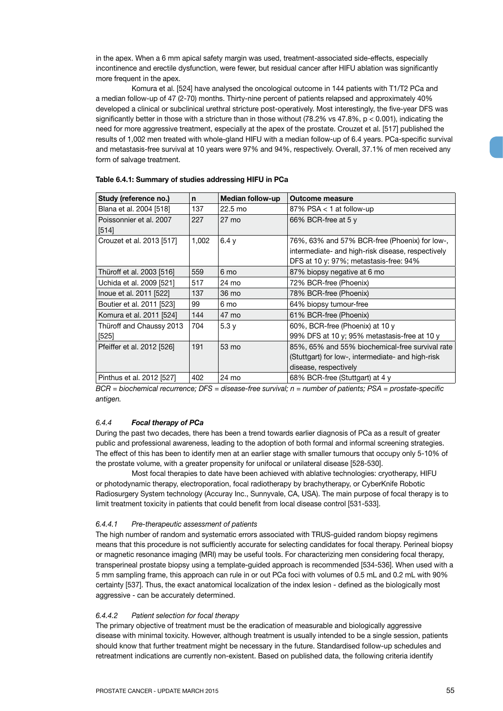in the apex. When a 6 mm apical safety margin was used, treatment-associated side-effects, especially incontinence and erectile dysfunction, were fewer, but residual cancer after HIFU ablation was significantly more frequent in the apex.

Komura et al. [524] have analysed the oncological outcome in 144 patients with T1/T2 PCa and a median follow-up of 47 (2-70) months. Thirty-nine percent of patients relapsed and approximately 40% developed a clinical or subclinical urethral stricture post-operatively. Most interestingly, the five-year DFS was significantly better in those with a stricture than in those without  $(78.2\% \text{ vs } 47.8\% , p < 0.001)$ , indicating the need for more aggressive treatment, especially at the apex of the prostate. Crouzet et al. [517] published the results of 1,002 men treated with whole-gland HIFU with a median follow-up of 6.4 years. PCa-specific survival and metastasis-free survival at 10 years were 97% and 94%, respectively. Overall, 37.1% of men received any form of salvage treatment.

| Study (reference no.)      | $\mathbf n$ | Median follow-up  | <b>Outcome measure</b>                            |
|----------------------------|-------------|-------------------|---------------------------------------------------|
| Blana et al. 2004 [518]    | 137         | $22.5 \text{ mo}$ | 87% $PSA < 1$ at follow-up                        |
| Poissonnier et al. 2007    | 227         | $27 \text{ mo}$   | 66% BCR-free at 5 y                               |
| [514]                      |             |                   |                                                   |
| Crouzet et al. 2013 [517]  | 1,002       | 6.4v              | 76%, 63% and 57% BCR-free (Phoenix) for low-,     |
|                            |             |                   | intermediate- and high-risk disease, respectively |
|                            |             |                   | DFS at 10 y: 97%; metastasis-free: 94%            |
| Thüroff et al. 2003 [516]  | 559         | 6 mo              | 87% biopsy negative at 6 mo                       |
| Uchida et al. 2009 [521]   | 517         | 24 mo             | 72% BCR-free (Phoenix)                            |
| Inoue et al. 2011 [522]    | 137         | 36 mo             | 78% BCR-free (Phoenix)                            |
| Boutier et al. 2011 [523]  | 99          | 6 mo              | 64% biopsy tumour-free                            |
| Komura et al. 2011 [524]   | 144         | 47 mo             | 61% BCR-free (Phoenix)                            |
| Thüroff and Chaussy 2013   | 704         | 5.3v              | 60%, BCR-free (Phoenix) at 10 y                   |
| $[525]$                    |             |                   | 99% DFS at 10 y; 95% metastasis-free at 10 y      |
| Pfeiffer et al. 2012 [526] | 191         | 53 mo             | 85%, 65% and 55% biochemical-free survival rate   |
|                            |             |                   | (Stuttgart) for low-, intermediate- and high-risk |
|                            |             |                   | disease, respectively                             |
| Pinthus et al. 2012 [527]  | 402         | 24 mo             | 68% BCR-free (Stuttgart) at 4 y                   |

#### **Table 6.4.1: Summary of studies addressing HIFU in PCa**

*BCR = biochemical recurrence; DFS = disease-free survival; n = number of patients; PSA = prostate-specific antigen.*

## *6.4.4 Focal therapy of PCa*

During the past two decades, there has been a trend towards earlier diagnosis of PCa as a result of greater public and professional awareness, leading to the adoption of both formal and informal screening strategies. The effect of this has been to identify men at an earlier stage with smaller tumours that occupy only 5-10% of the prostate volume, with a greater propensity for unifocal or unilateral disease [528-530].

Most focal therapies to date have been achieved with ablative technologies: cryotherapy, HIFU or photodynamic therapy, electroporation, focal radiotherapy by brachytherapy, or CyberKnife Robotic Radiosurgery System technology (Accuray Inc., Sunnyvale, CA, USA). The main purpose of focal therapy is to limit treatment toxicity in patients that could benefit from local disease control [531-533].

### *6.4.4.1 Pre-therapeutic assessment of patients*

The high number of random and systematic errors associated with TRUS-guided random biopsy regimens means that this procedure is not sufficiently accurate for selecting candidates for focal therapy. Perineal biopsy or magnetic resonance imaging (MRI) may be useful tools. For characterizing men considering focal therapy, transperineal prostate biopsy using a template-guided approach is recommended [534-536]. When used with a 5 mm sampling frame, this approach can rule in or out PCa foci with volumes of 0.5 mL and 0.2 mL with 90% certainty [537]. Thus, the exact anatomical localization of the index lesion - defined as the biologically most aggressive - can be accurately determined.

#### *6.4.4.2 Patient selection for focal therapy*

The primary objective of treatment must be the eradication of measurable and biologically aggressive disease with minimal toxicity. However, although treatment is usually intended to be a single session, patients should know that further treatment might be necessary in the future. Standardised follow-up schedules and retreatment indications are currently non-existent. Based on published data, the following criteria identify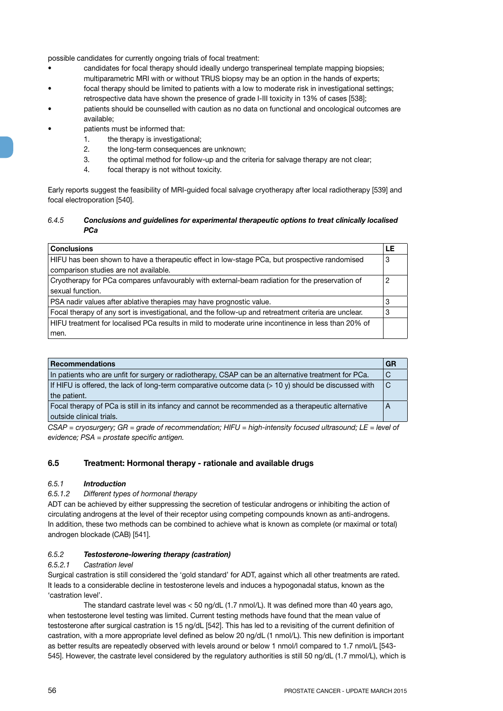possible candidates for currently ongoing trials of focal treatment:

- candidates for focal therapy should ideally undergo transperineal template mapping biopsies; multiparametric MRI with or without TRUS biopsy may be an option in the hands of experts;
- focal therapy should be limited to patients with a low to moderate risk in investigational settings; retrospective data have shown the presence of grade I-III toxicity in 13% of cases [538];
- patients should be counselled with caution as no data on functional and oncological outcomes are available;
- patients must be informed that:
	- 1. the therapy is investigational;
	- 2. the long-term consequences are unknown;
	- 3. the optimal method for follow-up and the criteria for salvage therapy are not clear;
	- 4. focal therapy is not without toxicity.

Early reports suggest the feasibility of MRI-guided focal salvage cryotherapy after local radiotherapy [539] and focal electroporation [540].

## *6.4.5 Conclusions and guidelines for experimental therapeutic options to treat clinically localised PCa*

| <b>Conclusions</b>                                                                                    | LE |
|-------------------------------------------------------------------------------------------------------|----|
| HIFU has been shown to have a therapeutic effect in low-stage PCa, but prospective randomised         | 3  |
| comparison studies are not available.                                                                 |    |
| Cryotherapy for PCa compares unfavourably with external-beam radiation for the preservation of        | 2  |
| sexual function.                                                                                      |    |
| PSA nadir values after ablative therapies may have prognostic value.                                  | 3  |
| Focal therapy of any sort is investigational, and the follow-up and retreatment criteria are unclear. | 3  |
| HIFU treatment for localised PCa results in mild to moderate urine incontinence in less than 20% of   |    |
| men.                                                                                                  |    |

| <b>Recommendations</b>                                                                                        | GR |
|---------------------------------------------------------------------------------------------------------------|----|
| In patients who are unfit for surgery or radiotherapy, CSAP can be an alternative treatment for PCa.          | ◡  |
| If HIFU is offered, the lack of long-term comparative outcome data $(>10 \text{ y})$ should be discussed with | C  |
| the patient.                                                                                                  |    |
| Focal therapy of PCa is still in its infancy and cannot be recommended as a therapeutic alternative           | A  |
| outside clinical trials.                                                                                      |    |
|                                                                                                               |    |

*CSAP = cryosurgery; GR = grade of recommendation; HIFU = high-intensity focused ultrasound; LE = level of evidence; PSA = prostate specific antigen.*

# **6.5 Treatment: Hormonal therapy - rationale and available drugs**

## *6.5.1 Introduction*

## *6.5.1.2 Different types of hormonal therapy*

ADT can be achieved by either suppressing the secretion of testicular androgens or inhibiting the action of circulating androgens at the level of their receptor using competing compounds known as anti-androgens. In addition, these two methods can be combined to achieve what is known as complete (or maximal or total) androgen blockade (CAB) [541].

## *6.5.2 Testosterone-lowering therapy (castration)*

## *6.5.2.1 Castration level*

Surgical castration is still considered the 'gold standard' for ADT, against which all other treatments are rated. It leads to a considerable decline in testosterone levels and induces a hypogonadal status, known as the 'castration level'.

The standard castrate level was < 50 ng/dL (1.7 nmol/L). It was defined more than 40 years ago, when testosterone level testing was limited. Current testing methods have found that the mean value of testosterone after surgical castration is 15 ng/dL [542]. This has led to a revisiting of the current definition of castration, with a more appropriate level defined as below 20 ng/dL (1 nmol/L). This new definition is important as better results are repeatedly observed with levels around or below 1 nmol/l compared to 1.7 nmol/L [543- 545]. However, the castrate level considered by the regulatory authorities is still 50 ng/dL (1.7 mmol/L), which is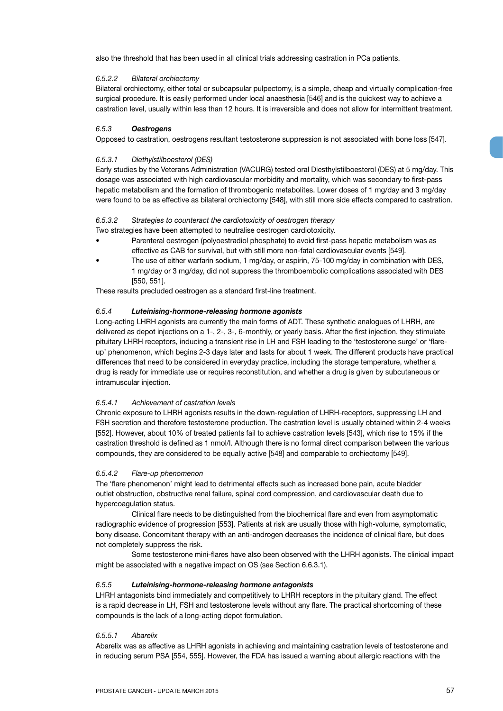also the threshold that has been used in all clinical trials addressing castration in PCa patients.

## *6.5.2.2 Bilateral orchiectomy*

Bilateral orchiectomy, either total or subcapsular pulpectomy, is a simple, cheap and virtually complication-free surgical procedure. It is easily performed under local anaesthesia [546] and is the quickest way to achieve a castration level, usually within less than 12 hours. It is irreversible and does not allow for intermittent treatment.

## *6.5.3 Oestrogens*

Opposed to castration, oestrogens resultant testosterone suppression is not associated with bone loss [547].

## *6.5.3.1 Diethylstilboesterol (DES)*

Early studies by the Veterans Administration (VACURG) tested oral Diesthylstilboesterol (DES) at 5 mg/day. This dosage was associated with high cardiovascular morbidity and mortality, which was secondary to first-pass hepatic metabolism and the formation of thrombogenic metabolites. Lower doses of 1 mg/day and 3 mg/day were found to be as effective as bilateral orchiectomy [548], with still more side effects compared to castration.

## *6.5.3.2 Strategies to counteract the cardiotoxicity of oestrogen therapy*

Two strategies have been attempted to neutralise oestrogen cardiotoxicity.

- Parenteral oestrogen (polyoestradiol phosphate) to avoid first-pass hepatic metabolism was as effective as CAB for survival, but with still more non-fatal cardiovascular events [549].
- The use of either warfarin sodium, 1 mg/day, or aspirin, 75-100 mg/day in combination with DES, 1 mg/day or 3 mg/day, did not suppress the thromboembolic complications associated with DES [550, 551].

These results precluded oestrogen as a standard first-line treatment.

## *6.5.4 Luteinising-hormone-releasing hormone agonists*

Long-acting LHRH agonists are currently the main forms of ADT. These synthetic analogues of LHRH, are delivered as depot injections on a 1-, 2-, 3-, 6-monthly, or yearly basis. After the first injection, they stimulate pituitary LHRH receptors, inducing a transient rise in LH and FSH leading to the 'testosterone surge' or 'flareup' phenomenon, which begins 2-3 days later and lasts for about 1 week. The different products have practical differences that need to be considered in everyday practice, including the storage temperature, whether a drug is ready for immediate use or requires reconstitution, and whether a drug is given by subcutaneous or intramuscular injection.

## *6.5.4.1 Achievement of castration levels*

Chronic exposure to LHRH agonists results in the down-regulation of LHRH-receptors, suppressing LH and FSH secretion and therefore testosterone production. The castration level is usually obtained within 2-4 weeks [552]. However, about 10% of treated patients fail to achieve castration levels [543], which rise to 15% if the castration threshold is defined as 1 nmol/l. Although there is no formal direct comparison between the various compounds, they are considered to be equally active [548] and comparable to orchiectomy [549].

### *6.5.4.2 Flare-up phenomenon*

The 'flare phenomenon' might lead to detrimental effects such as increased bone pain, acute bladder outlet obstruction, obstructive renal failure, spinal cord compression, and cardiovascular death due to hypercoagulation status.

Clinical flare needs to be distinguished from the biochemical flare and even from asymptomatic radiographic evidence of progression [553]. Patients at risk are usually those with high-volume, symptomatic, bony disease. Concomitant therapy with an anti-androgen decreases the incidence of clinical flare, but does not completely suppress the risk.

Some testosterone mini-flares have also been observed with the LHRH agonists. The clinical impact might be associated with a negative impact on OS (see Section 6.6.3.1).

### *6.5.5 Luteinising-hormone-releasing hormone antagonists*

LHRH antagonists bind immediately and competitively to LHRH receptors in the pituitary gland. The effect is a rapid decrease in LH, FSH and testosterone levels without any flare. The practical shortcoming of these compounds is the lack of a long-acting depot formulation.

## *6.5.5.1 Abarelix*

Abarelix was as affective as LHRH agonists in achieving and maintaining castration levels of testosterone and in reducing serum PSA [554, 555]. However, the FDA has issued a warning about allergic reactions with the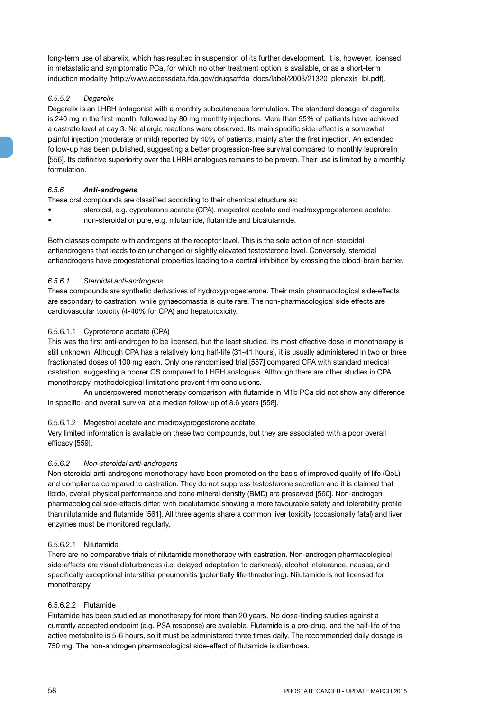long-term use of abarelix, which has resulted in suspension of its further development. It is, however, licensed in metastatic and symptomatic PCa, for which no other treatment option is available, or as a short-term induction modality (http://www.accessdata.fda.gov/drugsatfda\_docs/label/2003/21320\_plenaxis\_lbl.pdf).

## *6.5.5.2 Degarelix*

Degarelix is an LHRH antagonist with a monthly subcutaneous formulation. The standard dosage of degarelix is 240 mg in the first month, followed by 80 mg monthly injections. More than 95% of patients have achieved a castrate level at day 3. No allergic reactions were observed. Its main specific side-effect is a somewhat painful injection (moderate or mild) reported by 40% of patients, mainly after the first injection. An extended follow-up has been published, suggesting a better progression-free survival compared to monthly leuprorelin [556]. Its definitive superiority over the LHRH analogues remains to be proven. Their use is limited by a monthly formulation.

## *6.5.6 Anti-androgens*

These oral compounds are classified according to their chemical structure as:

- steroidal, e.g. cyproterone acetate (CPA), megestrol acetate and medroxyprogesterone acetate;
- non-steroidal or pure, e.g. nilutamide, flutamide and bicalutamide.

Both classes compete with androgens at the receptor level. This is the sole action of non-steroidal antiandrogens that leads to an unchanged or slightly elevated testosterone level. Conversely, steroidal antiandrogens have progestational properties leading to a central inhibition by crossing the blood-brain barrier.

## *6.5.6.1 Steroidal anti-androgens*

These compounds are synthetic derivatives of hydroxyprogesterone. Their main pharmacological side-effects are secondary to castration, while gynaecomastia is quite rare. The non-pharmacological side effects are cardiovascular toxicity (4-40% for CPA) and hepatotoxicity.

## 6.5.6.1.1 Cyproterone acetate (CPA)

This was the first anti-androgen to be licensed, but the least studied. Its most effective dose in monotherapy is still unknown. Although CPA has a relatively long half-life (31-41 hours), it is usually administered in two or three fractionated doses of 100 mg each. Only one randomised trial [557] compared CPA with standard medical castration, suggesting a poorer OS compared to LHRH analogues. Although there are other studies in CPA monotherapy, methodological limitations prevent firm conclusions.

An underpowered monotherapy comparison with flutamide in M1b PCa did not show any difference in specific- and overall survival at a median follow-up of 8.6 years [558].

# 6.5.6.1.2 Megestrol acetate and medroxyprogesterone acetate

Very limited information is available on these two compounds, but they are associated with a poor overall efficacy [559].

## *6.5.6.2 Non-steroidal anti-androgens*

Non-steroidal anti-androgens monotherapy have been promoted on the basis of improved quality of life (QoL) and compliance compared to castration. They do not suppress testosterone secretion and it is claimed that libido, overall physical performance and bone mineral density (BMD) are preserved [560]. Non-androgen pharmacological side-effects differ, with bicalutamide showing a more favourable safety and tolerability profile than nilutamide and flutamide [561]. All three agents share a common liver toxicity (occasionally fatal) and liver enzymes must be monitored regularly.

## 6.5.6.2.1 Nilutamide

There are no comparative trials of nilutamide monotherapy with castration. Non-androgen pharmacological side-effects are visual disturbances (i.e. delayed adaptation to darkness), alcohol intolerance, nausea, and specifically exceptional interstitial pneumonitis (potentially life-threatening). Nilutamide is not licensed for monotherapy.

## 6.5.6.2.2 Flutamide

Flutamide has been studied as monotherapy for more than 20 years. No dose-finding studies against a currently accepted endpoint (e.g. PSA response) are available. Flutamide is a pro-drug, and the half-life of the active metabolite is 5-6 hours, so it must be administered three times daily. The recommended daily dosage is 750 mg. The non-androgen pharmacological side-effect of flutamide is diarrhoea.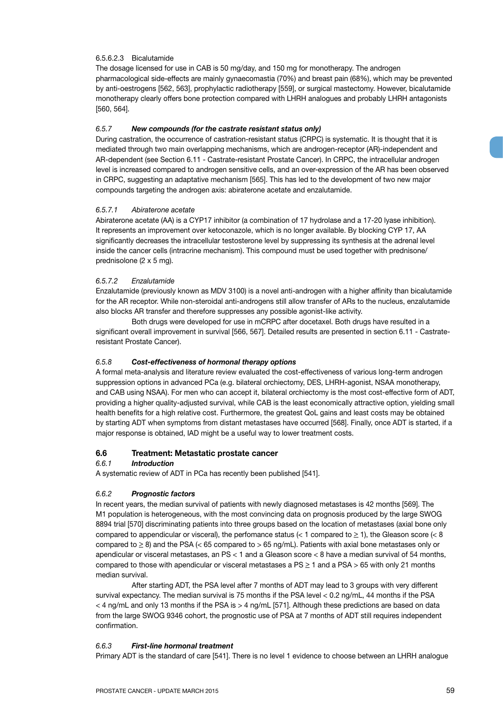## 6.5.6.2.3 Bicalutamide

The dosage licensed for use in CAB is 50 mg/day, and 150 mg for monotherapy. The androgen pharmacological side-effects are mainly gynaecomastia (70%) and breast pain (68%), which may be prevented by anti-oestrogens [562, 563], prophylactic radiotherapy [559], or surgical mastectomy. However, bicalutamide monotherapy clearly offers bone protection compared with LHRH analogues and probably LHRH antagonists [560, 564].

## *6.5.7 New compounds (for the castrate resistant status only)*

During castration, the occurrence of castration-resistant status (CRPC) is systematic. It is thought that it is mediated through two main overlapping mechanisms, which are androgen-receptor (AR)-independent and AR-dependent (see Section 6.11 - Castrate-resistant Prostate Cancer). In CRPC, the intracellular androgen level is increased compared to androgen sensitive cells, and an over-expression of the AR has been observed in CRPC, suggesting an adaptative mechanism [565]. This has led to the development of two new major compounds targeting the androgen axis: abiraterone acetate and enzalutamide.

## *6.5.7.1 Abiraterone acetate*

Abiraterone acetate (AA) is a CYP17 inhibitor (a combination of 17 hydrolase and a 17-20 lyase inhibition). It represents an improvement over ketoconazole, which is no longer available. By blocking CYP 17, AA significantly decreases the intracellular testosterone level by suppressing its synthesis at the adrenal level inside the cancer cells (intracrine mechanism). This compound must be used together with prednisone/ prednisolone (2 x 5 mg).

## *6.5.7.2 Enzalutamide*

Enzalutamide (previously known as MDV 3100) is a novel anti-androgen with a higher affinity than bicalutamide for the AR receptor. While non-steroidal anti-androgens still allow transfer of ARs to the nucleus, enzalutamide also blocks AR transfer and therefore suppresses any possible agonist-like activity.

Both drugs were developed for use in mCRPC after docetaxel. Both drugs have resulted in a significant overall improvement in survival [566, 567]. Detailed results are presented in section 6.11 - Castrateresistant Prostate Cancer).

## *6.5.8 Cost-effectiveness of hormonal therapy options*

A formal meta-analysis and literature review evaluated the cost-effectiveness of various long-term androgen suppression options in advanced PCa (e.g. bilateral orchiectomy, DES, LHRH-agonist, NSAA monotherapy, and CAB using NSAA). For men who can accept it, bilateral orchiectomy is the most cost-effective form of ADT, providing a higher quality-adjusted survival, while CAB is the least economically attractive option, yielding small health benefits for a high relative cost. Furthermore, the greatest QoL gains and least costs may be obtained by starting ADT when symptoms from distant metastases have occurred [568]. Finally, once ADT is started, if a major response is obtained, IAD might be a useful way to lower treatment costs.

## **6.6 Treatment: Metastatic prostate cancer**

## *6.6.1 Introduction*

A systematic review of ADT in PCa has recently been published [541].

## *6.6.2 Prognostic factors*

In recent years, the median survival of patients with newly diagnosed metastases is 42 months [569]. The M1 population is heterogeneous, with the most convincing data on prognosis produced by the large SWOG 8894 trial [570] discriminating patients into three groups based on the location of metastases (axial bone only compared to appendicular or visceral), the perfomance status ( $<$  1 compared to  $\geq$  1), the Gleason score ( $<$  8 compared to  $\geq$  8) and the PSA (< 65 compared to > 65 ng/mL). Patients with axial bone metastases only or apendicular or visceral metastases, an PS < 1 and a Gleason score < 8 have a median survival of 54 months, compared to those with apendicular or visceral metastases a  $PS \ge 1$  and a  $PSA > 65$  with only 21 months median survival.

After starting ADT, the PSA level after 7 months of ADT may lead to 3 groups with very different survival expectancy. The median survival is 75 months if the PSA level < 0.2 ng/mL, 44 months if the PSA < 4 ng/mL and only 13 months if the PSA is > 4 ng/mL [571]. Although these predictions are based on data from the large SWOG 9346 cohort, the prognostic use of PSA at 7 months of ADT still requires independent confirmation.

## *6.6.3 First-line hormonal treatment*

Primary ADT is the standard of care [541]. There is no level 1 evidence to choose between an LHRH analogue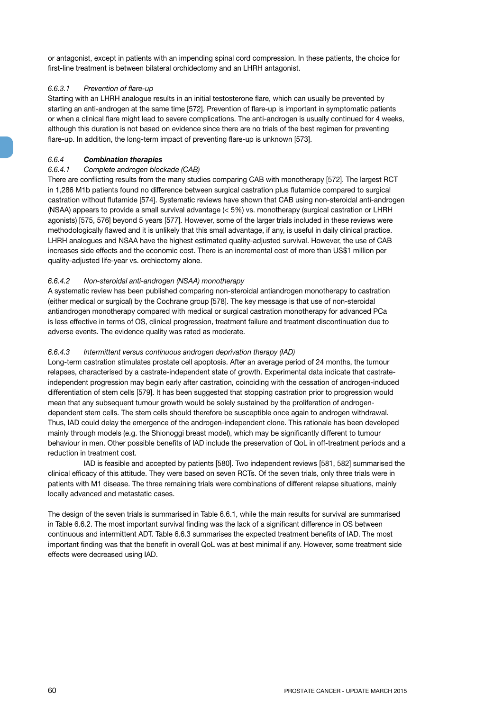or antagonist, except in patients with an impending spinal cord compression. In these patients, the choice for first-line treatment is between bilateral orchidectomy and an LHRH antagonist.

## *6.6.3.1 Prevention of flare-up*

Starting with an LHRH analogue results in an initial testosterone flare, which can usually be prevented by starting an anti-androgen at the same time [572]. Prevention of flare-up is important in symptomatic patients or when a clinical flare might lead to severe complications. The anti-androgen is usually continued for 4 weeks, although this duration is not based on evidence since there are no trials of the best regimen for preventing flare-up. In addition, the long-term impact of preventing flare-up is unknown [573].

## *6.6.4 Combination therapies*

## *6.6.4.1 Complete androgen blockade (CAB)*

There are conflicting results from the many studies comparing CAB with monotherapy [572]. The largest RCT in 1,286 M1b patients found no difference between surgical castration plus flutamide compared to surgical castration without flutamide [574]. Systematic reviews have shown that CAB using non-steroidal anti-androgen (NSAA) appears to provide a small survival advantage (< 5%) vs. monotherapy (surgical castration or LHRH agonists) [575, 576] beyond 5 years [577]. However, some of the larger trials included in these reviews were methodologically flawed and it is unlikely that this small advantage, if any, is useful in daily clinical practice. LHRH analogues and NSAA have the highest estimated quality-adjusted survival. However, the use of CAB increases side effects and the economic cost. There is an incremental cost of more than US\$1 million per quality-adjusted life-year vs. orchiectomy alone.

## *6.6.4.2 Non-steroidal anti-androgen (NSAA) monotherapy*

A systematic review has been published comparing non-steroidal antiandrogen monotherapy to castration (either medical or surgical) by the Cochrane group [578]. The key message is that use of non-steroidal antiandrogen monotherapy compared with medical or surgical castration monotherapy for advanced PCa is less effective in terms of OS, clinical progression, treatment failure and treatment discontinuation due to adverse events. The evidence quality was rated as moderate.

### *6.6.4.3 Intermittent versus continuous androgen deprivation therapy (IAD)*

Long-term castration stimulates prostate cell apoptosis. After an average period of 24 months, the tumour relapses, characterised by a castrate-independent state of growth. Experimental data indicate that castrateindependent progression may begin early after castration, coinciding with the cessation of androgen-induced differentiation of stem cells [579]. It has been suggested that stopping castration prior to progression would mean that any subsequent tumour growth would be solely sustained by the proliferation of androgendependent stem cells. The stem cells should therefore be susceptible once again to androgen withdrawal. Thus, IAD could delay the emergence of the androgen-independent clone. This rationale has been developed mainly through models (e.g. the Shionoggi breast model), which may be significantly different to tumour behaviour in men. Other possible benefits of IAD include the preservation of QoL in off-treatment periods and a reduction in treatment cost.

IAD is feasible and accepted by patients [580]. Two independent reviews [581, 582] summarised the clinical efficacy of this attitude. They were based on seven RCTs. Of the seven trials, only three trials were in patients with M1 disease. The three remaining trials were combinations of different relapse situations, mainly locally advanced and metastatic cases.

The design of the seven trials is summarised in Table 6.6.1, while the main results for survival are summarised in Table 6.6.2. The most important survival finding was the lack of a significant difference in OS between continuous and intermittent ADT. Table 6.6.3 summarises the expected treatment benefits of IAD. The most important finding was that the benefit in overall QoL was at best minimal if any. However, some treatment side effects were decreased using IAD.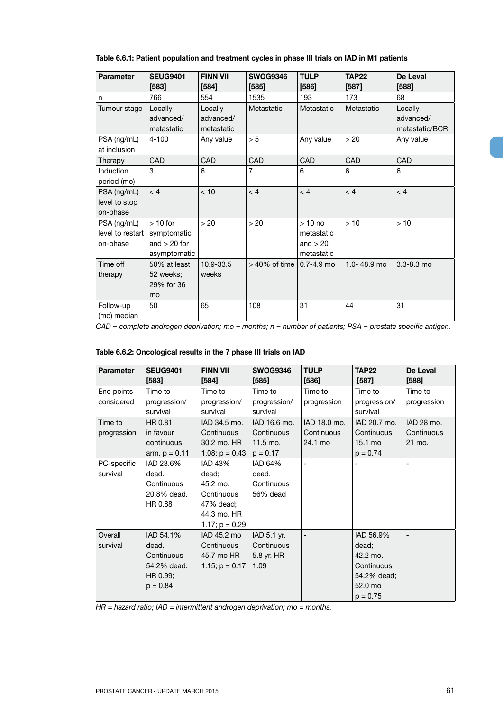| <b>Parameter</b>                            | <b>SEUG9401</b><br>[583]                                   | <b>FINN VII</b><br>$[584]$         | <b>SWOG9346</b><br>$[585]$ | <b>TULP</b><br>[586]                               | <b>TAP22</b><br>$[587]$ | De Leval<br>$[588]$                    |
|---------------------------------------------|------------------------------------------------------------|------------------------------------|----------------------------|----------------------------------------------------|-------------------------|----------------------------------------|
| n                                           | 766                                                        | 554                                | 1535                       | 193                                                | 173                     | 68                                     |
| Tumour stage                                | Locally<br>advanced/<br>metastatic                         | Locally<br>advanced/<br>metastatic | Metastatic                 | Metastatic                                         | Metastatic              | Locally<br>advanced/<br>metastatic/BCR |
| PSA (ng/mL)<br>at inclusion                 | $4 - 100$                                                  | Any value                          | > 5                        | Any value                                          | > 20                    | Any value                              |
| Therapy                                     | <b>CAD</b>                                                 | CAD                                | CAD                        | <b>CAD</b>                                         | CAD                     | CAD                                    |
| <b>Induction</b><br>period (mo)             | 3                                                          | 6                                  | $\overline{7}$             | 6                                                  | 6                       | 6                                      |
| PSA (ng/mL)<br>level to stop<br>on-phase    | < 4                                                        | < 10                               | < 4                        | < 4                                                | < 4                     | < 4                                    |
| PSA (ng/mL)<br>level to restart<br>on-phase | $>10$ for<br>symptomatic<br>and $> 20$ for<br>asymptomatic | > 20                               | > 20                       | $>10$ no<br>metastatic<br>and $> 20$<br>metastatic | >10                     | >10                                    |
| Time off<br>therapy                         | 50% at least<br>52 weeks;<br>29% for 36<br>mo              | 10.9-33.5<br>weeks                 | $>40\%$ of time            | $0.7 - 4.9$ mo                                     | 1.0-48.9 mo             | $3.3 - 8.3$ mo                         |
| Follow-up<br>(mo) median                    | 50                                                         | 65                                 | 108                        | 31                                                 | 44                      | 31                                     |

**Table 6.6.1: Patient population and treatment cycles in phase III trials on IAD in M1 patients**

*CAD = complete androgen deprivation; mo = months; n = number of patients; PSA = prostate specific antigen.*

# **Table 6.6.2: Oncological results in the 7 phase III trials on IAD**

| Parameter                | <b>SEUG9401</b><br>$[583]$                                                | <b>FINN VII</b><br>[584]                                                                          | <b>SWOG9346</b><br>$[585]$                                     | <b>TULP</b><br>$[586]$                | <b>TAP22</b><br>[587]                                                                | De Leval<br>$[588]$                |
|--------------------------|---------------------------------------------------------------------------|---------------------------------------------------------------------------------------------------|----------------------------------------------------------------|---------------------------------------|--------------------------------------------------------------------------------------|------------------------------------|
| End points<br>considered | Time to<br>progression/<br>survival                                       | Time to<br>progression/<br>survival                                                               | Time to<br>progression/<br>survival                            | Time to<br>progression                | Time to<br>progression/<br>survival                                                  | Time to<br>progression             |
| Time to<br>progression   | HR 0.81<br>in favour<br>continuous<br>arm. $p = 0.11$                     | IAD 34.5 mo.<br>Continuous<br>30.2 mo. HR<br>1.08; $p = 0.43$                                     | IAD 16.6 mo.<br>Continuous<br>$11.5 \text{ mo.}$<br>$p = 0.17$ | IAD 18.0 mo.<br>Continuous<br>24.1 mo | IAD 20.7 mo.<br>Continuous<br>15.1 mo<br>$p = 0.74$                                  | IAD 28 mo.<br>Continuous<br>21 mo. |
| PC-specific<br>survival  | IAD 23.6%<br>dead.<br>Continuous<br>20.8% dead.<br>HR 0.88                | <b>IAD 43%</b><br>dead;<br>45.2 mo.<br>Continuous<br>47% dead;<br>44.3 mo. HR<br>1.17; $p = 0.29$ | IAD 64%<br>dead.<br>Continuous<br>56% dead                     |                                       |                                                                                      |                                    |
| Overall<br>survival      | IAD 54.1%<br>dead.<br>Continuous<br>54.2% dead.<br>HR 0.99;<br>$p = 0.84$ | IAD 45.2 mo<br>Continuous<br>45.7 mo HR<br>1.15; $p = 0.17$                                       | IAD 5.1 yr.<br>Continuous<br>5.8 yr. HR<br>1.09                |                                       | IAD 56.9%<br>dead;<br>42.2 mo.<br>Continuous<br>54.2% dead;<br>52.0 mo<br>$p = 0.75$ |                                    |

*HR = hazard ratio; IAD = intermittent androgen deprivation; mo = months.*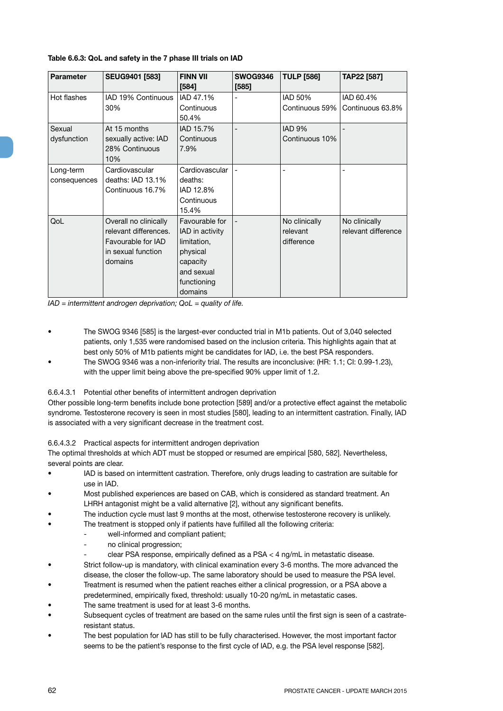| <b>Parameter</b>          | <b>SEUG9401 [583]</b>                                                                                 | <b>FINN VII</b><br>[584]                                                                                         | <b>SWOG9346</b><br>[585] | <b>TULP [586]</b>                       | TAP22 [587]                          |
|---------------------------|-------------------------------------------------------------------------------------------------------|------------------------------------------------------------------------------------------------------------------|--------------------------|-----------------------------------------|--------------------------------------|
| Hot flashes               | IAD 19% Continuous<br>30%                                                                             | IAD 47.1%<br>Continuous<br>50.4%                                                                                 |                          | IAD 50%<br>Continuous 59%               | IAD 60.4%<br>Continuous 63.8%        |
| Sexual<br>dysfunction     | At 15 months<br>sexually active: IAD<br>28% Continuous<br>10%                                         | IAD 15.7%<br>Continuous<br>7.9%                                                                                  |                          | IAD <sub>9%</sub><br>Continuous 10%     |                                      |
| Long-term<br>consequences | Cardiovascular<br>deaths: IAD 13.1%<br>Continuous 16.7%                                               | Cardiovascular<br>deaths:<br>IAD 12.8%<br>Continuous<br>15.4%                                                    |                          |                                         |                                      |
| QoL                       | Overall no clinically<br>relevant differences.<br>Favourable for IAD<br>in sexual function<br>domains | Favourable for<br>IAD in activity<br>limitation,<br>physical<br>capacity<br>and sexual<br>functioning<br>domains |                          | No clinically<br>relevant<br>difference | No clinically<br>relevant difference |

## **Table 6.6.3: QoL and safety in the 7 phase III trials on IAD**

*IAD = intermittent androgen deprivation; QoL = quality of life.*

- The SWOG 9346 [585] is the largest-ever conducted trial in M1b patients. Out of 3,040 selected patients, only 1,535 were randomised based on the inclusion criteria. This highlights again that at best only 50% of M1b patients might be candidates for IAD, i.e. the best PSA responders.
- The SWOG 9346 was a non-inferiority trial. The results are inconclusive: (HR: 1.1; CI: 0.99-1.23), with the upper limit being above the pre-specified 90% upper limit of 1.2.

## 6.6.4.3.1 Potential other benefits of intermittent androgen deprivation

Other possible long-term benefits include bone protection [589] and/or a protective effect against the metabolic syndrome. Testosterone recovery is seen in most studies [580], leading to an intermittent castration. Finally, IAD is associated with a very significant decrease in the treatment cost.

## 6.6.4.3.2 Practical aspects for intermittent androgen deprivation

The optimal thresholds at which ADT must be stopped or resumed are empirical [580, 582]. Nevertheless, several points are clear.

- IAD is based on intermittent castration. Therefore, only drugs leading to castration are suitable for use in IAD.
- Most published experiences are based on CAB, which is considered as standard treatment. An LHRH antagonist might be a valid alternative [2], without any significant benefits.
- The induction cycle must last 9 months at the most, otherwise testosterone recovery is unlikely.
- The treatment is stopped only if patients have fulfilled all the following criteria:
	- well-informed and compliant patient;
	- no clinical progression;
	- clear PSA response, empirically defined as a PSA < 4 ng/mL in metastatic disease.
- Strict follow-up is mandatory, with clinical examination every 3-6 months. The more advanced the disease, the closer the follow-up. The same laboratory should be used to measure the PSA level.
- Treatment is resumed when the patient reaches either a clinical progression, or a PSA above a predetermined, empirically fixed, threshold: usually 10-20 ng/mL in metastatic cases.
- The same treatment is used for at least 3-6 months.
- Subsequent cycles of treatment are based on the same rules until the first sign is seen of a castrateresistant status.
- The best population for IAD has still to be fully characterised. However, the most important factor seems to be the patient's response to the first cycle of IAD, e.g. the PSA level response [582].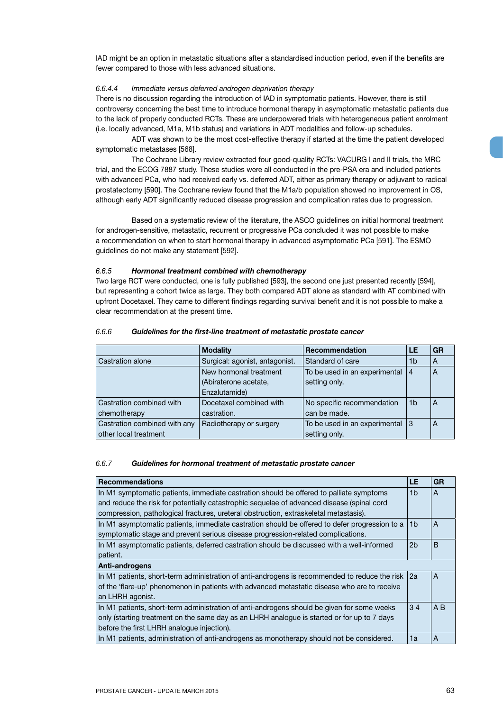IAD might be an option in metastatic situations after a standardised induction period, even if the benefits are fewer compared to those with less advanced situations.

### *6.6.4.4 Immediate versus deferred androgen deprivation therapy*

There is no discussion regarding the introduction of IAD in symptomatic patients. However, there is still controversy concerning the best time to introduce hormonal therapy in asymptomatic metastatic patients due to the lack of properly conducted RCTs. These are underpowered trials with heterogeneous patient enrolment (i.e. locally advanced, M1a, M1b status) and variations in ADT modalities and follow-up schedules.

ADT was shown to be the most cost-effective therapy if started at the time the patient developed symptomatic metastases [568].

The Cochrane Library review extracted four good-quality RCTs: VACURG I and II trials, the MRC trial, and the ECOG 7887 study. These studies were all conducted in the pre-PSA era and included patients with advanced PCa, who had received early vs. deferred ADT, either as primary therapy or adjuvant to radical prostatectomy [590]. The Cochrane review found that the M1a/b population showed no improvement in OS, although early ADT significantly reduced disease progression and complication rates due to progression.

Based on a systematic review of the literature, the ASCO guidelines on initial hormonal treatment for androgen-sensitive, metastatic, recurrent or progressive PCa concluded it was not possible to make a recommendation on when to start hormonal therapy in advanced asymptomatic PCa [591]. The ESMO guidelines do not make any statement [592].

### *6.6.5 Hormonal treatment combined with chemotherapy*

Two large RCT were conducted, one is fully published [593], the second one just presented recently [594], but representing a cohort twice as large. They both compared ADT alone as standard with AT combined with upfront Docetaxel. They came to different findings regarding survival benefit and it is not possible to make a clear recommendation at the present time.

|                              | <b>Modality</b>                | Recommendation                | LE             | <b>GR</b>      |
|------------------------------|--------------------------------|-------------------------------|----------------|----------------|
| Castration alone             | Surgical: agonist, antagonist. | Standard of care              | 1b             | $\overline{A}$ |
|                              | New hormonal treatment         | To be used in an experimental | 4              | A              |
|                              | (Abiraterone acetate,          | setting only.                 |                |                |
|                              | Enzalutamide)                  |                               |                |                |
| Castration combined with     | Docetaxel combined with        | No specific recommendation    | 1 <sub>b</sub> | $\overline{A}$ |
| chemotherapy                 | castration.                    | can be made.                  |                |                |
| Castration combined with any | Radiotherapy or surgery        | To be used in an experimental | Ι3             | A              |
| other local treatment        |                                | setting only.                 |                |                |

### *6.6.6 Guidelines for the first-line treatment of metastatic prostate cancer*

#### *6.6.7 Guidelines for hormonal treatment of metastatic prostate cancer*

| <b>Recommendations</b>                                                                        | LE             | <b>GR</b>      |
|-----------------------------------------------------------------------------------------------|----------------|----------------|
| In M1 symptomatic patients, immediate castration should be offered to palliate symptoms       | 1b             | A              |
| and reduce the risk for potentially catastrophic sequelae of advanced disease (spinal cord    |                |                |
| compression, pathological fractures, ureteral obstruction, extraskeletal metastasis).         |                |                |
| In M1 asymptomatic patients, immediate castration should be offered to defer progression to a | 1b             | A              |
| symptomatic stage and prevent serious disease progression-related complications.              |                |                |
| In M1 asymptomatic patients, deferred castration should be discussed with a well-informed     | 2 <sub>b</sub> | B              |
| patient.                                                                                      |                |                |
| Anti-androgens                                                                                |                |                |
| In M1 patients, short-term administration of anti-androgens is recommended to reduce the risk | 2a             | A              |
| of the 'flare-up' phenomenon in patients with advanced metastatic disease who are to receive  |                |                |
| an LHRH agonist.                                                                              |                |                |
| In M1 patients, short-term administration of anti-androgens should be given for some weeks    | 34             | A <sub>B</sub> |
| only (starting treatment on the same day as an LHRH analogue is started or for up to 7 days   |                |                |
| before the first LHRH analogue injection).                                                    |                |                |
| In M1 patients, administration of anti-androgens as monotherapy should not be considered.     | 1a             | A              |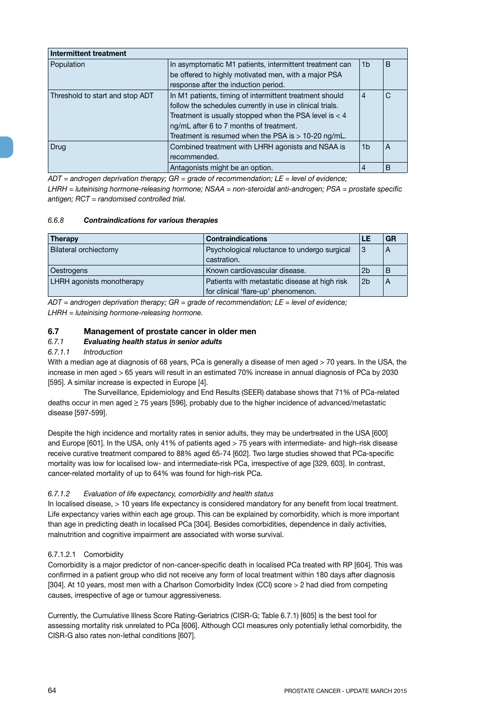| Intermittent treatment          |                                                                                                                                                                                                                                                                                      |                |   |
|---------------------------------|--------------------------------------------------------------------------------------------------------------------------------------------------------------------------------------------------------------------------------------------------------------------------------------|----------------|---|
| Population                      | In asymptomatic M1 patients, intermittent treatment can<br>be offered to highly motivated men, with a major PSA<br>response after the induction period.                                                                                                                              | 1 <sub>b</sub> | B |
| Threshold to start and stop ADT | In M1 patients, timing of intermittent treatment should<br>follow the schedules currently in use in clinical trials.<br>Treatment is usually stopped when the PSA level is $<$ 4<br>ng/mL after 6 to 7 months of treatment.<br>Treatment is resumed when the PSA is $> 10-20$ ng/mL. | $\overline{4}$ | С |
| Drug                            | Combined treatment with LHRH agonists and NSAA is<br>recommended.                                                                                                                                                                                                                    | 1 <sub>b</sub> | A |
|                                 | Antagonists might be an option.                                                                                                                                                                                                                                                      | 4              | B |

*ADT = androgen deprivation therapy; GR = grade of recommendation; LE = level of evidence; LHRH = luteinising hormone-releasing hormone; NSAA = non-steroidal anti-androgen; PSA = prostate specific antigen; RCT = randomised controlled trial.*

## *6.6.8 Contraindications for various therapies*

| <b>Contraindications</b><br><b>Therapy</b> |                                                                 | LE             | GR |
|--------------------------------------------|-----------------------------------------------------------------|----------------|----|
| Bilateral orchiectomy                      | Psychological reluctance to undergo surgical<br> 3              |                | A  |
|                                            | castration.                                                     |                |    |
| Oestrogens                                 | Known cardiovascular disease.                                   | 2 <sub>b</sub> | B  |
| LHRH agonists monotherapy                  | Patients with metastatic disease at high risk<br>2 <sub>b</sub> |                | А  |
|                                            | for clinical 'flare-up' phenomenon.                             |                |    |

*ADT = androgen deprivation therapy; GR = grade of recommendation; LE = level of evidence; LHRH = luteinising hormone-releasing hormone.*

# **6.7 Management of prostate cancer in older men**

# *6.7.1 Evaluating health status in senior adults*

### *6.7.1.1 Introduction*

With a median age at diagnosis of 68 years, PCa is generally a disease of men aged > 70 years. In the USA, the increase in men aged > 65 years will result in an estimated 70% increase in annual diagnosis of PCa by 2030 [595]. A similar increase is expected in Europe [4].

The Surveillance, Epidemiology and End Results (SEER) database shows that 71% of PCa-related deaths occur in men aged  $\geq$  75 years [596], probably due to the higher incidence of advanced/metastatic disease [597-599].

Despite the high incidence and mortality rates in senior adults, they may be undertreated in the USA [600] and Europe [601]. In the USA, only 41% of patients aged > 75 years with intermediate- and high-risk disease receive curative treatment compared to 88% aged 65-74 [602]. Two large studies showed that PCa-specific mortality was low for localised low- and intermediate-risk PCa, irrespective of age [329, 603]. In contrast, cancer-related mortality of up to 64% was found for high-risk PCa.

## *6.7.1.2 Evaluation of life expectancy, comorbidity and health status*

In localised disease, > 10 years life expectancy is considered mandatory for any benefit from local treatment. Life expectancy varies within each age group. This can be explained by comorbidity, which is more important than age in predicting death in localised PCa [304]. Besides comorbidities, dependence in daily activities, malnutrition and cognitive impairment are associated with worse survival.

## 6.7.1.2.1 Comorbidity

Comorbidity is a major predictor of non-cancer-specific death in localised PCa treated with RP [604]. This was confirmed in a patient group who did not receive any form of local treatment within 180 days after diagnosis [304]. At 10 years, most men with a Charlson Comorbidity Index (CCI) score > 2 had died from competing causes, irrespective of age or tumour aggressiveness.

Currently, the Cumulative Illness Score Rating-Geriatrics (CISR-G; Table 6.7.1) [605] is the best tool for assessing mortality risk unrelated to PCa [606]. Although CCI measures only potentially lethal comorbidity, the CISR-G also rates non-lethal conditions [607].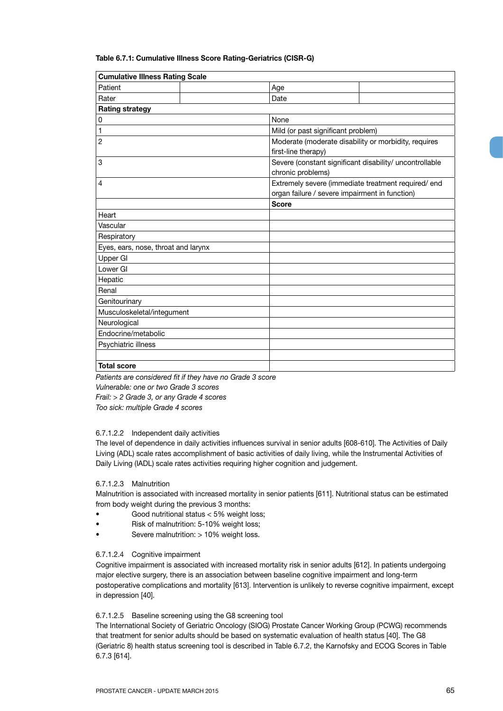### **Table 6.7.1: Cumulative Illness Score Rating-Geriatrics (CISR-G)**

| <b>Cumulative Illness Rating Scale</b> |                                                                              |                                    |                                                                                                       |  |
|----------------------------------------|------------------------------------------------------------------------------|------------------------------------|-------------------------------------------------------------------------------------------------------|--|
| Patient                                |                                                                              | Age                                |                                                                                                       |  |
| Rater                                  |                                                                              | Date                               |                                                                                                       |  |
| <b>Rating strategy</b>                 |                                                                              |                                    |                                                                                                       |  |
| 0                                      |                                                                              | None                               |                                                                                                       |  |
| 1                                      |                                                                              | Mild (or past significant problem) |                                                                                                       |  |
| 2                                      |                                                                              | first-line therapy)                | Moderate (moderate disability or morbidity, requires                                                  |  |
| 3                                      | Severe (constant significant disability/ uncontrollable<br>chronic problems) |                                    |                                                                                                       |  |
| 4                                      |                                                                              |                                    | Extremely severe (immediate treatment required/ end<br>organ failure / severe impairment in function) |  |
|                                        |                                                                              | <b>Score</b>                       |                                                                                                       |  |
| Heart                                  |                                                                              |                                    |                                                                                                       |  |
| Vascular                               |                                                                              |                                    |                                                                                                       |  |
| Respiratory                            |                                                                              |                                    |                                                                                                       |  |
| Eyes, ears, nose, throat and larynx    |                                                                              |                                    |                                                                                                       |  |
| Upper GI                               |                                                                              |                                    |                                                                                                       |  |
| Lower GI                               |                                                                              |                                    |                                                                                                       |  |
| Hepatic                                |                                                                              |                                    |                                                                                                       |  |
| Renal                                  |                                                                              |                                    |                                                                                                       |  |
| Genitourinary                          |                                                                              |                                    |                                                                                                       |  |
| Musculoskeletal/integument             |                                                                              |                                    |                                                                                                       |  |
| Neurological                           |                                                                              |                                    |                                                                                                       |  |
| Endocrine/metabolic                    |                                                                              |                                    |                                                                                                       |  |
| Psychiatric illness                    |                                                                              |                                    |                                                                                                       |  |
|                                        |                                                                              |                                    |                                                                                                       |  |
| <b>Total score</b>                     |                                                                              |                                    |                                                                                                       |  |

*Patients are considered fit if they have no Grade 3 score Vulnerable: one or two Grade 3 scores Frail: > 2 Grade 3, or any Grade 4 scores Too sick: multiple Grade 4 scores*

## 6.7.1.2.2 Independent daily activities

The level of dependence in daily activities influences survival in senior adults [608-610]. The Activities of Daily Living (ADL) scale rates accomplishment of basic activities of daily living, while the Instrumental Activities of Daily Living (IADL) scale rates activities requiring higher cognition and judgement.

### 6.7.1.2.3 Malnutrition

Malnutrition is associated with increased mortality in senior patients [611]. Nutritional status can be estimated from body weight during the previous 3 months:

- Good nutritional status < 5% weight loss;
- Risk of malnutrition: 5-10% weight loss;
- Severe malnutrition: > 10% weight loss.

### 6.7.1.2.4 Cognitive impairment

Cognitive impairment is associated with increased mortality risk in senior adults [612]. In patients undergoing major elective surgery, there is an association between baseline cognitive impairment and long-term postoperative complications and mortality [613]. Intervention is unlikely to reverse cognitive impairment, except in depression [40].

### 6.7.1.2.5 Baseline screening using the G8 screening tool

The International Society of Geriatric Oncology (SIOG) Prostate Cancer Working Group (PCWG) recommends that treatment for senior adults should be based on systematic evaluation of health status [40]. The G8 (Geriatric 8) health status screening tool is described in Table 6.7.2, the Karnofsky and ECOG Scores in Table 6.7.3 [614].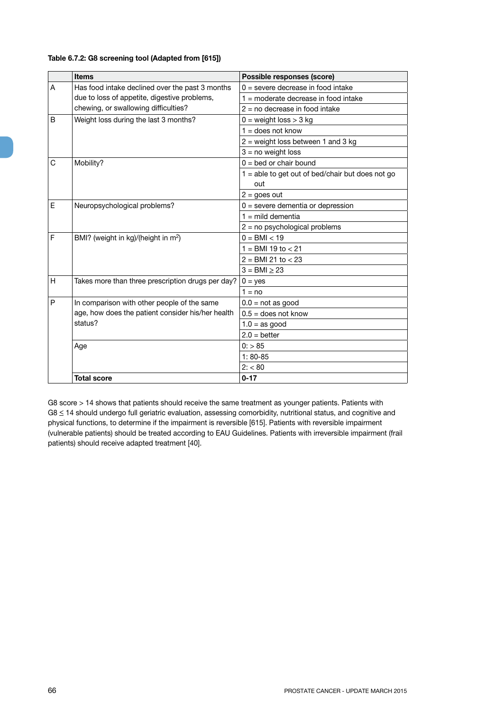## **Table 6.7.2: G8 screening tool (Adapted from [615])**

|              | <b>Items</b>                                      | Possible responses (score)                                |
|--------------|---------------------------------------------------|-----------------------------------------------------------|
| A            | Has food intake declined over the past 3 months   | $0 =$ severe decrease in food intake                      |
|              | due to loss of appetite, digestive problems,      | $1 =$ moderate decrease in food intake                    |
|              | chewing, or swallowing difficulties?              | $2 = no$ decrease in food intake                          |
| <sub>B</sub> | Weight loss during the last 3 months?             | $0 =$ weight loss $> 3$ kg                                |
|              |                                                   | $1 =$ does not know                                       |
|              |                                                   | $2$ = weight loss between 1 and 3 kg                      |
|              |                                                   | $3 = no weight loss$                                      |
| C            | Mobility?                                         | $0 =$ bed or chair bound                                  |
|              |                                                   | $1 =$ able to get out of bed/chair but does not go<br>out |
|              |                                                   | $2 = goes out$                                            |
| E            | Neuropsychological problems?                      | $0 =$ severe dementia or depression                       |
|              |                                                   | $1 =$ mild dementia                                       |
|              |                                                   | $2 = no$ psychological problems                           |
| F            | BMI? (weight in kg)/(height in m <sup>2</sup> )   | $0 = BMI < 19$                                            |
|              |                                                   | $1 =$ BMI 19 to $<$ 21                                    |
|              |                                                   | $2 = BMI 21 to < 23$                                      |
|              |                                                   | $3 = BMI > 23$                                            |
| H            | Takes more than three prescription drugs per day? | $0 = yes$                                                 |
|              |                                                   | $1 = \text{no}$                                           |
| P            | In comparison with other people of the same       | $0.0 = \text{not as good}$                                |
|              | age, how does the patient consider his/her health | $0.5 =$ does not know                                     |
|              | status?                                           | $1.0 =$ as good                                           |
|              |                                                   | $2.0 = better$                                            |
|              | Age                                               | 0: > 85                                                   |
|              |                                                   | $1:80-85$                                                 |
|              |                                                   | 2: < 80                                                   |
|              | <b>Total score</b>                                | $0 - 17$                                                  |

G8 score > 14 shows that patients should receive the same treatment as younger patients. Patients with G8 < 14 should undergo full geriatric evaluation, assessing comorbidity, nutritional status, and cognitive and physical functions, to determine if the impairment is reversible [615]. Patients with reversible impairment (vulnerable patients) should be treated according to EAU Guidelines. Patients with irreversible impairment (frail patients) should receive adapted treatment [40].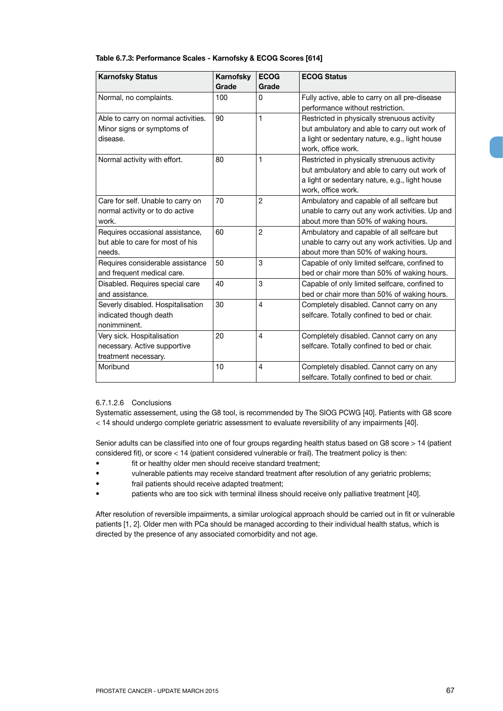| <b>Karnofsky Status</b>                                                            | <b>Karnofsky</b><br>Grade | <b>ECOG</b><br>Grade | <b>ECOG Status</b>                                                                                                                                                  |
|------------------------------------------------------------------------------------|---------------------------|----------------------|---------------------------------------------------------------------------------------------------------------------------------------------------------------------|
| Normal, no complaints.                                                             | 100                       | 0                    | Fully active, able to carry on all pre-disease<br>performance without restriction.                                                                                  |
| Able to carry on normal activities.<br>Minor signs or symptoms of<br>disease.      | 90                        | 1                    | Restricted in physically strenuous activity<br>but ambulatory and able to carry out work of<br>a light or sedentary nature, e.g., light house<br>work, office work. |
| Normal activity with effort.                                                       | 80                        | 1                    | Restricted in physically strenuous activity<br>but ambulatory and able to carry out work of<br>a light or sedentary nature, e.g., light house<br>work, office work. |
| Care for self. Unable to carry on<br>normal activity or to do active<br>work.      | 70                        | 2                    | Ambulatory and capable of all selfcare but<br>unable to carry out any work activities. Up and<br>about more than 50% of waking hours.                               |
| Requires occasional assistance,<br>but able to care for most of his<br>needs.      | 60                        | $\overline{2}$       | Ambulatory and capable of all selfcare but<br>unable to carry out any work activities. Up and<br>about more than 50% of waking hours.                               |
| Requires considerable assistance<br>and frequent medical care.                     | 50                        | 3                    | Capable of only limited selfcare, confined to<br>bed or chair more than 50% of waking hours.                                                                        |
| Disabled. Requires special care<br>and assistance.                                 | 40                        | 3                    | Capable of only limited selfcare, confined to<br>bed or chair more than 50% of waking hours.                                                                        |
| Severly disabled. Hospitalisation<br>indicated though death<br>nonimminent.        | 30                        | 4                    | Completely disabled. Cannot carry on any<br>selfcare. Totally confined to bed or chair.                                                                             |
| Very sick. Hospitalisation<br>necessary. Active supportive<br>treatment necessary. | 20                        | 4                    | Completely disabled. Cannot carry on any<br>selfcare. Totally confined to bed or chair.                                                                             |
| Moribund                                                                           | 10                        | 4                    | Completely disabled. Cannot carry on any<br>selfcare. Totally confined to bed or chair.                                                                             |

## **Table 6.7.3: Performance Scales - Karnofsky & ECOG Scores [614]**

## 6.7.1.2.6 Conclusions

Systematic assessement, using the G8 tool, is recommended by The SIOG PCWG [40]. Patients with G8 score < 14 should undergo complete geriatric assessment to evaluate reversibility of any impairments [40].

Senior adults can be classified into one of four groups regarding health status based on G8 score > 14 (patient considered fit), or score < 14 (patient considered vulnerable or frail). The treatment policy is then:

- fit or healthy older men should receive standard treatment;
- vulnerable patients may receive standard treatment after resolution of any geriatric problems;
- frail patients should receive adapted treatment;
- patients who are too sick with terminal illness should receive only palliative treatment [40].

After resolution of reversible impairments, a similar urological approach should be carried out in fit or vulnerable patients [1, 2]. Older men with PCa should be managed according to their individual health status, which is directed by the presence of any associated comorbidity and not age.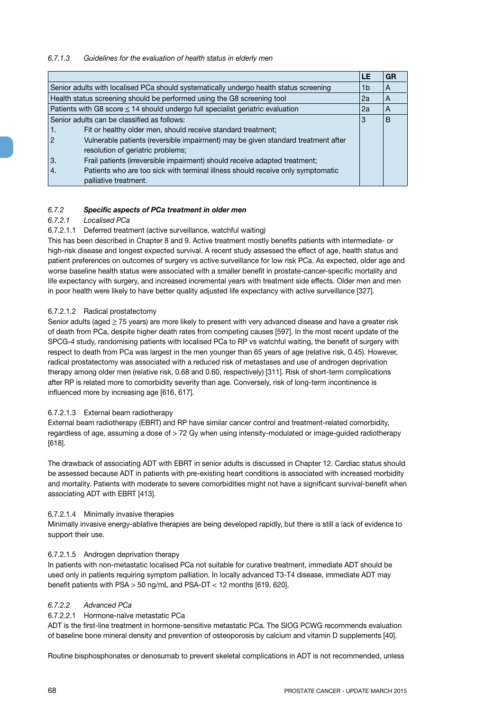## *6.7.1.3 Guidelines for the evaluation of health status in elderly men*

|     |                                                                                        | LE | GR |
|-----|----------------------------------------------------------------------------------------|----|----|
|     | Senior adults with localised PCa should systematically undergo health status screening | 1b | A  |
|     | Health status screening should be performed using the G8 screening tool                | 2a | A  |
|     | Patients with G8 score $\leq$ 14 should undergo full specialist geriatric evaluation   | 2a | A  |
|     | Senior adults can be classified as follows:                                            | 3  | B  |
| -1. | Fit or healthy older men, should receive standard treatment;                           |    |    |
| 2   | Vulnerable patients (reversible impairment) may be given standard treatment after      |    |    |
|     | resolution of geriatric problems;                                                      |    |    |
| 3.  | Frail patients (irreversible impairment) should receive adapted treatment;             |    |    |
| 4.  | Patients who are too sick with terminal illness should receive only symptomatic        |    |    |
|     | palliative treatment.                                                                  |    |    |

## *6.7.2 Specific aspects of PCa treatment in older men*

## *6.7.2.1 Localised PCa*

### 6.7.2.1.1 Deferred treatment (active surveillance, watchful waiting)

This has been described in Chapter 8 and 9. Active treatment mostly benefits patients with intermediate- or high-risk disease and longest expected survival. A recent study assessed the effect of age, health status and patient preferences on outcomes of surgery vs active surveillance for low risk PCa. As expected, older age and worse baseline health status were associated with a smaller benefit in prostate-cancer-specific mortality and life expectancy with surgery, and increased incremental years with treatment side effects. Older men and men in poor health were likely to have better quality adjusted life expectancy with active surveillance [327].

### 6.7.2.1.2 Radical prostatectomy

Senior adults (aged  $\geq$  75 years) are more likely to present with very advanced disease and have a greater risk of death from PCa, despite higher death rates from competing causes [597]. In the most recent update of the SPCG-4 study, randomising patients with localised PCa to RP vs watchful waiting, the benefit of surgery with respect to death from PCa was largest in the men younger than 65 years of age (relative risk, 0.45). However, radical prostatectomy was associated with a reduced risk of metastases and use of androgen deprivation therapy among older men (relative risk, 0.68 and 0.60, respectively) [311]. Risk of short-term complications after RP is related more to comorbidity severity than age. Conversely, risk of long-term incontinence is influenced more by increasing age [616, 617].

### 6.7.2.1.3 External beam radiotherapy

External beam radiotherapy (EBRT) and RP have similar cancer control and treatment-related comorbidity, regardless of age, assuming a dose of > 72 Gy when using intensity-modulated or image-guided radiotherapy [618].

The drawback of associating ADT with EBRT in senior adults is discussed in Chapter 12. Cardiac status should be assessed because ADT in patients with pre-existing heart conditions is associated with increased morbidity and mortality. Patients with moderate to severe comorbidities might not have a significant survival-benefit when associating ADT with EBRT [413].

### 6.7.2.1.4 Minimally invasive therapies

Minimally invasive energy-ablative therapies are being developed rapidly, but there is still a lack of evidence to support their use.

## 6.7.2.1.5 Androgen deprivation therapy

In patients with non-metastatic localised PCa not suitable for curative treatment, immediate ADT should be used only in patients requiring symptom palliation. In locally advanced T3-T4 disease, immediate ADT may benefit patients with PSA > 50 ng/mL and PSA-DT < 12 months [619, 620].

## *6.7.2.2 Advanced PCa*

## 6.7.2.2.1 Hormone-naïve metastatic PCa

ADT is the first-line treatment in hormone-sensitive metastatic PCa. The SIOG PCWG recommends evaluation of baseline bone mineral density and prevention of osteoporosis by calcium and vitamin D supplements [40].

Routine bisphosphonates or denosumab to prevent skeletal complications in ADT is not recommended, unless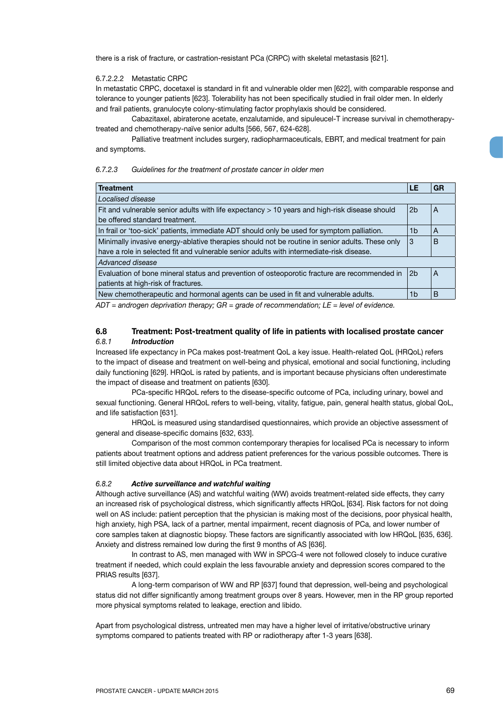there is a risk of fracture, or castration-resistant PCa (CRPC) with skeletal metastasis [621].

### 6.7.2.2.2 Metastatic CRPC

In metastatic CRPC, docetaxel is standard in fit and vulnerable older men [622], with comparable response and tolerance to younger patients [623]. Tolerability has not been specifically studied in frail older men. In elderly and frail patients, granulocyte colony-stimulating factor prophylaxis should be considered.

Cabazitaxel, abiraterone acetate, enzalutamide, and sipuleucel-T increase survival in chemotherapytreated and chemotherapy-naïve senior adults [566, 567, 624-628].

Palliative treatment includes surgery, radiopharmaceuticals, EBRT, and medical treatment for pain and symptoms.

### *6.7.2.3 Guidelines for the treatment of prostate cancer in older men*

| <b>Treatment</b>                                                                                     | LE             | GR |
|------------------------------------------------------------------------------------------------------|----------------|----|
| Localised disease                                                                                    |                |    |
| Fit and vulnerable senior adults with life expectancy > 10 years and high-risk disease should        | 2 <sub>b</sub> | A  |
| be offered standard treatment.                                                                       |                |    |
| In frail or 'too-sick' patients, immediate ADT should only be used for symptom palliation.           | 1 <sub>b</sub> | A  |
| Minimally invasive energy-ablative therapies should not be routine in senior adults. These only<br>3 |                |    |
| have a role in selected fit and vulnerable senior adults with intermediate-risk disease.             |                |    |
| Advanced disease                                                                                     |                |    |
| Evaluation of bone mineral status and prevention of osteoporotic fracture are recommended in         | 2 <sub>b</sub> | A  |
| patients at high-risk of fractures.                                                                  |                |    |
| New chemotherapeutic and hormonal agents can be used in fit and vulnerable adults.                   | 1b             | В  |

*ADT = androgen deprivation therapy; GR = grade of recommendation; LE = level of evidence.*

## **6.8 Treatment: Post-treatment quality of life in patients with localised prostate cancer** *6.8.1 Introduction*

Increased life expectancy in PCa makes post-treatment QoL a key issue. Health-related QoL (HRQoL) refers to the impact of disease and treatment on well-being and physical, emotional and social functioning, including daily functioning [629]. HRQoL is rated by patients, and is important because physicians often underestimate the impact of disease and treatment on patients [630].

PCa-specific HRQoL refers to the disease-specific outcome of PCa, including urinary, bowel and sexual functioning. General HRQoL refers to well-being, vitality, fatigue, pain, general health status, global QoL, and life satisfaction [631].

HRQoL is measured using standardised questionnaires, which provide an objective assessment of general and disease-specific domains [632, 633].

Comparison of the most common contemporary therapies for localised PCa is necessary to inform patients about treatment options and address patient preferences for the various possible outcomes. There is still limited objective data about HRQoL in PCa treatment.

#### *6.8.2 Active surveillance and watchful waiting*

Although active surveillance (AS) and watchful waiting (WW) avoids treatment-related side effects, they carry an increased risk of psychological distress, which significantly affects HRQoL [634]. Risk factors for not doing well on AS include: patient perception that the physician is making most of the decisions, poor physical health, high anxiety, high PSA, lack of a partner, mental impairment, recent diagnosis of PCa, and lower number of core samples taken at diagnostic biopsy. These factors are significantly associated with low HRQoL [635, 636]. Anxiety and distress remained low during the first 9 months of AS [636].

In contrast to AS, men managed with WW in SPCG-4 were not followed closely to induce curative treatment if needed, which could explain the less favourable anxiety and depression scores compared to the PRIAS results [637].

A long-term comparison of WW and RP [637] found that depression, well-being and psychological status did not differ significantly among treatment groups over 8 years. However, men in the RP group reported more physical symptoms related to leakage, erection and libido.

Apart from psychological distress, untreated men may have a higher level of irritative/obstructive urinary symptoms compared to patients treated with RP or radiotherapy after 1-3 years [638].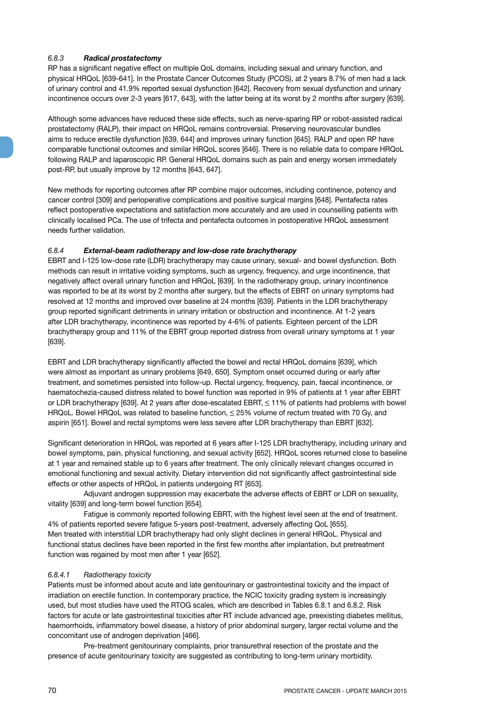## *6.8.3 Radical prostatectomy*

RP has a significant negative effect on multiple QoL domains, including sexual and urinary function, and physical HRQoL [639-641]. In the Prostate Cancer Outcomes Study (PCOS), at 2 years 8.7% of men had a lack of urinary control and 41.9% reported sexual dysfunction [642]. Recovery from sexual dysfunction and urinary incontinence occurs over 2-3 years [617, 643], with the latter being at its worst by 2 months after surgery [639].

Although some advances have reduced these side effects, such as nerve-sparing RP or robot-assisted radical prostatectomy (RALP), their impact on HRQoL remains controversial. Preserving neurovascular bundles aims to reduce erectile dysfunction [639, 644] and improves urinary function [645]. RALP and open RP have comparable functional outcomes and similar HRQoL scores [646]. There is no reliable data to compare HRQoL following RALP and laparoscopic RP. General HRQoL domains such as pain and energy worsen immediately post-RP, but usually improve by 12 months [643, 647].

New methods for reporting outcomes after RP combine major outcomes, including continence, potency and cancer control [309] and perioperative complications and positive surgical margins [648]. Pentafecta rates reflect postoperative expectations and satisfaction more accurately and are used in counselling patients with clinically localised PCa. The use of trifecta and pentafecta outcomes in postoperative HRQoL assessment needs further validation.

## *6.8.4 External-beam radiotherapy and low-dose rate brachytherapy*

EBRT and I-125 low-dose rate (LDR) brachytherapy may cause urinary, sexual- and bowel dysfunction. Both methods can result in irritative voiding symptoms, such as urgency, frequency, and urge incontinence, that negatively affect overall urinary function and HRQoL [639]. In the radiotherapy group, urinary incontinence was reported to be at its worst by 2 months after surgery, but the effects of EBRT on urinary symptoms had resolved at 12 months and improved over baseline at 24 months [639]. Patients in the LDR brachytherapy group reported significant detriments in urinary irritation or obstruction and incontinence. At 1-2 years after LDR brachytherapy, incontinence was reported by 4-6% of patients. Eighteen percent of the LDR brachytherapy group and 11% of the EBRT group reported distress from overall urinary symptoms at 1 year [639].

EBRT and LDR brachytherapy significantly affected the bowel and rectal HRQoL domains [639], which were almost as important as urinary problems [649, 650]. Symptom onset occurred during or early after treatment, and sometimes persisted into follow-up. Rectal urgency, frequency, pain, faecal incontinence, or haematochezia-caused distress related to bowel function was reported in 9% of patients at 1 year after EBRT or LDR brachytherapy [639]. At 2 years after dose-escalated EBRT, < 11% of patients had problems with bowel HRQoL. Bowel HRQoL was related to baseline function,  $\leq$  25% volume of rectum treated with 70 Gy, and aspirin [651]. Bowel and rectal symptoms were less severe after LDR brachytherapy than EBRT [632].

Significant deterioration in HRQoL was reported at 6 years after I-125 LDR brachytherapy, including urinary and bowel symptoms, pain, physical functioning, and sexual activity [652]. HRQoL scores returned close to baseline at 1 year and remained stable up to 6 years after treatment. The only clinically relevant changes occurred in emotional functioning and sexual activity. Dietary intervention did not significantly affect gastrointestinal side effects or other aspects of HRQoL in patients undergoing RT [653].

Adjuvant androgen suppression may exacerbate the adverse effects of EBRT or LDR on sexuality, vitality [639] and long-term bowel function [654].

Fatigue is commonly reported following EBRT, with the highest level seen at the end of treatment. 4% of patients reported severe fatigue 5-years post-treatment, adversely affecting QoL [655]. Men treated with interstitial LDR brachytherapy had only slight declines in general HRQoL. Physical and functional status declines have been reported in the first few months after implantation, but pretreatment function was regained by most men after 1 year [652].

## *6.8.4.1 Radiotherapy toxicity*

Patients must be informed about acute and late genitourinary or gastrointestinal toxicity and the impact of irradiation on erectile function. In contemporary practice, the NCIC toxicity grading system is increasingly used, but most studies have used the RTOG scales, which are described in Tables 6.8.1 and 6.8.2. Risk factors for acute or late gastrointestinal toxicities after RT include advanced age, preexisting diabetes mellitus, haemorrhoids, inflammatory bowel disease, a history of prior abdominal surgery, larger rectal volume and the concomitant use of androgen deprivation [466].

Pre-treatment genitourinary complaints, prior transurethral resection of the prostate and the presence of acute genitourinary toxicity are suggested as contributing to long-term urinary morbidity.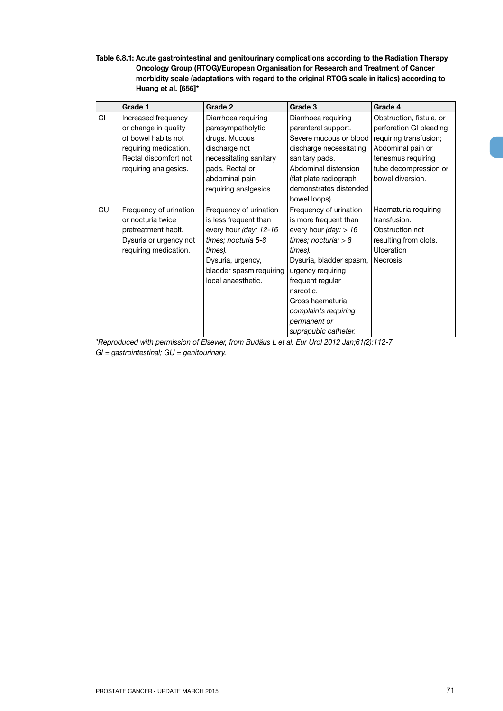**Table 6.8.1: Acute gastrointestinal and genitourinary complications according to the Radiation Therapy Oncology Group (RTOG)/European Organisation for Research and Treatment of Cancer morbidity scale (adaptations with regard to the original RTOG scale in italics) according to Huang et al. [656]\***

|    | Grade 1                | Grade 2                 | Grade 3                 | Grade 4                  |
|----|------------------------|-------------------------|-------------------------|--------------------------|
| GI | Increased frequency    | Diarrhoea requiring     | Diarrhoea requiring     | Obstruction, fistula, or |
|    | or change in quality   | parasympatholytic       | parenteral support.     | perforation GI bleeding  |
|    | of bowel habits not    | drugs. Mucous           | Severe mucous or blood  | requiring transfusion;   |
|    | requiring medication.  | discharge not           | discharge necessitating | Abdominal pain or        |
|    | Rectal discomfort not  | necessitating sanitary  | sanitary pads.          | tenesmus requiring       |
|    | requiring analgesics.  | pads. Rectal or         | Abdominal distension    | tube decompression or    |
|    |                        | abdominal pain          | (flat plate radiograph) | bowel diversion.         |
|    |                        | requiring analgesics.   | demonstrates distended  |                          |
|    |                        |                         | bowel loops).           |                          |
| GU | Frequency of urination | Frequency of urination  | Frequency of urination  | Haematuria requiring     |
|    | or nocturia twice      | is less frequent than   | is more frequent than   | transfusion.             |
|    | pretreatment habit.    | every hour (day: 12-16  | every hour (day: $> 16$ | Obstruction not          |
|    | Dysuria or urgency not | times; nocturia 5-8     | times; nocturia: $> 8$  | resulting from clots.    |
|    | requiring medication.  | times).                 | times).                 | Ulceration               |
|    |                        | Dysuria, urgency,       | Dysuria, bladder spasm, | <b>Necrosis</b>          |
|    |                        | bladder spasm requiring | urgency requiring       |                          |
|    |                        | local anaesthetic.      | frequent regular        |                          |
|    |                        |                         | narcotic.               |                          |
|    |                        |                         | Gross haematuria        |                          |
|    |                        |                         | complaints requiring    |                          |
|    |                        |                         | permanent or            |                          |
|    |                        |                         | suprapubic catheter.    |                          |

*\*Reproduced with permission of Elsevier, from Budäus L et al. Eur Urol 2012 Jan;61(2):112-7. GI = gastrointestinal; GU = genitourinary.*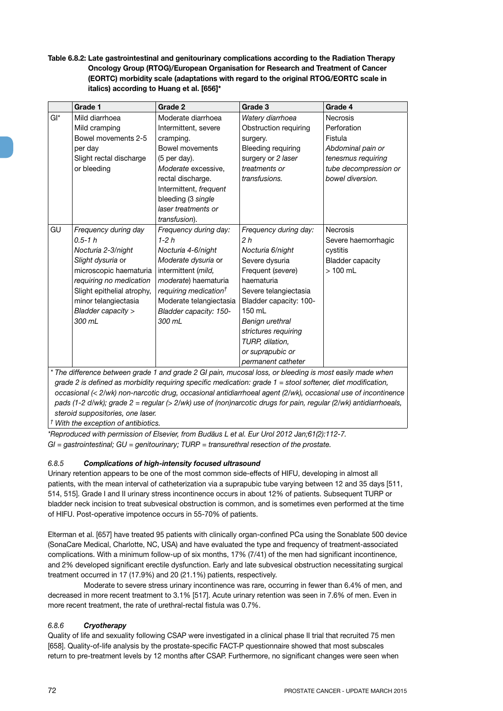**Table 6.8.2: Late gastrointestinal and genitourinary complications according to the Radiation Therapy Oncology Group (RTOG)/European Organisation for Research and Treatment of Cancer (EORTC) morbidity scale (adaptations with regard to the original RTOG/EORTC scale in italics) according to Huang et al. [656]\***

|     | Grade 1                                                                                                                                                                                                                                                                                                                               | Grade 2                                                                                                                                                                                                                          | Grade 3                                                                                                                                                                                                                                                                               | Grade 4                                                                                                                           |
|-----|---------------------------------------------------------------------------------------------------------------------------------------------------------------------------------------------------------------------------------------------------------------------------------------------------------------------------------------|----------------------------------------------------------------------------------------------------------------------------------------------------------------------------------------------------------------------------------|---------------------------------------------------------------------------------------------------------------------------------------------------------------------------------------------------------------------------------------------------------------------------------------|-----------------------------------------------------------------------------------------------------------------------------------|
| Gl* | Mild diarrhoea<br>Mild cramping<br>Bowel movements 2-5<br>per day<br>Slight rectal discharge<br>or bleeding                                                                                                                                                                                                                           | Moderate diarrhoea<br>Intermittent, severe<br>cramping.<br>Bowel movements<br>$(5$ per day).<br>Moderate excessive,<br>rectal discharge.<br>Intermittent, frequent<br>bleeding (3 single<br>laser treatments or<br>transfusion). | Watery diarrhoea<br>Obstruction requiring<br>surgery.<br>Bleeding requiring<br>surgery or 2 laser<br>treatments or<br>transfusions.                                                                                                                                                   | <b>Necrosis</b><br>Perforation<br>Fistula<br>Abdominal pain or<br>tenesmus requiring<br>tube decompression or<br>bowel diversion. |
| GU  | Frequency during day<br>$0.5 - 1 h$<br>Nocturia 2-3/night<br>Slight dysuria or<br>microscopic haematuria<br>requiring no medication<br>Slight epithelial atrophy,<br>minor telangiectasia<br>Bladder capacity ><br>300 mL<br>* The difference between arade 1 and arade 2 GL pain, mucosal loss, or bleeding is most easily made when | Frequency during day:<br>$1-2h$<br>Nocturia 4-6/night<br>Moderate dysuria or<br>intermittent (mild,<br>moderate) haematuria<br>requiring medication <sup>†</sup><br>Moderate telangiectasia<br>Bladder capacity: 150-<br>300 ml  | Frequency during day:<br>2 <sub>h</sub><br>Nocturia 6/night<br>Severe dysuria<br>Frequent (severe)<br>haematuria<br>Severe telangiectasia<br>Bladder capacity: 100-<br>150 mL<br>Benign urethral<br>strictures requiring<br>TURP, dilation,<br>or suprapubic or<br>permanent catheter | <b>Necrosis</b><br>Severe haemorrhagic<br>cystitis<br><b>Bladder capacity</b><br>$>100$ mL                                        |

*\* The difference between grade 1 and grade 2 GI pain, mucosal loss, or bleeding is most easily made when grade 2 is defined as morbidity requiring specific medication: grade 1 = stool softener, diet modification, occasional (< 2/wk) non-narcotic drug, occasional antidiarrhoeal agent (2/wk), occasional use of incontinence pads (1-2 d/wk); grade 2 = regular (> 2/wk) use of (non)narcotic drugs for pain, regular (2/wk) antidiarrhoeals, steroid suppositories, one laser.*

*† With the exception of antibiotics.*

*\*Reproduced with permission of Elsevier, from Budäus L et al. Eur Urol 2012 Jan;61(2):112-7. GI = gastrointestinal; GU = genitourinary; TURP = transurethral resection of the prostate.*

# *6.8.5 Complications of high-intensity focused ultrasound*

Urinary retention appears to be one of the most common side-effects of HIFU, developing in almost all patients, with the mean interval of catheterization via a suprapubic tube varying between 12 and 35 days [511, 514, 515]. Grade I and II urinary stress incontinence occurs in about 12% of patients. Subsequent TURP or bladder neck incision to treat subvesical obstruction is common, and is sometimes even performed at the time of HIFU. Post-operative impotence occurs in 55-70% of patients.

Elterman et al. [657] have treated 95 patients with clinically organ-confined PCa using the Sonablate 500 device (SonaCare Medical, Charlotte, NC, USA) and have evaluated the type and frequency of treatment-associated complications. With a minimum follow-up of six months, 17% (7/41) of the men had significant incontinence, and 2% developed significant erectile dysfunction. Early and late subvesical obstruction necessitating surgical treatment occurred in 17 (17.9%) and 20 (21.1%) patients, respectively.

Moderate to severe stress urinary incontinence was rare, occurring in fewer than 6.4% of men, and decreased in more recent treatment to 3.1% [517]. Acute urinary retention was seen in 7.6% of men. Even in more recent treatment, the rate of urethral-rectal fistula was 0.7%.

## *6.8.6 Cryotherapy*

Quality of life and sexuality following CSAP were investigated in a clinical phase II trial that recruited 75 men [658]. Quality-of-life analysis by the prostate-specific FACT-P questionnaire showed that most subscales return to pre-treatment levels by 12 months after CSAP. Furthermore, no significant changes were seen when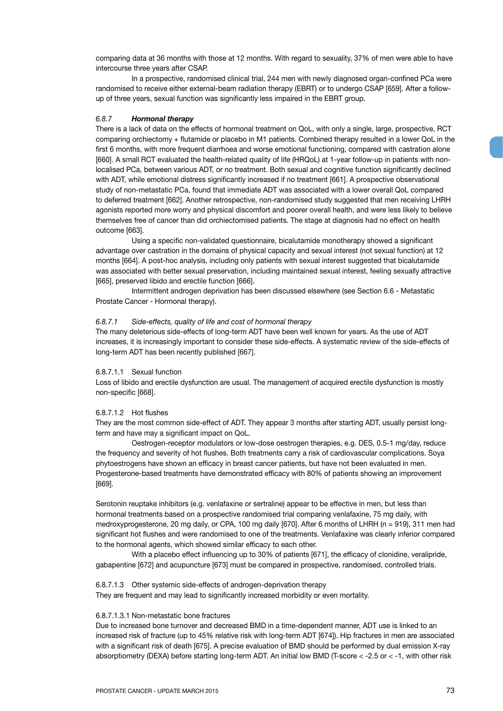comparing data at 36 months with those at 12 months. With regard to sexuality, 37% of men were able to have intercourse three years after CSAP.

In a prospective, randomised clinical trial, 244 men with newly diagnosed organ-confined PCa were randomised to receive either external-beam radiation therapy (EBRT) or to undergo CSAP [659]. After a followup of three years, sexual function was significantly less impaired in the EBRT group.

#### *6.8.7 Hormonal therapy*

There is a lack of data on the effects of hormonal treatment on QoL, with only a single, large, prospective, RCT comparing orchiectomy + flutamide or placebo in M1 patients. Combined therapy resulted in a lower QoL in the first 6 months, with more frequent diarrhoea and worse emotional functioning, compared with castration alone [660]. A small RCT evaluated the health-related quality of life (HRQoL) at 1-year follow-up in patients with nonlocalised PCa, between various ADT, or no treatment. Both sexual and cognitive function significantly declined with ADT, while emotional distress significantly increased if no treatment [661]. A prospective observational study of non-metastatic PCa, found that immediate ADT was associated with a lower overall QoL compared to deferred treatment [662]. Another retrospective, non-randomised study suggested that men receiving LHRH agonists reported more worry and physical discomfort and poorer overall health, and were less likely to believe themselves free of cancer than did orchiectomised patients. The stage at diagnosis had no effect on health outcome [663].

Using a specific non-validated questionnaire, bicalutamide monotherapy showed a significant advantage over castration in the domains of physical capacity and sexual interest (not sexual function) at 12 months [664]. A post-hoc analysis, including only patients with sexual interest suggested that bicalutamide was associated with better sexual preservation, including maintained sexual interest, feeling sexually attractive [665], preserved libido and erectile function [666].

Intermittent androgen deprivation has been discussed elsewhere (see Section 6.6 - Metastatic Prostate Cancer - Hormonal therapy).

#### *6.8.7.1 Side-effects, quality of life and cost of hormonal therapy*

The many deleterious side-effects of long-term ADT have been well known for years. As the use of ADT increases, it is increasingly important to consider these side-effects. A systematic review of the side-effects of long-term ADT has been recently published [667].

#### 6.8.7.1.1 Sexual function

Loss of libido and erectile dysfunction are usual. The management of acquired erectile dysfunction is mostly non-specific [668].

#### 6.8.7.1.2 Hot flushes

They are the most common side-effect of ADT. They appear 3 months after starting ADT, usually persist longterm and have may a significant impact on QoL.

Oestrogen-receptor modulators or low-dose oestrogen therapies, e.g. DES, 0.5-1 mg/day, reduce the frequency and severity of hot flushes. Both treatments carry a risk of cardiovascular complications. Soya phytoestrogens have shown an efficacy in breast cancer patients, but have not been evaluated in men. Progesterone-based treatments have demonstrated efficacy with 80% of patients showing an improvement [669].

Serotonin reuptake inhibitors (e.g. venlafaxine or sertraline) appear to be effective in men, but less than hormonal treatments based on a prospective randomised trial comparing venlafaxine, 75 mg daily, with medroxyprogesterone, 20 mg daily, or CPA, 100 mg daily [670]. After 6 months of LHRH (n = 919), 311 men had significant hot flushes and were randomised to one of the treatments. Venlafaxine was clearly inferior compared to the hormonal agents, which showed similar efficacy to each other.

With a placebo effect influencing up to 30% of patients [671], the efficacy of clonidine, veralipride, gabapentine [672] and acupuncture [673] must be compared in prospective, randomised, controlled trials.

#### 6.8.7.1.3 Other systemic side-effects of androgen-deprivation therapy

They are frequent and may lead to significantly increased morbidity or even mortality.

# 6.8.7.1.3.1 Non-metastatic bone fractures

Due to increased bone turnover and decreased BMD in a time-dependent manner, ADT use is linked to an increased risk of fracture (up to 45% relative risk with long-term ADT [674]). Hip fractures in men are associated with a significant risk of death [675]. A precise evaluation of BMD should be performed by dual emission X-ray absorptiometry (DEXA) before starting long-term ADT. An initial low BMD (T-score < -2.5 or < -1, with other risk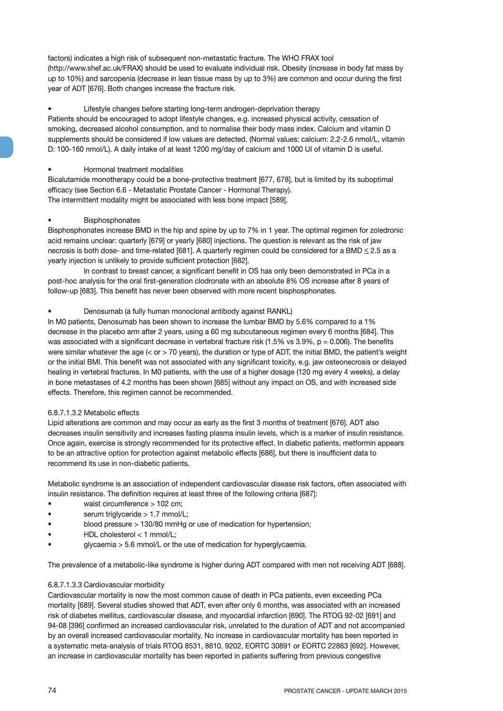factors) indicates a high risk of subsequent non-metastatic fracture. The WHO FRAX tool (http://www.shef.ac.uk/FRAX) should be used to evaluate individual risk. Obesity (increase in body fat mass by up to 10%) and sarcopenia (decrease in lean tissue mass by up to 3%) are common and occur during the first year of ADT [676]. Both changes increase the fracture risk.

# Lifestyle changes before starting long-term androgen-deprivation therapy

Patients should be encouraged to adopt lifestyle changes, e.g. increased physical activity, cessation of smoking, decreased alcohol consumption, and to normalise their body mass index. Calcium and vitamin D supplements should be considered if low values are detected. (Normal values: calcium: 2.2-2.6 nmol/L, vitamin D: 100-160 nmol/L). A daily intake of at least 1200 mg/day of calcium and 1000 UI of vitamin D is useful.

# • Hormonal treatment modalities

Bicalutamide monotherapy could be a bone-protective treatment [677, 678], but is limited by its suboptimal efficacy (see Section 6.6 - Metastatic Prostate Cancer - Hormonal Therapy). The intermittent modality might be associated with less bone impact [589].

# **Bisphosphonates**

Bisphosphonates increase BMD in the hip and spine by up to 7% in 1 year. The optimal regimen for zoledronic acid remains unclear: quarterly [679] or yearly [680] injections. The question is relevant as the risk of jaw necrosis is both dose- and time-related [681]. A quarterly regimen could be considered for a BMD < 2.5 as a yearly injection is unlikely to provide sufficient protection [682].

In contrast to breast cancer, a significant benefit in OS has only been demonstrated in PCa in a post-hoc analysis for the oral first-generation clodronate with an absolute 8% OS increase after 8 years of follow-up [683]. This benefit has never been observed with more recent bisphosphonates.

# • Denosumab (a fully human monoclonal antibody against RANKL)

In M0 patients, Denosumab has been shown to increase the lumbar BMD by 5.6% compared to a 1% decrease in the placebo arm after 2 years, using a 60 mg subcutaneous regimen every 6 months [684]. This was associated with a significant decrease in vertebral fracture risk (1.5% vs  $3.9\%$ , p = 0.006). The benefits were similar whatever the age (< or > 70 years), the duration or type of ADT, the initial BMD, the patient's weight or the initial BMI. This benefit was not associated with any significant toxicity, e.g. jaw osteonecrosis or delayed healing in vertebral fractures. In M0 patients, with the use of a higher dosage (120 mg every 4 weeks), a delay in bone metastases of 4.2 months has been shown [685] without any impact on OS, and with increased side effects. Therefore, this regimen cannot be recommended.

# 6.8.7.1.3.2 Metabolic effects

Lipid alterations are common and may occur as early as the first 3 months of treatment [676]. ADT also decreases insulin sensitivity and increases fasting plasma insulin levels, which is a marker of insulin resistance. Once again, exercise is strongly recommended for its protective effect. In diabetic patients, metformin appears to be an attractive option for protection against metabolic effects [686], but there is insufficient data to recommend its use in non-diabetic patients.

Metabolic syndrome is an association of independent cardiovascular disease risk factors, often associated with insulin resistance. The definition requires at least three of the following criteria [687]:

- waist circumference > 102 cm;
- serum triglyceride > 1.7 mmol/L;
- blood pressure > 130/80 mmHg or use of medication for hypertension;
- HDL cholesterol < 1 mmol/L;
- glycaemia > 5.6 mmol/L or the use of medication for hyperglycaemia.

The prevalence of a metabolic-like syndrome is higher during ADT compared with men not receiving ADT [688].

# 6.8.7.1.3.3 Cardiovascular morbidity

Cardiovascular mortality is now the most common cause of death in PCa patients, even exceeding PCa mortality [689]. Several studies showed that ADT, even after only 6 months, was associated with an increased risk of diabetes mellitus, cardiovascular disease, and myocardial infarction [690]. The RTOG 92-02 [691] and 94-08 [396] confirmed an increased cardiovascular risk, unrelated to the duration of ADT and not accompanied by an overall increased cardiovascular mortality. No increase in cardiovascular mortality has been reported in a systematic meta-analysis of trials RTOG 8531, 8610, 9202, EORTC 30891 or EORTC 22863 [692]. However, an increase in cardiovascular mortality has been reported in patients suffering from previous congestive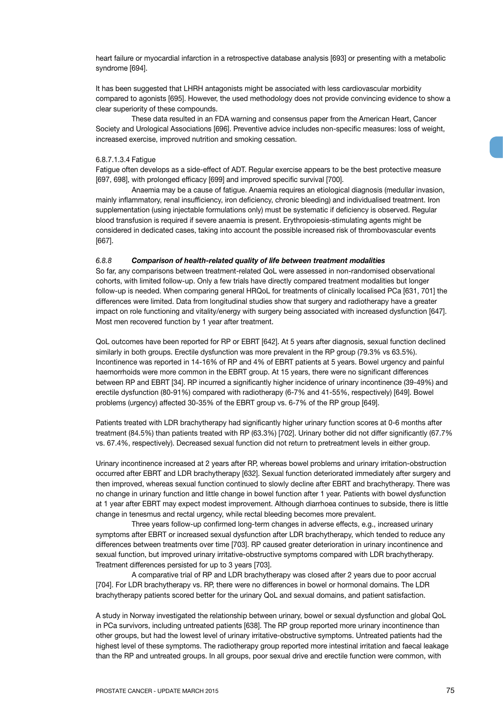heart failure or myocardial infarction in a retrospective database analysis [693] or presenting with a metabolic syndrome [694].

It has been suggested that LHRH antagonists might be associated with less cardiovascular morbidity compared to agonists [695]. However, the used methodology does not provide convincing evidence to show a clear superiority of these compounds.

These data resulted in an FDA warning and consensus paper from the American Heart, Cancer Society and Urological Associations [696]. Preventive advice includes non-specific measures: loss of weight, increased exercise, improved nutrition and smoking cessation.

#### 6.8.7.1.3.4 Fatigue

Fatigue often develops as a side-effect of ADT. Regular exercise appears to be the best protective measure [697, 698], with prolonged efficacy [699] and improved specific survival [700].

Anaemia may be a cause of fatigue. Anaemia requires an etiological diagnosis (medullar invasion, mainly inflammatory, renal insufficiency, iron deficiency, chronic bleeding) and individualised treatment. Iron supplementation (using injectable formulations only) must be systematic if deficiency is observed. Regular blood transfusion is required if severe anaemia is present. Erythropoiesis-stimulating agents might be considered in dedicated cases, taking into account the possible increased risk of thrombovascular events [667].

#### *6.8.8 Comparison of health-related quality of life between treatment modalities*

So far, any comparisons between treatment-related QoL were assessed in non-randomised observational cohorts, with limited follow-up. Only a few trials have directly compared treatment modalities but longer follow-up is needed. When comparing general HRQoL for treatments of clinically localised PCa [631, 701] the differences were limited. Data from longitudinal studies show that surgery and radiotherapy have a greater impact on role functioning and vitality/energy with surgery being associated with increased dysfunction [647]. Most men recovered function by 1 year after treatment.

QoL outcomes have been reported for RP or EBRT [642]. At 5 years after diagnosis, sexual function declined similarly in both groups. Erectile dysfunction was more prevalent in the RP group (79.3% vs 63.5%). Incontinence was reported in 14-16% of RP and 4% of EBRT patients at 5 years. Bowel urgency and painful haemorrhoids were more common in the EBRT group. At 15 years, there were no significant differences between RP and EBRT [34]. RP incurred a significantly higher incidence of urinary incontinence (39-49%) and erectile dysfunction (80-91%) compared with radiotherapy (6-7% and 41-55%, respectively) [649]. Bowel problems (urgency) affected 30-35% of the EBRT group vs. 6-7% of the RP group [649].

Patients treated with LDR brachytherapy had significantly higher urinary function scores at 0-6 months after treatment (84.5%) than patients treated with RP (63.3%) [702]. Urinary bother did not differ significantly (67.7% vs. 67.4%, respectively). Decreased sexual function did not return to pretreatment levels in either group.

Urinary incontinence increased at 2 years after RP, whereas bowel problems and urinary irritation-obstruction occurred after EBRT and LDR brachytherapy [632]. Sexual function deteriorated immediately after surgery and then improved, whereas sexual function continued to slowly decline after EBRT and brachytherapy. There was no change in urinary function and little change in bowel function after 1 year. Patients with bowel dysfunction at 1 year after EBRT may expect modest improvement. Although diarrhoea continues to subside, there is little change in tenesmus and rectal urgency, while rectal bleeding becomes more prevalent.

Three years follow-up confirmed long-term changes in adverse effects, e.g., increased urinary symptoms after EBRT or increased sexual dysfunction after LDR brachytherapy, which tended to reduce any differences between treatments over time [703]. RP caused greater deterioration in urinary incontinence and sexual function, but improved urinary irritative-obstructive symptoms compared with LDR brachytherapy. Treatment differences persisted for up to 3 years [703].

A comparative trial of RP and LDR brachytherapy was closed after 2 years due to poor accrual [704]. For LDR brachytherapy vs. RP, there were no differences in bowel or hormonal domains. The LDR brachytherapy patients scored better for the urinary QoL and sexual domains, and patient satisfaction.

A study in Norway investigated the relationship between urinary, bowel or sexual dysfunction and global QoL in PCa survivors, including untreated patients [638]. The RP group reported more urinary incontinence than other groups, but had the lowest level of urinary irritative-obstructive symptoms. Untreated patients had the highest level of these symptoms. The radiotherapy group reported more intestinal irritation and faecal leakage than the RP and untreated groups. In all groups, poor sexual drive and erectile function were common, with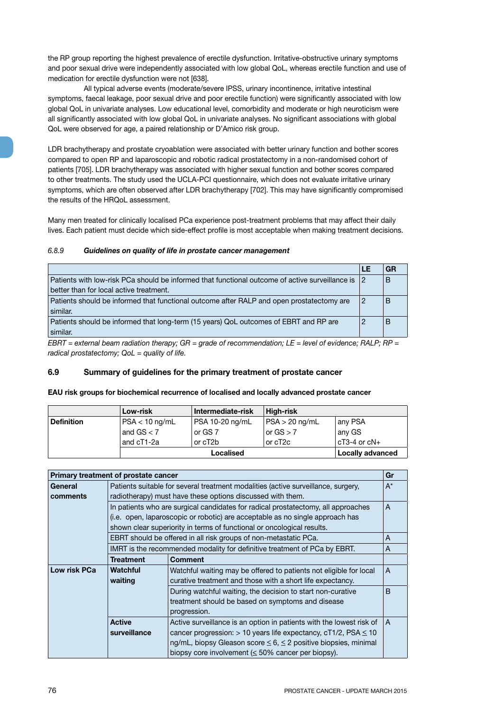the RP group reporting the highest prevalence of erectile dysfunction. Irritative-obstructive urinary symptoms and poor sexual drive were independently associated with low global QoL, whereas erectile function and use of medication for erectile dysfunction were not [638].

All typical adverse events (moderate/severe IPSS, urinary incontinence, irritative intestinal symptoms, faecal leakage, poor sexual drive and poor erectile function) were significantly associated with low global QoL in univariate analyses. Low educational level, comorbidity and moderate or high neuroticism were all significantly associated with low global QoL in univariate analyses. No significant associations with global QoL were observed for age, a paired relationship or D'Amico risk group.

LDR brachytherapy and prostate cryoablation were associated with better urinary function and bother scores compared to open RP and laparoscopic and robotic radical prostatectomy in a non-randomised cohort of patients [705]. LDR brachytherapy was associated with higher sexual function and bother scores compared to other treatments. The study used the UCLA-PCI questionnaire, which does not evaluate irritative urinary symptoms, which are often observed after LDR brachytherapy [702]. This may have significantly compromised the results of the HRQoL assessment.

Many men treated for clinically localised PCa experience post-treatment problems that may affect their daily lives. Each patient must decide which side-effect profile is most acceptable when making treatment decisions.

#### *6.8.9 Guidelines on quality of life in prostate cancer management*

|                                                                                                 | LE                | GR |
|-------------------------------------------------------------------------------------------------|-------------------|----|
| Patients with low-risk PCa should be informed that functional outcome of active surveillance is | $\vert 2 \rangle$ | B  |
| better than for local active treatment.                                                         |                   |    |
| Patients should be informed that functional outcome after RALP and open prostatectomy are       |                   | B  |
| similar.                                                                                        |                   |    |
| Patients should be informed that long-term (15 years) QoL outcomes of EBRT and RP are           |                   | B  |
| similar.                                                                                        |                   |    |
| $\Box$                                                                                          |                   |    |

*EBRT = external beam radiation therapy; GR = grade of recommendation; LE = level of evidence; RALP; RP = radical prostatectomy; QoL = quality of life.* 

# **6.9 Summary of guidelines for the primary treatment of prostate cancer**

# **EAU risk groups for biochemical recurrence of localised and locally advanced prostate cancer**

|                   | Low-risk         | Intermediate-risk             | High-risk        |                      |  |  |  |  |  |
|-------------------|------------------|-------------------------------|------------------|----------------------|--|--|--|--|--|
| <b>Definition</b> | $PSA < 10$ ng/mL | PSA 10-20 ng/mL               | $PSA > 20$ ng/mL | <sup>⊧</sup> any PSA |  |  |  |  |  |
|                   | and $GS < 7$     | or GS 7                       | or $GS > 7$      | any GS               |  |  |  |  |  |
|                   | and cT1-2a       | or cT2b                       | or cT2c          | $cT3-4$ or $cN+$     |  |  |  |  |  |
|                   |                  | Locally advanced<br>Localised |                  |                      |  |  |  |  |  |

|              | Primary treatment of prostate cancer                                                   |                                                                                   | Gr           |  |  |  |  |  |  |
|--------------|----------------------------------------------------------------------------------------|-----------------------------------------------------------------------------------|--------------|--|--|--|--|--|--|
| General      |                                                                                        | Patients suitable for several treatment modalities (active surveillance, surgery, | $A^*$        |  |  |  |  |  |  |
| comments     | radiotherapy) must have these options discussed with them.                             |                                                                                   |              |  |  |  |  |  |  |
|              | In patients who are surgical candidates for radical prostatectomy, all approaches<br>A |                                                                                   |              |  |  |  |  |  |  |
|              |                                                                                        | (i.e. open, laparoscopic or robotic) are acceptable as no single approach has     |              |  |  |  |  |  |  |
|              |                                                                                        | shown clear superiority in terms of functional or oncological results.            |              |  |  |  |  |  |  |
|              |                                                                                        | EBRT should be offered in all risk groups of non-metastatic PCa.                  | A            |  |  |  |  |  |  |
|              |                                                                                        | IMRT is the recommended modality for definitive treatment of PCa by EBRT.         | A            |  |  |  |  |  |  |
|              | <b>Treatment</b>                                                                       | <b>Comment</b>                                                                    |              |  |  |  |  |  |  |
| Low risk PCa | Watchful                                                                               | Watchful waiting may be offered to patients not eligible for local                | A            |  |  |  |  |  |  |
|              | waiting                                                                                | curative treatment and those with a short life expectancy.                        |              |  |  |  |  |  |  |
|              |                                                                                        | During watchful waiting, the decision to start non-curative                       | <sub>B</sub> |  |  |  |  |  |  |
|              |                                                                                        | treatment should be based on symptoms and disease                                 |              |  |  |  |  |  |  |
|              |                                                                                        | progression.                                                                      |              |  |  |  |  |  |  |
|              | <b>Active</b>                                                                          | Active surveillance is an option in patients with the lowest risk of              | A            |  |  |  |  |  |  |
|              | surveillance                                                                           | cancer progression: $> 10$ years life expectancy, cT1/2, PSA $\leq 10$            |              |  |  |  |  |  |  |
|              |                                                                                        | ng/mL, biopsy Gleason score ≤ 6, ≤ 2 positive biopsies, minimal                   |              |  |  |  |  |  |  |
|              |                                                                                        | biopsy core involvement $(\leq 50\%$ cancer per biopsy).                          |              |  |  |  |  |  |  |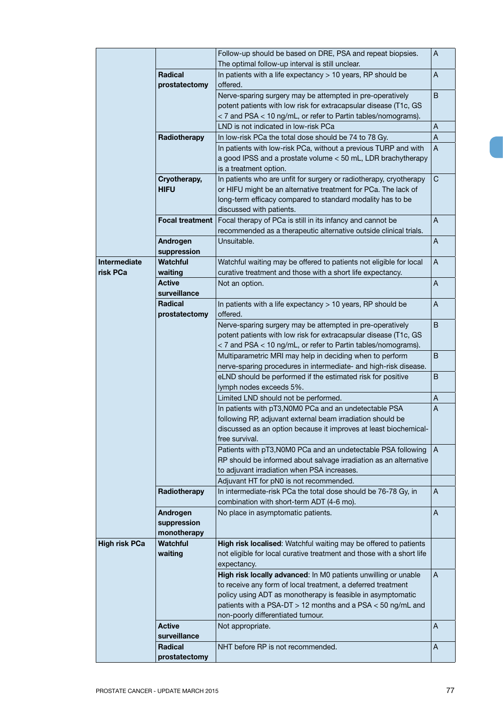|                      |                        | Follow-up should be based on DRE, PSA and repeat biopsies.<br>The optimal follow-up interval is still unclear. | Α              |
|----------------------|------------------------|----------------------------------------------------------------------------------------------------------------|----------------|
|                      | Radical                | In patients with a life expectancy $> 10$ years, RP should be                                                  | A              |
|                      | prostatectomy          | offered.                                                                                                       |                |
|                      |                        |                                                                                                                |                |
|                      |                        | Nerve-sparing surgery may be attempted in pre-operatively                                                      | B              |
|                      |                        | potent patients with low risk for extracapsular disease (T1c, GS                                               |                |
|                      |                        | < 7 and PSA < 10 ng/mL, or refer to Partin tables/nomograms).                                                  |                |
|                      |                        | LND is not indicated in low-risk PCa                                                                           | A              |
|                      | Radiotherapy           | In low-risk PCa the total dose should be 74 to 78 Gy.                                                          | A              |
|                      |                        | In patients with low-risk PCa, without a previous TURP and with                                                | A              |
|                      |                        | a good IPSS and a prostate volume < 50 mL, LDR brachytherapy                                                   |                |
|                      |                        | is a treatment option.                                                                                         |                |
|                      | Cryotherapy,           | In patients who are unfit for surgery or radiotherapy, cryotherapy                                             | С              |
|                      | <b>HIFU</b>            | or HIFU might be an alternative treatment for PCa. The lack of                                                 |                |
|                      |                        | long-term efficacy compared to standard modality has to be                                                     |                |
|                      |                        | discussed with patients.                                                                                       |                |
|                      | <b>Focal treatment</b> | Focal therapy of PCa is still in its infancy and cannot be                                                     | A              |
|                      |                        | recommended as a therapeutic alternative outside clinical trials.                                              |                |
|                      | Androgen               | Unsuitable.                                                                                                    | A              |
|                      | suppression            |                                                                                                                |                |
| Intermediate         | <b>Watchful</b>        | Watchful waiting may be offered to patients not eligible for local                                             | A              |
| risk PCa             | waiting                | curative treatment and those with a short life expectancy.                                                     |                |
|                      |                        |                                                                                                                |                |
|                      | Active                 | Not an option.                                                                                                 | A              |
|                      | surveillance           |                                                                                                                |                |
|                      | <b>Radical</b>         | In patients with a life expectancy $> 10$ years, RP should be                                                  | A              |
|                      | prostatectomy          | offered.                                                                                                       |                |
|                      |                        | Nerve-sparing surgery may be attempted in pre-operatively                                                      | B              |
|                      |                        | potent patients with low risk for extracapsular disease (T1c, GS                                               |                |
|                      |                        | < 7 and PSA < 10 ng/mL, or refer to Partin tables/nomograms).                                                  |                |
|                      |                        | Multiparametric MRI may help in deciding when to perform                                                       | B              |
|                      |                        | nerve-sparing procedures in intermediate- and high-risk disease.                                               |                |
|                      |                        | eLND should be performed if the estimated risk for positive                                                    | B              |
|                      |                        | lymph nodes exceeds 5%.                                                                                        |                |
|                      |                        | Limited LND should not be performed.                                                                           | A              |
|                      |                        | In patients with pT3, N0M0 PCa and an undetectable PSA                                                         | A              |
|                      |                        | following RP, adjuvant external beam irradiation should be                                                     |                |
|                      |                        | discussed as an option because it improves at least biochemical-                                               |                |
|                      |                        | free survival.                                                                                                 |                |
|                      |                        | Patients with pT3, N0M0 PCa and an undetectable PSA following                                                  | $\overline{A}$ |
|                      |                        | RP should be informed about salvage irradiation as an alternative                                              |                |
|                      |                        | to adjuvant irradiation when PSA increases.                                                                    |                |
|                      |                        | Adjuvant HT for pN0 is not recommended.                                                                        |                |
|                      | Radiotherapy           | In intermediate-risk PCa the total dose should be 76-78 Gy, in                                                 | A              |
|                      |                        | combination with short-term ADT (4-6 mo).                                                                      |                |
|                      | Androgen               | No place in asymptomatic patients.                                                                             | A              |
|                      | suppression            |                                                                                                                |                |
|                      | monotherapy            |                                                                                                                |                |
| <b>High risk PCa</b> | <b>Watchful</b>        | High risk localised: Watchful waiting may be offered to patients                                               |                |
|                      | waiting                | not eligible for local curative treatment and those with a short life                                          |                |
|                      |                        | expectancy.                                                                                                    |                |
|                      |                        | High risk locally advanced: In M0 patients unwilling or unable                                                 | A              |
|                      |                        | to receive any form of local treatment, a deferred treatment                                                   |                |
|                      |                        | policy using ADT as monotherapy is feasible in asymptomatic                                                    |                |
|                      |                        | patients with a PSA-DT $>$ 12 months and a PSA $<$ 50 ng/mL and                                                |                |
|                      |                        | non-poorly differentiated tumour.                                                                              |                |
|                      | Active                 | Not appropriate.                                                                                               | A              |
|                      | surveillance           |                                                                                                                |                |
|                      | Radical                | NHT before RP is not recommended.                                                                              | A              |
|                      | prostatectomy          |                                                                                                                |                |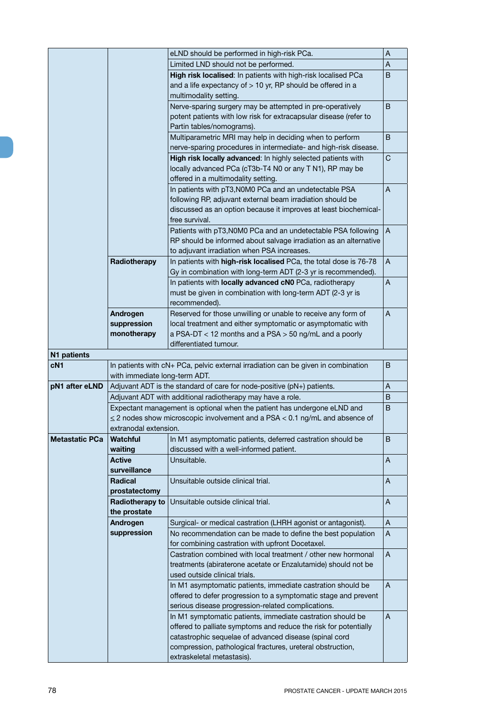|                 |                                                                                  | eLND should be performed in high-risk PCa.                                        | A            |  |  |  |  |
|-----------------|----------------------------------------------------------------------------------|-----------------------------------------------------------------------------------|--------------|--|--|--|--|
|                 |                                                                                  | Limited LND should not be performed.                                              | A            |  |  |  |  |
|                 |                                                                                  | High risk localised: In patients with high-risk localised PCa                     | B            |  |  |  |  |
|                 |                                                                                  | and a life expectancy of $> 10$ yr, RP should be offered in a                     |              |  |  |  |  |
|                 |                                                                                  | multimodality setting.                                                            |              |  |  |  |  |
|                 |                                                                                  | Nerve-sparing surgery may be attempted in pre-operatively                         | B.           |  |  |  |  |
|                 |                                                                                  | potent patients with low risk for extracapsular disease (refer to                 |              |  |  |  |  |
|                 |                                                                                  | Partin tables/nomograms).                                                         |              |  |  |  |  |
|                 |                                                                                  | Multiparametric MRI may help in deciding when to perform                          | B            |  |  |  |  |
|                 |                                                                                  | nerve-sparing procedures in intermediate- and high-risk disease.                  |              |  |  |  |  |
|                 |                                                                                  | High risk locally advanced: In highly selected patients with                      | C            |  |  |  |  |
|                 |                                                                                  | locally advanced PCa (cT3b-T4 N0 or any T N1), RP may be                          |              |  |  |  |  |
|                 |                                                                                  | offered in a multimodality setting.                                               |              |  |  |  |  |
|                 |                                                                                  | In patients with pT3, N0M0 PCa and an undetectable PSA                            | $\mathsf{A}$ |  |  |  |  |
|                 |                                                                                  | following RP, adjuvant external beam irradiation should be                        |              |  |  |  |  |
|                 |                                                                                  | discussed as an option because it improves at least biochemical-                  |              |  |  |  |  |
|                 |                                                                                  | free survival.                                                                    |              |  |  |  |  |
|                 |                                                                                  | Patients with pT3, N0M0 PCa and an undetectable PSA following                     | A            |  |  |  |  |
|                 |                                                                                  | RP should be informed about salvage irradiation as an alternative                 |              |  |  |  |  |
|                 |                                                                                  | to adjuvant irradiation when PSA increases.                                       |              |  |  |  |  |
|                 | Radiotherapy                                                                     | In patients with high-risk localised PCa, the total dose is 76-78                 | A            |  |  |  |  |
|                 |                                                                                  | Gy in combination with long-term ADT (2-3 yr is recommended).                     |              |  |  |  |  |
|                 |                                                                                  | In patients with locally advanced cN0 PCa, radiotherapy                           | A            |  |  |  |  |
|                 |                                                                                  | must be given in combination with long-term ADT (2-3 yr is                        |              |  |  |  |  |
|                 |                                                                                  | recommended).                                                                     |              |  |  |  |  |
|                 | Androgen                                                                         | Reserved for those unwilling or unable to receive any form of                     | A            |  |  |  |  |
|                 | suppression                                                                      | local treatment and either symptomatic or asymptomatic with                       |              |  |  |  |  |
|                 | monotherapy                                                                      | a PSA-DT < 12 months and a PSA > 50 ng/mL and a poorly                            |              |  |  |  |  |
|                 |                                                                                  | differentiated tumour.                                                            |              |  |  |  |  |
| N1 patients     |                                                                                  |                                                                                   |              |  |  |  |  |
| cN <sub>1</sub> |                                                                                  | In patients with cN+ PCa, pelvic external irradiation can be given in combination | B            |  |  |  |  |
|                 | with immediate long-term ADT.                                                    |                                                                                   |              |  |  |  |  |
| pN1 after eLND  |                                                                                  | Adjuvant ADT is the standard of care for node-positive (pN+) patients.            | A            |  |  |  |  |
|                 |                                                                                  | Adjuvant ADT with additional radiotherapy may have a role.                        | B            |  |  |  |  |
|                 |                                                                                  | Expectant management is optional when the patient has undergone eLND and          | B            |  |  |  |  |
|                 | $\leq$ 2 nodes show microscopic involvement and a PSA < 0.1 ng/mL and absence of |                                                                                   |              |  |  |  |  |
|                 | extranodal extension.                                                            |                                                                                   |              |  |  |  |  |
| Metastatic PCa  | Watchful                                                                         | In M1 asymptomatic patients, deferred castration should be                        | B            |  |  |  |  |
|                 | waiting                                                                          | discussed with a well-informed patient.                                           |              |  |  |  |  |
|                 | <b>Active</b>                                                                    | Unsuitable.                                                                       | A            |  |  |  |  |
|                 | surveillance                                                                     |                                                                                   |              |  |  |  |  |
|                 |                                                                                  |                                                                                   |              |  |  |  |  |
|                 | Radical                                                                          | Unsuitable outside clinical trial.                                                | A            |  |  |  |  |
|                 | prostatectomy                                                                    |                                                                                   |              |  |  |  |  |
|                 | Radiotherapy to                                                                  | Unsuitable outside clinical trial.                                                | A            |  |  |  |  |
|                 | the prostate                                                                     |                                                                                   |              |  |  |  |  |
|                 | Androgen                                                                         | Surgical- or medical castration (LHRH agonist or antagonist).                     | A            |  |  |  |  |
|                 | suppression                                                                      | No recommendation can be made to define the best population                       | A            |  |  |  |  |
|                 |                                                                                  | for combining castration with upfront Docetaxel.                                  |              |  |  |  |  |
|                 |                                                                                  | Castration combined with local treatment / other new hormonal                     | A            |  |  |  |  |
|                 |                                                                                  | treatments (abiraterone acetate or Enzalutamide) should not be                    |              |  |  |  |  |
|                 |                                                                                  | used outside clinical trials.                                                     |              |  |  |  |  |
|                 |                                                                                  | In M1 asymptomatic patients, immediate castration should be                       | $\mathsf{A}$ |  |  |  |  |
|                 |                                                                                  | offered to defer progression to a symptomatic stage and prevent                   |              |  |  |  |  |
|                 |                                                                                  | serious disease progression-related complications.                                |              |  |  |  |  |
|                 |                                                                                  | In M1 symptomatic patients, immediate castration should be                        | A            |  |  |  |  |
|                 |                                                                                  | offered to palliate symptoms and reduce the risk for potentially                  |              |  |  |  |  |
|                 |                                                                                  | catastrophic sequelae of advanced disease (spinal cord                            |              |  |  |  |  |
|                 |                                                                                  | compression, pathological fractures, ureteral obstruction,                        |              |  |  |  |  |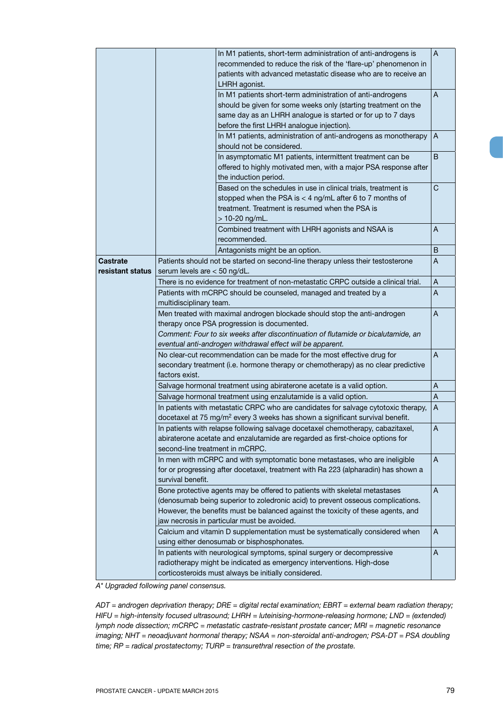|                              |                                                                                                   | $\overline{A}$<br>In M1 patients, short-term administration of anti-androgens is<br>recommended to reduce the risk of the 'flare-up' phenomenon in<br>patients with advanced metastatic disease who are to receive an<br>LHRH agonist.                                                           |   |  |  |  |  |  |
|------------------------------|---------------------------------------------------------------------------------------------------|--------------------------------------------------------------------------------------------------------------------------------------------------------------------------------------------------------------------------------------------------------------------------------------------------|---|--|--|--|--|--|
|                              |                                                                                                   | In M1 patients short-term administration of anti-androgens<br>should be given for some weeks only (starting treatment on the<br>same day as an LHRH analogue is started or for up to 7 days<br>before the first LHRH analogue injection).                                                        | A |  |  |  |  |  |
|                              |                                                                                                   | In M1 patients, administration of anti-androgens as monotherapy<br>should not be considered.                                                                                                                                                                                                     | A |  |  |  |  |  |
|                              |                                                                                                   | In asymptomatic M1 patients, intermittent treatment can be<br>offered to highly motivated men, with a major PSA response after<br>the induction period.                                                                                                                                          | B |  |  |  |  |  |
|                              |                                                                                                   | Based on the schedules in use in clinical trials, treatment is<br>stopped when the PSA is $<$ 4 ng/mL after 6 to 7 months of<br>treatment. Treatment is resumed when the PSA is<br>> 10-20 ng/mL.                                                                                                | C |  |  |  |  |  |
|                              |                                                                                                   | Combined treatment with LHRH agonists and NSAA is<br>recommended.                                                                                                                                                                                                                                | A |  |  |  |  |  |
|                              |                                                                                                   | Antagonists might be an option.                                                                                                                                                                                                                                                                  | B |  |  |  |  |  |
| Castrate<br>resistant status | serum levels are < 50 ng/dL.                                                                      | Patients should not be started on second-line therapy unless their testosterone                                                                                                                                                                                                                  | A |  |  |  |  |  |
|                              |                                                                                                   | There is no evidence for treatment of non-metastatic CRPC outside a clinical trial.                                                                                                                                                                                                              | A |  |  |  |  |  |
|                              | Patients with mCRPC should be counseled, managed and treated by a<br>A<br>multidisciplinary team. |                                                                                                                                                                                                                                                                                                  |   |  |  |  |  |  |
|                              |                                                                                                   | Men treated with maximal androgen blockade should stop the anti-androgen                                                                                                                                                                                                                         | A |  |  |  |  |  |
|                              |                                                                                                   | therapy once PSA progression is documented.                                                                                                                                                                                                                                                      |   |  |  |  |  |  |
|                              |                                                                                                   | Comment: Four to six weeks after discontinuation of flutamide or bicalutamide, an                                                                                                                                                                                                                |   |  |  |  |  |  |
|                              |                                                                                                   | eventual anti-androgen withdrawal effect will be apparent.                                                                                                                                                                                                                                       |   |  |  |  |  |  |
|                              |                                                                                                   | No clear-cut recommendation can be made for the most effective drug for                                                                                                                                                                                                                          | A |  |  |  |  |  |
|                              | factors exist.                                                                                    | secondary treatment (i.e. hormone therapy or chemotherapy) as no clear predictive                                                                                                                                                                                                                |   |  |  |  |  |  |
|                              |                                                                                                   | Salvage hormonal treatment using abiraterone acetate is a valid option.                                                                                                                                                                                                                          | A |  |  |  |  |  |
|                              |                                                                                                   | Salvage hormonal treatment using enzalutamide is a valid option.                                                                                                                                                                                                                                 | Α |  |  |  |  |  |
|                              |                                                                                                   | In patients with metastatic CRPC who are candidates for salvage cytotoxic therapy,<br>docetaxel at 75 mg/m <sup>2</sup> every 3 weeks has shown a significant survival benefit.                                                                                                                  | A |  |  |  |  |  |
|                              | second-line treatment in mCRPC.                                                                   | In patients with relapse following salvage docetaxel chemotherapy, cabazitaxel,<br>abiraterone acetate and enzalutamide are regarded as first-choice options for                                                                                                                                 | Α |  |  |  |  |  |
|                              | survival benefit.                                                                                 | In men with mCRPC and with symptomatic bone metastases, who are ineligible<br>for or progressing after docetaxel, treatment with Ra 223 (alpharadin) has shown a                                                                                                                                 | A |  |  |  |  |  |
|                              |                                                                                                   | Bone protective agents may be offered to patients with skeletal metastases<br>(denosumab being superior to zoledronic acid) to prevent osseous complications.<br>However, the benefits must be balanced against the toxicity of these agents, and<br>jaw necrosis in particular must be avoided. | A |  |  |  |  |  |
|                              |                                                                                                   | Calcium and vitamin D supplementation must be systematically considered when                                                                                                                                                                                                                     | A |  |  |  |  |  |
|                              |                                                                                                   | using either denosumab or bisphosphonates.<br>In patients with neurological symptoms, spinal surgery or decompressive<br>A<br>radiotherapy might be indicated as emergency interventions. High-dose<br>corticosteroids must always be initially considered.                                      |   |  |  |  |  |  |

*A\* Upgraded following panel consensus.*

*ADT = androgen deprivation therapy; DRE = digital rectal examination; EBRT = external beam radiation therapy; HIFU = high-intensity focused ultrasound; LHRH = luteinising-hormone-releasing hormone; LND = (extended) lymph node dissection; mCRPC = metastatic castrate-resistant prostate cancer; MRI = magnetic resonance imaging; NHT = neoadjuvant hormonal therapy; NSAA = non-steroidal anti-androgen; PSA-DT = PSA doubling time; RP = radical prostatectomy; TURP = transurethral resection of the prostate.*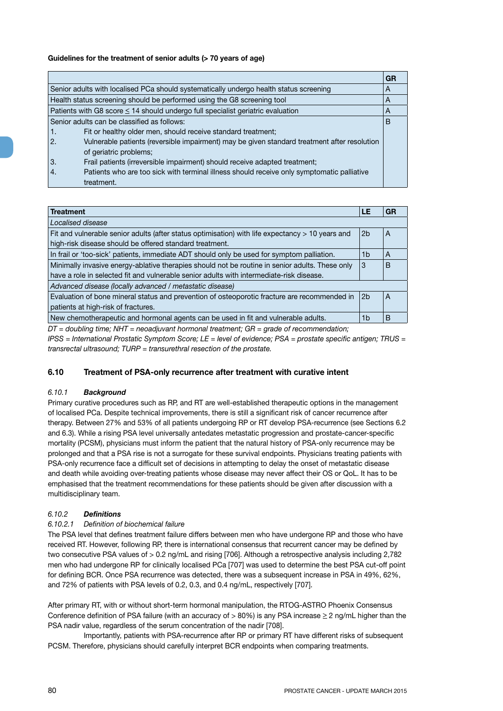# **Guidelines for the treatment of senior adults (> 70 years of age)**

|                  |                                                                                              | GR |
|------------------|----------------------------------------------------------------------------------------------|----|
|                  | Senior adults with localised PCa should systematically undergo health status screening       | A  |
|                  | Health status screening should be performed using the G8 screening tool                      | A  |
|                  | Patients with G8 score $\leq$ 14 should undergo full specialist geriatric evaluation         | A  |
|                  | Senior adults can be classified as follows:                                                  | B  |
| 1.               | Fit or healthy older men, should receive standard treatment;                                 |    |
| $\overline{2}$ . | Vulnerable patients (reversible impairment) may be given standard treatment after resolution |    |
|                  | of geriatric problems;                                                                       |    |
| 3.               | Frail patients (irreversible impairment) should receive adapted treatment;                   |    |
| 4.               | Patients who are too sick with terminal illness should receive only symptomatic palliative   |    |
|                  | treatment.                                                                                   |    |

| <b>Treatment</b>                                                                                 | LE             | GR |
|--------------------------------------------------------------------------------------------------|----------------|----|
| Localised disease                                                                                |                |    |
| Fit and vulnerable senior adults (after status optimisation) with life expectancy > 10 years and | 2 <sub>b</sub> | A  |
| high-risk disease should be offered standard treatment.                                          |                |    |
| In frail or 'too-sick' patients, immediate ADT should only be used for symptom palliation.       | 1 <sub>b</sub> | A  |
| Minimally invasive energy-ablative therapies should not be routine in senior adults. These only  | 3              | B  |
| have a role in selected fit and vulnerable senior adults with intermediate-risk disease.         |                |    |
| Advanced disease (locally advanced / metastatic disease)                                         |                |    |
| Evaluation of bone mineral status and prevention of osteoporotic fracture are recommended in     | 2 <sub>b</sub> | A  |
| patients at high-risk of fractures.                                                              |                |    |
| New chemotherapeutic and hormonal agents can be used in fit and vulnerable adults.               | 1 <sub>b</sub> | B  |

*DT = doubling time; NHT = neoadjuvant hormonal treatment; GR = grade of recommendation;* 

*IPSS = International Prostatic Symptom Score; LE = level of evidence; PSA = prostate specific antigen; TRUS = transrectal ultrasound; TURP = transurethral resection of the prostate.*

# **6.10 Treatment of PSA-only recurrence after treatment with curative intent**

#### *6.10.1 Background*

Primary curative procedures such as RP, and RT are well-established therapeutic options in the management of localised PCa. Despite technical improvements, there is still a significant risk of cancer recurrence after therapy. Between 27% and 53% of all patients undergoing RP or RT develop PSA-recurrence (see Sections 6.2 and 6.3). While a rising PSA level universally antedates metastatic progression and prostate-cancer-specific mortality (PCSM), physicians must inform the patient that the natural history of PSA-only recurrence may be prolonged and that a PSA rise is not a surrogate for these survival endpoints. Physicians treating patients with PSA-only recurrence face a difficult set of decisions in attempting to delay the onset of metastatic disease and death while avoiding over-treating patients whose disease may never affect their OS or QoL. It has to be emphasised that the treatment recommendations for these patients should be given after discussion with a multidisciplinary team.

# *6.10.2 Definitions*

#### *6.10.2.1 Definition of biochemical failure*

The PSA level that defines treatment failure differs between men who have undergone RP and those who have received RT. However, following RP, there is international consensus that recurrent cancer may be defined by two consecutive PSA values of > 0.2 ng/mL and rising [706]. Although a retrospective analysis including 2,782 men who had undergone RP for clinically localised PCa [707] was used to determine the best PSA cut-off point for defining BCR. Once PSA recurrence was detected, there was a subsequent increase in PSA in 49%, 62%, and 72% of patients with PSA levels of 0.2, 0.3, and 0.4 ng/mL, respectively [707].

After primary RT, with or without short-term hormonal manipulation, the RTOG-ASTRO Phoenix Consensus Conference definition of PSA failure (with an accuracy of  $> 80\%$ ) is any PSA increase  $\geq 2$  ng/mL higher than the PSA nadir value, regardless of the serum concentration of the nadir [708].

Importantly, patients with PSA-recurrence after RP or primary RT have different risks of subsequent PCSM. Therefore, physicians should carefully interpret BCR endpoints when comparing treatments.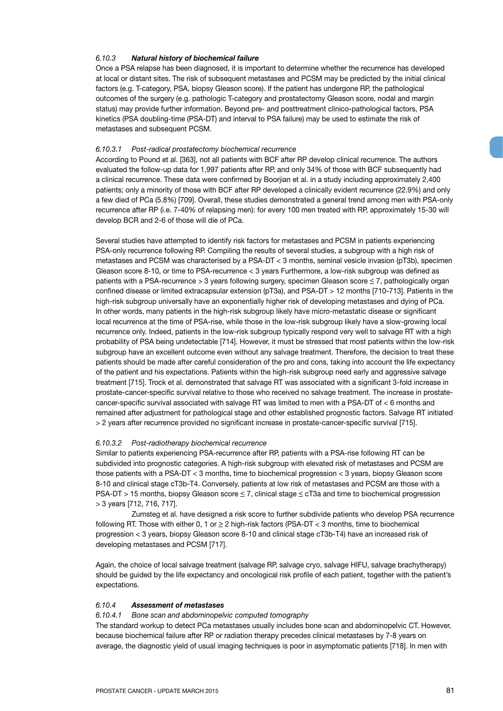#### *6.10.3 Natural history of biochemical failure*

Once a PSA relapse has been diagnosed, it is important to determine whether the recurrence has developed at local or distant sites. The risk of subsequent metastases and PCSM may be predicted by the initial clinical factors (e.g. T-category, PSA, biopsy Gleason score). If the patient has undergone RP, the pathological outcomes of the surgery (e.g. pathologic T-category and prostatectomy Gleason score, nodal and margin status) may provide further information. Beyond pre- and posttreatment clinico-pathological factors, PSA kinetics (PSA doubling-time (PSA-DT) and interval to PSA failure) may be used to estimate the risk of metastases and subsequent PCSM.

#### *6.10.3.1 Post-radical prostatectomy biochemical recurrence*

According to Pound et al. [363], not all patients with BCF after RP develop clinical recurrence. The authors evaluated the follow-up data for 1,997 patients after RP, and only 34% of those with BCF subsequently had a clinical recurrence. These data were confirmed by Boorjian et al. in a study including approximately 2,400 patients; only a minority of those with BCF after RP developed a clinically evident recurrence (22.9%) and only a few died of PCa (5.8%) [709]. Overall, these studies demonstrated a general trend among men with PSA-only recurrence after RP (i.e. 7-40% of relapsing men): for every 100 men treated with RP, approximately 15-30 will develop BCR and 2-6 of those will die of PCa.

Several studies have attempted to identify risk factors for metastases and PCSM in patients experiencing PSA-only recurrence following RP. Compiling the results of several studies, a subgroup with a high risk of metastases and PCSM was characterised by a PSA-DT < 3 months, seminal vesicle invasion (pT3b), specimen Gleason score 8-10, or time to PSA-recurrence < 3 years Furthermore, a low-risk subgroup was defined as patients with a PSA-recurrence > 3 years following surgery, specimen Gleason score < 7, pathologically organ confined disease or limited extracapsular extension (pT3a), and PSA-DT > 12 months [710-713]. Patients in the high-risk subgroup universally have an exponentially higher risk of developing metastases and dying of PCa. In other words, many patients in the high-risk subgroup likely have micro-metastatic disease or significant local recurrence at the time of PSA-rise, while those in the low-risk subgroup likely have a slow-growing local recurrence only. Indeed, patients in the low-risk subgroup typically respond very well to salvage RT with a high probability of PSA being undetectable [714]. However, it must be stressed that most patients within the low-risk subgroup have an excellent outcome even without any salvage treatment. Therefore, the decision to treat these patients should be made after careful consideration of the pro and cons, taking into account the life expectancy of the patient and his expectations. Patients within the high-risk subgroup need early and aggressive salvage treatment [715]. Trock et al. demonstrated that salvage RT was associated with a significant 3-fold increase in prostate-cancer-specific survival relative to those who received no salvage treatment. The increase in prostatecancer-specific survival associated with salvage RT was limited to men with a PSA-DT of < 6 months and remained after adjustment for pathological stage and other established prognostic factors. Salvage RT initiated > 2 years after recurrence provided no significant increase in prostate-cancer-specific survival [715].

#### *6.10.3.2 Post-radiotherapy biochemical recurrence*

Similar to patients experiencing PSA-recurrence after RP, patients with a PSA-rise following RT can be subdivided into prognostic categories. A high-risk subgroup with elevated risk of metastases and PCSM are those patients with a PSA-DT < 3 months, time to biochemical progression < 3 years, biopsy Gleason score 8-10 and clinical stage cT3b-T4. Conversely, patients at low risk of metastases and PCSM are those with a PSA-DT > 15 months, biopsy Gleason score < 7, clinical stage < cT3a and time to biochemical progression > 3 years [712, 716, 717].

Zumsteg et al. have designed a risk score to further subdivide patients who develop PSA recurrence following RT. Those with either 0, 1 or  $\geq 2$  high-risk factors (PSA-DT < 3 months, time to biochemical progression < 3 years, biopsy Gleason score 8-10 and clinical stage cT3b-T4) have an increased risk of developing metastases and PCSM [717].

Again, the choice of local salvage treatment (salvage RP, salvage cryo, salvage HIFU, salvage brachytherapy) should be guided by the life expectancy and oncological risk profile of each patient, together with the patient's expectations.

# *6.10.4 Assessment of metastases*

#### *6.10.4.1 Bone scan and abdominopelvic computed tomography*

The standard workup to detect PCa metastases usually includes bone scan and abdominopelvic CT. However, because biochemical failure after RP or radiation therapy precedes clinical metastases by 7-8 years on average, the diagnostic yield of usual imaging techniques is poor in asymptomatic patients [718]. In men with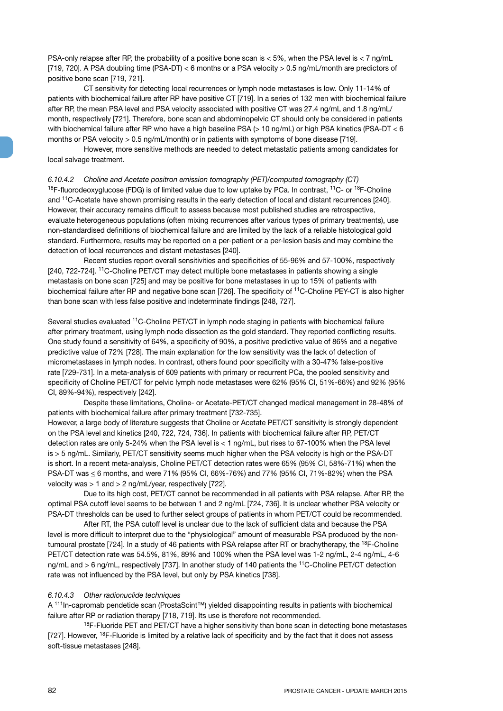PSA-only relapse after RP, the probability of a positive bone scan is < 5%, when the PSA level is < 7 ng/mL [719, 720]. A PSA doubling time (PSA-DT) < 6 months or a PSA velocity > 0.5 ng/mL/month are predictors of positive bone scan [719, 721].

CT sensitivity for detecting local recurrences or lymph node metastases is low. Only 11-14% of patients with biochemical failure after RP have positive CT [719]. In a series of 132 men with biochemical failure after RP, the mean PSA level and PSA velocity associated with positive CT was 27.4 ng/mL and 1.8 ng/mL/ month, respectively [721]. Therefore, bone scan and abdominopelvic CT should only be considered in patients with biochemical failure after RP who have a high baseline PSA (> 10 ng/mL) or high PSA kinetics (PSA-DT < 6 months or PSA velocity > 0.5 ng/mL/month) or in patients with symptoms of bone disease [719].

However, more sensitive methods are needed to detect metastatic patients among candidates for local salvage treatment.

*6.10.4.2 Choline and Acetate positron emission tomography (PET)/computed tomography (CT)*  $18F$ -fluorodeoxyglucose (FDG) is of limited value due to low uptake by PCa. In contrast,  $11C$ - or  $18F$ -Choline and 11C-Acetate have shown promising results in the early detection of local and distant recurrences [240]. However, their accuracy remains difficult to assess because most published studies are retrospective, evaluate heterogeneous populations (often mixing recurrences after various types of primary treatments), use non-standardised definitions of biochemical failure and are limited by the lack of a reliable histological gold standard. Furthermore, results may be reported on a per-patient or a per-lesion basis and may combine the detection of local recurrences and distant metastases [240].

Recent studies report overall sensitivities and specificities of 55-96% and 57-100%, respectively [240, 722-724]. 11C-Choline PET/CT may detect multiple bone metastases in patients showing a single metastasis on bone scan [725] and may be positive for bone metastases in up to 15% of patients with biochemical failure after RP and negative bone scan [726]. The specificity of <sup>11</sup>C-Choline PEY-CT is also higher than bone scan with less false positive and indeterminate findings [248, 727].

Several studies evaluated 11C-Choline PET/CT in lymph node staging in patients with biochemical failure after primary treatment, using lymph node dissection as the gold standard. They reported conflicting results. One study found a sensitivity of 64%, a specificity of 90%, a positive predictive value of 86% and a negative predictive value of 72% [728]. The main explanation for the low sensitivity was the lack of detection of micrometastases in lymph nodes. In contrast, others found poor specificity with a 30-47% false-positive rate [729-731]. In a meta-analysis of 609 patients with primary or recurrent PCa, the pooled sensitivity and specificity of Choline PET/CT for pelvic lymph node metastases were 62% (95% CI, 51%-66%) and 92% (95% CI, 89%-94%), respectively [242].

Despite these limitations, Choline- or Acetate-PET/CT changed medical management in 28-48% of patients with biochemical failure after primary treatment [732-735].

However, a large body of literature suggests that Choline or Acetate PET/CT sensitivity is strongly dependent on the PSA level and kinetics [240, 722, 724, 736]. In patients with biochemical failure after RP, PET/CT detection rates are only 5-24% when the PSA level is < 1 ng/mL, but rises to 67-100% when the PSA level is > 5 ng/mL. Similarly, PET/CT sensitivity seems much higher when the PSA velocity is high or the PSA-DT is short. In a recent meta-analysis, Choline PET/CT detection rates were 65% (95% CI, 58%-71%) when the PSA-DT was < 6 months, and were 71% (95% CI, 66%-76%) and 77% (95% CI, 71%-82%) when the PSA velocity was > 1 and > 2 ng/mL/year, respectively [722].

Due to its high cost, PET/CT cannot be recommended in all patients with PSA relapse. After RP, the optimal PSA cutoff level seems to be between 1 and 2 ng/mL [724, 736]. It is unclear whether PSA velocity or PSA-DT thresholds can be used to further select groups of patients in whom PET/CT could be recommended.

After RT, the PSA cutoff level is unclear due to the lack of sufficient data and because the PSA level is more difficult to interpret due to the "physiological" amount of measurable PSA produced by the nontumoural prostate [724]. In a study of 46 patients with PSA relapse after RT or brachytherapy, the <sup>18</sup>F-Choline PET/CT detection rate was 54.5%, 81%, 89% and 100% when the PSA level was 1-2 ng/mL, 2-4 ng/mL, 4-6 ng/mL and > 6 ng/mL, respectively [737]. In another study of 140 patients the 11C-Choline PET/CT detection rate was not influenced by the PSA level, but only by PSA kinetics [738].

#### *6.10.4.3 Other radionuclide techniques*

A 111In-capromab pendetide scan (ProstaScint™) yielded disappointing results in patients with biochemical failure after RP or radiation therapy [718, 719]. Its use is therefore not recommended.

 $18$ F-Fluoride PET and PET/CT have a higher sensitivity than bone scan in detecting bone metastases [727]. However, <sup>18</sup>F-Fluoride is limited by a relative lack of specificity and by the fact that it does not assess soft-tissue metastases [248].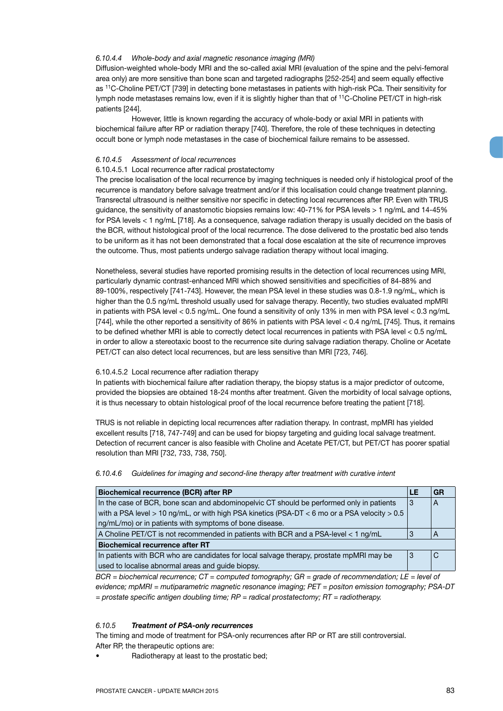#### *6.10.4.4 Whole-body and axial magnetic resonance imaging (MRI)*

Diffusion-weighted whole-body MRI and the so-called axial MRI (evaluation of the spine and the pelvi-femoral area only) are more sensitive than bone scan and targeted radiographs [252-254] and seem equally effective as 11C-Choline PET/CT [739] in detecting bone metastases in patients with high-risk PCa. Their sensitivity for lymph node metastases remains low, even if it is slightly higher than that of 11C-Choline PET/CT in high-risk patients [244].

However, little is known regarding the accuracy of whole-body or axial MRI in patients with biochemical failure after RP or radiation therapy [740]. Therefore, the role of these techniques in detecting occult bone or lymph node metastases in the case of biochemical failure remains to be assessed.

#### *6.10.4.5 Assessment of local recurrences*

#### 6.10.4.5.1 Local recurrence after radical prostatectomy

The precise localisation of the local recurrence by imaging techniques is needed only if histological proof of the recurrence is mandatory before salvage treatment and/or if this localisation could change treatment planning. Transrectal ultrasound is neither sensitive nor specific in detecting local recurrences after RP. Even with TRUS guidance, the sensitivity of anastomotic biopsies remains low: 40-71% for PSA levels > 1 ng/mL and 14-45% for PSA levels < 1 ng/mL [718]. As a consequence, salvage radiation therapy is usually decided on the basis of the BCR, without histological proof of the local recurrence. The dose delivered to the prostatic bed also tends to be uniform as it has not been demonstrated that a focal dose escalation at the site of recurrence improves the outcome. Thus, most patients undergo salvage radiation therapy without local imaging.

Nonetheless, several studies have reported promising results in the detection of local recurrences using MRI, particularly dynamic contrast-enhanced MRI which showed sensitivities and specificities of 84-88% and 89-100%, respectively [741-743]. However, the mean PSA level in these studies was 0.8-1.9 ng/mL, which is higher than the 0.5 ng/mL threshold usually used for salvage therapy. Recently, two studies evaluated mpMRI in patients with PSA level < 0.5 ng/mL. One found a sensitivity of only 13% in men with PSA level < 0.3 ng/mL [744], while the other reported a sensitivity of 86% in patients with PSA level < 0.4 ng/mL [745]. Thus, it remains to be defined whether MRI is able to correctly detect local recurrences in patients with PSA level < 0.5 ng/mL in order to allow a stereotaxic boost to the recurrence site during salvage radiation therapy. Choline or Acetate PET/CT can also detect local recurrences, but are less sensitive than MRI [723, 746].

# 6.10.4.5.2 Local recurrence after radiation therapy

In patients with biochemical failure after radiation therapy, the biopsy status is a major predictor of outcome, provided the biopsies are obtained 18-24 months after treatment. Given the morbidity of local salvage options, it is thus necessary to obtain histological proof of the local recurrence before treating the patient [718].

TRUS is not reliable in depicting local recurrences after radiation therapy. In contrast, mpMRI has yielded excellent results [718, 747-749] and can be used for biopsy targeting and guiding local salvage treatment. Detection of recurrent cancer is also feasible with Choline and Acetate PET/CT, but PET/CT has poorer spatial resolution than MRI [732, 733, 738, 750].

*6.10.4.6 Guidelines for imaging and second-line therapy after treatment with curative intent*

| Biochemical recurrence (BCR) after RP                                                           | LE | GF. |
|-------------------------------------------------------------------------------------------------|----|-----|
| In the case of BCR, bone scan and abdominopelvic CT should be performed only in patients        | 3  | A   |
| with a PSA level > 10 ng/mL, or with high PSA kinetics (PSA-DT $<$ 6 mo or a PSA velocity > 0.5 |    |     |
| ng/mL/mo) or in patients with symptoms of bone disease.                                         |    |     |
| A Choline PET/CT is not recommended in patients with BCR and a PSA-level < 1 ng/mL              | 3  | A   |
| <b>Biochemical recurrence after RT</b>                                                          |    |     |
| In patients with BCR who are candidates for local salvage therapy, prostate mpMRI may be        | 3  | C   |
| used to localise abnormal areas and quide biopsy.                                               |    |     |

*BCR = biochemical recurrence; CT = computed tomography; GR = grade of recommendation; LE = level of evidence; mpMRI = mutiparametric magnetic resonance imaging; PET = positon emission tomography; PSA-DT = prostate specific antigen doubling time; RP = radical prostatectomy; RT = radiotherapy.* 

# *6.10.5 Treatment of PSA-only recurrences*

The timing and mode of treatment for PSA-only recurrences after RP or RT are still controversial. After RP, the therapeutic options are:

• Radiotherapy at least to the prostatic bed;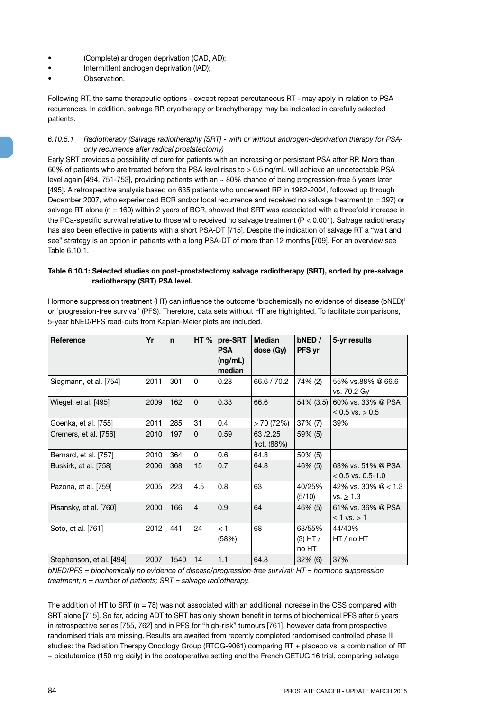- (Complete) androgen deprivation (CAD, AD);
- Intermittent androgen deprivation (IAD);
- Observation.

Following RT, the same therapeutic options - except repeat percutaneous RT - may apply in relation to PSA recurrences. In addition, salvage RP, cryotherapy or brachytherapy may be indicated in carefully selected patients.

#### *6.10.5.1 Radiotherapy (Salvage radiotheraphy [SRT] - with or without androgen-deprivation therapy for PSAonly recurrence after radical prostatectomy)*

Early SRT provides a possibility of cure for patients with an increasing or persistent PSA after RP. More than 60% of patients who are treated before the PSA level rises to > 0.5 ng/mL will achieve an undetectable PSA level again [494, 751-753], providing patients with an ~ 80% chance of being progression-free 5 years later [495]. A retrospective analysis based on 635 patients who underwent RP in 1982-2004, followed up through December 2007, who experienced BCR and/or local recurrence and received no salvage treatment (n = 397) or salvage RT alone (n = 160) within 2 years of BCR, showed that SRT was associated with a threefold increase in the PCa-specific survival relative to those who received no salvage treatment (P < 0.001). Salvage radiotherapy has also been effective in patients with a short PSA-DT [715]. Despite the indication of salvage RT a "wait and see" strategy is an option in patients with a long PSA-DT of more than 12 months [709]. For an overview see Table 6.10.1.

# **Table 6.10.1: Selected studies on post-prostatectomy salvage radiotherapy (SRT), sorted by pre-salvage radiotherapy (SRT) PSA level.**

Hormone suppression treatment (HT) can influence the outcome 'biochemically no evidence of disease (bNED)' or 'progression-free survival' (PFS). Therefore, data sets without HT are highlighted. To facilitate comparisons, 5-year bNED/PFS read-outs from Kaplan-Meier plots are included.

| <b>Reference</b>         | Yr   | $\mathbf n$ | HT $%$         | pre-SRT<br><b>PSA</b><br>(ng/mL)<br>median | <b>Median</b><br>dose (Gy) | bNED /<br><b>PFS</b> yr         | 5-yr results                             |
|--------------------------|------|-------------|----------------|--------------------------------------------|----------------------------|---------------------------------|------------------------------------------|
| Siegmann, et al. [754]   | 2011 | 301         | $\Omega$       | 0.28                                       | 66.6 / 70.2                | 74% (2)                         | 55% vs.88% @ 66.6<br>vs. 70.2 Gy         |
| Wiegel, et al. [495]     | 2009 | 162         | $\Omega$       | 0.33                                       | 66.6                       | $54\%$ (3.5)                    | 60% vs. 33% @ PSA<br>$≤$ 0.5 vs. > 0.5   |
| Goenka, et al. [755]     | 2011 | 285         | 31             | 0.4                                        | > 70(72%)                  | 37% (7)                         | 39%                                      |
| Cremers, et al. [756]    | 2010 | 197         | $\Omega$       | 0.59                                       | 63/2.25<br>frct. (88%)     | 59% (5)                         |                                          |
| Bernard, et al. [757]    | 2010 | 364         | $\Omega$       | 0.6                                        | 64.8                       | 50% (5)                         |                                          |
| Buskirk, et al. [758]    | 2006 | 368         | 15             | 0.7                                        | 64.8                       | 46% (5)                         | 63% vs. 51% @ PSA<br>$< 0.5$ vs. 0.5-1.0 |
| Pazona, et al. [759]     | 2005 | 223         | 4.5            | 0.8                                        | 63                         | 40/25%<br>(5/10)                | 42% vs. 30% $@ < 1.3$<br>vs. > 1.3       |
| Pisansky, et al. [760]   | 2000 | 166         | $\overline{4}$ | 0.9                                        | 64                         | 46% (5)                         | 61% vs. 36% @ PSA<br>$\leq$ 1 vs. > 1    |
| Soto, et al. [761]       | 2012 | 441         | 24             | < 1<br>(58%)                               | 68                         | 63/55%<br>$(3)$ HT $/$<br>no HT | 44/40%<br>HT/no HT                       |
| Stephenson, et al. [494] | 2007 | 1540        | 14             | 1.1                                        | 64.8                       | $32\%$ (6)                      | 37%                                      |

*bNED/PFS = biochemically no evidence of disease/progression-free survival; HT = hormone suppression treatment; n = number of patients; SRT = salvage radiotherapy.*

The addition of HT to SRT ( $n = 78$ ) was not associated with an additional increase in the CSS compared with SRT alone [715]. So far, adding ADT to SRT has only shown benefit in terms of biochemical PFS after 5 years in retrospective series [755, 762] and in PFS for "high-risk" tumours [761], however data from prospective randomised trials are missing. Results are awaited from recently completed randomised controlled phase III studies: the Radiation Therapy Oncology Group (RTOG-9061) comparing RT + placebo vs. a combination of RT + bicalutamide (150 mg daily) in the postoperative setting and the French GETUG 16 trial, comparing salvage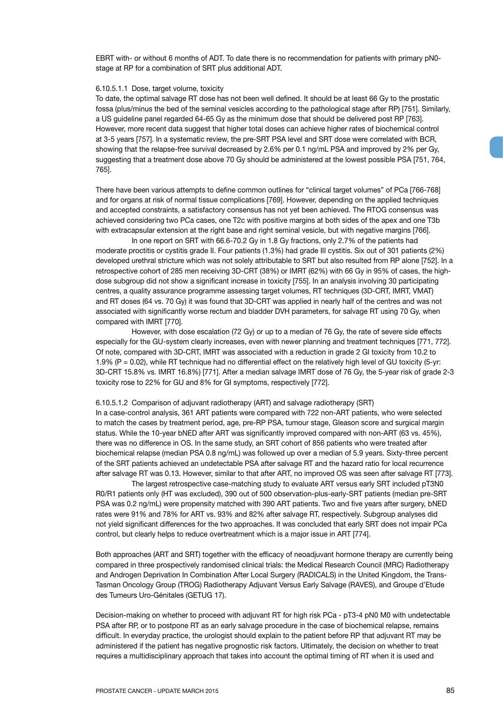EBRT with- or without 6 months of ADT. To date there is no recommendation for patients with primary pN0 stage at RP for a combination of SRT plus additional ADT.

#### 6.10.5.1.1 Dose, target volume, toxicity

To date, the optimal salvage RT dose has not been well defined. It should be at least 66 Gy to the prostatic fossa (plus/minus the bed of the seminal vesicles according to the pathological stage after RP) [751]. Similarly, a US guideline panel regarded 64-65 Gy as the minimum dose that should be delivered post RP [763]. However, more recent data suggest that higher total doses can achieve higher rates of biochemical control at 3-5 years [757]. In a systematic review, the pre-SRT PSA level and SRT dose were correlated with BCR, showing that the relapse-free survival decreased by 2.6% per 0.1 ng/mL PSA and improved by 2% per Gy, suggesting that a treatment dose above 70 Gy should be administered at the lowest possible PSA [751, 764, 765].

There have been various attempts to define common outlines for "clinical target volumes" of PCa [766-768] and for organs at risk of normal tissue complications [769]. However, depending on the applied techniques and accepted constraints, a satisfactory consensus has not yet been achieved. The RTOG consensus was achieved considering two PCa cases, one T2c with positive margins at both sides of the apex and one T3b with extracapsular extension at the right base and right seminal vesicle, but with negative margins [766].

In one report on SRT with 66.6-70.2 Gy in 1.8 Gy fractions, only 2.7% of the patients had moderate proctitis or cystitis grade II. Four patients (1.3%) had grade III cystitis. Six out of 301 patients (2%) developed urethral stricture which was not solely attributable to SRT but also resulted from RP alone [752]. In a retrospective cohort of 285 men receiving 3D-CRT (38%) or IMRT (62%) with 66 Gy in 95% of cases, the highdose subgroup did not show a significant increase in toxicity [755]. In an analysis involving 30 participating centres, a quality assurance programme assessing target volumes, RT techniques (3D-CRT, IMRT, VMAT) and RT doses (64 vs. 70 Gy) it was found that 3D-CRT was applied in nearly half of the centres and was not associated with significantly worse rectum and bladder DVH parameters, for salvage RT using 70 Gy, when compared with IMRT [770].

However, with dose escalation (72 Gy) or up to a median of 76 Gy, the rate of severe side effects especially for the GU-system clearly increases, even with newer planning and treatment techniques [771, 772]. Of note, compared with 3D-CRT, IMRT was associated with a reduction in grade 2 GI toxicity from 10.2 to 1.9% (P = 0.02), while RT technique had no differential effect on the relatively high level of GU toxicity (5-yr: 3D-CRT 15.8% vs. IMRT 16.8%) [771]. After a median salvage IMRT dose of 76 Gy, the 5-year risk of grade 2-3 toxicity rose to 22% for GU and 8% for GI symptoms, respectively [772].

#### 6.10.5.1.2 Comparison of adjuvant radiotherapy (ART) and salvage radiotherapy (SRT)

In a case-control analysis, 361 ART patients were compared with 722 non-ART patients, who were selected to match the cases by treatment period, age, pre-RP PSA, tumour stage, Gleason score and surgical margin status. While the 10-year bNED after ART was significantly improved compared with non-ART (63 vs. 45%), there was no difference in OS. In the same study, an SRT cohort of 856 patients who were treated after biochemical relapse (median PSA 0.8 ng/mL) was followed up over a median of 5.9 years. Sixty-three percent of the SRT patients achieved an undetectable PSA after salvage RT and the hazard ratio for local recurrence after salvage RT was 0.13. However, similar to that after ART, no improved OS was seen after salvage RT [773].

The largest retrospective case-matching study to evaluate ART versus early SRT included pT3N0 R0/R1 patients only (HT was excluded), 390 out of 500 observation-plus-early-SRT patients (median pre-SRT PSA was 0.2 ng/mL) were propensity matched with 390 ART patients. Two and five years after surgery, bNED rates were 91% and 78% for ART vs. 93% and 82% after salvage RT, respectively. Subgroup analyses did not yield significant differences for the two approaches. It was concluded that early SRT does not impair PCa control, but clearly helps to reduce overtreatment which is a major issue in ART [774].

Both approaches (ART and SRT) together with the efficacy of neoadjuvant hormone therapy are currently being compared in three prospectively randomised clinical trials: the Medical Research Council (MRC) Radiotherapy and Androgen Deprivation In Combination After Local Surgery (RADICALS) in the United Kingdom, the Trans-Tasman Oncology Group (TROG) Radiotherapy Adjuvant Versus Early Salvage (RAVES), and Groupe d'Etude des Tumeurs Uro-Génitales (GETUG 17).

Decision-making on whether to proceed with adjuvant RT for high risk PCa - pT3-4 pN0 M0 with undetectable PSA after RP, or to postpone RT as an early salvage procedure in the case of biochemical relapse, remains difficult. In everyday practice, the urologist should explain to the patient before RP that adjuvant RT may be administered if the patient has negative prognostic risk factors. Ultimately, the decision on whether to treat requires a multidisciplinary approach that takes into account the optimal timing of RT when it is used and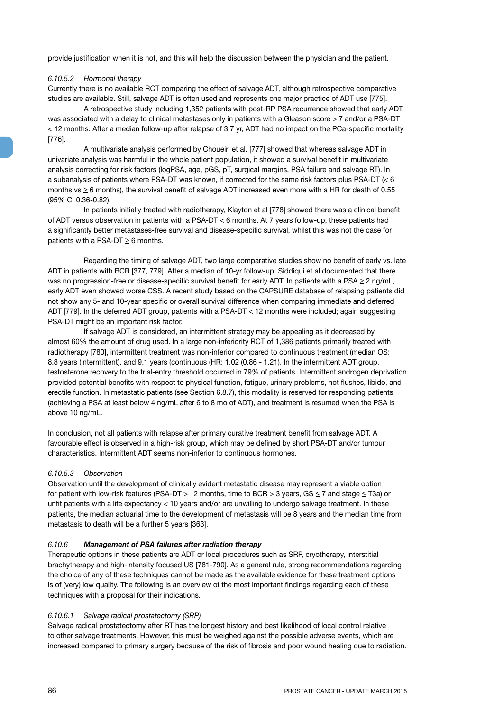provide justification when it is not, and this will help the discussion between the physician and the patient.

#### *6.10.5.2 Hormonal therapy*

Currently there is no available RCT comparing the effect of salvage ADT, although retrospective comparative studies are available. Still, salvage ADT is often used and represents one major practice of ADT use [775].

A retrospective study including 1,352 patients with post-RP PSA recurrence showed that early ADT was associated with a delay to clinical metastases only in patients with a Gleason score > 7 and/or a PSA-DT < 12 months. After a median follow-up after relapse of 3.7 yr, ADT had no impact on the PCa-specific mortality [776].

A multivariate analysis performed by Choueiri et al. [777] showed that whereas salvage ADT in univariate analysis was harmful in the whole patient population, it showed a survival benefit in multivariate analysis correcting for risk factors (logPSA, age, pGS, pT, surgical margins, PSA failure and salvage RT). In a subanalysis of patients where PSA-DT was known, if corrected for the same risk factors plus PSA-DT (< 6 months vs  $\geq$  6 months), the survival benefit of salvage ADT increased even more with a HR for death of 0.55 (95% CI 0.36-0.82).

In patients initially treated with radiotherapy, Klayton et al [778] showed there was a clinical benefit of ADT versus observation in patients with a PSA-DT < 6 months. At 7 years follow-up, these patients had a significantly better metastases-free survival and disease-specific survival, whilst this was not the case for patients with a PSA-DT  $\geq 6$  months.

Regarding the timing of salvage ADT, two large comparative studies show no benefit of early vs. late ADT in patients with BCR [377, 779]. After a median of 10-yr follow-up, Siddiqui et al documented that there was no progression-free or disease-specific survival benefit for early ADT. In patients with a PSA  $\geq$  2 ng/mL, early ADT even showed worse CSS. A recent study based on the CAPSURE database of relapsing patients did not show any 5- and 10-year specific or overall survival difference when comparing immediate and deferred ADT [779]. In the deferred ADT group, patients with a PSA-DT < 12 months were included; again suggesting PSA-DT might be an important risk factor.

If salvage ADT is considered, an intermittent strategy may be appealing as it decreased by almost 60% the amount of drug used. In a large non-inferiority RCT of 1,386 patients primarily treated with radiotherapy [780], intermittent treatment was non-inferior compared to continuous treatment (median OS: 8.8 years (intermittent), and 9.1 years (continuous (HR: 1.02 (0.86 - 1.21). In the intermittent ADT group, testosterone recovery to the trial-entry threshold occurred in 79% of patients. Intermittent androgen deprivation provided potential benefits with respect to physical function, fatigue, urinary problems, hot flushes, libido, and erectile function. In metastatic patients (see Section 6.8.7), this modality is reserved for responding patients (achieving a PSA at least below 4 ng/mL after 6 to 8 mo of ADT), and treatment is resumed when the PSA is above 10 ng/mL.

In conclusion, not all patients with relapse after primary curative treatment benefit from salvage ADT. A favourable effect is observed in a high-risk group, which may be defined by short PSA-DT and/or tumour characteristics. Intermittent ADT seems non-inferior to continuous hormones.

#### *6.10.5.3 Observation*

Observation until the development of clinically evident metastatic disease may represent a viable option for patient with low-risk features (PSA-DT > 12 months, time to BCR > 3 years,  $GS \le 7$  and stage  $\le$  T3a) or unfit patients with a life expectancy < 10 years and/or are unwilling to undergo salvage treatment. In these patients, the median actuarial time to the development of metastasis will be 8 years and the median time from metastasis to death will be a further 5 years [363].

#### *6.10.6 Management of PSA failures after radiation therapy*

Therapeutic options in these patients are ADT or local procedures such as SRP, cryotherapy, interstitial brachytherapy and high-intensity focused US [781-790]. As a general rule, strong recommendations regarding the choice of any of these techniques cannot be made as the available evidence for these treatment options is of (very) low quality. The following is an overview of the most important findings regarding each of these techniques with a proposal for their indications.

#### *6.10.6.1 Salvage radical prostatectomy (SRP)*

Salvage radical prostatectomy after RT has the longest history and best likelihood of local control relative to other salvage treatments. However, this must be weighed against the possible adverse events, which are increased compared to primary surgery because of the risk of fibrosis and poor wound healing due to radiation.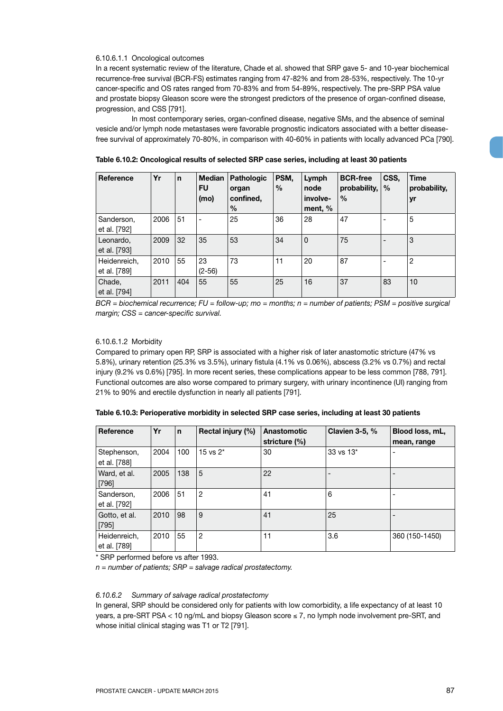#### 6.10.6.1.1 Oncological outcomes

In a recent systematic review of the literature, Chade et al. showed that SRP gave 5- and 10-year biochemical recurrence-free survival (BCR-FS) estimates ranging from 47-82% and from 28-53%, respectively. The 10-yr cancer-specific and OS rates ranged from 70-83% and from 54-89%, respectively. The pre-SRP PSA value and prostate biopsy Gleason score were the strongest predictors of the presence of organ-confined disease, progression, and CSS [791].

In most contemporary series, organ-confined disease, negative SMs, and the absence of seminal vesicle and/or lymph node metastases were favorable prognostic indicators associated with a better diseasefree survival of approximately 70-80%, in comparison with 40-60% in patients with locally advanced PCa [790].

| <b>Reference</b>             | Yr   | $\mathsf{n}$ | Median  <br><b>FU</b><br>(mo) | Pathologic<br>organ<br>confined,<br>$\frac{0}{0}$ | PSM.<br>$\frac{0}{0}$ | Lymph<br>node<br>involve-<br>ment, % | <b>BCR-free</b><br>probability,<br>$\frac{0}{0}$ | CSS,<br>$\frac{0}{0}$ | <b>Time</b><br>probability,<br>yr |
|------------------------------|------|--------------|-------------------------------|---------------------------------------------------|-----------------------|--------------------------------------|--------------------------------------------------|-----------------------|-----------------------------------|
| Sanderson,<br>et al. [792]   | 2006 | 51           | $\overline{\phantom{a}}$      | 25                                                | 36                    | 28                                   | 47                                               |                       | 5                                 |
| Leonardo,<br>et al. [793]    | 2009 | 32           | 35                            | 53                                                | 34                    | $\mathbf 0$                          | 75                                               |                       | 3                                 |
| Heidenreich,<br>et al. [789] | 2010 | 55           | 23<br>$(2 - 56)$              | 73                                                | 11                    | 20                                   | 87                                               |                       | $\overline{2}$                    |
| Chade,<br>et al. [794]       | 2011 | 404          | 55                            | 55                                                | 25                    | 16                                   | 37                                               | 83                    | 10                                |

**Table 6.10.2: Oncological results of selected SRP case series, including at least 30 patients**

*BCR = biochemical recurrence; FU = follow-up; mo = months; n = number of patients; PSM = positive surgical margin; CSS = cancer-specific survival.*

#### 6.10.6.1.2 Morbidity

Compared to primary open RP, SRP is associated with a higher risk of later anastomotic stricture (47% vs 5.8%), urinary retention (25.3% vs 3.5%), urinary fistula (4.1% vs 0.06%), abscess (3.2% vs 0.7%) and rectal injury (9.2% vs 0.6%) [795]. In more recent series, these complications appear to be less common [788, 791]. Functional outcomes are also worse compared to primary surgery, with urinary incontinence (UI) ranging from 21% to 90% and erectile dysfunction in nearly all patients [791].

| Reference                    | Yr   | $\mathsf{n}$ | Rectal injury (%) | Anastomotic<br>stricture (%) | Clavien $3-5, \%$ | Blood loss, mL,<br>mean, range |
|------------------------------|------|--------------|-------------------|------------------------------|-------------------|--------------------------------|
| Stephenson,<br>et al. [788]  | 2004 | 100          | 15 vs $2^*$       | 30                           | 33 vs 13*         | $\overline{\phantom{a}}$       |
| Ward, et al.<br>$[796]$      | 2005 | 138          | 5                 | 22                           |                   |                                |
| Sanderson,<br>et al. [792]   | 2006 | 51           | $\overline{c}$    | 41                           | 6                 |                                |
| Gotto, et al.<br>$[795]$     | 2010 | 98           | 9                 | 41                           | 25                |                                |
| Heidenreich,<br>et al. [789] | 2010 | 55           | $\overline{2}$    | 11                           | 3.6               | 360 (150-1450)                 |

| Table 6.10.3: Perioperative morbidity in selected SRP case series, including at least 30 patients |  |  |
|---------------------------------------------------------------------------------------------------|--|--|
|---------------------------------------------------------------------------------------------------|--|--|

\* SRP performed before vs after 1993.

*n = number of patients; SRP = salvage radical prostatectomy.*

# *6.10.6.2 Summary of salvage radical prostatectomy*

In general, SRP should be considered only for patients with low comorbidity, a life expectancy of at least 10 years, a pre-SRT PSA < 10 ng/mL and biopsy Gleason score ≤ 7, no lymph node involvement pre-SRT, and whose initial clinical staging was T1 or T2 [791].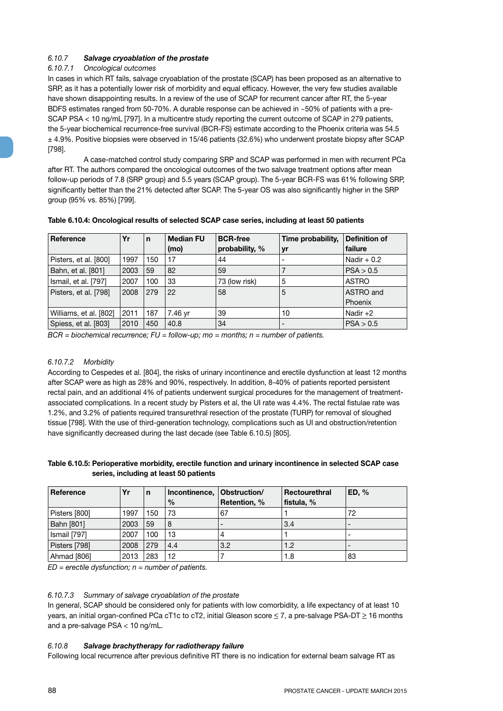# *6.10.7 Salvage cryoablation of the prostate*

# *6.10.7.1 Oncological outcomes*

In cases in which RT fails, salvage cryoablation of the prostate (SCAP) has been proposed as an alternative to SRP, as it has a potentially lower risk of morbidity and equal efficacy. However, the very few studies available have shown disappointing results. In a review of the use of SCAP for recurrent cancer after RT, the 5-year BDFS estimates ranged from 50-70%. A durable response can be achieved in ~50% of patients with a pre-SCAP PSA < 10 ng/mL [797]. In a multicentre study reporting the current outcome of SCAP in 279 patients, the 5-year biochemical recurrence-free survival (BCR-FS) estimate according to the Phoenix criteria was 54.5 ± 4.9%. Positive biopsies were observed in 15/46 patients (32.6%) who underwent prostate biopsy after SCAP [798].

A case-matched control study comparing SRP and SCAP was performed in men with recurrent PCa after RT. The authors compared the oncological outcomes of the two salvage treatment options after mean follow-up periods of 7.8 (SRP group) and 5.5 years (SCAP group). The 5-year BCR-FS was 61% following SRP, significantly better than the 21% detected after SCAP. The 5-year OS was also significantly higher in the SRP group (95% vs. 85%) [799].

| <b>Reference</b>       | Yr   | $\mathbf n$ | <b>Median FU</b> | <b>BCR-free</b> | Time probability, | <b>Definition of</b> |
|------------------------|------|-------------|------------------|-----------------|-------------------|----------------------|
|                        |      |             | (mo)             | probability, %  | yr                | failure              |
| Pisters, et al. [800]  | 1997 | 150         | 17               | 44              |                   | Nadir $+0.2$         |
| Bahn, et al. [801]     | 2003 | 59          | 82               | 59              |                   | PSA > 0.5            |
| Ismail, et al. [797]   | 2007 | 100         | 33               | 73 (low risk)   | 5                 | <b>ASTRO</b>         |
| Pisters, et al. [798]  | 2008 | 279         | 22               | 58              | 5                 | ASTRO and            |
|                        |      |             |                  |                 |                   | Phoenix              |
| Williams, et al. [802] | 2011 | 187         | 7.46 yr          | 39              | 10                | Nadir $+2$           |
| Spiess, et al. [803]   | 2010 | 450         | 40.8             | 34              |                   | PSA > 0.5            |

#### **Table 6.10.4: Oncological results of selected SCAP case series, including at least 50 patients**

*BCR = biochemical recurrence; FU = follow-up; mo = months; n = number of patients.*

# *6.10.7.2 Morbidity*

According to Cespedes et al. [804], the risks of urinary incontinence and erectile dysfunction at least 12 months after SCAP were as high as 28% and 90%, respectively. In addition, 8-40% of patients reported persistent rectal pain, and an additional 4% of patients underwent surgical procedures for the management of treatmentassociated complications. In a recent study by Pisters et al, the UI rate was 4.4%. The rectal fistulae rate was 1.2%, and 3.2% of patients required transurethral resection of the prostate (TURP) for removal of sloughed tissue [798]. With the use of third-generation technology, complications such as UI and obstruction/retention have significantly decreased during the last decade (see Table 6.10.5) [805].

# **Table 6.10.5: Perioperative morbidity, erectile function and urinary incontinence in selected SCAP case series, including at least 50 patients**

| Reference     | Yr   | n   | Incontinence, | Obstruction/ | Rectourethral | ED. % |
|---------------|------|-----|---------------|--------------|---------------|-------|
|               |      |     | $\frac{0}{0}$ | Retention, % | fistula, %    |       |
| Pisters [800] | 1997 | 150 | 73            | 67           |               | 72    |
| Bahn [801]    | 2003 | 59  | 8             | -            | 3.4           |       |
| Ismail [797]  | 2007 | 100 | 13            | 4            |               |       |
| Pisters [798] | 2008 | 279 | 4.4           | 3.2          | 1.2           |       |
| Ahmad [806]   | 2013 | 283 | 12            |              | 1.8           | 83    |

*ED = erectile dysfunction; n = number of patients.*

# *6.10.7.3 Summary of salvage cryoablation of the prostate*

In general, SCAP should be considered only for patients with low comorbidity, a life expectancy of at least 10 years, an initial organ-confined PCa cT1c to cT2, initial Gleason score < 7, a pre-salvage PSA-DT > 16 months and a pre-salvage PSA < 10 ng/mL.

# *6.10.8 Salvage brachytherapy for radiotherapy failure*

Following local recurrence after previous definitive RT there is no indication for external beam salvage RT as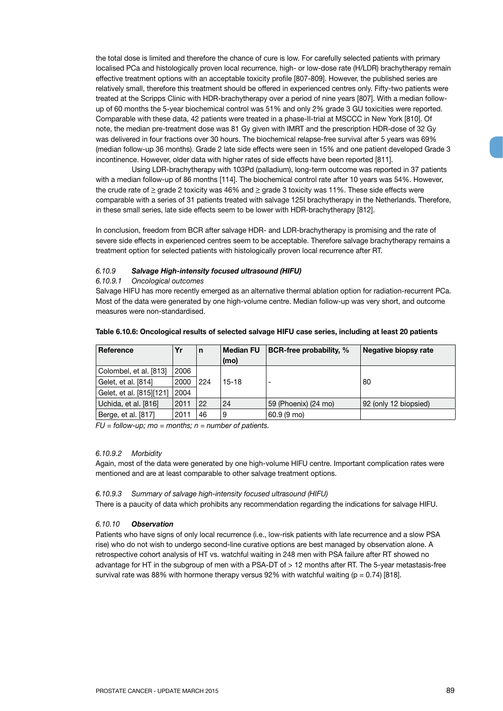the total dose is limited and therefore the chance of cure is low. For carefully selected patients with primary localised PCa and histologically proven local recurrence, high- or low-dose rate (H/LDR) brachytherapy remain effective treatment options with an acceptable toxicity profile [807-809]. However, the published series are relatively small, therefore this treatment should be offered in experienced centres only. Fifty-two patients were treated at the Scripps Clinic with HDR-brachytherapy over a period of nine years [807]. With a median followup of 60 months the 5-year biochemical control was 51% and only 2% grade 3 GU toxicities were reported. Comparable with these data, 42 patients were treated in a phase-II-trial at MSCCC in New York [810]. Of note, the median pre-treatment dose was 81 Gy given with IMRT and the prescription HDR-dose of 32 Gy was delivered in four fractions over 30 hours. The biochemical relapse-free survival after 5 years was 69% (median follow-up 36 months). Grade 2 late side effects were seen in 15% and one patient developed Grade 3 incontinence. However, older data with higher rates of side effects have been reported [811].

Using LDR-brachytherapy with 103Pd (palladium), long-term outcome was reported in 37 patients with a median follow-up of 86 months [114]. The biochemical control rate after 10 years was 54%. However, the crude rate of  $\geq$  grade 2 toxicity was 46% and  $\geq$  grade 3 toxicity was 11%. These side effects were comparable with a series of 31 patients treated with salvage 125I brachytherapy in the Netherlands. Therefore, in these small series, late side effects seem to be lower with HDR-brachytherapy [812].

In conclusion, freedom from BCR after salvage HDR- and LDR-brachytherapy is promising and the rate of severe side effects in experienced centres seem to be acceptable. Therefore salvage brachytherapy remains a treatment option for selected patients with histologically proven local recurrence after RT.

# *6.10.9 Salvage High-intensity focused ultrasound (HIFU)*

#### *6.10.9.1 Oncological outcomes*

Salvage HIFU has more recently emerged as an alternative thermal ablation option for radiation-recurrent PCa. Most of the data were generated by one high-volume centre. Median follow-up was very short, and outcome measures were non-standardised.

| Reference                | Yr   | n   | <b>Median FU</b> | BCR-free probability, % | Negative biopsy rate  |
|--------------------------|------|-----|------------------|-------------------------|-----------------------|
|                          |      |     | (mo)             |                         |                       |
| Colombel, et al. [813]   | 2006 |     |                  |                         |                       |
| Gelet, et al. [814]      | 2000 | 224 | $15-18$          | ٠                       | 80                    |
| Gelet, et al. [815][121] | 2004 |     |                  |                         |                       |
| Uchida, et al. [816]     | 2011 | 22  | 24               | 59 (Phoenix) (24 mo)    | 92 (only 12 biopsied) |
| Berge, et al. [817]      | 2011 | 46  | 9                | 60.9 (9 mo)             |                       |

#### **Table 6.10.6: Oncological results of selected salvage HIFU case series, including at least 20 patients**

*FU = follow-up; mo = months; n = number of patients.*

#### *6.10.9.2 Morbidity*

Again, most of the data were generated by one high-volume HIFU centre. Important complication rates were mentioned and are at least comparable to other salvage treatment options.

#### *6.10.9.3 Summary of salvage high-intensity focused ultrasound (HIFU)*

There is a paucity of data which prohibits any recommendation regarding the indications for salvage HIFU.

#### *6.10.10 Observation*

Patients who have signs of only local recurrence (i.e., low-risk patients with late recurrence and a slow PSA rise) who do not wish to undergo second-line curative options are best managed by observation alone. A retrospective cohort analysis of HT vs. watchful waiting in 248 men with PSA failure after RT showed no advantage for HT in the subgroup of men with a PSA-DT of > 12 months after RT. The 5-year metastasis-free survival rate was 88% with hormone therapy versus 92% with watchful waiting  $(p = 0.74)$  [818].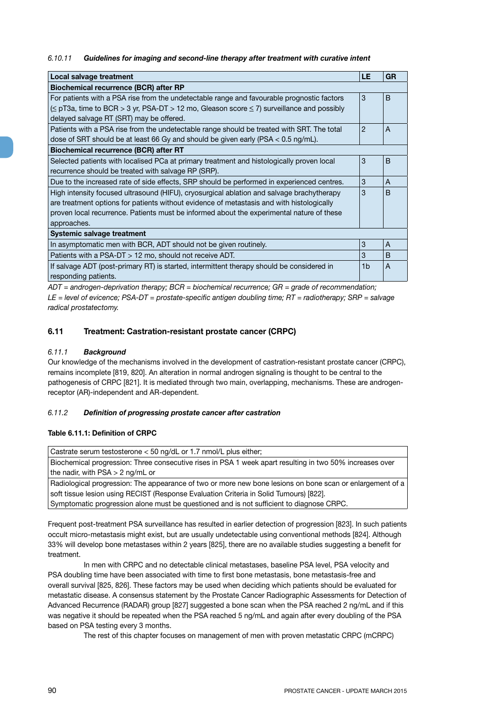# *6.10.11 Guidelines for imaging and second-line therapy after treatment with curative intent*

| Local salvage treatment                                                                             | <b>LE</b>      | <b>GR</b>    |
|-----------------------------------------------------------------------------------------------------|----------------|--------------|
| <b>Biochemical recurrence (BCR) after RP</b>                                                        |                |              |
| For patients with a PSA rise from the undetectable range and favourable prognostic factors          | 3              | B            |
| $(\leq$ pT3a, time to BCR > 3 yr, PSA-DT > 12 mo, Gleason score $\leq$ 7) surveillance and possibly |                |              |
| delayed salvage RT (SRT) may be offered.                                                            |                |              |
| Patients with a PSA rise from the undetectable range should be treated with SRT. The total          | 2              | A            |
| dose of SRT should be at least 66 Gy and should be given early (PSA $<$ 0.5 ng/mL).                 |                |              |
| <b>Biochemical recurrence (BCR) after RT</b>                                                        |                |              |
| Selected patients with localised PCa at primary treatment and histologically proven local           | 3              | B            |
| recurrence should be treated with salvage RP (SRP).                                                 |                |              |
| Due to the increased rate of side effects, SRP should be performed in experienced centres.          | 3              | A            |
| High intensity focused ultrasound (HIFU), cryosurgical ablation and salvage brachytherapy           | 3              | <sub>B</sub> |
| are treatment options for patients without evidence of metastasis and with histologically           |                |              |
| proven local recurrence. Patients must be informed about the experimental nature of these           |                |              |
| approaches.                                                                                         |                |              |
| Systemic salvage treatment                                                                          |                |              |
| In asymptomatic men with BCR, ADT should not be given routinely.                                    | 3              | A            |
| Patients with a PSA-DT $> 12$ mo, should not receive ADT.                                           | 3              | B            |
| If salvage ADT (post-primary RT) is started, intermittent therapy should be considered in           | 1 <sub>b</sub> | A            |
| responding patients.                                                                                |                |              |

*ADT = androgen-deprivation therapy; BCR = biochemical recurrence; GR = grade of recommendation;* 

*LE = level of evicence; PSA-DT = prostate-specific antigen doubling time; RT = radiotherapy; SRP = salvage radical prostatectomy.*

# **6.11 Treatment: Castration-resistant prostate cancer (CRPC)**

# *6.11.1 Background*

Our knowledge of the mechanisms involved in the development of castration-resistant prostate cancer (CRPC), remains incomplete [819, 820]. An alteration in normal androgen signaling is thought to be central to the pathogenesis of CRPC [821]. It is mediated through two main, overlapping, mechanisms. These are androgenreceptor (AR)-independent and AR-dependent.

# *6.11.2 Definition of progressing prostate cancer after castration*

# **Table 6.11.1: Definition of CRPC**

Castrate serum testosterone < 50 ng/dL or 1.7 nmol/L plus either; Biochemical progression: Three consecutive rises in PSA 1 week apart resulting in two 50% increases over the nadir, with PSA > 2 ng/mL or Radiological progression: The appearance of two or more new bone lesions on bone scan or enlargement of a soft tissue lesion using RECIST (Response Evaluation Criteria in Solid Tumours) [822].

Symptomatic progression alone must be questioned and is not sufficient to diagnose CRPC.

Frequent post-treatment PSA surveillance has resulted in earlier detection of progression [823]. In such patients occult micro-metastasis might exist, but are usually undetectable using conventional methods [824]. Although 33% will develop bone metastases within 2 years [825], there are no available studies suggesting a benefit for treatment.

In men with CRPC and no detectable clinical metastases, baseline PSA level, PSA velocity and PSA doubling time have been associated with time to first bone metastasis, bone metastasis-free and overall survival [825, 826]. These factors may be used when deciding which patients should be evaluated for metastatic disease. A consensus statement by the Prostate Cancer Radiographic Assessments for Detection of Advanced Recurrence (RADAR) group [827] suggested a bone scan when the PSA reached 2 ng/mL and if this was negative it should be repeated when the PSA reached 5 ng/mL and again after every doubling of the PSA based on PSA testing every 3 months.

The rest of this chapter focuses on management of men with proven metastatic CRPC (mCRPC)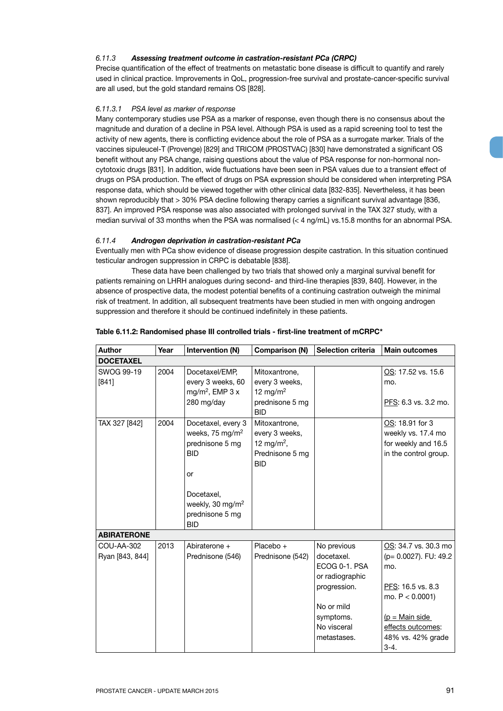# *6.11.3 Assessing treatment outcome in castration-resistant PCa (CRPC)*

Precise quantification of the effect of treatments on metastatic bone disease is difficult to quantify and rarely used in clinical practice. Improvements in QoL, progression-free survival and prostate-cancer-specific survival are all used, but the gold standard remains OS [828].

# *6.11.3.1 PSA level as marker of response*

Many contemporary studies use PSA as a marker of response, even though there is no consensus about the magnitude and duration of a decline in PSA level. Although PSA is used as a rapid screening tool to test the activity of new agents, there is conflicting evidence about the role of PSA as a surrogate marker. Trials of the vaccines sipuleucel-T (Provenge) [829] and TRICOM (PROSTVAC) [830] have demonstrated a significant OS benefit without any PSA change, raising questions about the value of PSA response for non-hormonal noncytotoxic drugs [831]. In addition, wide fluctuations have been seen in PSA values due to a transient effect of drugs on PSA production. The effect of drugs on PSA expression should be considered when interpreting PSA response data, which should be viewed together with other clinical data [832-835]. Nevertheless, it has been shown reproducibly that > 30% PSA decline following therapy carries a significant survival advantage [836, 837]. An improved PSA response was also associated with prolonged survival in the TAX 327 study, with a median survival of 33 months when the PSA was normalised (< 4 ng/mL) vs.15.8 months for an abnormal PSA.

# *6.11.4 Androgen deprivation in castration-resistant PCa*

Eventually men with PCa show evidence of disease progression despite castration. In this situation continued testicular androgen suppression in CRPC is debatable [838].

These data have been challenged by two trials that showed only a marginal survival benefit for patients remaining on LHRH analogues during second- and third-line therapies [839, 840]. However, in the absence of prospective data, the modest potential benefits of a continuing castration outweigh the minimal risk of treatment. In addition, all subsequent treatments have been studied in men with ongoing androgen suppression and therefore it should be continued indefinitely in these patients.

| <b>Author</b>                 | Year | Intervention (N)                                                                                                                                                        | <b>Comparison (N)</b>                                                                      | <b>Selection criteria</b>                                                                                                              | <b>Main outcomes</b>                                                                                                                                                     |
|-------------------------------|------|-------------------------------------------------------------------------------------------------------------------------------------------------------------------------|--------------------------------------------------------------------------------------------|----------------------------------------------------------------------------------------------------------------------------------------|--------------------------------------------------------------------------------------------------------------------------------------------------------------------------|
| <b>DOCETAXEL</b>              |      |                                                                                                                                                                         |                                                                                            |                                                                                                                                        |                                                                                                                                                                          |
| SWOG 99-19<br>[841]           | 2004 | Docetaxel/EMP,<br>every 3 weeks, 60<br>mg/m <sup>2</sup> , EMP $3x$<br>280 mg/day                                                                                       | Mitoxantrone,<br>every 3 weeks,<br>12 mg/m <sup>2</sup><br>prednisone 5 mg<br><b>BID</b>   |                                                                                                                                        | OS: 17.52 vs. 15.6<br>mo.<br>PFS: 6.3 vs. 3.2 mo.                                                                                                                        |
| TAX 327 [842]                 | 2004 | Docetaxel, every 3<br>weeks, 75 mg/m <sup>2</sup><br>prednisone 5 mg<br><b>BID</b><br>or<br>Docetaxel.<br>weekly, 30 mg/m <sup>2</sup><br>prednisone 5 mg<br><b>BID</b> | Mitoxantrone,<br>every 3 weeks,<br>12 mg/m <sup>2</sup> ,<br>Prednisone 5 mg<br><b>BID</b> |                                                                                                                                        | OS: 18.91 for 3<br>weekly vs. 17.4 mo<br>for weekly and 16.5<br>in the control group.                                                                                    |
| <b>ABIRATERONE</b>            |      |                                                                                                                                                                         |                                                                                            |                                                                                                                                        |                                                                                                                                                                          |
| COU-AA-302<br>Ryan [843, 844] | 2013 | Abiraterone +<br>Prednisone (546)                                                                                                                                       | Placebo +<br>Prednisone (542)                                                              | No previous<br>docetaxel.<br>ECOG 0-1, PSA<br>or radiographic<br>progression.<br>No or mild<br>symptoms.<br>No visceral<br>metastases. | OS: 34.7 vs. 30.3 mo<br>(p= 0.0027). FU: 49.2<br>mo.<br>PFS: 16.5 vs. 8.3<br>mo. $P < 0.0001$ )<br>$(p = Main side)$<br>effects outcomes:<br>48% vs. 42% grade<br>$3-4.$ |

#### **Table 6.11.2: Randomised phase III controlled trials - first-line treatment of mCRPC\***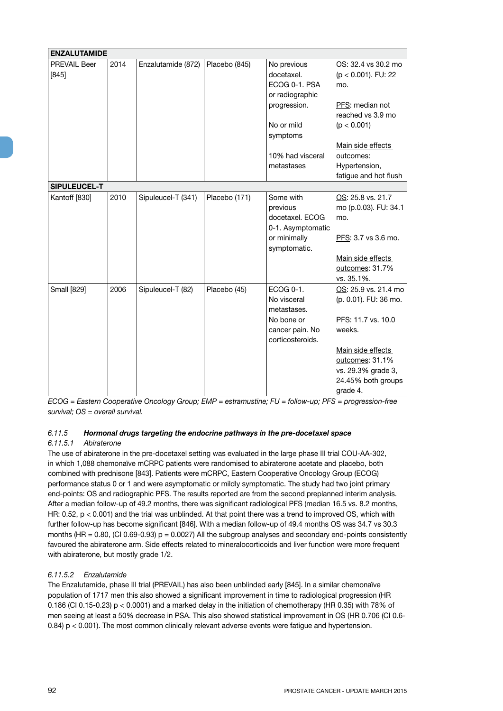| <b>ENZALUTAMIDE</b>     |      |                    |               |                                            |                                                      |
|-------------------------|------|--------------------|---------------|--------------------------------------------|------------------------------------------------------|
| PREVAIL Beer<br>$[845]$ | 2014 | Enzalutamide (872) | Placebo (845) | No previous<br>docetaxel.<br>ECOG 0-1. PSA | OS: 32.4 vs 30.2 mo<br>$(p < 0.001)$ . FU: 22<br>mo. |
|                         |      |                    |               | or radiographic                            |                                                      |
|                         |      |                    |               | progression.                               | PFS: median not                                      |
|                         |      |                    |               |                                            | reached vs 3.9 mo                                    |
|                         |      |                    |               | No or mild                                 | (p < 0.001)                                          |
|                         |      |                    |               | symptoms                                   |                                                      |
|                         |      |                    |               |                                            | Main side effects                                    |
|                         |      |                    |               | 10% had visceral                           | outcomes:                                            |
|                         |      |                    |               | metastases                                 | Hypertension,                                        |
|                         |      |                    |               |                                            | fatigue and hot flush                                |
| SIPULEUCEL-T            |      |                    |               |                                            |                                                      |
| Kantoff [830]           | 2010 | Sipuleucel-T (341) | Placebo (171) | Some with                                  | OS: 25.8 vs. 21.7                                    |
|                         |      |                    |               | previous                                   | mo (p.0.03). FU: 34.1                                |
|                         |      |                    |               | docetaxel. ECOG                            | mo.                                                  |
|                         |      |                    |               | 0-1. Asymptomatic                          |                                                      |
|                         |      |                    |               | or minimally<br>symptomatic.               | PFS: 3.7 vs 3.6 mo.                                  |
|                         |      |                    |               |                                            | Main side effects                                    |
|                         |      |                    |               |                                            | outcomes: 31.7%                                      |
|                         |      |                    |               |                                            | vs. 35.1%.                                           |
| <b>Small</b> [829]      | 2006 | Sipuleucel-T (82)  | Placebo (45)  | ECOG 0-1.                                  | OS: 25.9 vs. 21.4 mo                                 |
|                         |      |                    |               | No visceral                                | (p. 0.01). FU: 36 mo.                                |
|                         |      |                    |               | metastases.                                |                                                      |
|                         |      |                    |               | No bone or                                 | PFS: 11.7 vs. 10.0                                   |
|                         |      |                    |               | cancer pain. No                            | weeks.                                               |
|                         |      |                    |               | corticosteroids.                           |                                                      |
|                         |      |                    |               |                                            | Main side effects                                    |
|                         |      |                    |               |                                            | outcomes: 31.1%                                      |
|                         |      |                    |               |                                            | vs. 29.3% grade 3,                                   |
|                         |      |                    |               |                                            | 24.45% both groups                                   |
|                         |      |                    |               |                                            | grade 4.                                             |

*ECOG = Eastern Cooperative Oncology Group; EMP = estramustine; FU = follow-up; PFS = progression-free survival; OS = overall survival.* 

# *6.11.5 Hormonal drugs targeting the endocrine pathways in the pre-docetaxel space*

# *6.11.5.1 Abiraterone*

The use of abiraterone in the pre-docetaxel setting was evaluated in the large phase III trial COU-AA-302, in which 1,088 chemonaïve mCRPC patients were randomised to abiraterone acetate and placebo, both combined with prednisone [843]. Patients were mCRPC, Eastern Cooperative Oncology Group (ECOG) performance status 0 or 1 and were asymptomatic or mildly symptomatic. The study had two joint primary end-points: OS and radiographic PFS. The results reported are from the second preplanned interim analysis. After a median follow-up of 49.2 months, there was significant radiological PFS (median 16.5 vs. 8.2 months, HR: 0.52, p < 0.001) and the trial was unblinded. At that point there was a trend to improved OS, which with further follow-up has become significant [846]. With a median follow-up of 49.4 months OS was 34.7 vs 30.3 months (HR = 0.80, (CI 0.69-0.93)  $p = 0.0027$ ) All the subgroup analyses and secondary end-points consistently favoured the abiraterone arm. Side effects related to mineralocorticoids and liver function were more frequent with abiraterone, but mostly grade 1/2.

# *6.11.5.2 Enzalutamide*

The Enzalutamide, phase III trial (PREVAIL) has also been unblinded early [845]. In a similar chemonaïve population of 1717 men this also showed a significant improvement in time to radiological progression (HR 0.186 (CI 0.15-0.23) p < 0.0001) and a marked delay in the initiation of chemotherapy (HR 0.35) with 78% of men seeing at least a 50% decrease in PSA. This also showed statistical improvement in OS (HR 0.706 (CI 0.6- 0.84) p < 0.001). The most common clinically relevant adverse events were fatigue and hypertension.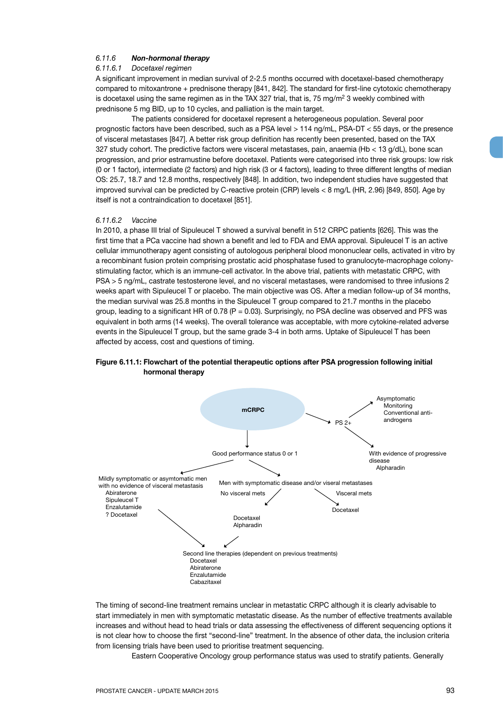#### *6.11.6 Non-hormonal therapy*

#### *6.11.6.1 Docetaxel regimen*

A significant improvement in median survival of 2-2.5 months occurred with docetaxel-based chemotherapy compared to mitoxantrone + prednisone therapy [841, 842]. The standard for first-line cytotoxic chemotherapy is docetaxel using the same regimen as in the TAX 327 trial, that is, 75 mg/ $m<sup>2</sup>$  3 weekly combined with prednisone 5 mg BID, up to 10 cycles, and palliation is the main target.

The patients considered for docetaxel represent a heterogeneous population. Several poor prognostic factors have been described, such as a PSA level > 114 ng/mL, PSA-DT < 55 days, or the presence of visceral metastases [847]. A better risk group definition has recently been presented, based on the TAX 327 study cohort. The predictive factors were visceral metastases, pain, anaemia (Hb < 13 g/dL), bone scan progression, and prior estramustine before docetaxel. Patients were categorised into three risk groups: low risk (0 or 1 factor), intermediate (2 factors) and high risk (3 or 4 factors), leading to three different lengths of median OS: 25.7, 18.7 and 12.8 months, respectively [848]. In addition, two independent studies have suggested that improved survival can be predicted by C-reactive protein (CRP) levels < 8 mg/L (HR, 2.96) [849, 850]. Age by itself is not a contraindication to docetaxel [851].

#### *6.11.6.2 Vaccine*

In 2010, a phase III trial of Sipuleucel T showed a survival benefit in 512 CRPC patients [626]. This was the first time that a PCa vaccine had shown a benefit and led to FDA and EMA approval. Sipuleucel T is an active cellular immunotherapy agent consisting of autologous peripheral blood mononuclear cells, activated in vitro by a recombinant fusion protein comprising prostatic acid phosphatase fused to granulocyte-macrophage colonystimulating factor, which is an immune-cell activator. In the above trial, patients with metastatic CRPC, with PSA > 5 ng/mL, castrate testosterone level, and no visceral metastases, were randomised to three infusions 2 weeks apart with Sipuleucel T or placebo. The main objective was OS. After a median follow-up of 34 months, the median survival was 25.8 months in the Sipuleucel T group compared to 21.7 months in the placebo group, leading to a significant HR of 0.78 ( $P = 0.03$ ). Surprisingly, no PSA decline was observed and PFS was equivalent in both arms (14 weeks). The overall tolerance was acceptable, with more cytokine-related adverse events in the Sipuleucel T group, but the same grade 3-4 in both arms. Uptake of Sipuleucel T has been affected by access, cost and questions of timing.

# **Figure 6.11.1: Flowchart of the potential therapeutic options after PSA progression following initial hormonal therapy**



The timing of second-line treatment remains unclear in metastatic CRPC although it is clearly advisable to start immediately in men with symptomatic metastatic disease. As the number of effective treatments available increases and without head to head trials or data assessing the effectiveness of different sequencing options it is not clear how to choose the first "second-line" treatment. In the absence of other data, the inclusion criteria from licensing trials have been used to prioritise treatment sequencing.

Eastern Cooperative Oncology group performance status was used to stratify patients. Generally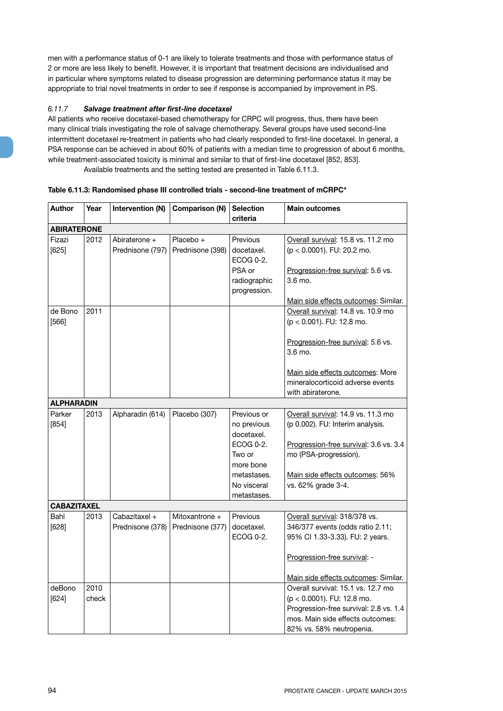men with a performance status of 0-1 are likely to tolerate treatments and those with performance status of 2 or more are less likely to benefit. However, it is important that treatment decisions are individualised and in particular where symptoms related to disease progression are determining performance status it may be appropriate to trial novel treatments in order to see if response is accompanied by improvement in PS.

# *6.11.7 Salvage treatment after first-line docetaxel*

All patients who receive docetaxel-based chemotherapy for CRPC will progress, thus, there have been many clinical trials investigating the role of salvage chemotherapy. Several groups have used second-line intermittent docetaxel re-treatment in patients who had clearly responded to first-line docetaxel. In general, a PSA response can be achieved in about 60% of patients with a median time to progression of about 6 months, while treatment-associated toxicity is minimal and similar to that of first-line docetaxel [852, 853]. Available treatments and the setting tested are presented in Table 6.11.3.

| <b>Author</b>      | Year          | Intervention (N)                  | Comparison (N)                     | <b>Selection</b><br>criteria                                                                                              | <b>Main outcomes</b>                                                                                                                                                                                          |
|--------------------|---------------|-----------------------------------|------------------------------------|---------------------------------------------------------------------------------------------------------------------------|---------------------------------------------------------------------------------------------------------------------------------------------------------------------------------------------------------------|
| <b>ABIRATERONE</b> |               |                                   |                                    |                                                                                                                           |                                                                                                                                                                                                               |
| Fizazi<br>[625]    | 2012          | Abiraterone +<br>Prednisone (797) | Placebo +<br>Prednisone (398)      | Previous<br>docetaxel.<br>ECOG 0-2.<br>PSA or<br>radiographic<br>progression.                                             | Overall survival: 15.8 vs. 11.2 mo<br>$(p < 0.0001)$ . FU: 20.2 mo.<br>Progression-free survival: 5.6 vs.<br>3.6 mo.<br>Main side effects outcomes: Similar.                                                  |
| de Bono<br>$[566]$ | 2011          |                                   |                                    |                                                                                                                           | Overall survival: 14.8 vs. 10.9 mo<br>(p < 0.001). FU: 12.8 mo.<br>Progression-free survival: 5.6 vs.<br>3.6 mo.<br>Main side effects outcomes: More<br>mineralocorticoid adverse events<br>with abiraterone. |
| <b>ALPHARADIN</b>  |               |                                   |                                    |                                                                                                                           |                                                                                                                                                                                                               |
| Parker<br>$[854]$  | 2013          | Alpharadin (614)                  | Placebo (307)                      | Previous or<br>no previous<br>docetaxel.<br>ECOG 0-2.<br>Two or<br>more bone<br>metastases.<br>No visceral<br>metastases. | Overall survival: 14.9 vs. 11.3 mo<br>(p 0.002). FU: Interim analysis.<br>Progression-free survival: 3.6 vs. 3.4<br>mo (PSA-progression).<br>Main side effects outcomes: 56%<br>vs. 62% grade 3-4.            |
| <b>CABAZITAXEL</b> |               |                                   |                                    |                                                                                                                           |                                                                                                                                                                                                               |
| Bahl<br>$[628]$    | 2013          | Cabazitaxel +<br>Prednisone (378) | Mitoxantrone +<br>Prednisone (377) | Previous<br>docetaxel.<br>ECOG 0-2.                                                                                       | Overall survival: 318/378 vs.<br>346/377 events (odds ratio 2.11;<br>95% Cl 1.33-3.33). FU: 2 years.                                                                                                          |
|                    |               |                                   |                                    |                                                                                                                           | Progression-free survival: -<br>Main side effects outcomes: Similar.                                                                                                                                          |
| deBono<br>[624]    | 2010<br>check |                                   |                                    |                                                                                                                           | Overall survival: 15.1 vs. 12.7 mo<br>(p < 0.0001). FU: 12.8 mo.<br>Progression-free survival: 2.8 vs. 1.4<br>mos. Main side effects outcomes:<br>82% vs. 58% neutropenia.                                    |

#### **Table 6.11.3: Randomised phase III controlled trials - second-line treatment of mCRPC\***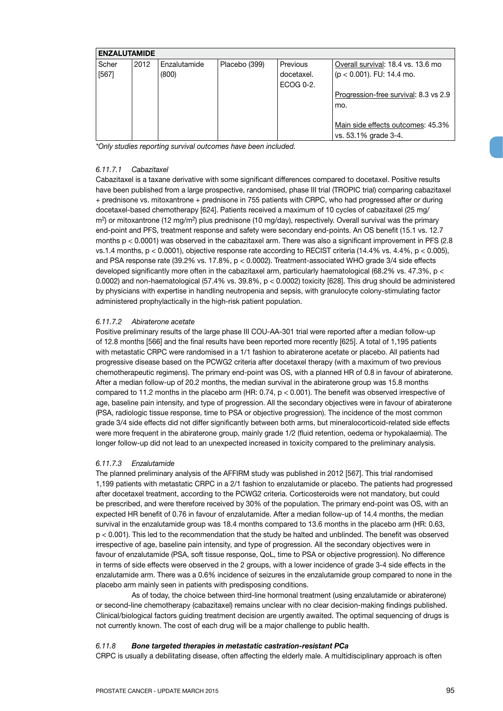| <b>ENZALUTAMIDE</b> |      |              |               |            |                                       |
|---------------------|------|--------------|---------------|------------|---------------------------------------|
| Scher               | 2012 | Enzalutamide | Placebo (399) | Previous   | Overall survival: 18.4 vs. 13.6 mo    |
| $[567]$             |      | (800)        |               | docetaxel. | $(p < 0.001)$ . FU: 14.4 mo.          |
|                     |      |              |               | ECOG 0-2.  |                                       |
|                     |      |              |               |            | Progression-free survival: 8.3 vs 2.9 |
|                     |      |              |               |            | mo.                                   |
|                     |      |              |               |            |                                       |
|                     |      |              |               |            | Main side effects outcomes: 45.3%     |
|                     |      |              |               |            | vs. 53.1% grade 3-4.                  |

*\*Only studies reporting survival outcomes have been included.*

#### *6.11.7.1 Cabazitaxel*

Cabazitaxel is a taxane derivative with some significant differences compared to docetaxel. Positive results have been published from a large prospective, randomised, phase III trial (TROPIC trial) comparing cabazitaxel + prednisone vs. mitoxantrone + prednisone in 755 patients with CRPC, who had progressed after or during docetaxel-based chemotherapy [624]. Patients received a maximum of 10 cycles of cabazitaxel (25 mg/  $m<sup>2</sup>$ ) or mitoxantrone (12 mg/m<sup>2</sup>) plus prednisone (10 mg/day), respectively. Overall survival was the primary end-point and PFS, treatment response and safety were secondary end-points. An OS benefit (15.1 vs. 12.7 months  $p < 0.0001$ ) was observed in the cabazitaxel arm. There was also a significant improvement in PFS (2.8 vs.1.4 months, p < 0.0001), objective response rate according to RECIST criteria (14.4% vs. 4.4%, p < 0.005), and PSA response rate (39.2% vs. 17.8%, p < 0.0002). Treatment-associated WHO grade 3/4 side effects developed significantly more often in the cabazitaxel arm, particularly haematological (68.2% vs. 47.3%, p < 0.0002) and non-haematological (57.4% vs. 39.8%, p < 0.0002) toxicity [628]. This drug should be administered by physicians with expertise in handling neutropenia and sepsis, with granulocyte colony-stimulating factor administered prophylactically in the high-risk patient population.

#### *6.11.7.2 Abiraterone acetate*

Positive preliminary results of the large phase III COU-AA-301 trial were reported after a median follow-up of 12.8 months [566] and the final results have been reported more recently [625]. A total of 1,195 patients with metastatic CRPC were randomised in a 1/1 fashion to abiraterone acetate or placebo. All patients had progressive disease based on the PCWG2 criteria after docetaxel therapy (with a maximum of two previous chemotherapeutic regimens). The primary end-point was OS, with a planned HR of 0.8 in favour of abiraterone. After a median follow-up of 20.2 months, the median survival in the abiraterone group was 15.8 months compared to 11.2 months in the placebo arm (HR:  $0.74$ ,  $p < 0.001$ ). The benefit was observed irrespective of age, baseline pain intensity, and type of progression. All the secondary objectives were in favour of abiraterone (PSA, radiologic tissue response, time to PSA or objective progression). The incidence of the most common grade 3/4 side effects did not differ significantly between both arms, but mineralocorticoid-related side effects were more frequent in the abiraterone group, mainly grade 1/2 (fluid retention, oedema or hypokalaemia). The longer follow-up did not lead to an unexpected increased in toxicity compared to the preliminary analysis.

#### *6.11.7.3 Enzalutamide*

The planned preliminary analysis of the AFFIRM study was published in 2012 [567]. This trial randomised 1,199 patients with metastatic CRPC in a 2/1 fashion to enzalutamide or placebo. The patients had progressed after docetaxel treatment, according to the PCWG2 criteria. Corticosteroids were not mandatory, but could be prescribed, and were therefore received by 30% of the population. The primary end-point was OS, with an expected HR benefit of 0.76 in favour of enzalutamide. After a median follow-up of 14.4 months, the median survival in the enzalutamide group was 18.4 months compared to 13.6 months in the placebo arm (HR: 0.63, p < 0.001). This led to the recommendation that the study be halted and unblinded. The benefit was observed irrespective of age, baseline pain intensity, and type of progression. All the secondary objectives were in favour of enzalutamide (PSA, soft tissue response, QoL, time to PSA or objective progression). No difference in terms of side effects were observed in the 2 groups, with a lower incidence of grade 3-4 side effects in the enzalutamide arm. There was a 0.6% incidence of seizures in the enzalutamide group compared to none in the placebo arm mainly seen in patients with predisposing conditions.

As of today, the choice between third-line hormonal treatment (using enzalutamide or abiraterone) or second-line chemotherapy (cabazitaxel) remains unclear with no clear decision-making findings published. Clinical/biological factors guiding treatment decision are urgently awaited. The optimal sequencing of drugs is not currently known. The cost of each drug will be a major challenge to public health.

#### *6.11.8 Bone targeted therapies in metastatic castration-resistant PCa*

CRPC is usually a debilitating disease, often affecting the elderly male. A multidisciplinary approach is often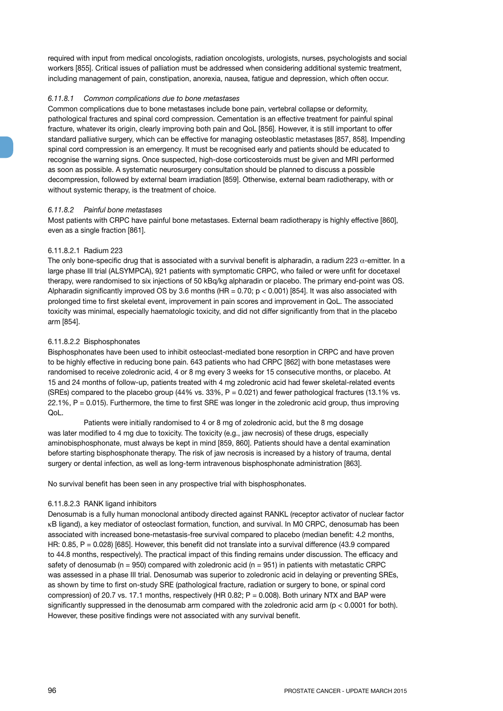required with input from medical oncologists, radiation oncologists, urologists, nurses, psychologists and social workers [855]. Critical issues of palliation must be addressed when considering additional systemic treatment, including management of pain, constipation, anorexia, nausea, fatigue and depression, which often occur.

#### *6.11.8.1 Common complications due to bone metastases*

Common complications due to bone metastases include bone pain, vertebral collapse or deformity, pathological fractures and spinal cord compression. Cementation is an effective treatment for painful spinal fracture, whatever its origin, clearly improving both pain and QoL [856]. However, it is still important to offer standard palliative surgery, which can be effective for managing osteoblastic metastases [857, 858]. Impending spinal cord compression is an emergency. It must be recognised early and patients should be educated to recognise the warning signs. Once suspected, high-dose corticosteroids must be given and MRI performed as soon as possible. A systematic neurosurgery consultation should be planned to discuss a possible decompression, followed by external beam irradiation [859]. Otherwise, external beam radiotherapy, with or without systemic therapy, is the treatment of choice.

# *6.11.8.2 Painful bone metastases*

Most patients with CRPC have painful bone metastases. External beam radiotherapy is highly effective [860], even as a single fraction [861].

#### 6.11.8.2.1 Radium 223

The only bone-specific drug that is associated with a survival benefit is alpharadin, a radium 223  $\alpha$ -emitter. In a large phase III trial (ALSYMPCA), 921 patients with symptomatic CRPC, who failed or were unfit for docetaxel therapy, were randomised to six injections of 50 kBq/kg alpharadin or placebo. The primary end-point was OS. Alpharadin significantly improved OS by 3.6 months (HR = 0.70;  $p < 0.001$ ) [854]. It was also associated with prolonged time to first skeletal event, improvement in pain scores and improvement in QoL. The associated toxicity was minimal, especially haematologic toxicity, and did not differ significantly from that in the placebo arm [854].

#### 6.11.8.2.2 Bisphosphonates

Bisphosphonates have been used to inhibit osteoclast-mediated bone resorption in CRPC and have proven to be highly effective in reducing bone pain. 643 patients who had CRPC [862] with bone metastases were randomised to receive zoledronic acid, 4 or 8 mg every 3 weeks for 15 consecutive months, or placebo. At 15 and 24 months of follow-up, patients treated with 4 mg zoledronic acid had fewer skeletal-related events (SREs) compared to the placebo group (44% vs. 33%, P = 0.021) and fewer pathological fractures (13.1% vs. 22.1%, P = 0.015). Furthermore, the time to first SRE was longer in the zoledronic acid group, thus improving QoL.

Patients were initially randomised to 4 or 8 mg of zoledronic acid, but the 8 mg dosage was later modified to 4 mg due to toxicity. The toxicity (e.g., jaw necrosis) of these drugs, especially aminobisphosphonate, must always be kept in mind [859, 860]. Patients should have a dental examination before starting bisphosphonate therapy. The risk of jaw necrosis is increased by a history of trauma, dental surgery or dental infection, as well as long-term intravenous bisphosphonate administration [863].

No survival benefit has been seen in any prospective trial with bisphosphonates.

#### 6.11.8.2.3 RANK ligand inhibitors

Denosumab is a fully human monoclonal antibody directed against RANKL (receptor activator of nuclear factor κB ligand), a key mediator of osteoclast formation, function, and survival. In M0 CRPC, denosumab has been associated with increased bone-metastasis-free survival compared to placebo (median benefit: 4.2 months, HR: 0.85, P = 0.028) [685]. However, this benefit did not translate into a survival difference (43.9 compared to 44.8 months, respectively). The practical impact of this finding remains under discussion. The efficacy and safety of denosumab ( $n = 950$ ) compared with zoledronic acid ( $n = 951$ ) in patients with metastatic CRPC was assessed in a phase III trial. Denosumab was superior to zoledronic acid in delaying or preventing SREs, as shown by time to first on-study SRE (pathological fracture, radiation or surgery to bone, or spinal cord compression) of 20.7 vs. 17.1 months, respectively (HR 0.82; P = 0.008). Both urinary NTX and BAP were significantly suppressed in the denosumab arm compared with the zoledronic acid arm (p < 0.0001 for both). However, these positive findings were not associated with any survival benefit.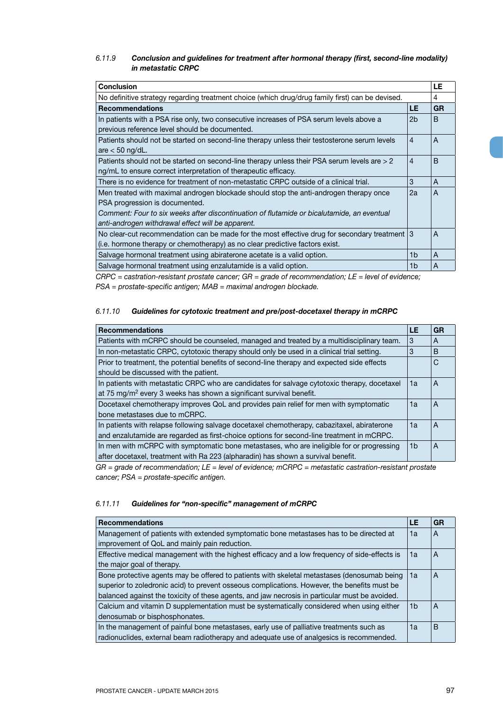# *6.11.9 Conclusion and guidelines for treatment after hormonal therapy (first, second-line modality) in metastatic CRPC*

| <b>Conclusion</b>                                                                                |                |              |  |
|--------------------------------------------------------------------------------------------------|----------------|--------------|--|
| No definitive strategy regarding treatment choice (which drug/drug family first) can be devised. |                | 4            |  |
| <b>Recommendations</b>                                                                           | LE             | <b>GR</b>    |  |
| In patients with a PSA rise only, two consecutive increases of PSA serum levels above a          | 2b             | <sub>B</sub> |  |
| previous reference level should be documented.                                                   |                |              |  |
| Patients should not be started on second-line therapy unless their testosterone serum levels     | $\overline{4}$ | A            |  |
| are $<$ 50 ng/dL.                                                                                |                |              |  |
| Patients should not be started on second-line therapy unless their PSA serum levels are > 2      |                |              |  |
| ng/mL to ensure correct interpretation of therapeutic efficacy.                                  |                |              |  |
| There is no evidence for treatment of non-metastatic CRPC outside of a clinical trial.           | 3              | A            |  |
| Men treated with maximal androgen blockade should stop the anti-androgen therapy once            | 2a             | A            |  |
| PSA progression is documented.                                                                   |                |              |  |
| Comment: Four to six weeks after discontinuation of flutamide or bicalutamide, an eventual       |                |              |  |
| anti-androgen withdrawal effect will be apparent.                                                |                |              |  |
| No clear-cut recommendation can be made for the most effective drug for secondary treatment 3    |                | A            |  |
| (i.e. hormone therapy or chemotherapy) as no clear predictive factors exist.                     |                |              |  |
| Salvage hormonal treatment using abiraterone acetate is a valid option.                          | 1b             | A            |  |
| Salvage hormonal treatment using enzalutamide is a valid option.                                 | 1b             | A            |  |

*CRPC = castration-resistant prostate cancer; GR = grade of recommendation; LE = level of evidence; PSA = prostate-specific antigen; MAB = maximal androgen blockade.*

# *6.11.10 Guidelines for cytotoxic treatment and pre/post-docetaxel therapy in mCRPC*

| <b>Recommendations</b>                                                                                                                                                                   | LE | GR |
|------------------------------------------------------------------------------------------------------------------------------------------------------------------------------------------|----|----|
| Patients with mCRPC should be counseled, managed and treated by a multidisciplinary team.                                                                                                | 3  | A  |
| In non-metastatic CRPC, cytotoxic therapy should only be used in a clinical trial setting.                                                                                               | 3  | B  |
| Prior to treatment, the potential benefits of second-line therapy and expected side effects<br>should be discussed with the patient.                                                     |    | C  |
| In patients with metastatic CRPC who are candidates for salvage cytotoxic therapy, docetaxel<br>at 75 mg/m <sup>2</sup> every 3 weeks has shown a significant survival benefit.          | 1a | A  |
| Docetaxel chemotherapy improves QoL and provides pain relief for men with symptomatic<br>bone metastases due to mCRPC.                                                                   | 1a | A  |
| In patients with relapse following salvage docetaxel chemotherapy, cabazitaxel, abiraterone<br>and enzalutamide are regarded as first-choice options for second-line treatment in mCRPC. | 1a | A  |
| In men with mCRPC with symptomatic bone metastases, who are ineligible for or progressing<br>after docetaxel, treatment with Ra 223 (alpharadin) has shown a survival benefit.           | 1b | A  |

*GR = grade of recommendation; LE = level of evidence; mCRPC = metastatic castration-resistant prostate cancer; PSA = prostate-specific antigen.*

# *6.11.11 Guidelines for "non-specific" management of mCRPC*

| <b>Recommendations</b>                                                                         | LE             | GR |
|------------------------------------------------------------------------------------------------|----------------|----|
| Management of patients with extended symptomatic bone metastases has to be directed at         | 1a             | Α  |
| improvement of QoL and mainly pain reduction.                                                  |                |    |
| Effective medical management with the highest efficacy and a low frequency of side-effects is  | 1a             | A  |
| the major goal of therapy.                                                                     |                |    |
| Bone protective agents may be offered to patients with skeletal metastases (denosumab being    | 1a             | А  |
| superior to zoledronic acid) to prevent osseous complications. However, the benefits must be   |                |    |
| balanced against the toxicity of these agents, and jaw necrosis in particular must be avoided. |                |    |
| Calcium and vitamin D supplementation must be systematically considered when using either      | 1 <sub>b</sub> | A  |
| denosumab or bisphosphonates.                                                                  |                |    |
| In the management of painful bone metastases, early use of palliative treatments such as       | 1a             | B  |
| radionuclides, external beam radiotherapy and adequate use of analgesics is recommended.       |                |    |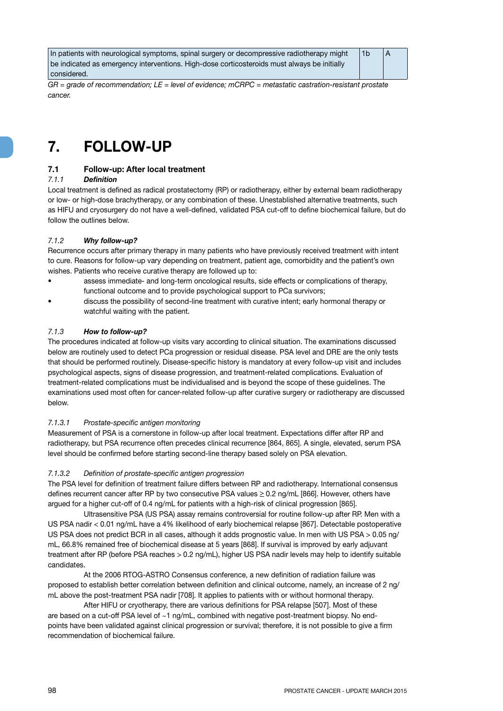| In patients with neurological symptoms, spinal surgery or decompressive radiotherapy might  | A |
|---------------------------------------------------------------------------------------------|---|
| be indicated as emergency interventions. High-dose corticosteroids must always be initially |   |
| considered.                                                                                 |   |

*GR = grade of recommendation; LE = level of evidence; mCRPC = metastatic castration-resistant prostate cancer.*

# **7. FOLLOW-UP**

# **7.1 Follow-up: After local treatment**

# *7.1.1 Definition*

Local treatment is defined as radical prostatectomy (RP) or radiotherapy, either by external beam radiotherapy or low- or high-dose brachytherapy, or any combination of these. Unestablished alternative treatments, such as HIFU and cryosurgery do not have a well-defined, validated PSA cut-off to define biochemical failure, but do follow the outlines below.

# *7.1.2 Why follow-up?*

Recurrence occurs after primary therapy in many patients who have previously received treatment with intent to cure. Reasons for follow-up vary depending on treatment, patient age, comorbidity and the patient's own wishes. Patients who receive curative therapy are followed up to:

- assess immediate- and long-term oncological results, side effects or complications of therapy, functional outcome and to provide psychological support to PCa survivors;
- discuss the possibility of second-line treatment with curative intent; early hormonal therapy or watchful waiting with the patient.

# *7.1.3 How to follow-up?*

The procedures indicated at follow-up visits vary according to clinical situation. The examinations discussed below are routinely used to detect PCa progression or residual disease. PSA level and DRE are the only tests that should be performed routinely. Disease-specific history is mandatory at every follow-up visit and includes psychological aspects, signs of disease progression, and treatment-related complications. Evaluation of treatment-related complications must be individualised and is beyond the scope of these guidelines. The examinations used most often for cancer-related follow-up after curative surgery or radiotherapy are discussed below.

# *7.1.3.1 Prostate-specific antigen monitoring*

Measurement of PSA is a cornerstone in follow-up after local treatment. Expectations differ after RP and radiotherapy, but PSA recurrence often precedes clinical recurrence [864, 865]. A single, elevated, serum PSA level should be confirmed before starting second-line therapy based solely on PSA elevation.

# *7.1.3.2 Definition of prostate-specific antigen progression*

The PSA level for definition of treatment failure differs between RP and radiotherapy. International consensus defines recurrent cancer after RP by two consecutive PSA values  $\geq$  0.2 ng/mL [866]. However, others have argued for a higher cut-off of 0.4 ng/mL for patients with a high-risk of clinical progression [865].

Ultrasensitive PSA (US PSA) assay remains controversial for routine follow-up after RP. Men with a US PSA nadir < 0.01 ng/mL have a 4% likelihood of early biochemical relapse [867]. Detectable postoperative US PSA does not predict BCR in all cases, although it adds prognostic value. In men with US PSA > 0.05 ng/ mL, 66.8% remained free of biochemical disease at 5 years [868]. If survival is improved by early adjuvant treatment after RP (before PSA reaches > 0.2 ng/mL), higher US PSA nadir levels may help to identify suitable candidates.

At the 2006 RTOG-ASTRO Consensus conference, a new definition of radiation failure was proposed to establish better correlation between definition and clinical outcome, namely, an increase of 2 ng/ mL above the post-treatment PSA nadir [708]. It applies to patients with or without hormonal therapy.

After HIFU or cryotherapy, there are various definitions for PSA relapse [507]. Most of these are based on a cut-off PSA level of ~1 ng/mL, combined with negative post-treatment biopsy. No endpoints have been validated against clinical progression or survival; therefore, it is not possible to give a firm recommendation of biochemical failure.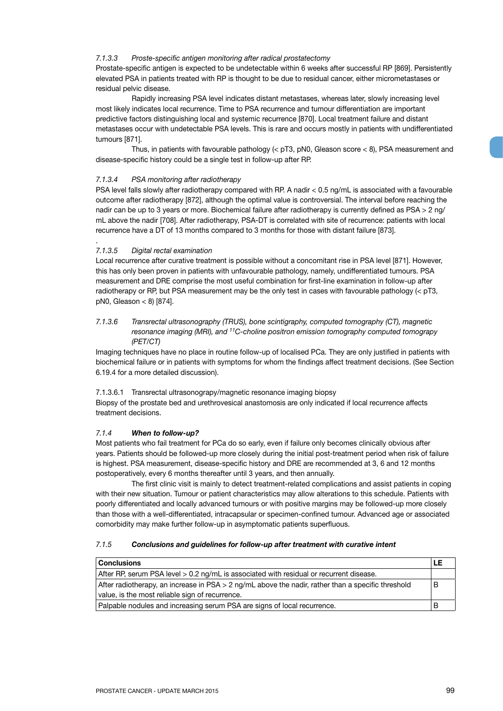#### *7.1.3.3 Proste-specific antigen monitoring after radical prostatectomy*

Prostate-specific antigen is expected to be undetectable within 6 weeks after successful RP [869]. Persistently elevated PSA in patients treated with RP is thought to be due to residual cancer, either micrometastases or residual pelvic disease.

Rapidly increasing PSA level indicates distant metastases, whereas later, slowly increasing level most likely indicates local recurrence. Time to PSA recurrence and tumour differentiation are important predictive factors distinguishing local and systemic recurrence [870]. Local treatment failure and distant metastases occur with undetectable PSA levels. This is rare and occurs mostly in patients with undifferentiated tumours [871].

Thus, in patients with favourable pathology ( $<$  pT3, pN0, Gleason score  $<$  8), PSA measurement and disease-specific history could be a single test in follow-up after RP.

# *7.1.3.4 PSA monitoring after radiotherapy*

PSA level falls slowly after radiotherapy compared with RP. A nadir < 0.5 ng/mL is associated with a favourable outcome after radiotherapy [872], although the optimal value is controversial. The interval before reaching the nadir can be up to 3 years or more. Biochemical failure after radiotherapy is currently defined as PSA > 2 ng/ mL above the nadir [708]. After radiotherapy, PSA-DT is correlated with site of recurrence: patients with local recurrence have a DT of 13 months compared to 3 months for those with distant failure [873].

# *7.1.3.5 Digital rectal examination*

.

Local recurrence after curative treatment is possible without a concomitant rise in PSA level [871]. However, this has only been proven in patients with unfavourable pathology, namely, undifferentiated tumours. PSA measurement and DRE comprise the most useful combination for first-line examination in follow-up after radiotherapy or RP, but PSA measurement may be the only test in cases with favourable pathology (< pT3, pN0, Gleason < 8) [874].

# *7.1.3.6 Transrectal ultrasonography (TRUS), bone scintigraphy, computed tomography (CT), magnetic resonance imaging (MRI), and 11C-choline positron emission tomography computed tomograpy (PET/CT)*

Imaging techniques have no place in routine follow-up of localised PCa. They are only justified in patients with biochemical failure or in patients with symptoms for whom the findings affect treatment decisions. (See Section 6.19.4 for a more detailed discussion).

7.1.3.6.1 Transrectal ultrasonograpy/magnetic resonance imaging biopsy Biopsy of the prostate bed and urethrovesical anastomosis are only indicated if local recurrence affects treatment decisions.

# *7.1.4 When to follow-up?*

Most patients who fail treatment for PCa do so early, even if failure only becomes clinically obvious after years. Patients should be followed-up more closely during the initial post-treatment period when risk of failure is highest. PSA measurement, disease-specific history and DRE are recommended at 3, 6 and 12 months postoperatively, every 6 months thereafter until 3 years, and then annually.

The first clinic visit is mainly to detect treatment-related complications and assist patients in coping with their new situation. Tumour or patient characteristics may allow alterations to this schedule. Patients with poorly differentiated and locally advanced tumours or with positive margins may be followed-up more closely than those with a well-differentiated, intracapsular or specimen-confined tumour. Advanced age or associated comorbidity may make further follow-up in asymptomatic patients superfluous.

#### *7.1.5 Conclusions and guidelines for follow-up after treatment with curative intent*

| <b>Conclusions</b>                                                                                   |  |
|------------------------------------------------------------------------------------------------------|--|
| After RP, serum PSA level > 0.2 ng/mL is associated with residual or recurrent disease.              |  |
| After radiotherapy, an increase in $PSA > 2$ ng/mL above the nadir, rather than a specific threshold |  |
| value, is the most reliable sign of recurrence.                                                      |  |
| Palpable nodules and increasing serum PSA are signs of local recurrence.                             |  |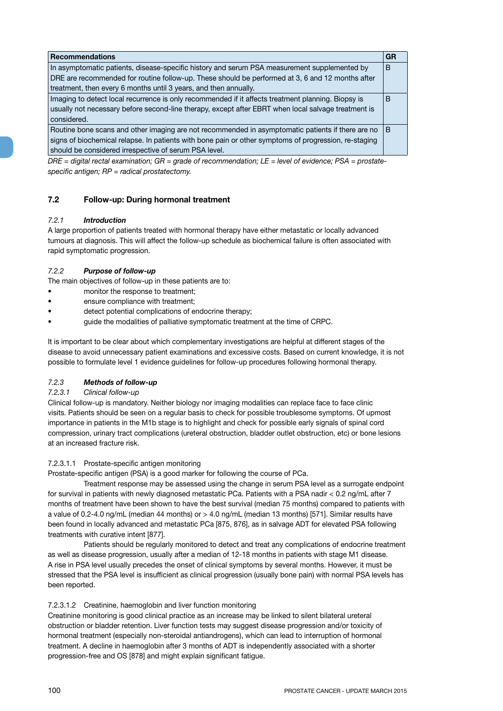| <b>Recommendations</b>                                                                                | <b>GR</b> |
|-------------------------------------------------------------------------------------------------------|-----------|
| In asymptomatic patients, disease-specific history and serum PSA measurement supplemented by          | B         |
| DRE are recommended for routine follow-up. These should be performed at 3, 6 and 12 months after      |           |
| treatment, then every 6 months until 3 years, and then annually.                                      |           |
| Imaging to detect local recurrence is only recommended if it affects treatment planning. Biopsy is    | B         |
| usually not necessary before second-line therapy, except after EBRT when local salvage treatment is   |           |
| considered.                                                                                           |           |
| Routine bone scans and other imaging are not recommended in asymptomatic patients if there are no     | B         |
| signs of biochemical relapse. In patients with bone pain or other symptoms of progression, re-staging |           |
| should be considered irrespective of serum PSA level.                                                 |           |

*DRE = digital rectal examination; GR = grade of recommendation; LE = level of evidence; PSA = prostatespecific antigen; RP = radical prostatectomy.*

# **7.2 Follow-up: During hormonal treatment**

# *7.2.1 Introduction*

A large proportion of patients treated with hormonal therapy have either metastatic or locally advanced tumours at diagnosis. This will affect the follow-up schedule as biochemical failure is often associated with rapid symptomatic progression.

# *7.2.2 Purpose of follow-up*

The main objectives of follow-up in these patients are to:

- monitor the response to treatment;
- ensure compliance with treatment;
- detect potential complications of endocrine therapy;
- guide the modalities of palliative symptomatic treatment at the time of CRPC.

It is important to be clear about which complementary investigations are helpful at different stages of the disease to avoid unnecessary patient examinations and excessive costs. Based on current knowledge, it is not possible to formulate level 1 evidence guidelines for follow-up procedures following hormonal therapy.

# *7.2.3 Methods of follow-up*

# *7.2.3.1 Clinical follow-up*

Clinical follow-up is mandatory. Neither biology nor imaging modalities can replace face to face clinic visits. Patients should be seen on a regular basis to check for possible troublesome symptoms. Of upmost importance in patients in the M1b stage is to highlight and check for possible early signals of spinal cord compression, urinary tract complications (ureteral obstruction, bladder outlet obstruction, etc) or bone lesions at an increased fracture risk.

# 7.2.3.1.1 Prostate-specific antigen monitoring

Prostate-specific antigen (PSA) is a good marker for following the course of PCa.

Treatment response may be assessed using the change in serum PSA level as a surrogate endpoint for survival in patients with newly diagnosed metastatic PCa. Patients with a PSA nadir < 0.2 ng/mL after 7 months of treatment have been shown to have the best survival (median 75 months) compared to patients with a value of 0.2-4.0 ng/mL (median 44 months) or > 4.0 ng/mL (median 13 months) [571]. Similar results have been found in locally advanced and metastatic PCa [875, 876], as in salvage ADT for elevated PSA following treatments with curative intent [877].

Patients should be regularly monitored to detect and treat any complications of endocrine treatment as well as disease progression, usually after a median of 12-18 months in patients with stage M1 disease. A rise in PSA level usually precedes the onset of clinical symptoms by several months. However, it must be stressed that the PSA level is insufficient as clinical progression (usually bone pain) with normal PSA levels has been reported.

# 7.2.3.1.2 Creatinine, haemoglobin and liver function monitoring

Creatinine monitoring is good clinical practice as an increase may be linked to silent bilateral ureteral obstruction or bladder retention. Liver function tests may suggest disease progression and/or toxicity of hormonal treatment (especially non-steroidal antiandrogens), which can lead to interruption of hormonal treatment. A decline in haemoglobin after 3 months of ADT is independently associated with a shorter progression-free and OS [878] and might explain significant fatigue.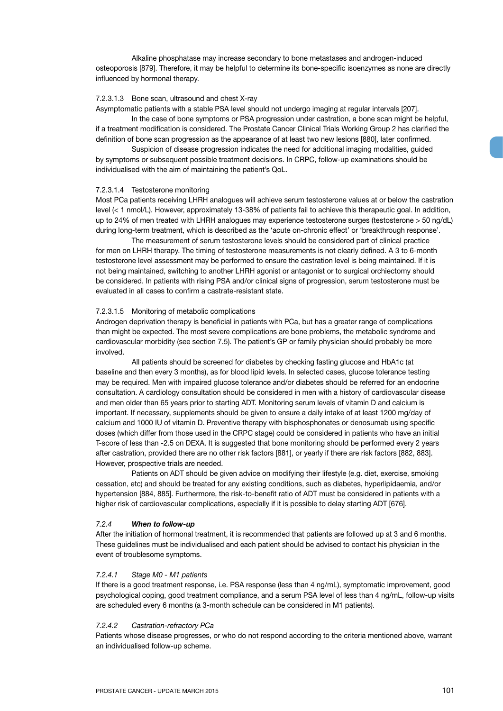Alkaline phosphatase may increase secondary to bone metastases and androgen-induced osteoporosis [879]. Therefore, it may be helpful to determine its bone-specific isoenzymes as none are directly influenced by hormonal therapy.

#### 7.2.3.1.3 Bone scan, ultrasound and chest X-ray

Asymptomatic patients with a stable PSA level should not undergo imaging at regular intervals [207].

In the case of bone symptoms or PSA progression under castration, a bone scan might be helpful, if a treatment modification is considered. The Prostate Cancer Clinical Trials Working Group 2 has clarified the definition of bone scan progression as the appearance of at least two new lesions [880], later confirmed.

Suspicion of disease progression indicates the need for additional imaging modalities, guided by symptoms or subsequent possible treatment decisions. In CRPC, follow-up examinations should be individualised with the aim of maintaining the patient's QoL.

#### 7.2.3.1.4 Testosterone monitoring

Most PCa patients receiving LHRH analogues will achieve serum testosterone values at or below the castration level (< 1 nmol/L). However, approximately 13-38% of patients fail to achieve this therapeutic goal. In addition, up to 24% of men treated with LHRH analogues may experience testosterone surges (testosterone > 50 ng/dL) during long-term treatment, which is described as the 'acute on-chronic effect' or 'breakthrough response'.

The measurement of serum testosterone levels should be considered part of clinical practice for men on LHRH therapy. The timing of testosterone measurements is not clearly defined. A 3 to 6-month testosterone level assessment may be performed to ensure the castration level is being maintained. If it is not being maintained, switching to another LHRH agonist or antagonist or to surgical orchiectomy should be considered. In patients with rising PSA and/or clinical signs of progression, serum testosterone must be evaluated in all cases to confirm a castrate-resistant state.

#### 7.2.3.1.5 Monitoring of metabolic complications

Androgen deprivation therapy is beneficial in patients with PCa, but has a greater range of complications than might be expected. The most severe complications are bone problems, the metabolic syndrome and cardiovascular morbidity (see section 7.5). The patient's GP or family physician should probably be more involved.

All patients should be screened for diabetes by checking fasting glucose and HbA1c (at baseline and then every 3 months), as for blood lipid levels. In selected cases, glucose tolerance testing may be required. Men with impaired glucose tolerance and/or diabetes should be referred for an endocrine consultation. A cardiology consultation should be considered in men with a history of cardiovascular disease and men older than 65 years prior to starting ADT. Monitoring serum levels of vitamin D and calcium is important. If necessary, supplements should be given to ensure a daily intake of at least 1200 mg/day of calcium and 1000 IU of vitamin D. Preventive therapy with bisphosphonates or denosumab using specific doses (which differ from those used in the CRPC stage) could be considered in patients who have an initial T-score of less than -2.5 on DEXA. It is suggested that bone monitoring should be performed every 2 years after castration, provided there are no other risk factors [881], or yearly if there are risk factors [882, 883]. However, prospective trials are needed.

Patients on ADT should be given advice on modifying their lifestyle (e.g. diet, exercise, smoking cessation, etc) and should be treated for any existing conditions, such as diabetes, hyperlipidaemia, and/or hypertension [884, 885]. Furthermore, the risk-to-benefit ratio of ADT must be considered in patients with a higher risk of cardiovascular complications, especially if it is possible to delay starting ADT [676].

#### *7.2.4 When to follow-up*

After the initiation of hormonal treatment, it is recommended that patients are followed up at 3 and 6 months. These guidelines must be individualised and each patient should be advised to contact his physician in the event of troublesome symptoms.

#### *7.2.4.1 Stage M0 - M1 patients*

If there is a good treatment response, i.e. PSA response (less than 4 ng/mL), symptomatic improvement, good psychological coping, good treatment compliance, and a serum PSA level of less than 4 ng/mL, follow-up visits are scheduled every 6 months (a 3-month schedule can be considered in M1 patients).

#### *7.2.4.2 Castration-refractory PCa*

Patients whose disease progresses, or who do not respond according to the criteria mentioned above, warrant an individualised follow-up scheme.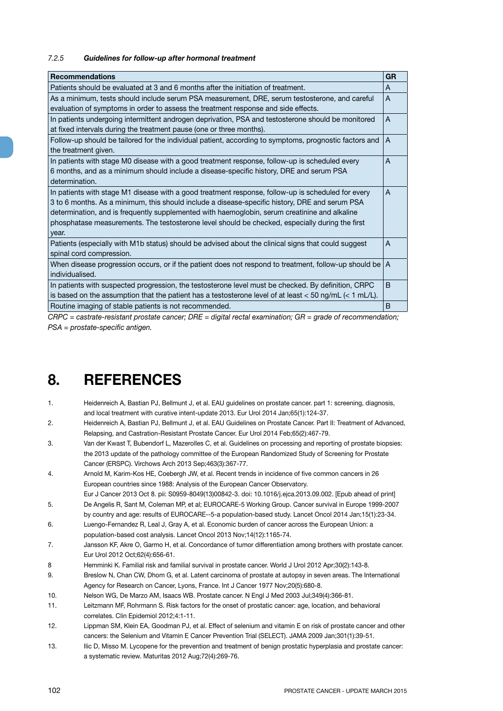# *7.2.5 Guidelines for follow-up after hormonal treatment*

| <b>Recommendations</b>                                                                                       | <b>GR</b> |
|--------------------------------------------------------------------------------------------------------------|-----------|
| Patients should be evaluated at 3 and 6 months after the initiation of treatment.                            | A         |
| As a minimum, tests should include serum PSA measurement, DRE, serum testosterone, and careful               | A         |
| evaluation of symptoms in order to assess the treatment response and side effects.                           |           |
| In patients undergoing intermittent androgen deprivation, PSA and testosterone should be monitored           | A         |
| at fixed intervals during the treatment pause (one or three months).                                         |           |
| Follow-up should be tailored for the individual patient, according to symptoms, prognostic factors and       | A         |
| the treatment given.                                                                                         |           |
| In patients with stage M0 disease with a good treatment response, follow-up is scheduled every               | A         |
| 6 months, and as a minimum should include a disease-specific history, DRE and serum PSA                      |           |
| determination.                                                                                               |           |
| In patients with stage M1 disease with a good treatment response, follow-up is scheduled for every           | A         |
| 3 to 6 months. As a minimum, this should include a disease-specific history, DRE and serum PSA               |           |
| determination, and is frequently supplemented with haemoglobin, serum creatinine and alkaline                |           |
| phosphatase measurements. The testosterone level should be checked, especially during the first              |           |
| year.                                                                                                        |           |
| Patients (especially with M1b status) should be advised about the clinical signs that could suggest          | A         |
| spinal cord compression.                                                                                     |           |
| When disease progression occurs, or if the patient does not respond to treatment, follow-up should be        | l A       |
| individualised.                                                                                              |           |
| In patients with suspected progression, the testosterone level must be checked. By definition, CRPC          | B         |
| is based on the assumption that the patient has a testosterone level of at least $<$ 50 ng/mL ( $<$ 1 mL/L). |           |
| Routine imaging of stable patients is not recommended.                                                       | B         |
|                                                                                                              |           |

*CRPC = castrate-resistant prostate cancer; DRE = digital rectal examination; GR = grade of recommendation; PSA = prostate-specific antigen.*

# **8. REFERENCES**

- 1. Heidenreich A, Bastian PJ, Bellmunt J, et al. EAU guidelines on prostate cancer. part 1: screening, diagnosis, and local treatment with curative intent-update 2013. Eur Urol 2014 Jan;65(1):124-37.
- 2. Heidenreich A, Bastian PJ, Bellmunt J, et al. EAU Guidelines on Prostate Cancer. Part II: Treatment of Advanced, Relapsing, and Castration-Resistant Prostate Cancer. Eur Urol 2014 Feb;65(2):467-79.
- 3. Van der Kwast T, Bubendorf L, Mazerolles C, et al. Guidelines on processing and reporting of prostate biopsies: the 2013 update of the pathology committee of the European Randomized Study of Screening for Prostate Cancer (ERSPC). Virchows Arch 2013 Sep;463(3):367-77.
- 4. Arnold M, Karim-Kos HE, Coebergh JW, et al. Recent trends in incidence of five common cancers in 26 European countries since 1988: Analysis of the European Cancer Observatory.
- Eur J Cancer 2013 Oct 8. pii: S0959-8049(13)00842-3. doi: 10.1016/j.ejca.2013.09.002. [Epub ahead of print] 5. De Angelis R, Sant M, Coleman MP, et al; EUROCARE-5 Working Group. Cancer survival in Europe 1999-2007
- by country and age: results of EUROCARE--5-a population-based study. Lancet Oncol 2014 Jan;15(1):23-34. 6. Luengo-Fernandez R, Leal J, Gray A, et al. Economic burden of cancer across the European Union: a
- population-based cost analysis. Lancet Oncol 2013 Nov;14(12):1165-74.
- 7. Jansson KF, Akre O, Garmo H, et al. Concordance of tumor differentiation among brothers with prostate cancer. Eur Urol 2012 Oct;62(4):656-61.
- 8 Hemminki K. Familial risk and familial survival in prostate cancer. World J Urol 2012 Apr;30(2):143-8.
- 9. Breslow N, Chan CW, Dhom G, et al. Latent carcinoma of prostate at autopsy in seven areas. The International Agency for Research on Cancer, Lyons, France. Int J Cancer 1977 Nov;20(5):680-8.
- 10. Nelson WG, De Marzo AM, Isaacs WB. Prostate cancer. N Engl J Med 2003 Jul;349(4):366-81.
- 11. Leitzmann MF, Rohrmann S. Risk factors for the onset of prostatic cancer: age, location, and behavioral correlates. Clin Epidemiol 2012;4:1-11.
- 12. Lippman SM, Klein EA, Goodman PJ, et al. Effect of selenium and vitamin E on risk of prostate cancer and other cancers: the Selenium and Vitamin E Cancer Prevention Trial (SELECT). JAMA 2009 Jan;301(1):39-51.
- 13. Ilic D, Misso M. Lycopene for the prevention and treatment of benign prostatic hyperplasia and prostate cancer: a systematic review. Maturitas 2012 Aug;72(4):269-76.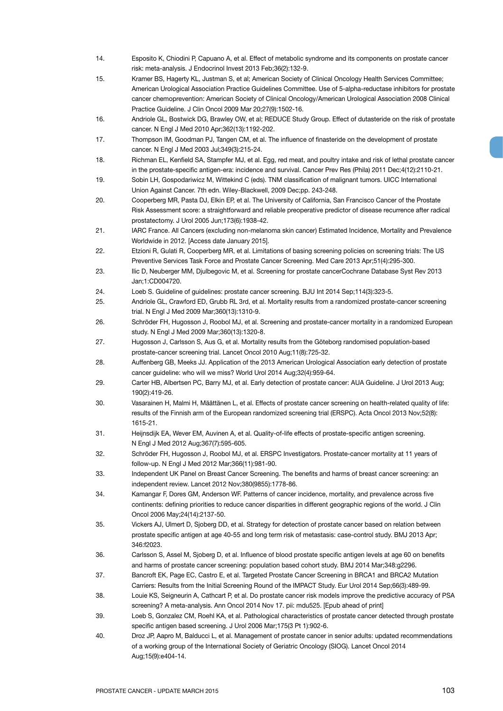- 14. Esposito K, Chiodini P, Capuano A, et al. Effect of metabolic syndrome and its components on prostate cancer risk: meta-analysis. J Endocrinol Invest 2013 Feb;36(2):132-9.
- 15. Kramer BS, Hagerty KL, Justman S, et al; American Society of Clinical Oncology Health Services Committee; American Urological Association Practice Guidelines Committee. Use of 5-alpha-reductase inhibitors for prostate cancer chemoprevention: American Society of Clinical Oncology/American Urological Association 2008 Clinical Practice Guideline. J Clin Oncol 2009 Mar 20;27(9):1502-16.
- 16. Andriole GL, Bostwick DG, Brawley OW, et al; REDUCE Study Group. Effect of dutasteride on the risk of prostate cancer. N Engl J Med 2010 Apr;362(13):1192-202.
- 17. Thompson IM, Goodman PJ, Tangen CM, et al. The influence of finasteride on the development of prostate cancer. N Engl J Med 2003 Jul;349(3):215-24.
- 18. Richman EL, Kenfield SA, Stampfer MJ, et al. Egg, red meat, and poultry intake and risk of lethal prostate cancer in the prostate-specific antigen-era: incidence and survival. Cancer Prev Res (Phila) 2011 Dec;4(12):2110-21.
- 19. Sobin LH, Gospodariwicz M, Wittekind C (eds). TNM classification of malignant tumors. UICC International Union Against Cancer. 7th edn. Wiley-Blackwell, 2009 Dec;pp. 243-248.
- 20. Cooperberg MR, Pasta DJ, Elkin EP, et al. The University of California, San Francisco Cancer of the Prostate Risk Assessment score: a straightforward and reliable preoperative predictor of disease recurrence after radical prostatectomy. J Urol 2005 Jun;173(6):1938-42.
- 21. IARC France. All Cancers (excluding non-melanoma skin cancer) Estimated Incidence, Mortality and Prevalence Worldwide in 2012. [Access date January 2015].
- 22. Etzioni R, Gulati R, Cooperberg MR, et al. Limitations of basing screening policies on screening trials: The US Preventive Services Task Force and Prostate Cancer Screening. Med Care 2013 Apr;51(4):295-300.
- 23. Ilic D, Neuberger MM, Djulbegovic M, et al. Screening for prostate cancerCochrane Database Syst Rev 2013 Jan;1:CD004720.
- 24. Loeb S. Guideline of guidelines: prostate cancer screening. BJU Int 2014 Sep;114(3):323-5.
- 25. Andriole GL, Crawford ED, Grubb RL 3rd, et al. Mortality results from a randomized prostate-cancer screening trial. N Engl J Med 2009 Mar;360(13):1310-9.
- 26. Schröder FH, Hugosson J, Roobol MJ, et al. Screening and prostate-cancer mortality in a randomized European study. N Engl J Med 2009 Mar;360(13):1320-8.
- 27. Hugosson J, Carlsson S, Aus G, et al. Mortality results from the Göteborg randomised population-based prostate-cancer screening trial. Lancet Oncol 2010 Aug;11(8):725-32.
- 28. Auffenberg GB, Meeks JJ. Application of the 2013 American Urological Association early detection of prostate cancer guideline: who will we miss? World Urol 2014 Aug;32(4):959-64.
- 29. Carter HB, Albertsen PC, Barry MJ, et al. Early detection of prostate cancer: AUA Guideline. J Urol 2013 Aug; 190(2):419-26.
- 30. Vasarainen H, Malmi H, Määttänen L, et al. Effects of prostate cancer screening on health-related quality of life: results of the Finnish arm of the European randomized screening trial (ERSPC). Acta Oncol 2013 Nov;52(8): 1615-21.
- 31. Heijnsdijk EA, Wever EM, Auvinen A, et al. Quality-of-life effects of prostate-specific antigen screening. N Engl J Med 2012 Aug;367(7):595-605.
- 32. Schröder FH, Hugosson J, Roobol MJ, et al. ERSPC Investigators. Prostate-cancer mortality at 11 years of follow-up. N Engl J Med 2012 Mar;366(11):981-90.
- 33. Independent UK Panel on Breast Cancer Screening. The benefits and harms of breast cancer screening: an independent review. Lancet 2012 Nov;380(9855):1778-86.
- 34. Kamangar F, Dores GM, Anderson WF. Patterns of cancer incidence, mortality, and prevalence across five continents: defining priorities to reduce cancer disparities in different geographic regions of the world. J Clin Oncol 2006 May;24(14):2137-50.
- 35. Vickers AJ, Ulmert D, Sjoberg DD, et al. Strategy for detection of prostate cancer based on relation between prostate specific antigen at age 40-55 and long term risk of metastasis: case-control study. BMJ 2013 Apr; 346:f2023.
- 36. Carlsson S, Assel M, Sjoberg D, et al. Influence of blood prostate specific antigen levels at age 60 on benefits and harms of prostate cancer screening: population based cohort study. BMJ 2014 Mar;348:g2296.
- 37. Bancroft EK, Page EC, Castro E, et al. Targeted Prostate Cancer Screening in BRCA1 and BRCA2 Mutation Carriers: Results from the Initial Screening Round of the IMPACT Study. Eur Urol 2014 Sep;66(3):489-99.
- 38. Louie KS, Seigneurin A, Cathcart P, et al. Do prostate cancer risk models improve the predictive accuracy of PSA screening? A meta-analysis. Ann Oncol 2014 Nov 17. pii: mdu525. [Epub ahead of print]
- 39. Loeb S, Gonzalez CM, Roehl KA, et al. Pathological characteristics of prostate cancer detected through prostate specific antigen based screening. J Urol 2006 Mar;175(3 Pt 1):902-6.
- 40. Droz JP, Aapro M, Balducci L, et al. Management of prostate cancer in senior adults: updated recommendations of a working group of the International Society of Geriatric Oncology (SIOG). Lancet Oncol 2014 Aug;15(9):e404-14.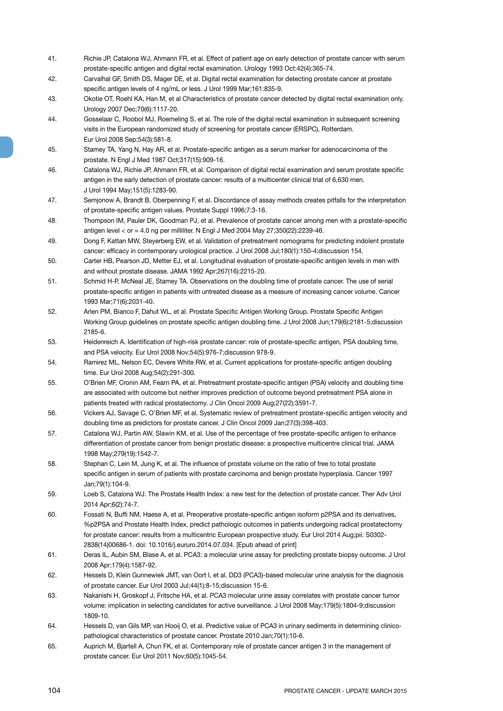- 41. Richie JP, Catalona WJ, Ahmann FR, et al. Effect of patient age on early detection of prostate cancer with serum prostate-specific antigen and digital rectal examination. Urology 1993 Oct:42(4):365-74.
- 42. Carvalhal GF, Smith DS, Mager DE, et al. Digital rectal examination for detecting prostate cancer at prostate specific antigen levels of 4 ng/mL or less. J Urol 1999 Mar;161:835-9.
- 43. Okotie OT, Roehl KA, Han M, et al Characteristics of prostate cancer detected by digital rectal examination only. Urology 2007 Dec;70(6):1117-20.
- 44. Gosselaar C, Roobol MJ, Roemeling S, et al. The role of the digital rectal examination in subsequent screening visits in the European randomized study of screening for prostate cancer (ERSPC), Rotterdam. Eur Urol 2008 Sep;54(3):581-8.
- 45. Stamey TA, Yang N, Hay AR, et al. Prostate-specific antigen as a serum marker for adenocarcinoma of the prostate. N Engl J Med 1987 Oct;317(15):909-16.
- 46. Catalona WJ, Richie JP, Ahmann FR, et al. Comparison of digital rectal examination and serum prostate specific antigen in the early detection of prostate cancer: results of a multicenter clinical trial of 6,630 men. J Urol 1994 May;151(5):1283-90.
- 47. Semjonow A, Brandt B, Oberpenning F, et al. Discordance of assay methods creates pitfalls for the interpretation of prostate-specific antigen values. Prostate Suppl 1996;7:3-16.
- 48. Thompson IM, Pauler DK, Goodman PJ, et al. Prevalence of prostate cancer among men with a prostate-specific antigen level  $<$  or  $=$  4.0 ng per milliliter. N Engl J Med 2004 May 27;350(22):2239-46.
- 49. Dong F, Kattan MW, Steyerberg EW, et al. Validation of pretreatment nomograms for predicting indolent prostate cancer: efficacy in contemporary urological practice. J Urol 2008 Jul;180(1):150-4;discussion 154.
- 50. Carter HB, Pearson JD, Metter EJ, et al. Longitudinal evaluation of prostate-specific antigen levels in men with and without prostate disease. JAMA 1992 Apr;267(16):2215-20.
- 51. Schmid H-P, McNeal JE, Stamey TA. Observations on the doubling time of prostate cancer. The use of serial prostate-specific antigen in patients with untreated disease as a measure of increasing cancer volume. Cancer 1993 Mar;71(6):2031-40.
- 52. Arlen PM, Bianco F, Dahut WL, et al. Prostate Specific Antigen Working Group. Prostate Specific Antigen Working Group guidelines on prostate specific antigen doubling time. J Urol 2008 Jun;179(6):2181-5;discussion 2185-6.
- 53. Heidenreich A. Identification of high-risk prostate cancer: role of prostate-specific antigen, PSA doubling time, and PSA velocity. Eur Urol 2008 Nov;54(5):976-7;discussion 978-9.
- 54. Ramirez ML, Nelson EC, Devere White RW, et al. Current applications for prostate-specific antigen doubling time. Eur Urol 2008 Aug;54(2):291-300.
- 55. O'Brien MF, Cronin AM, Fearn PA, et al. Pretreatment prostate-specific antigen (PSA) velocity and doubling time are associated with outcome but neither improves prediction of outcome beyond pretreatment PSA alone in patients treated with radical prostatectomy. J Clin Oncol 2009 Aug;27(22):3591-7.
- 56. Vickers AJ, Savage C, O'Brien MF, et al. Systematic review of pretreatment prostate-specific antigen velocity and doubling time as predictors for prostate cancer. J Clin Oncol 2009 Jan;27(3):398-403.
- 57. Catalona WJ, Partin AW, Slawin KM, et al. Use of the percentage of free prostate-specific antigen to enhance differentiation of prostate cancer from benign prostatic disease: a prospective multicentre clinical trial. JAMA 1998 May;279(19):1542-7.
- 58. Stephan C, Lein M, Jung K, et al. The influence of prostate volume on the ratio of free to total prostate specific antigen in serum of patients with prostate carcinoma and benign prostate hyperplasia. Cancer 1997 Jan;79(1):104-9.
- 59. Loeb S, Catalona WJ. The Prostate Health Index: a new test for the detection of prostate cancer. Ther Adv Urol 2014 Apr;6(2):74-7.
- 60. Fossati N, Buffi NM, Haese A, et al. Preoperative prostate-specific antigen isoform p2PSA and its derivatives, %p2PSA and Prostate Health Index, predict pathologic outcomes in patients undergoing radical prostatectomy for prostate cancer: results from a multicentric European prospective study. Eur Urol 2014 Aug;pii: S0302- 2838(14)00686-1. doi: 10.1016/j.eururo.2014.07.034. [Epub ahead of print]
- 61. Deras IL, Aubin SM, Blase A, et al. PCA3: a molecular urine assay for predicting prostate biopsy outcome. J Urol 2008 Apr;179(4):1587-92.
- 62. Hessels D, Klein Gunnewiek JMT, van Oort I, et al. DD3 (PCA3)-based molecular urine analysis for the diagnosis of prostate cancer. Eur Urol 2003 Jul;44(1):8-15;discussion 15-6.
- 63. Nakanishi H, Groskopf J, Fritsche HA, et al. PCA3 molecular urine assay correlates with prostate cancer tumor volume: implication in selecting candidates for active surveillance. J Urol 2008 May;179(5):1804-9;discussion 1809-10.
- 64. Hessels D, van Gils MP, van Hooij O, et al. Predictive value of PCA3 in urinary sediments in determining clinicopathological characteristics of prostate cancer. Prostate 2010 Jan;70(1):10-6.
- 65. Auprich M, Bjartell A, Chun FK, et al. Contemporary role of prostate cancer antigen 3 in the management of prostate cancer. Eur Urol 2011 Nov;60(5):1045-54.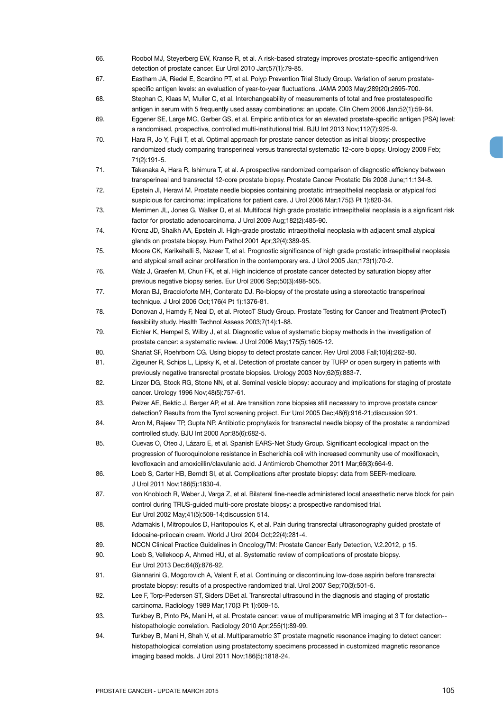- 66. Roobol MJ, Steyerberg EW, Kranse R, et al. A risk-based strategy improves prostate-specific antigendriven detection of prostate cancer. Eur Urol 2010 Jan;57(1):79-85.
- 67. Eastham JA, Riedel E, Scardino PT, et al. Polyp Prevention Trial Study Group. Variation of serum prostatespecific antigen levels: an evaluation of year-to-year fluctuations. JAMA 2003 May;289(20):2695-700.
- 68. Stephan C, Klaas M, Muller C, et al. Interchangeability of measurements of total and free prostatespecific antigen in serum with 5 frequently used assay combinations: an update. Clin Chem 2006 Jan;52(1):59-64.
- 69. Eggener SE, Large MC, Gerber GS, et al. Empiric antibiotics for an elevated prostate-specific antigen (PSA) level: a randomised, prospective, controlled multi-institutional trial. BJU Int 2013 Nov;112(7):925-9.
- 70. Hara R, Jo Y, Fujii T, et al. Optimal approach for prostate cancer detection as initial biopsy: prospective randomized study comparing transperineal versus transrectal systematic 12-core biopsy. Urology 2008 Feb; 71(2):191-5.
- 71. Takenaka A, Hara R, Ishimura T, et al. A prospective randomized comparison of diagnostic efficiency between transperineal and transrectal 12-core prostate biopsy. Prostate Cancer Prostatic Dis 2008 June;11:134-8.
- 72. Epstein JI, Herawi M. Prostate needle biopsies containing prostatic intraepithelial neoplasia or atypical foci suspicious for carcinoma: implications for patient care. J Urol 2006 Mar;175(3 Pt 1):820-34.
- 73. Merrimen JL, Jones G, Walker D, et al. Multifocal high grade prostatic intraepithelial neoplasia is a significant risk factor for prostatic adenocarcinoma. J Urol 2009 Aug;182(2):485-90.

74. Kronz JD, Shaikh AA, Epstein JI. High-grade prostatic intraepithelial neoplasia with adjacent small atypical glands on prostate biopsy. Hum Pathol 2001 Apr;32(4):389-95.

- 75. Moore CK, Karikehalli S, Nazeer T, et al. Prognostic significance of high grade prostatic intraepithelial neoplasia and atypical small acinar proliferation in the contemporary era. J Urol 2005 Jan;173(1):70-2.
- 76. Walz J, Graefen M, Chun FK, et al. High incidence of prostate cancer detected by saturation biopsy after previous negative biopsy series. Eur Urol 2006 Sep;50(3):498-505.
- 77. Moran BJ, Braccioforte MH, Conterato DJ. Re-biopsy of the prostate using a stereotactic transperineal technique. J Urol 2006 Oct;176(4 Pt 1):1376-81.
- 78. Donovan J, Hamdy F, Neal D, et al. ProtecT Study Group. Prostate Testing for Cancer and Treatment (ProtecT) feasibility study. Health Technol Assess 2003;7(14):1-88.
- 79. Eichler K, Hempel S, Wilby J, et al. Diagnostic value of systematic biopsy methods in the investigation of prostate cancer: a systematic review. J Urol 2006 May;175(5):1605-12.
- 80. Shariat SF, Roehrborn CG. Using biopsy to detect prostate cancer. Rev Urol 2008 Fall;10(4):262-80.
- 81. Zigeuner R, Schips L, Lipsky K, et al. Detection of prostate cancer by TURP or open surgery in patients with previously negative transrectal prostate biopsies. Urology 2003 Nov;62(5):883-7.
- 82. Linzer DG, Stock RG, Stone NN, et al. Seminal vesicle biopsy: accuracy and implications for staging of prostate cancer. Urology 1996 Nov;48(5):757-61.
- 83. Pelzer AE, Bektic J, Berger AP, et al. Are transition zone biopsies still necessary to improve prostate cancer detection? Results from the Tyrol screening project. Eur Urol 2005 Dec;48(6):916-21;discussion 921.
- 84. Aron M, Rajeev TP, Gupta NP. Antibiotic prophylaxis for transrectal needle biopsy of the prostate: a randomized controlled study. BJU Int 2000 Apr:85(6):682-5.
- 85. Cuevas O, Oteo J, Lázaro E, et al. Spanish EARS-Net Study Group. Significant ecological impact on the progression of fluoroquinolone resistance in Escherichia coli with increased community use of moxifloxacin, levofloxacin and amoxicillin/clavulanic acid. J Antimicrob Chemother 2011 Mar;66(3):664-9.

86. Loeb S, Carter HB, Berndt SI, et al. Complications after prostate biopsy: data from SEER-medicare. J Urol 2011 Nov;186(5):1830-4.

- 87. von Knobloch R, Weber J, Varga Z, et al. Bilateral fine-needle administered local anaesthetic nerve block for pain control during TRUS-guided multi-core prostate biopsy: a prospective randomised trial. Eur Urol 2002 May;41(5):508-14;discussion 514.
- 88. Adamakis I. Mitropoulos D, Haritopoulos K, et al. Pain during transrectal ultrasonography guided prostate of lidocaine-prilocain cream. World J Urol 2004 Oct;22(4):281-4.
- 89. NCCN Clinical Practice Guidelines in OncologyTM: Prostate Cancer Early Detection, V.2.2012, p 15.
- 90. Loeb S, Vellekoop A, Ahmed HU, et al. Systematic review of complications of prostate biopsy. Eur Urol 2013 Dec;64(6):876-92.
- 91. Giannarini G, Mogorovich A, Valent F, et al. Continuing or discontinuing low-dose aspirin before transrectal prostate biopsy: results of a prospective randomized trial. Urol 2007 Sep;70(3):501-5.
- 92. Lee F, Torp-Pedersen ST, Siders DBet al. Transrectal ultrasound in the diagnosis and staging of prostatic carcinoma. Radiology 1989 Mar;170(3 Pt 1):609-15.
- 93. Turkbey B, Pinto PA, Mani H, et al. Prostate cancer: value of multiparametric MR imaging at 3 T for detection- histopathologic correlation. Radiology 2010 Apr;255(1):89-99.
- 94. Turkbey B, Mani H, Shah V, et al. Multiparametric 3T prostate magnetic resonance imaging to detect cancer: histopathological correlation using prostatectomy specimens processed in customized magnetic resonance imaging based molds. J Urol 2011 Nov;186(5):1818-24.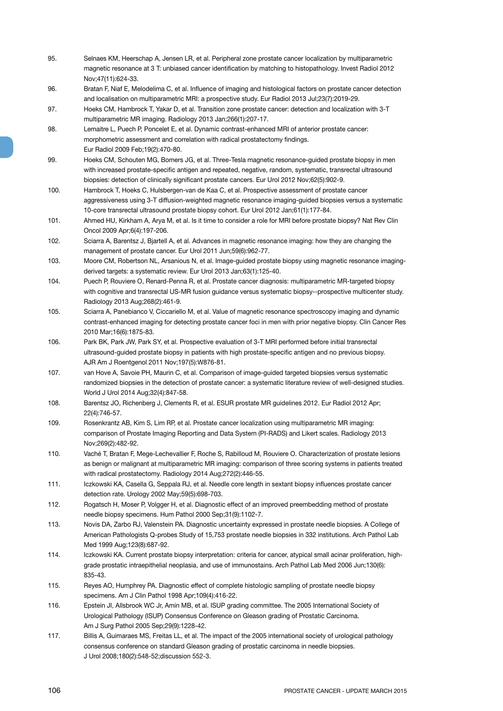- 95. Selnaes KM, Heerschap A, Jensen LR, et al. Peripheral zone prostate cancer localization by multiparametric magnetic resonance at 3 T: unbiased cancer identification by matching to histopathology. Invest Radiol 2012 Nov;47(11):624-33.
- 96. Bratan F, Niaf E, Melodelima C, et al. Influence of imaging and histological factors on prostate cancer detection and localisation on multiparametric MRI: a prospective study. Eur Radiol 2013 Jul;23(7):2019-29.
- 97. Hoeks CM, Hambrock T, Yakar D, et al. Transition zone prostate cancer: detection and localization with 3-T multiparametric MR imaging. Radiology 2013 Jan;266(1):207-17.
- 98. Lemaitre L, Puech P, Poncelet E, et al. Dynamic contrast-enhanced MRI of anterior prostate cancer: morphometric assessment and correlation with radical prostatectomy findings. Eur Radiol 2009 Feb;19(2):470-80.
- 99. Hoeks CM, Schouten MG, Bomers JG, et al. Three-Tesla magnetic resonance-guided prostate biopsy in men with increased prostate-specific antigen and repeated, negative, random, systematic, transrectal ultrasound biopsies: detection of clinically significant prostate cancers. Eur Urol 2012 Nov;62(5):902-9.
- 100. Hambrock T, Hoeks C, Hulsbergen-van de Kaa C, et al. Prospective assessment of prostate cancer aggressiveness using 3-T diffusion-weighted magnetic resonance imaging-guided biopsies versus a systematic 10-core transrectal ultrasound prostate biopsy cohort. Eur Urol 2012 Jan;61(1):177-84.
- 101. Ahmed HU, Kirkham A, Arya M, et al. Is it time to consider a role for MRI before prostate biopsy? Nat Rev Clin Oncol 2009 Apr;6(4):197-206.
- 102. Sciarra A, Barentsz J, Bjartell A, et al. Advances in magnetic resonance imaging: how they are changing the management of prostate cancer. Eur Urol 2011 Jun;59(6):962-77.
- 103. Moore CM, Robertson NL, Arsanious N, et al. Image-guided prostate biopsy using magnetic resonance imagingderived targets: a systematic review. Eur Urol 2013 Jan;63(1):125-40.
- 104. Puech P, Rouviere O, Renard-Penna R, et al. Prostate cancer diagnosis: multiparametric MR-targeted biopsy with cognitive and transrectal US-MR fusion guidance versus systematic biopsy--prospective multicenter study. Radiology 2013 Aug;268(2):461-9.
- 105. Sciarra A, Panebianco V, Ciccariello M, et al. Value of magnetic resonance spectroscopy imaging and dynamic contrast-enhanced imaging for detecting prostate cancer foci in men with prior negative biopsy. Clin Cancer Res 2010 Mar;16(6):1875-83.
- 106. Park BK, Park JW, Park SY, et al. Prospective evaluation of 3-T MRI performed before initial transrectal ultrasound-guided prostate biopsy in patients with high prostate-specific antigen and no previous biopsy. AJR Am J Roentgenol 2011 Nov;197(5):W876-81.
- 107. van Hove A, Savoie PH, Maurin C, et al. Comparison of image-guided targeted biopsies versus systematic randomized biopsies in the detection of prostate cancer: a systematic literature review of well-designed studies. World J Urol 2014 Aug;32(4):847-58.
- 108. Barentsz JO, Richenberg J, Clements R, et al. ESUR prostate MR guidelines 2012. Eur Radiol 2012 Apr; 22(4):746-57.
- 109. Rosenkrantz AB, Kim S, Lim RP, et al. Prostate cancer localization using multiparametric MR imaging: comparison of Prostate Imaging Reporting and Data System (PI-RADS) and Likert scales. Radiology 2013 Nov;269(2):482-92.
- 110. Vaché T, Bratan F, Mege-Lechevallier F, Roche S, Rabilloud M, Rouviere O. Characterization of prostate lesions as benign or malignant at multiparametric MR imaging: comparison of three scoring systems in patients treated with radical prostatectomy. Radiology 2014 Aug;272(2):446-55.
- 111. Iczkowski KA, Casella G, Seppala RJ, et al. Needle core length in sextant biopsy influences prostate cancer detection rate. Urology 2002 May;59(5):698-703.
- 112. Rogatsch H, Moser P, Volgger H, et al. Diagnostic effect of an improved preembedding method of prostate needle biopsy specimens. Hum Pathol 2000 Sep;31(9):1102-7.
- 113. Novis DA, Zarbo RJ, Valenstein PA. Diagnostic uncertainty expressed in prostate needle biopsies. A College of American Pathologists Q-probes Study of 15,753 prostate needle biopsies in 332 institutions. Arch Pathol Lab Med 1999 Aug;123(8):687-92.
- 114. Iczkowski KA. Current prostate biopsy interpretation: criteria for cancer, atypical small acinar proliferation, highgrade prostatic intraepithelial neoplasia, and use of immunostains. Arch Pathol Lab Med 2006 Jun;130(6): 835-43.
- 115. Reyes AO, Humphrey PA. Diagnostic effect of complete histologic sampling of prostate needle biopsy specimens. Am J Clin Pathol 1998 Apr;109(4):416-22.
- 116. Epstein JI, Allsbrook WC Jr, Amin MB, et al. ISUP grading committee. The 2005 International Society of Urological Pathology (ISUP) Consensus Conference on Gleason grading of Prostatic Carcinoma. Am J Surg Pathol 2005 Sep;29(9):1228-42.
- 117. Billis A, Guimaraes MS, Freitas LL, et al. The impact of the 2005 international society of urological pathology consensus conference on standard Gleason grading of prostatic carcinoma in needle biopsies. J Urol 2008;180(2):548-52;discussion 552-3.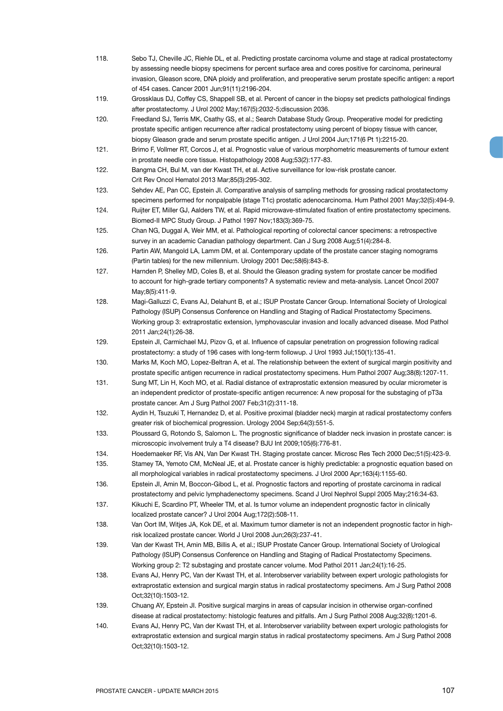- 118. Sebo TJ, Cheville JC, Riehle DL, et al. Predicting prostate carcinoma volume and stage at radical prostatectomy by assessing needle biopsy specimens for percent surface area and cores positive for carcinoma, perineural invasion, Gleason score, DNA ploidy and proliferation, and preoperative serum prostate specific antigen: a report of 454 cases. Cancer 2001 Jun;91(11):2196-204.
- 119. Grossklaus DJ, Coffey CS, Shappell SB, et al. Percent of cancer in the biopsy set predicts pathological findings after prostatectomy. J Urol 2002 May;167(5):2032-5;discussion 2036.
- 120. Freedland SJ, Terris MK, Csathy GS, et al.; Search Database Study Group. Preoperative model for predicting prostate specific antigen recurrence after radical prostatectomy using percent of biopsy tissue with cancer, biopsy Gleason grade and serum prostate specific antigen. J Urol 2004 Jun;171(6 Pt 1):2215-20.
- 121. Brimo F, Vollmer RT, Corcos J, et al. Prognostic value of various morphometric measurements of tumour extent in prostate needle core tissue. Histopathology 2008 Aug;53(2):177-83.
- 122. Bangma CH, Bul M, van der Kwast TH, et al. Active surveillance for low-risk prostate cancer. Crit Rev Oncol Hematol 2013 Mar;85(3):295-302.
- 123. Sehdev AE, Pan CC, Epstein JI. Comparative analysis of sampling methods for grossing radical prostatectomy specimens performed for nonpalpable (stage T1c) prostatic adenocarcinoma. Hum Pathol 2001 May;32(5):494-9.
- 124. Ruijter ET, Miller GJ, Aalders TW, et al. Rapid microwave-stimulated fixation of entire prostatectomy specimens. Biomed-II MPC Study Group. J Pathol 1997 Nov;183(3):369-75.
- 125. Chan NG, Duggal A, Weir MM, et al. Pathological reporting of colorectal cancer specimens: a retrospective survey in an academic Canadian pathology department. Can J Surg 2008 Aug;51(4):284-8.
- 126. Partin AW, Mangold LA, Lamm DM, et al. Contemporary update of the prostate cancer staging nomograms (Partin tables) for the new millennium. Urology 2001 Dec;58(6):843-8.
- 127. Harnden P, Shelley MD, Coles B, et al. Should the Gleason grading system for prostate cancer be modified to account for high-grade tertiary components? A systematic review and meta-analysis. Lancet Oncol 2007 May;8(5):411-9.
- 128. Magi-Galluzzi C, Evans AJ, Delahunt B, et al.; ISUP Prostate Cancer Group. International Society of Urological Pathology (ISUP) Consensus Conference on Handling and Staging of Radical Prostatectomy Specimens. Working group 3: extraprostatic extension, lymphovascular invasion and locally advanced disease. Mod Pathol 2011 Jan;24(1):26-38.
- 129. Epstein JI, Carmichael MJ, Pizov G, et al. Influence of capsular penetration on progression following radical prostatectomy: a study of 196 cases with long-term followup. J Urol 1993 Jul;150(1):135-41.
- 130. Marks M, Koch MO, Lopez-Beltran A, et al. The relationship between the extent of surgical margin positivity and prostate specific antigen recurrence in radical prostatectomy specimens. Hum Pathol 2007 Aug;38(8):1207-11.
- 131. Sung MT, Lin H, Koch MO, et al. Radial distance of extraprostatic extension measured by ocular micrometer is an independent predictor of prostate-specific antigen recurrence: A new proposal for the substaging of pT3a prostate cancer. Am J Surg Pathol 2007 Feb;31(2):311-18.
- 132. Aydin H, Tsuzuki T, Hernandez D, et al. Positive proximal (bladder neck) margin at radical prostatectomy confers greater risk of biochemical progression. Urology 2004 Sep;64(3):551-5.
- 133. Ploussard G, Rotondo S, Salomon L. The prognostic significance of bladder neck invasion in prostate cancer: is microscopic involvement truly a T4 disease? BJU Int 2009;105(6):776-81.
- 134. Hoedemaeker RF, Vis AN, Van Der Kwast TH. Staging prostate cancer. Microsc Res Tech 2000 Dec;51(5):423-9.
- 135. Stamey TA, Yemoto CM, McNeal JE, et al. Prostate cancer is highly predictable: a prognostic equation based on all morphological variables in radical prostatectomy specimens. J Urol 2000 Apr;163(4):1155-60.
- 136. Epstein JI, Amin M, Boccon-Gibod L, et al. Prognostic factors and reporting of prostate carcinoma in radical prostatectomy and pelvic lymphadenectomy specimens. Scand J Urol Nephrol Suppl 2005 May;216:34-63.
- 137. Kikuchi E, Scardino PT, Wheeler TM, et al. Is tumor volume an independent prognostic factor in clinically localized prostate cancer? J Urol 2004 Aug;172(2):508-11.
- 138. Van Oort IM, Witjes JA, Kok DE, et al. Maximum tumor diameter is not an independent prognostic factor in highrisk localized prostate cancer. World J Urol 2008 Jun;26(3):237-41.
- 139. Van der Kwast TH, Amin MB, Billis A, et al.; ISUP Prostate Cancer Group. International Society of Urological Pathology (ISUP) Consensus Conference on Handling and Staging of Radical Prostatectomy Specimens. Working group 2: T2 substaging and prostate cancer volume. Mod Pathol 2011 Jan;24(1):16-25.
- 138. Evans AJ, Henry PC, Van der Kwast TH, et al. Interobserver variability between expert urologic pathologists for extraprostatic extension and surgical margin status in radical prostatectomy specimens. Am J Surg Pathol 2008 Oct;32(10):1503-12.
- 139. Chuang AY, Epstein JI. Positive surgical margins in areas of capsular incision in otherwise organ-confined disease at radical prostatectomy: histologic features and pitfalls. Am J Surg Pathol 2008 Aug;32(8):1201-6.
- 140. Evans AJ, Henry PC, Van der Kwast TH, et al. Interobserver variability between expert urologic pathologists for extraprostatic extension and surgical margin status in radical prostatectomy specimens. Am J Surg Pathol 2008 Oct;32(10):1503-12.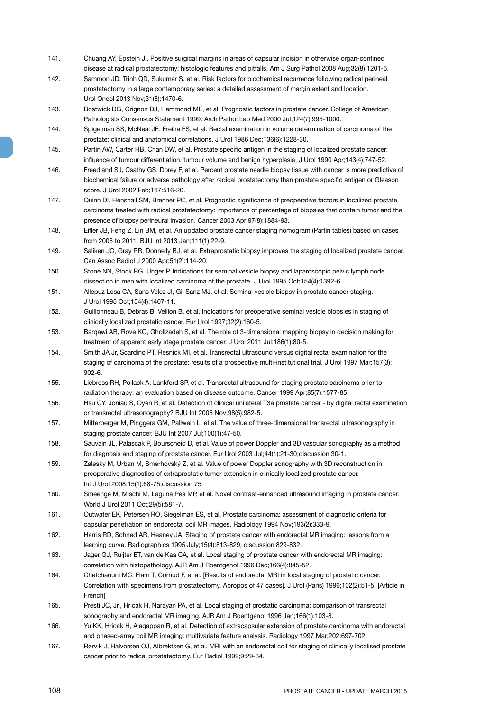- 141. Chuang AY, Epstein JI. Positive surgical margins in areas of capsular incision in otherwise organ-confined disease at radical prostatectomy: histologic features and pitfalls. Am J Surg Pathol 2008 Aug;32(8):1201-6.
- 142. Sammon JD, Trinh QD, Sukumar S, et al. Risk factors for biochemical recurrence following radical perineal prostatectomy in a large contemporary series: a detailed assessment of margin extent and location. Urol Oncol 2013 Nov;31(8):1470-6.
- 143. Bostwick DG, Grignon DJ, Hammond ME, et al. Prognostic factors in prostate cancer. College of American Pathologists Consensus Statement 1999. Arch Pathol Lab Med 2000 Jul;124(7):995-1000.
- 144. Spigelman SS, McNeal JE, Freiha FS, et al. Rectal examination in volume determination of carcinoma of the prostate: clinical and anatomical correlations. J Urol 1986 Dec;136(6):1228-30.
- 145. Partin AW, Carter HB, Chan DW, et al. Prostate specific antigen in the staging of localized prostate cancer: influence of tumour differentiation, tumour volume and benign hyperplasia. J Urol 1990 Apr;143(4):747-52.
- 146. Freedland SJ, Csathy GS, Dorey F, et al. Percent prostate needle biopsy tissue with cancer is more predictive of biochemical failure or adverse pathology after radical prostatectomy than prostate specific antigen or Gleason score. J Urol 2002 Feb;167:516-20.
- 147. Quinn DI, Henshall SM, Brenner PC, et al. Prognostic significance of preoperative factors in localized prostate carcinoma treated with radical prostatectomy: importance of percentage of biopsies that contain tumor and the presence of biopsy perineural invasion. Cancer 2003 Apr;97(8):1884-93.
- 148. Eifler JB, Feng Z, Lin BM, et al. An updated prostate cancer staging nomogram (Partin tables) based on cases from 2006 to 2011. BJU Int 2013 Jan;111(1):22-9.
- 149. Saliken JC, Gray RR, Donnelly BJ, et al. Extraprostatic biopsy improves the staging of localized prostate cancer. Can Assoc Radiol J 2000 Apr;51(2):114-20.
- 150. Stone NN, Stock RG, Unger P. Indications for seminal vesicle biopsy and laparoscopic pelvic lymph node dissection in men with localized carcinoma of the prostate. J Urol 1995 Oct;154(4):1392-6.
- 151. Allepuz Losa CA, Sans Velez JI, Gil Sanz MJ, et al. Seminal vesicle biopsy in prostate cancer staging. J Urol 1995 Oct;154(4):1407-11.
- 152. Guillonneau B, Debras B, Veillon B, et al. Indications for preoperative seminal vesicle biopsies in staging of clinically localized prostatic cancer. Eur Urol 1997;32(2):160-5.
- 153. Barqawi AB, Rove KO, Gholizadeh S, et al. The role of 3-dimensional mapping biopsy in decision making for treatment of apparent early stage prostate cancer. J Urol 2011 Jul;186(1):80-5.
- 154. Smith JA Jr, Scardino PT, Resnick MI, et al. Transrectal ultrasound versus digital rectal examination for the staging of carcinoma of the prostate: results of a prospective multi-institutional trial. J Urol 1997 Mar;157(3): 902-6.
- 155. Liebross RH, Pollack A, Lankford SP, et al. Transrectal ultrasound for staging prostate carcinoma prior to radiation therapy: an evaluation based on disease outcome. Cancer 1999 Apr;85(7):1577-85.
- 156. Hsu CY, Joniau S, Oyen R, et al. Detection of clinical unilateral T3a prostate cancer by digital rectal examination or transrectal ultrasonography? BJU Int 2006 Nov;98(5):982-5.
- 157. Mitterberger M, Pinggera GM, Pallwein L, et al. The value of three-dimensional transrectal ultrasonography in staging prostate cancer. BJU Int 2007 Jul;100(1):47-50.
- 158. Sauvain JL, Palascak P, Bourscheid D, et al. Value of power Doppler and 3D vascular sonography as a method for diagnosis and staging of prostate cancer. Eur Urol 2003 Jul;44(1):21-30;discussion 30-1.
- 159. Zalesky M, Urban M, Smerhovský Z, et al. Value of power Doppler sonography with 3D reconstruction in preoperative diagnostics of extraprostatic tumor extension in clinically localized prostate cancer. Int J Urol 2008;15(1):68-75;discussion 75.
- 160. Smeenge M, Mischi M, Laguna Pes MP, et al. Novel contrast-enhanced ultrasound imaging in prostate cancer. World J Urol 2011 Oct;29(5):581-7.
- 161. Outwater EK, Petersen RO, Siegelman ES, et al. Prostate carcinoma: assessment of diagnostic criteria for capsular penetration on endorectal coil MR images. Radiology 1994 Nov;193(2):333-9.
- 162. Harris RD, Schned AR, Heaney JA. Staging of prostate cancer with endorectal MR imaging: lessons from a learning curve. Radiographics 1995 July;15(4):813-829, discussion 829-832.
- 163. Jager GJ, Ruijter ET, van de Kaa CA, et al. Local staging of prostate cancer with endorectal MR imaging: correlation with histopathology. AJR Am J Roentgenol 1996 Dec;166(4):845-52.
- 164. Chefchaouni MC, Flam T, Cornud F, et al. [Results of endorectal MRI in local staging of prostatic cancer. Correlation with specimens from prostatectomy. Apropos of 47 cases]. J Urol (Paris) 1996;102(2):51-5. [Article in **French**
- 165. Presti JC, Jr., Hricak H, Narayan PA, et al. Local staging of prostatic carcinoma: comparison of transrectal sonography and endorectal MR imaging. AJR Am J Roentgenol 1996 Jan;166(1):103-8.
- 166. Yu KK, Hricak H, Alagappan R, et al. Detection of extracapsular extension of prostate carcinoma with endorectal and phased-array coil MR imaging: multivariate feature analysis. Radiology 1997 Mar;202:697-702.
- 167. Rørvik J, Halvorsen OJ, Albrektsen G, et al. MRI with an endorectal coil for staging of clinically localised prostate cancer prior to radical prostatectomy. Eur Radiol 1999;9:29-34.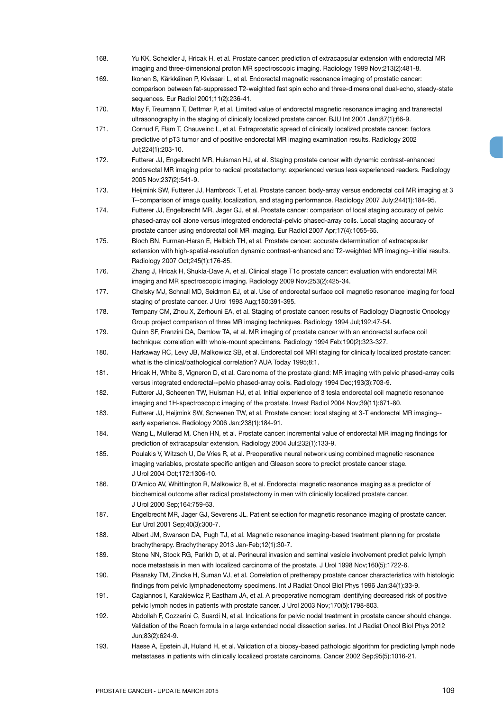- 168. Yu KK, Scheidler J, Hricak H, et al. Prostate cancer: prediction of extracapsular extension with endorectal MR imaging and three-dimensional proton MR spectroscopic imaging. Radiology 1999 Nov;213(2):481-8.
- 169. Ikonen S, Kärkkäinen P, Kivisaari L, et al. Endorectal magnetic resonance imaging of prostatic cancer: comparison between fat-suppressed T2-weighted fast spin echo and three-dimensional dual-echo, steady-state sequences. Eur Radiol 2001;11(2):236-41.
- 170. May F, Treumann T, Dettmar P, et al. Limited value of endorectal magnetic resonance imaging and transrectal ultrasonography in the staging of clinically localized prostate cancer. BJU Int 2001 Jan;87(1):66-9.
- 171. Cornud F, Flam T, Chauveinc L, et al. Extraprostatic spread of clinically localized prostate cancer: factors predictive of pT3 tumor and of positive endorectal MR imaging examination results. Radiology 2002 Jul;224(1):203-10.
- 172. Futterer JJ, Engelbrecht MR, Huisman HJ, et al. Staging prostate cancer with dynamic contrast-enhanced endorectal MR imaging prior to radical prostatectomy: experienced versus less experienced readers. Radiology 2005 Nov;237(2):541-9.
- 173. Heijmink SW, Futterer JJ, Hambrock T, et al. Prostate cancer: body-array versus endorectal coil MR imaging at 3 T--comparison of image quality, localization, and staging performance. Radiology 2007 July;244(1):184-95.
- 174. Futterer JJ, Engelbrecht MR, Jager GJ, et al. Prostate cancer: comparison of local staging accuracy of pelvic phased-array coil alone versus integrated endorectal-pelvic phased-array coils. Local staging accuracy of prostate cancer using endorectal coil MR imaging. Eur Radiol 2007 Apr;17(4):1055-65.
- 175. Bloch BN, Furman-Haran E, Helbich TH, et al. Prostate cancer: accurate determination of extracapsular extension with high-spatial-resolution dynamic contrast-enhanced and T2-weighted MR imaging--initial results. Radiology 2007 Oct;245(1):176-85.
- 176. Zhang J, Hricak H, Shukla-Dave A, et al. Clinical stage T1c prostate cancer: evaluation with endorectal MR imaging and MR spectroscopic imaging. Radiology 2009 Nov;253(2):425-34.
- 177. Chelsky MJ, Schnall MD, Seidmon EJ, et al. Use of endorectal surface coil magnetic resonance imaging for focal staging of prostate cancer. J Urol 1993 Aug;150:391-395.
- 178. Tempany CM, Zhou X, Zerhouni EA, et al. Staging of prostate cancer: results of Radiology Diagnostic Oncology Group project comparison of three MR imaging techniques. Radiology 1994 Jul;192:47-54.
- 179. Quinn SF, Franzini DA, Demlow TA, et al. MR imaging of prostate cancer with an endorectal surface coil technique: correlation with whole-mount specimens. Radiology 1994 Feb;190(2):323-327.

180. Harkaway RC, Levy JB, Malkowicz SB, et al. Endorectal coil MRI staging for clinically localized prostate cancer: what is the clinical/pathological correlation? AUA Today 1995;8:1.

- 181. Hricak H, White S, Vigneron D, et al. Carcinoma of the prostate gland: MR imaging with pelvic phased-array coils versus integrated endorectal--pelvic phased-array coils. Radiology 1994 Dec;193(3):703-9.
- 182. Futterer JJ, Scheenen TW, Huisman HJ, et al. Initial experience of 3 tesla endorectal coil magnetic resonance imaging and 1H-spectroscopic imaging of the prostate. Invest Radiol 2004 Nov;39(11):671-80.
- 183. Futterer JJ, Heijmink SW, Scheenen TW, et al. Prostate cancer: local staging at 3-T endorectal MR imaging- early experience. Radiology 2006 Jan;238(1):184-91.
- 184. Wang L, Mullerad M, Chen HN, et al. Prostate cancer: incremental value of endorectal MR imaging findings for prediction of extracapsular extension. Radiology 2004 Jul;232(1):133-9.
- 185. Poulakis V, Witzsch U, De Vries R, et al. Preoperative neural network using combined magnetic resonance imaging variables, prostate specific antigen and Gleason score to predict prostate cancer stage. J Urol 2004 Oct;172:1306-10.
- 186. D'Amico AV, Whittington R, Malkowicz B, et al. Endorectal magnetic resonance imaging as a predictor of biochemical outcome after radical prostatectomy in men with clinically localized prostate cancer. J Urol 2000 Sep;164:759-63.
- 187. Engelbrecht MR, Jager GJ, Severens JL. Patient selection for magnetic resonance imaging of prostate cancer. Eur Urol 2001 Sep;40(3):300-7.
- 188. Albert JM, Swanson DA, Pugh TJ, et al. Magnetic resonance imaging-based treatment planning for prostate brachytherapy. Brachytherapy 2013 Jan-Feb;12(1):30-7.
- 189. Stone NN, Stock RG, Parikh D, et al. Perineural invasion and seminal vesicle involvement predict pelvic lymph node metastasis in men with localized carcinoma of the prostate. J Urol 1998 Nov;160(5):1722-6.
- 190. Pisansky TM, Zincke H, Suman VJ, et al. Correlation of pretherapy prostate cancer characteristics with histologic findings from pelvic lymphadenectomy specimens. Int J Radiat Oncol Biol Phys 1996 Jan;34(1):33-9.
- 191. Cagiannos I, Karakiewicz P, Eastham JA, et al. A preoperative nomogram identifying decreased risk of positive pelvic lymph nodes in patients with prostate cancer. J Urol 2003 Nov;170(5):1798-803.
- 192. Abdollah F, Cozzarini C, Suardi N, et al. Indications for pelvic nodal treatment in prostate cancer should change. Validation of the Roach formula in a large extended nodal dissection series. Int J Radiat Oncol Biol Phys 2012 Jun;83(2):624-9.
- 193. Haese A, Epstein JI, Huland H, et al. Validation of a biopsy-based pathologic algorithm for predicting lymph node metastases in patients with clinically localized prostate carcinoma. Cancer 2002 Sep;95(5):1016-21.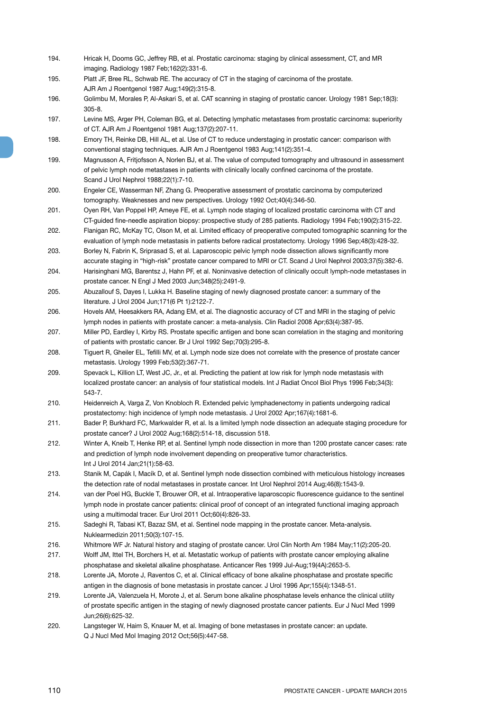- 194. Hricak H, Dooms GC, Jeffrey RB, et al. Prostatic carcinoma: staging by clinical assessment, CT, and MR imaging. Radiology 1987 Feb;162(2):331-6.
- 195. Platt JF, Bree RL, Schwab RE. The accuracy of CT in the staging of carcinoma of the prostate. AJR Am J Roentgenol 1987 Aug;149(2):315-8.
- 196. Golimbu M, Morales P, Al-Askari S, et al. CAT scanning in staging of prostatic cancer. Urology 1981 Sep;18(3): 305-8.
- 197. Levine MS, Arger PH, Coleman BG, et al. Detecting lymphatic metastases from prostatic carcinoma: superiority of CT. AJR Am J Roentgenol 1981 Aug;137(2):207-11.
- 198. Emory TH, Reinke DB, Hill AL, et al. Use of CT to reduce understaging in prostatic cancer: comparison with conventional staging techniques. AJR Am J Roentgenol 1983 Aug;141(2):351-4.
- 199. Magnusson A, Fritjofsson A, Norlen BJ, et al. The value of computed tomography and ultrasound in assessment of pelvic lymph node metastases in patients with clinically locally confined carcinoma of the prostate. Scand J Urol Nephrol 1988;22(1):7-10.
- 200. Engeler CE, Wasserman NF, Zhang G. Preoperative assessment of prostatic carcinoma by computerized tomography. Weaknesses and new perspectives. Urology 1992 Oct;40(4):346-50.
- 201. Oyen RH, Van Poppel HP, Ameye FE, et al. Lymph node staging of localized prostatic carcinoma with CT and CT-guided fine-needle aspiration biopsy: prospective study of 285 patients. Radiology 1994 Feb;190(2):315-22.
- 202. Flanigan RC, McKay TC, Olson M, et al. Limited efficacy of preoperative computed tomographic scanning for the evaluation of lymph node metastasis in patients before radical prostatectomy. Urology 1996 Sep;48(3):428-32.
- 203. Borley N, Fabrin K, Sriprasad S, et al. Laparoscopic pelvic lymph node dissection allows significantly more accurate staging in "high-risk" prostate cancer compared to MRI or CT. Scand J Urol Nephrol 2003;37(5):382-6.
- 204. Harisinghani MG, Barentsz J, Hahn PF, et al. Noninvasive detection of clinically occult lymph-node metastases in prostate cancer. N Engl J Med 2003 Jun;348(25):2491-9.
- 205. Abuzallouf S, Dayes I, Lukka H. Baseline staging of newly diagnosed prostate cancer: a summary of the literature. J Urol 2004 Jun;171(6 Pt 1):2122-7.
- 206. Hovels AM, Heesakkers RA, Adang EM, et al. The diagnostic accuracy of CT and MRI in the staging of pelvic lymph nodes in patients with prostate cancer: a meta-analysis. Clin Radiol 2008 Apr;63(4):387-95.
- 207. Miller PD, Eardley I, Kirby RS. Prostate specific antigen and bone scan correlation in the staging and monitoring of patients with prostatic cancer. Br J Urol 1992 Sep;70(3):295-8.
- 208. Tiguert R, Gheiler EL, Tefilli MV, et al. Lymph node size does not correlate with the presence of prostate cancer metastasis. Urology 1999 Feb;53(2):367-71.
- 209. Spevack L, Killion LT, West JC, Jr., et al. Predicting the patient at low risk for lymph node metastasis with localized prostate cancer: an analysis of four statistical models. Int J Radiat Oncol Biol Phys 1996 Feb;34(3): 543-7.
- 210. Heidenreich A, Varga Z, Von Knobloch R. Extended pelvic lymphadenectomy in patients undergoing radical prostatectomy: high incidence of lymph node metastasis. J Urol 2002 Apr;167(4):1681-6.
- 211. Bader P, Burkhard FC, Markwalder R, et al. Is a limited lymph node dissection an adequate staging procedure for prostate cancer? J Urol 2002 Aug;168(2):514-18, discussion 518.
- 212. Winter A, Kneib T, Henke RP, et al. Sentinel lymph node dissection in more than 1200 prostate cancer cases: rate and prediction of lymph node involvement depending on preoperative tumor characteristics. Int J Urol 2014 Jan;21(1):58-63.
- 213. Stanik M, Capák I, Macík D, et al. Sentinel lymph node dissection combined with meticulous histology increases the detection rate of nodal metastases in prostate cancer. Int Urol Nephrol 2014 Aug;46(8):1543-9.
- 214. van der Poel HG, Buckle T, Brouwer OR, et al. Intraoperative laparoscopic fluorescence guidance to the sentinel lymph node in prostate cancer patients: clinical proof of concept of an integrated functional imaging approach using a multimodal tracer. Eur Urol 2011 Oct;60(4):826-33.
- 215. Sadeghi R, Tabasi KT, Bazaz SM, et al. Sentinel node mapping in the prostate cancer. Meta-analysis. Nuklearmedizin 2011;50(3):107-15.
- 216. Whitmore WF Jr. Natural history and staging of prostate cancer. Urol Clin North Am 1984 May;11(2):205-20.
- 217. Wolff JM, Ittel TH, Borchers H, et al. Metastatic workup of patients with prostate cancer employing alkaline phosphatase and skeletal alkaline phosphatase. Anticancer Res 1999 Jul-Aug;19(4A):2653-5.
- 218. Lorente JA, Morote J, Raventos C, et al. Clinical efficacy of bone alkaline phosphatase and prostate specific antigen in the diagnosis of bone metastasis in prostate cancer. J Urol 1996 Apr;155(4):1348-51.
- 219. Lorente JA, Valenzuela H, Morote J, et al. Serum bone alkaline phosphatase levels enhance the clinical utility of prostate specific antigen in the staging of newly diagnosed prostate cancer patients. Eur J Nucl Med 1999 Jun;26(6):625-32.
- 220. Langsteger W, Haim S, Knauer M, et al. Imaging of bone metastases in prostate cancer: an update. Q J Nucl Med Mol Imaging 2012 Oct;56(5):447-58.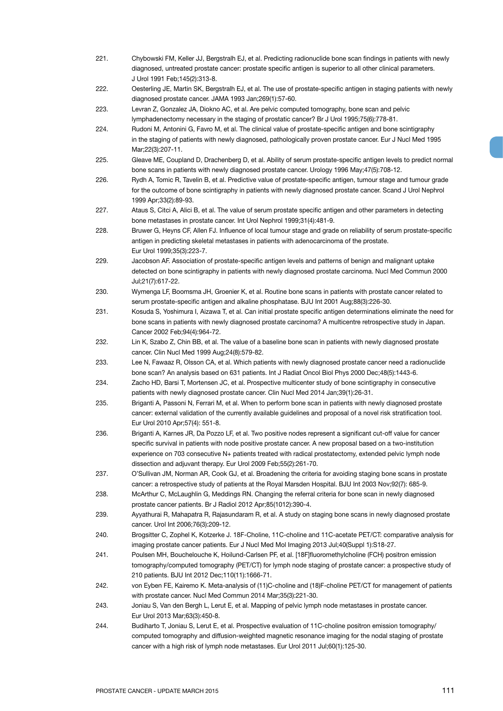J Urol 1991 Feb;145(2):313-8. 222. Oesterling JE, Martin SK, Bergstralh EJ, et al. The use of prostate-specific antigen in staging patients with newly diagnosed prostate cancer. JAMA 1993 Jan;269(1):57-60. 223. Levran Z, Gonzalez JA, Diokno AC, et al. Are pelvic computed tomography, bone scan and pelvic lymphadenectomy necessary in the staging of prostatic cancer? Br J Urol 1995;75(6):778-81. 224. Rudoni M, Antonini G, Favro M, et al. The clinical value of prostate-specific antigen and bone scintigraphy in the staging of patients with newly diagnosed, pathologically proven prostate cancer. Eur J Nucl Med 1995 Mar;22(3):207-11. 225. Gleave ME, Coupland D, Drachenberg D, et al. Ability of serum prostate-specific antigen levels to predict normal bone scans in patients with newly diagnosed prostate cancer. Urology 1996 May;47(5):708-12. 226. Rydh A, Tomic R, Tavelin B, et al. Predictive value of prostate-specific antigen, tumour stage and tumour grade for the outcome of bone scintigraphy in patients with newly diagnosed prostate cancer. Scand J Urol Nephrol 1999 Apr;33(2):89-93. 227. Ataus S, Citci A, Alici B, et al. The value of serum prostate specific antigen and other parameters in detecting bone metastases in prostate cancer. Int Urol Nephrol 1999;31(4):481-9. 228. Bruwer G, Heyns CF, Allen FJ. Influence of local tumour stage and grade on reliability of serum prostate-specific antigen in predicting skeletal metastases in patients with adenocarcinoma of the prostate. Eur Urol 1999;35(3):223-7. 229. Jacobson AF. Association of prostate-specific antigen levels and patterns of benign and malignant uptake detected on bone scintigraphy in patients with newly diagnosed prostate carcinoma. Nucl Med Commun 2000 Jul;21(7):617-22. 230. Wymenga LF, Boomsma JH, Groenier K, et al. Routine bone scans in patients with prostate cancer related to serum prostate-specific antigen and alkaline phosphatase. BJU Int 2001 Aug;88(3):226-30. 231. Kosuda S, Yoshimura I, Aizawa T, et al. Can initial prostate specific antigen determinations eliminate the need for bone scans in patients with newly diagnosed prostate carcinoma? A multicentre retrospective study in Japan. Cancer 2002 Feb;94(4):964-72. 232. Lin K, Szabo Z, Chin BB, et al. The value of a baseline bone scan in patients with newly diagnosed prostate cancer. Clin Nucl Med 1999 Aug;24(8):579-82. 233. Lee N, Fawaaz R, Olsson CA, et al. Which patients with newly diagnosed prostate cancer need a radionuclide bone scan? An analysis based on 631 patients. Int J Radiat Oncol Biol Phys 2000 Dec;48(5):1443-6. 234. Zacho HD, Barsi T, Mortensen JC, et al. Prospective multicenter study of bone scintigraphy in consecutive patients with newly diagnosed prostate cancer. Clin Nucl Med 2014 Jan;39(1):26-31. 235. Briganti A, Passoni N, Ferrari M, et al. When to perform bone scan in patients with newly diagnosed prostate cancer: external validation of the currently available guidelines and proposal of a novel risk stratification tool. Eur Urol 2010 Apr;57(4): 551-8. 236. Briganti A, Karnes JR, Da Pozzo LF, et al. Two positive nodes represent a significant cut-off value for cancer specific survival in patients with node positive prostate cancer. A new proposal based on a two-institution experience on 703 consecutive N+ patients treated with radical prostatectomy, extended pelvic lymph node dissection and adjuvant therapy. Eur Urol 2009 Feb;55(2):261-70. 237. O'Sullivan JM, Norman AR, Cook GJ, et al. Broadening the criteria for avoiding staging bone scans in prostate cancer: a retrospective study of patients at the Royal Marsden Hospital. BJU Int 2003 Nov;92(7): 685-9. 238. McArthur C, McLaughlin G, Meddings RN. Changing the referral criteria for bone scan in newly diagnosed prostate cancer patients. Br J Radiol 2012 Apr;85(1012):390-4. 239. Ayyathurai R, Mahapatra R, Rajasundaram R, et al. A study on staging bone scans in newly diagnosed prostate cancer. Urol Int 2006;76(3):209-12. 240. Brogsitter C, Zophel K, Kotzerke J. 18F-Choline, 11C-choline and 11C-acetate PET/CT: comparative analysis for imaging prostate cancer patients. Eur J Nucl Med Mol Imaging 2013 Jul;40(Suppl 1):S18-27. 241. Poulsen MH, Bouchelouche K, Hoilund-Carlsen PF, et al. [18F]fluoromethylcholine (FCH) positron emission tomography/computed tomography (PET/CT) for lymph node staging of prostate cancer: a prospective study of 210 patients. BJU Int 2012 Dec;110(11):1666-71. 242. von Eyben FE, Kairemo K. Meta-analysis of (11)C-choline and (18)F-choline PET/CT for management of patients with prostate cancer. Nucl Med Commun 2014 Mar;35(3):221-30. 243. Joniau S, Van den Bergh L, Lerut E, et al. Mapping of pelvic lymph node metastases in prostate cancer. Eur Urol 2013 Mar;63(3):450-8. 244. Budiharto T, Joniau S, Lerut E, et al. Prospective evaluation of 11C-choline positron emission tomography/ computed tomography and diffusion-weighted magnetic resonance imaging for the nodal staging of prostate cancer with a high risk of lymph node metastases. Eur Urol 2011 Jul;60(1):125-30.

221. Chybowski FM, Keller JJ, Bergstralh EJ, et al. Predicting radionuclide bone scan findings in patients with newly diagnosed, untreated prostate cancer: prostate specific antigen is superior to all other clinical parameters.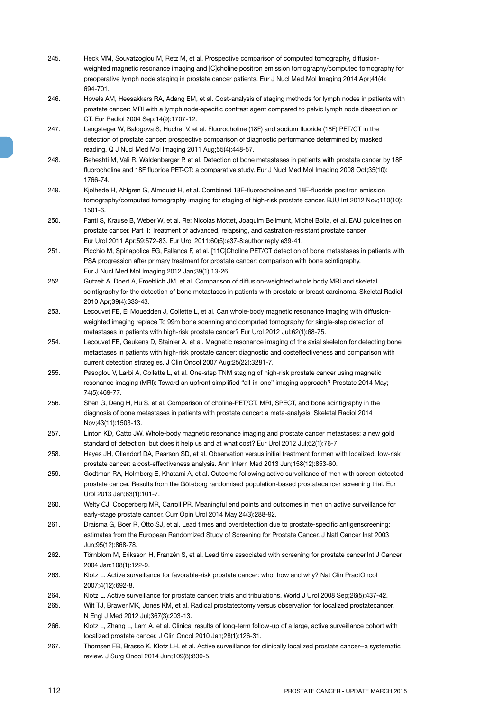- 245. Heck MM, Souvatzoglou M, Retz M, et al. Prospective comparison of computed tomography, diffusionweighted magnetic resonance imaging and [C]choline positron emission tomography/computed tomography for preoperative lymph node staging in prostate cancer patients. Eur J Nucl Med Mol Imaging 2014 Apr;41(4): 694-701.
- 246. Hovels AM, Heesakkers RA, Adang EM, et al. Cost-analysis of staging methods for lymph nodes in patients with prostate cancer: MRI with a lymph node-specific contrast agent compared to pelvic lymph node dissection or CT. Eur Radiol 2004 Sep;14(9):1707-12.
- 247. Langsteger W, Balogova S, Huchet V, et al. Fluorocholine (18F) and sodium fluoride (18F) PET/CT in the detection of prostate cancer: prospective comparison of diagnostic performance determined by masked reading. Q J Nucl Med Mol Imaging 2011 Aug;55(4):448-57.
- 248. Beheshti M, Vali R, Waldenberger P, et al. Detection of bone metastases in patients with prostate cancer by 18F fluorocholine and 18F fluoride PET-CT: a comparative study. Eur J Nucl Med Mol Imaging 2008 Oct;35(10): 1766-74.
- 249. Kjolhede H, Ahlgren G, Almquist H, et al. Combined 18F-fluorocholine and 18F-fluoride positron emission tomography/computed tomography imaging for staging of high-risk prostate cancer. BJU Int 2012 Nov;110(10): 1501-6.
- 250. Fanti S, Krause B, Weber W, et al. Re: Nicolas Mottet, Joaquim Bellmunt, Michel Bolla, et al. EAU guidelines on prostate cancer. Part II: Treatment of advanced, relapsing, and castration-resistant prostate cancer. Eur Urol 2011 Apr;59:572-83. Eur Urol 2011;60(5):e37-8;author reply e39-41.
- 251. Picchio M, Spinapolice EG, Fallanca F, et al. [11C]Choline PET/CT detection of bone metastases in patients with PSA progression after primary treatment for prostate cancer: comparison with bone scintigraphy. Eur J Nucl Med Mol Imaging 2012 Jan;39(1):13-26.
- 252. Gutzeit A, Doert A, Froehlich JM, et al. Comparison of diffusion-weighted whole body MRI and skeletal scintigraphy for the detection of bone metastases in patients with prostate or breast carcinoma. Skeletal Radiol 2010 Apr;39(4):333-43.
- 253. Lecouvet FE, El Mouedden J, Collette L, et al. Can whole-body magnetic resonance imaging with diffusionweighted imaging replace Tc 99m bone scanning and computed tomography for single-step detection of metastases in patients with high-risk prostate cancer? Eur Urol 2012 Jul;62(1):68-75.
- 254. Lecouvet FE, Geukens D, Stainier A, et al. Magnetic resonance imaging of the axial skeleton for detecting bone metastases in patients with high-risk prostate cancer: diagnostic and costeffectiveness and comparison with current detection strategies. J Clin Oncol 2007 Aug;25(22):3281-7.
- 255. Pasoglou V, Larbi A, Collette L, et al. One-step TNM staging of high-risk prostate cancer using magnetic resonance imaging (MRI): Toward an upfront simplified "all-in-one" imaging approach? Prostate 2014 May; 74(5):469-77.
- 256. Shen G, Deng H, Hu S, et al. Comparison of choline-PET/CT, MRI, SPECT, and bone scintigraphy in the diagnosis of bone metastases in patients with prostate cancer: a meta-analysis. Skeletal Radiol 2014 Nov;43(11):1503-13.
- 257. Linton KD, Catto JW. Whole-body magnetic resonance imaging and prostate cancer metastases: a new gold standard of detection, but does it help us and at what cost? Eur Urol 2012 Jul;62(1):76-7.
- 258. Hayes JH, Ollendorf DA, Pearson SD, et al. Observation versus initial treatment for men with localized, low-risk prostate cancer: a cost-effectiveness analysis. Ann Intern Med 2013 Jun;158(12):853-60.
- 259. Godtman RA, Holmberg E, Khatami A, et al. Outcome following active surveillance of men with screen-detected prostate cancer. Results from the Göteborg randomised population-based prostatecancer screening trial. Eur Urol 2013 Jan;63(1):101-7.
- 260. Welty CJ, Cooperberg MR, Carroll PR. Meaningful end points and outcomes in men on active surveillance for early-stage prostate cancer. Curr Opin Urol 2014 May;24(3):288-92.
- 261. Draisma G, Boer R, Otto SJ, et al. Lead times and overdetection due to prostate-specific antigenscreening: estimates from the European Randomized Study of Screening for Prostate Cancer. J Natl Cancer Inst 2003 Jun;95(12):868-78.
- 262. Törnblom M, Eriksson H, Franzén S, et al. Lead time associated with screening for prostate cancer.Int J Cancer 2004 Jan;108(1):122-9.
- 263. Klotz L. Active surveillance for favorable-risk prostate cancer: who, how and why? Nat Clin PractOncol 2007;4(12):692-8.
- 264. Klotz L. Active surveillance for prostate cancer: trials and tribulations. World J Urol 2008 Sep;26(5):437-42.
- 265. Wilt TJ, Brawer MK, Jones KM, et al. Radical prostatectomy versus observation for localized prostatecancer. N Engl J Med 2012 Jul;367(3):203-13.
- 266. Klotz L, Zhang L, Lam A, et al. Clinical results of long-term follow-up of a large, active surveillance cohort with localized prostate cancer. J Clin Oncol 2010 Jan;28(1):126-31.
- 267. Thomsen FB, Brasso K, Klotz LH, et al. Active surveillance for clinically localized prostate cancer--a systematic review. J Surg Oncol 2014 Jun;109(8):830-5.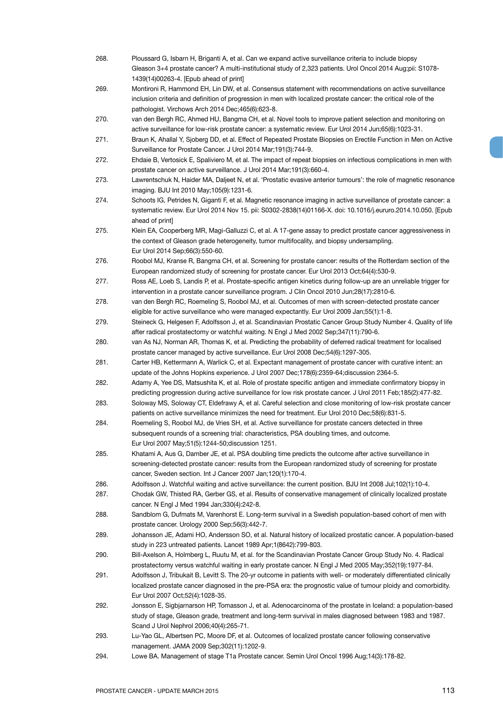| 268. | Ploussard G, Isbarn H, Briganti A, et al. Can we expand active surveillance criteria to include biopsy<br>Gleason 3+4 prostate cancer? A multi-institutional study of 2,323 patients. Urol Oncol 2014 Aug;pii: S1078-          |
|------|--------------------------------------------------------------------------------------------------------------------------------------------------------------------------------------------------------------------------------|
|      | 1439(14)00263-4. [Epub ahead of print]                                                                                                                                                                                         |
| 269. | Montironi R, Hammond EH, Lin DW, et al. Consensus statement with recommendations on active surveillance                                                                                                                        |
|      | inclusion criteria and definition of progression in men with localized prostate cancer: the critical role of the<br>pathologist. Virchows Arch 2014 Dec; 465(6): 623-8.                                                        |
| 270. | van den Bergh RC, Ahmed HU, Bangma CH, et al. Novel tools to improve patient selection and monitoring on<br>active surveillance for low-risk prostate cancer: a systematic review. Eur Urol 2014 Jun;65(6):1023-31.            |
| 271. | Braun K, Ahallal Y, Sjoberg DD, et al. Effect of Repeated Prostate Biopsies on Erectile Function in Men on Active<br>Surveillance for Prostate Cancer. J Urol 2014 Mar; 191(3): 744-9.                                         |
| 272. | Ehdaie B, Vertosick E, Spaliviero M, et al. The impact of repeat biopsies on infectious complications in men with<br>prostate cancer on active surveillance. J Urol 2014 Mar; 191(3):660-4.                                    |
| 273. | Lawrentschuk N, Haider MA, Daljeet N, et al. 'Prostatic evasive anterior tumours': the role of magnetic resonance<br>imaging. BJU Int 2010 May; 105(9): 1231-6.                                                                |
| 274. | Schoots IG, Petrides N, Giganti F, et al. Magnetic resonance imaging in active surveillance of prostate cancer: a                                                                                                              |
|      | systematic review. Eur Urol 2014 Nov 15. pii: S0302-2838(14)01166-X. doi: 10.1016/j.eururo.2014.10.050. [Epub<br>ahead of print]                                                                                               |
| 275. | Klein EA, Cooperberg MR, Magi-Galluzzi C, et al. A 17-gene assay to predict prostate cancer aggressiveness in                                                                                                                  |
|      | the context of Gleason grade heterogeneity, tumor multifocality, and biopsy undersampling.<br>Eur Urol 2014 Sep;66(3):550-60.                                                                                                  |
| 276. | Roobol MJ, Kranse R, Bangma CH, et al. Screening for prostate cancer: results of the Rotterdam section of the                                                                                                                  |
| 277. | European randomized study of screening for prostate cancer. Eur Urol 2013 Oct;64(4):530-9.<br>Ross AE, Loeb S, Landis P, et al. Prostate-specific antigen kinetics during follow-up are an unreliable trigger for              |
|      | intervention in a prostate cancer surveillance program. J Clin Oncol 2010 Jun;28(17):2810-6.                                                                                                                                   |
| 278. | van den Bergh RC, Roemeling S, Roobol MJ, et al. Outcomes of men with screen-detected prostate cancer                                                                                                                          |
|      | eligible for active surveillance who were managed expectantly. Eur Urol 2009 Jan;55(1):1-8.                                                                                                                                    |
| 279. | Steineck G, Helgesen F, Adolfsson J, et al. Scandinavian Prostatic Cancer Group Study Number 4. Quality of life<br>after radical prostatectomy or watchful waiting. N Engl J Med 2002 Sep;347(11):790-6.                       |
| 280. | van As NJ, Norman AR, Thomas K, et al. Predicting the probability of deferred radical treatment for localised<br>prostate cancer managed by active surveillance. Eur Urol 2008 Dec; 54(6): 1297-305.                           |
| 281. | Carter HB, Kettermann A, Warlick C, et al. Expectant management of prostate cancer with curative intent: an<br>update of the Johns Hopkins experience. J Urol 2007 Dec;178(6):2359-64;discussion 2364-5.                       |
| 282. | Adamy A, Yee DS, Matsushita K, et al. Role of prostate specific antigen and immediate confirmatory biopsy in<br>predicting progression during active surveillance for low risk prostate cancer. J Urol 2011 Feb;185(2):477-82. |
| 283. | Soloway MS, Soloway CT, Eldefrawy A, et al. Careful selection and close monitoring of low-risk prostate cancer                                                                                                                 |
|      | patients on active surveillance minimizes the need for treatment. Eur Urol 2010 Dec;58(6):831-5.                                                                                                                               |
| 284. | Roemeling S, Roobol MJ, de Vries SH, et al. Active surveillance for prostate cancers detected in three<br>subsequent rounds of a screening trial: characteristics, PSA doubling times, and outcome.                            |
|      | Eur Urol 2007 May;51(5):1244-50;discussion 1251.                                                                                                                                                                               |
| 285. | Khatami A, Aus G, Damber JE, et al. PSA doubling time predicts the outcome after active surveillance in                                                                                                                        |
|      | screening-detected prostate cancer: results from the European randomized study of screening for prostate<br>cancer, Sweden section. Int J Cancer 2007 Jan;120(1):170-4.                                                        |
| 286. | Adolfsson J. Watchful waiting and active surveillance: the current position. BJU Int 2008 Jul;102(1):10-4.                                                                                                                     |
| 287. | Chodak GW, Thisted RA, Gerber GS, et al. Results of conservative management of clinically localized prostate<br>cancer. N Engl J Med 1994 Jan; 330(4): 242-8.                                                                  |
| 288. | Sandblom G, Dufmats M, Varenhorst E. Long-term survival in a Swedish population-based cohort of men with<br>prostate cancer. Urology 2000 Sep;56(3):442-7.                                                                     |
| 289. | Johansson JE, Adami HO, Andersson SO, et al. Natural history of localized prostatic cancer. A population-based<br>study in 223 untreated patients. Lancet 1989 Apr;1(8642):799-803.                                            |
| 290. | Bill-Axelson A, Holmberg L, Ruutu M, et al. for the Scandinavian Prostate Cancer Group Study No. 4. Radical<br>prostatectomy versus watchful waiting in early prostate cancer. N Engl J Med 2005 May;352(19):1977-84.          |
| 291. | Adolfsson J, Tribukait B, Levitt S. The 20-yr outcome in patients with well- or moderately differentiated clinically                                                                                                           |
|      | localized prostate cancer diagnosed in the pre-PSA era: the prognostic value of tumour ploidy and comorbidity.<br>Eur Urol 2007 Oct;52(4):1028-35.                                                                             |
| 292. | Jonsson E, Sigbjarnarson HP, Tomasson J, et al. Adenocarcinoma of the prostate in Iceland: a population-based<br>study of stage, Gleason grade, treatment and long-term survival in males diagnosed between 1983 and 1987.     |
|      | Scand J Urol Nephrol 2006;40(4):265-71.                                                                                                                                                                                        |
| 293. | Lu-Yao GL, Albertsen PC, Moore DF, et al. Outcomes of localized prostate cancer following conservative<br>management. JAMA 2009 Sep;302(11):1202-9.                                                                            |
|      |                                                                                                                                                                                                                                |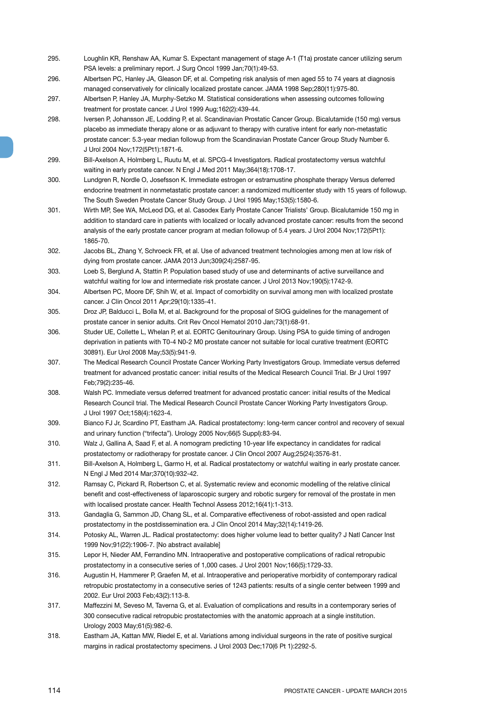- 295. Loughlin KR, Renshaw AA, Kumar S. Expectant management of stage A-1 (T1a) prostate cancer utilizing serum PSA levels: a preliminary report. J Surg Oncol 1999 Jan;70(1):49-53.
- 296. Albertsen PC, Hanley JA, Gleason DF, et al. Competing risk analysis of men aged 55 to 74 years at diagnosis managed conservatively for clinically localized prostate cancer. JAMA 1998 Sep;280(11):975-80.
- 297. Albertsen P, Hanley JA, Murphy-Setzko M. Statistical considerations when assessing outcomes following treatment for prostate cancer. J Urol 1999 Aug;162(2):439-44.
- 298. Iversen P, Johansson JE, Lodding P, et al. Scandinavian Prostatic Cancer Group. Bicalutamide (150 mg) versus placebo as immediate therapy alone or as adjuvant to therapy with curative intent for early non-metastatic prostate cancer: 5.3-year median followup from the Scandinavian Prostate Cancer Group Study Number 6. J Urol 2004 Nov;172(5Pt1):1871-6.
- 299. Bill-Axelson A, Holmberg L, Ruutu M, et al. SPCG-4 Investigators. Radical prostatectomy versus watchful waiting in early prostate cancer. N Engl J Med 2011 May;364(18):1708-17.
- 300. Lundgren R, Nordle O, Josefsson K. Immediate estrogen or estramustine phosphate therapy Versus deferred endocrine treatment in nonmetastatic prostate cancer: a randomized multicenter study with 15 years of followup. The South Sweden Prostate Cancer Study Group. J Urol 1995 May;153(5):1580-6.
- 301. Wirth MP, See WA, McLeod DG, et al. Casodex Early Prostate Cancer Trialists' Group. Bicalutamide 150 mg in addition to standard care in patients with localized or locally advanced prostate cancer: results from the second analysis of the early prostate cancer program at median followup of 5.4 years. J Urol 2004 Nov;172(5Pt1): 1865-70.
- 302. Jacobs BL, Zhang Y, Schroeck FR, et al. Use of advanced treatment technologies among men at low risk of dying from prostate cancer. JAMA 2013 Jun;309(24):2587-95.
- 303. Loeb S, Berglund A, Stattin P. Population based study of use and determinants of active surveillance and watchful waiting for low and intermediate risk prostate cancer. J Urol 2013 Nov;190(5):1742-9.
- 304. Albertsen PC, Moore DF, Shih W, et al. Impact of comorbidity on survival among men with localized prostate cancer. J Clin Oncol 2011 Apr;29(10):1335-41.
- 305. Droz JP, Balducci L, Bolla M, et al. Background for the proposal of SIOG guidelines for the management of prostate cancer in senior adults. Crit Rev Oncol Hematol 2010 Jan;73(1):68-91.
- 306. Studer UE, Collette L, Whelan P, et al. EORTC Genitourinary Group. Using PSA to guide timing of androgen deprivation in patients with T0-4 N0-2 M0 prostate cancer not suitable for local curative treatment (EORTC 30891). Eur Urol 2008 May;53(5):941-9.
- 307. The Medical Research Council Prostate Cancer Working Party Investigators Group. Immediate versus deferred treatment for advanced prostatic cancer: initial results of the Medical Research Council Trial. Br J Urol 1997 Feb;79(2):235-46.
- 308. Walsh PC. Immediate versus deferred treatment for advanced prostatic cancer: initial results of the Medical Research Council trial. The Medical Research Council Prostate Cancer Working Party Investigators Group. J Urol 1997 Oct;158(4):1623-4.
- 309. Bianco FJ Jr, Scardino PT, Eastham JA. Radical prostatectomy: long-term cancer control and recovery of sexual and urinary function ("trifecta"). Urology 2005 Nov;66(5 Suppl):83-94.
- 310. Walz J, Gallina A, Saad F, et al. A nomogram predicting 10-year life expectancy in candidates for radical prostatectomy or radiotherapy for prostate cancer. J Clin Oncol 2007 Aug;25(24):3576-81.
- 311. Bill-Axelson A, Holmberg L, Garmo H, et al. Radical prostatectomy or watchful waiting in early prostate cancer. N Engl J Med 2014 Mar;370(10):932-42.
- 312. Ramsay C, Pickard R, Robertson C, et al. Systematic review and economic modelling of the relative clinical benefit and cost-effectiveness of laparoscopic surgery and robotic surgery for removal of the prostate in men with localised prostate cancer. Health Technol Assess 2012;16(41):1-313.
- 313. Gandaglia G, Sammon JD, Chang SL, et al. Comparative effectiveness of robot-assisted and open radical prostatectomy in the postdissemination era. J Clin Oncol 2014 May;32(14):1419-26.
- 314. Potosky AL, Warren JL. Radical prostatectomy: does higher volume lead to better quality? J Natl Cancer Inst 1999 Nov;91(22):1906-7. [No abstract available]
- 315. Lepor H, Nieder AM, Ferrandino MN. Intraoperative and postoperative complications of radical retropubic prostatectomy in a consecutive series of 1,000 cases. J Urol 2001 Nov;166(5):1729-33.
- 316. Augustin H, Hammerer P, Graefen M, et al. Intraoperative and perioperative morbidity of contemporary radical retropubic prostatectomy in a consecutive series of 1243 patients: results of a single center between 1999 and 2002. Eur Urol 2003 Feb;43(2):113-8.
- 317. Maffezzini M, Seveso M, Taverna G, et al. Evaluation of complications and results in a contemporary series of 300 consecutive radical retropubic prostatectomies with the anatomic approach at a single institution. Urology 2003 May;61(5):982-6.
- 318. Eastham JA, Kattan MW, Riedel E, et al. Variations among individual surgeons in the rate of positive surgical margins in radical prostatectomy specimens. J Urol 2003 Dec;170(6 Pt 1):2292-5.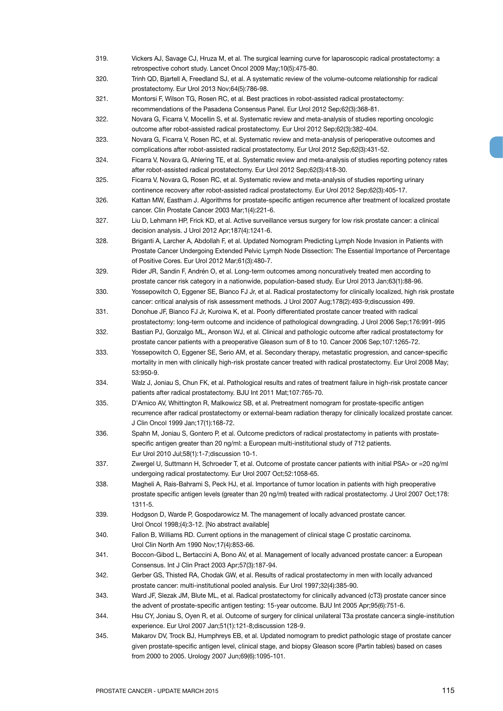- 319. Vickers AJ, Savage CJ, Hruza M, et al. The surgical learning curve for laparoscopic radical prostatectomy: a retrospective cohort study. Lancet Oncol 2009 May;10(5):475-80.
- 320. Trinh QD, Bjartell A, Freedland SJ, et al. A systematic review of the volume-outcome relationship for radical prostatectomy. Eur Urol 2013 Nov;64(5):786-98.
- 321. Montorsi F, Wilson TG, Rosen RC, et al. Best practices in robot-assisted radical prostatectomy: recommendations of the Pasadena Consensus Panel. Eur Urol 2012 Sep;62(3):368-81.
- 322. Novara G, Ficarra V, Mocellin S, et al. Systematic review and meta-analysis of studies reporting oncologic outcome after robot-assisted radical prostatectomy. Eur Urol 2012 Sep;62(3):382-404.
- 323. Novara G, Ficarra V, Rosen RC, et al. Systematic review and meta-analysis of perioperative outcomes and complications after robot-assisted radical prostatectomy. Eur Urol 2012 Sep;62(3):431-52.
- 324. Ficarra V, Novara G, Ahlering TE, et al. Systematic review and meta-analysis of studies reporting potency rates after robot-assisted radical prostatectomy. Eur Urol 2012 Sep;62(3):418-30.
- 325. Ficarra V, Novara G, Rosen RC, et al. Systematic review and meta-analysis of studies reporting urinary continence recovery after robot-assisted radical prostatectomy. Eur Urol 2012 Sep;62(3):405-17.
- 326. Kattan MW, Eastham J. Algorithms for prostate-specific antigen recurrence after treatment of localized prostate cancer. Clin Prostate Cancer 2003 Mar;1(4):221-6.
- 327. Liu D, Lehmann HP, Frick KD, et al. Active surveillance versus surgery for low risk prostate cancer: a clinical decision analysis. J Urol 2012 Apr;187(4):1241-6.
- 328. Briganti A, Larcher A, Abdollah F, et al. Updated Nomogram Predicting Lymph Node Invasion in Patients with Prostate Cancer Undergoing Extended Pelvic Lymph Node Dissection: The Essential Importance of Percentage of Positive Cores. Eur Urol 2012 Mar;61(3):480-7.
- 329. Rider JR, Sandin F, Andrén O, et al. Long-term outcomes among noncuratively treated men according to prostate cancer risk category in a nationwide, population-based study. Eur Urol 2013 Jan;63(1):88-96.
- 330. Yossepowitch O, Eggener SE, Bianco FJ Jr, et al. Radical prostatectomy for clinically localized, high risk prostate cancer: critical analysis of risk assessment methods. J Urol 2007 Aug;178(2):493-9;discussion 499.
- 331. Donohue JF, Bianco FJ Jr, Kuroiwa K, et al. Poorly differentiated prostate cancer treated with radical prostatectomy: long-term outcome and incidence of pathological downgrading. J Urol 2006 Sep;176:991-995
- 332. Bastian PJ, Gonzalgo ML, Aronson WJ, et al. Clinical and pathologic outcome after radical prostatectomy for prostate cancer patients with a preoperative Gleason sum of 8 to 10. Cancer 2006 Sep;107:1265-72.
- 333. Yossepowitch O, Eggener SE, Serio AM, et al. Secondary therapy, metastatic progression, and cancer-specific mortality in men with clinically high-risk prostate cancer treated with radical prostatectomy. Eur Urol 2008 May; 53:950-9.
- 334. Walz J, Joniau S, Chun FK, et al. Pathological results and rates of treatment failure in high-risk prostate cancer patients after radical prostatectomy. BJU Int 2011 Mat;107:765-70.
- 335. D'Amico AV, Whittington R, Malkowicz SB, et al. Pretreatment nomogram for prostate-specific antigen recurrence after radical prostatectomy or external-beam radiation therapy for clinically localized prostate cancer. J Clin Oncol 1999 Jan;17(1):168-72.
- 336. Spahn M, Joniau S, Gontero P, et al. Outcome predictors of radical prostatectomy in patients with prostatespecific antigen greater than 20 ng/ml: a European multi-institutional study of 712 patients. Eur Urol 2010 Jul;58(1):1-7;discussion 10-1.
- 337. Zwergel U, Suttmann H, Schroeder T, et al. Outcome of prostate cancer patients with initial PSA> or =20 ng/ml undergoing radical prostatectomy. Eur Urol 2007 Oct;52:1058-65.
- 338. Magheli A, Rais-Bahrami S, Peck HJ, et al. Importance of tumor location in patients with high preoperative prostate specific antigen levels (greater than 20 ng/ml) treated with radical prostatectomy. J Urol 2007 Oct;178: 1311-5.
- 339. Hodgson D, Warde P, Gospodarowicz M. The management of locally advanced prostate cancer. Urol Oncol 1998;(4):3-12. [No abstract available]
- 340. Fallon B, Williams RD. Current options in the management of clinical stage C prostatic carcinoma. Urol Clin North Am 1990 Nov;17(4):853-66.
- 341. Boccon-Gibod L, Bertaccini A, Bono AV, et al. Management of locally advanced prostate cancer: a European Consensus. Int J Clin Pract 2003 Apr;57(3):187-94.
- 342. Gerber GS, Thisted RA, Chodak GW, et al. Results of radical prostatectomy in men with locally advanced prostate cancer: multi-institutional pooled analysis. Eur Urol 1997;32(4):385-90.
- 343. Ward JF, Slezak JM, Blute ML, et al. Radical prostatectomy for clinically advanced (cT3) prostate cancer since the advent of prostate-specific antigen testing: 15-year outcome. BJU Int 2005 Apr;95(6):751-6.
- 344. Hsu CY, Joniau S, Oyen R, et al. Outcome of surgery for clinical unilateral T3a prostate cancer:a single-institution experience. Eur Urol 2007 Jan;51(1):121-8;discussion 128-9.
- 345. Makarov DV, Trock BJ, Humphreys EB, et al. Updated nomogram to predict pathologic stage of prostate cancer given prostate-specific antigen level, clinical stage, and biopsy Gleason score (Partin tables) based on cases from 2000 to 2005. Urology 2007 Jun;69(6):1095-101.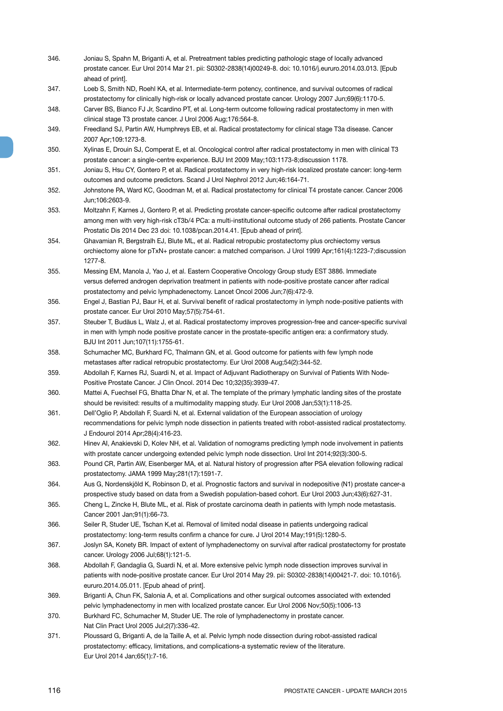- 346. Joniau S, Spahn M, Briganti A, et al. Pretreatment tables predicting pathologic stage of locally advanced prostate cancer. Eur Urol 2014 Mar 21. pii: S0302-2838(14)00249-8. doi: 10.1016/j.eururo.2014.03.013. [Epub ahead of print].
- 347. Loeb S, Smith ND, Roehl KA, et al. Intermediate-term potency, continence, and survival outcomes of radical prostatectomy for clinically high-risk or locally advanced prostate cancer. Urology 2007 Jun;69(6):1170-5.
- 348. Carver BS, Bianco FJ Jr, Scardino PT, et al. Long-term outcome following radical prostatectomy in men with clinical stage T3 prostate cancer. J Urol 2006 Aug;176:564-8.
- 349. Freedland SJ, Partin AW, Humphreys EB, et al. Radical prostatectomy for clinical stage T3a disease. Cancer 2007 Apr;109:1273-8.
- 350. Xylinas E, Drouin SJ, Comperat E, et al. Oncological control after radical prostatectomy in men with clinical T3 prostate cancer: a single-centre experience. BJU Int 2009 May;103:1173-8;discussion 1178.
- 351. Joniau S, Hsu CY, Gontero P, et al. Radical prostatectomy in very high-risk localized prostate cancer: long-term outcomes and outcome predictors. Scand J Urol Nephrol 2012 Jun;46:164-71.
- 352. Johnstone PA, Ward KC, Goodman M, et al. Radical prostatectomy for clinical T4 prostate cancer. Cancer 2006 Jun;106:2603-9.
- 353. Moltzahn F, Karnes J, Gontero P, et al. Predicting prostate cancer-specific outcome after radical prostatectomy among men with very high-risk cT3b/4 PCa: a multi-institutional outcome study of 266 patients. Prostate Cancer Prostatic Dis 2014 Dec 23 doi: 10.1038/pcan.2014.41. [Epub ahead of print].
- 354. Ghavamian R, Bergstralh EJ, Blute ML, et al. Radical retropubic prostatectomy plus orchiectomy versus orchiectomy alone for pTxN+ prostate cancer: a matched comparison. J Urol 1999 Apr;161(4):1223-7;discussion 1277-8.
- 355. Messing EM, Manola J, Yao J, et al. Eastern Cooperative Oncology Group study EST 3886. Immediate versus deferred androgen deprivation treatment in patients with node-positive prostate cancer after radical prostatectomy and pelvic lymphadenectomy. Lancet Oncol 2006 Jun;7(6):472-9.
- 356. Engel J, Bastian PJ, Baur H, et al. Survival benefit of radical prostatectomy in lymph node-positive patients with prostate cancer. Eur Urol 2010 May;57(5):754-61.
- 357. Steuber T, Budäus L, Walz J, et al. Radical prostatectomy improves progression-free and cancer-specific survival in men with lymph node positive prostate cancer in the prostate-specific antigen era: a confirmatory study. BJU Int 2011 Jun;107(11):1755-61.
- 358. Schumacher MC, Burkhard FC, Thalmann GN, et al. Good outcome for patients with few lymph node metastases after radical retropubic prostatectomy. Eur Urol 2008 Aug;54(2):344-52.
- 359. Abdollah F, Karnes RJ, Suardi N, et al. Impact of Adjuvant Radiotherapy on Survival of Patients With Node-Positive Prostate Cancer. J Clin Oncol. 2014 Dec 10;32(35):3939-47.
- 360. Mattei A, Fuechsel FG, Bhatta Dhar N, et al. The template of the primary lymphatic landing sites of the prostate should be revisited: results of a multimodality mapping study. Eur Urol 2008 Jan;53(1):118-25.
- 361. Dell'Oglio P, Abdollah F, Suardi N, et al. External validation of the European association of urology recommendations for pelvic lymph node dissection in patients treated with robot-assisted radical prostatectomy. J Endourol 2014 Apr;28(4):416-23.
- 362. Hinev AI, Anakievski D, Kolev NH, et al. Validation of nomograms predicting lymph node involvement in patients with prostate cancer undergoing extended pelvic lymph node dissection. Urol Int 2014;92(3):300-5.
- 363. Pound CR, Partin AW, Eisenberger MA, et al. Natural history of progression after PSA elevation following radical prostatectomy. JAMA 1999 May;281(17):1591-7.
- 364. Aus G, Nordenskjöld K, Robinson D, et al. Prognostic factors and survival in nodepositive (N1) prostate cancer-a prospective study based on data from a Swedish population-based cohort. Eur Urol 2003 Jun;43(6):627-31.
- 365. Cheng L, Zincke H, Blute ML, et al. Risk of prostate carcinoma death in patients with lymph node metastasis. Cancer 2001 Jan;91(1):66-73.
- 366. Seiler R, Studer UE, Tschan K,et al. Removal of limited nodal disease in patients undergoing radical prostatectomy: long-term results confirm a chance for cure. J Urol 2014 May;191(5):1280-5.
- 367. Joslyn SA, Konety BR. Impact of extent of lymphadenectomy on survival after radical prostatectomy for prostate cancer. Urology 2006 Jul;68(1):121-5.
- 368. Abdollah F, Gandaglia G, Suardi N, et al. More extensive pelvic lymph node dissection improves survival in patients with node-positive prostate cancer. Eur Urol 2014 May 29. pii: S0302-2838(14)00421-7. doi: 10.1016/j. eururo.2014.05.011. [Epub ahead of print].
- 369. Briganti A, Chun FK, Salonia A, et al. Complications and other surgical outcomes associated with extended pelvic lymphadenectomy in men with localized prostate cancer. Eur Urol 2006 Nov;50(5):1006-13
- 370. Burkhard FC, Schumacher M, Studer UE. The role of lymphadenectomy in prostate cancer. Nat Clin Pract Urol 2005 Jul;2(7):336-42.
- 371. Ploussard G, Briganti A, de la Taille A, et al. Pelvic lymph node dissection during robot-assisted radical prostatectomy: efficacy, limitations, and complications-a systematic review of the literature. Eur Urol 2014 Jan;65(1):7-16.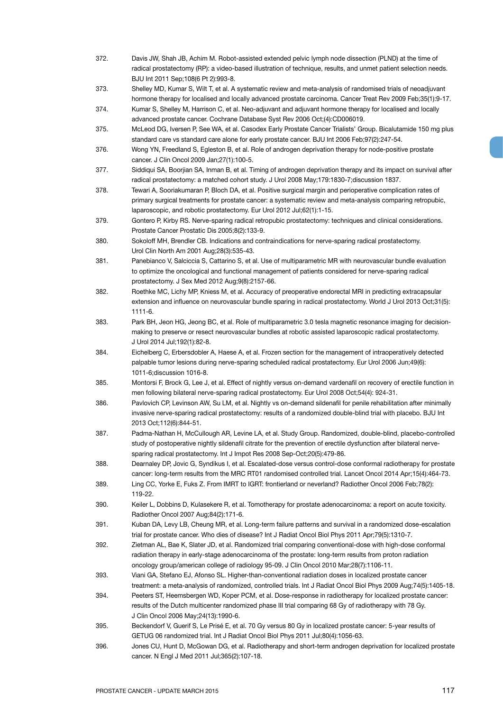- 372. Davis JW, Shah JB, Achim M. Robot-assisted extended pelvic lymph node dissection (PLND) at the time of radical prostatectomy (RP): a video-based illustration of technique, results, and unmet patient selection needs. BJU Int 2011 Sep;108(6 Pt 2):993-8.
- 373. Shelley MD, Kumar S, Wilt T, et al. A systematic review and meta-analysis of randomised trials of neoadjuvant hormone therapy for localised and locally advanced prostate carcinoma. Cancer Treat Rev 2009 Feb;35(1):9-17.

374. Kumar S, Shelley M, Harrison C, et al. Neo-adjuvant and adjuvant hormone therapy for localised and locally advanced prostate cancer. Cochrane Database Syst Rev 2006 Oct;(4):CD006019.

- 375. McLeod DG, Iversen P, See WA, et al. Casodex Early Prostate Cancer Trialists' Group. Bicalutamide 150 mg plus standard care vs standard care alone for early prostate cancer. BJU Int 2006 Feb;97(2):247-54.
- 376. Wong YN, Freedland S, Egleston B, et al. Role of androgen deprivation therapy for node-positive prostate cancer. J Clin Oncol 2009 Jan;27(1):100-5.
- 377. Siddiqui SA, Boorjian SA, Inman B, et al. Timing of androgen deprivation therapy and its impact on survival after radical prostatectomy: a matched cohort study. J Urol 2008 May;179:1830-7;discussion 1837.
- 378. Tewari A, Sooriakumaran P, Bloch DA, et al. Positive surgical margin and perioperative complication rates of primary surgical treatments for prostate cancer: a systematic review and meta-analysis comparing retropubic, laparoscopic, and robotic prostatectomy. Eur Urol 2012 Jul;62(1):1-15.
- 379. Gontero P, Kirby RS. Nerve-sparing radical retropubic prostatectomy: techniques and clinical considerations. Prostate Cancer Prostatic Dis 2005;8(2):133-9.
- 380. Sokoloff MH, Brendler CB. Indications and contraindications for nerve-sparing radical prostatectomy. Urol Clin North Am 2001 Aug;28(3):535-43.
- 381. Panebianco V, Salciccia S, Cattarino S, et al. Use of multiparametric MR with neurovascular bundle evaluation to optimize the oncological and functional management of patients considered for nerve-sparing radical prostatectomy. J Sex Med 2012 Aug;9(8):2157-66.
- 382. Roethke MC, Lichy MP, Kniess M, et al. Accuracy of preoperative endorectal MRI in predicting extracapsular extension and influence on neurovascular bundle sparing in radical prostatectomy. World J Urol 2013 Oct;31(5): 1111-6.
- 383. Park BH, Jeon HG, Jeong BC, et al. Role of multiparametric 3.0 tesla magnetic resonance imaging for decisionmaking to preserve or resect neurovascular bundles at robotic assisted laparoscopic radical prostatectomy. J Urol 2014 Jul;192(1):82-8.
- 384. Eichelberg C, Erbersdobler A, Haese A, et al. Frozen section for the management of intraoperatively detected palpable tumor lesions during nerve-sparing scheduled radical prostatectomy. Eur Urol 2006 Jun;49(6): 1011-6;discussion 1016-8.
- 385. Montorsi F, Brock G, Lee J, et al. Effect of nightly versus on-demand vardenafil on recovery of erectile function in men following bilateral nerve-sparing radical prostatectomy. Eur Urol 2008 Oct;54(4): 924-31.
- 386. Pavlovich CP, Levinson AW, Su LM, et al. Nightly vs on-demand sildenafil for penile rehabilitation after minimally invasive nerve-sparing radical prostatectomy: results of a randomized double-blind trial with placebo. BJU Int 2013 Oct;112(6):844-51.
- 387. Padma-Nathan H, McCullough AR, Levine LA, et al. Study Group. Randomized, double-blind, placebo-controlled study of postoperative nightly sildenafil citrate for the prevention of erectile dysfunction after bilateral nervesparing radical prostatectomy. Int J Impot Res 2008 Sep-Oct;20(5):479-86.
- 388. Dearnaley DP, Jovic G, Syndikus I, et al. Escalated-dose versus control-dose conformal radiotherapy for prostate cancer: long-term results from the MRC RT01 randomised controlled trial. Lancet Oncol 2014 Apr;15(4):464-73.
- 389. Ling CC, Yorke E, Fuks Z. From IMRT to IGRT: frontierland or neverland? Radiother Oncol 2006 Feb;78(2): 119-22.
- 390. Keiler L, Dobbins D, Kulasekere R, et al. Tomotherapy for prostate adenocarcinoma: a report on acute toxicity. Radiother Oncol 2007 Aug;84(2):171-6.
- 391. Kuban DA, Levy LB, Cheung MR, et al. Long-term failure patterns and survival in a randomized dose-escalation trial for prostate cancer. Who dies of disease? Int J Radiat Oncol Biol Phys 2011 Apr;79(5):1310-7.
- 392. Zietman AL, Bae K, Slater JD, et al. Randomized trial comparing conventional-dose with high-dose conformal radiation therapy in early-stage adenocarcinoma of the prostate: long-term results from proton radiation oncology group/american college of radiology 95-09. J Clin Oncol 2010 Mar;28(7):1106-11.
- 393. Viani GA, Stefano EJ, Afonso SL. Higher-than-conventional radiation doses in localized prostate cancer treatment: a meta-analysis of randomized, controlled trials. Int J Radiat Oncol Biol Phys 2009 Aug;74(5):1405-18.
- 394. Peeters ST, Heemsbergen WD, Koper PCM, et al. Dose-response in radiotherapy for localized prostate cancer: results of the Dutch multicenter randomized phase III trial comparing 68 Gy of radiotherapy with 78 Gy. J Clin Oncol 2006 May;24(13):1990-6.
- 395. Beckendorf V, Guerif S, Le Prisé E, et al. 70 Gy versus 80 Gy in localized prostate cancer: 5-year results of GETUG 06 randomized trial. Int J Radiat Oncol Biol Phys 2011 Jul;80(4):1056-63.
- 396. Jones CU, Hunt D, McGowan DG, et al. Radiotherapy and short-term androgen deprivation for localized prostate cancer. N Engl J Med 2011 Jul;365(2):107-18.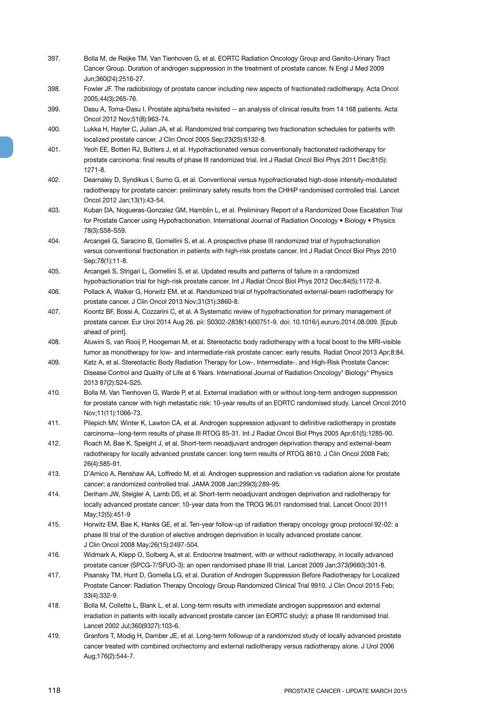- 397. Bolla M, de Reijke TM, Van Tienhoven G, et al. EORTC Radiation Oncology Group and Genito-Urinary Tract Cancer Group. Duration of androgen suppression in the treatment of prostate cancer. N Engl J Med 2009 Jun;360(24):2516-27.
- 398. Fowler JF. The radiobiology of prostate cancer including new aspects of fractionated radiotherapy. Acta Oncol 2005;44(3):265-76.
- 399. Dasu A, Toma-Dasu I. Prostate alpha/beta revisited -- an analysis of clinical results from 14 168 patients. Acta Oncol 2012 Nov;51(8):963-74.
- 400. Lukka H, Hayter C, Julian JA, et al. Randomized trial comparing two fractionation schedules for patients with localized prostate cancer. J Clin Oncol 2005 Sep;23(25):6132-8.
- 401. Yeoh EE, Botten RJ, Butters J, et al. Hypofractionated versus conventionally fractionated radiotherapy for prostate carcinoma: final results of phase III randomized trial. Int J Radiat Oncol Biol Phys 2011 Dec;81(5): 1271-8.
- 402. Dearnaley D, Syndikus I, Sumo G, et al. Conventional versus hypofractionated high-dose intensity-modulated radiotherapy for prostate cancer: preliminary safety results from the CHHiP randomised controlled trial. Lancet Oncol 2012 Jan;13(1):43-54.
- 403. Kuban DA, Nogueras-Gonzalez GM, Hamblin L, et al. Preliminary Report of a Randomized Dose Escalation Trial for Prostate Cancer using Hypofractionation. International Journal of Radiation Oncology • Biology • Physics 78(3):S58-S59.
- 404. Arcangeli G, Saracino B, Gomellini S, et al. A prospective phase III randomized trial of hypofractionation versus conventional fractionation in patients with high-risk prostate cancer. Int J Radiat Oncol Biol Phys 2010 Sep;78(1):11-8.
- 405. Arcangeli S, Strigari L, Gomellini S, et al. Updated results and patterns of failure in a randomized hypofractionation trial for high-risk prostate cancer. Int J Radiat Oncol Biol Phys 2012 Dec;84(5):1172-8.
- 406. Pollack A, Walker G, Horwitz EM, et al. Randomized trial of hypofractionated external-beam radiotherapy for prostate cancer. J Clin Oncol 2013 Nov;31(31):3860-8.
- 407. Koontz BF, Bossi A, Cozzarini C, et al. A Systematic review of hypofractionation for primary management of prostate cancer. Eur Urol 2014 Aug 26. pii: S0302-2838(14)00751-9. doi: 10.1016/j.eururo.2014.08.009. [Epub ahead of print].
- 408. Aluwini S, van Rooij P, Hoogeman M, et al. Stereotactic body radiotherapy with a focal boost to the MRI-visible tumor as monotherapy for low- and intermediate-risk prostate cancer: early results. Radiat Oncol 2013 Apr;8:84.
- 409. Katz A, et al. Stereotactic Body Radiation Therapy for Low-, Intermediate-, and High-Risk Prostate Cancer: Disease Control and Quality of Life at 6 Years. International Journal of Radiation Oncology\* Biology\* Physics 2013 87(2):S24-S25.
- 410. Bolla M, Van Tienhoven G, Warde P, et al. External irradiation with or without long-term androgen suppression for prostate cancer with high metastatic risk: 10-year results of an EORTC randomised study. Lancet Oncol 2010 Nov;11(11):1066-73.
- 411. Pilepich MV, Winter K, Lawton CA, et al. Androgen suppression adjuvant to definitive radiotherapy in prostate carcinoma--long-term results of phase III RTOG 85-31. Int J Radiat Oncol Biol Phys 2005 Apr;61(5):1285-90.
- 412. Roach M, Bae K, Speight J, et al. Short-term neoadjuvant androgen deprivation therapy and external-beam radiotherapy for locally advanced prostate cancer: long term results of RTOG 8610. J Clin Oncol 2008 Feb; 26(4):585-91.
- 413. D'Amico A, Renshaw AA, Loffredo M, et al. Androgen suppression and radiation vs radiation alone for prostate cancer; a randomized controlled trial. JAMA 2008 Jan;299(3):289-95.
- 414. Denham JW, Steigler A, Lamb DS, et al. Short-term neoadjuvant androgen deprivation and radiotherapy for locally advanced prostate cancer: 10-year data from the TROG 96.01 randomised trial. Lancet Oncol 2011 May;12(5):451-9
- 415. Horwitz EM, Bae K, Hanks GE, et al. Ten-year follow-up of radiation therapy oncology group protocol 92-02: a phase III trial of the duration of elective androgen deprivation in locally advanced prostate cancer. J Clin Oncol 2008 May;26(15):2497-504.
- 416. Widmark A, Klepp O, Solberg A, et al. Endocrine treatment, with or without radiotherapy, in locally advanced prostate cancer (SPCG-7/SFUO-3): an open randomised phase III trial. Lancet 2009 Jan;373(9660):301-8.
- 417. Pisansky TM, Hunt D, Gomella LG, et al. Duration of Androgen Suppression Before Radiotherapy for Localized Prostate Cancer: Radiation Therapy Oncology Group Randomized Clinical Trial 9910. J Clin Oncol 2015 Feb; 33(4):332-9.
- 418. Bolla M, Collette L, Blank L, et al. Long-term results with immediate androgen suppression and external irradiation in patients with locally advanced prostate cancer (an EORTC study): a phase III randomised trial. Lancet 2002 Jul;360(9327):103-6.
- 419. Granfors T, Modig H, Damber JE, et al. Long-term followup of a randomized study of locally advanced prostate cancer treated with combined orchiectomy and external radiotherapy versus radiotherapy alone. J Urol 2006 Aug;176(2):544-7.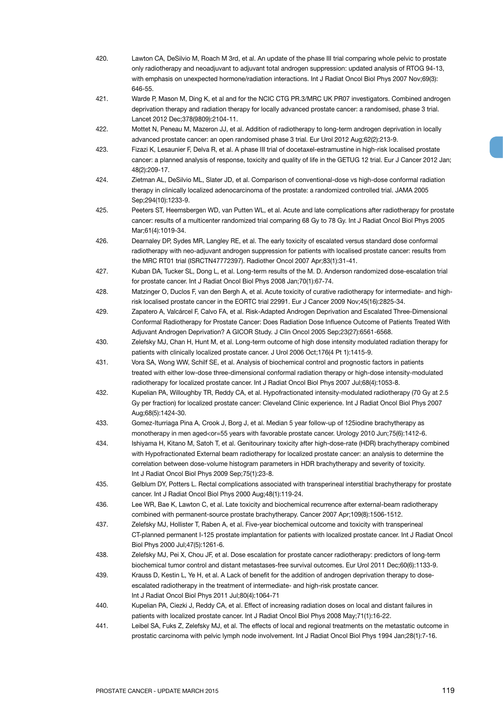420. Lawton CA, DeSilvio M, Roach M 3rd, et al. An update of the phase III trial comparing whole pelvic to prostate only radiotherapy and neoadjuvant to adjuvant total androgen suppression: updated analysis of RTOG 94-13, with emphasis on unexpected hormone/radiation interactions. Int J Radiat Oncol Biol Phys 2007 Nov;69(3): 646-55. 421. Warde P, Mason M, Ding K, et al and for the NCIC CTG PR.3/MRC UK PR07 investigators. Combined androgen deprivation therapy and radiation therapy for locally advanced prostate cancer: a randomised, phase 3 trial. Lancet 2012 Dec;378(9809):2104-11. 422. Mottet N, Peneau M, Mazeron JJ, et al. Addition of radiotherapy to long-term androgen deprivation in locally advanced prostate cancer: an open randomised phase 3 trial. Eur Urol 2012 Aug;62(2):213-9. 423. Fizazi K, Lesaunier F, Delva R, et al. A phase III trial of docetaxel-estramustine in high-risk localised prostate cancer: a planned analysis of response, toxicity and quality of life in the GETUG 12 trial. Eur J Cancer 2012 Jan; 48(2):209-17. 424. Zietman AL, DeSilvio ML, Slater JD, et al. Comparison of conventional-dose vs high-dose conformal radiation therapy in clinically localized adenocarcinoma of the prostate: a randomized controlled trial. JAMA 2005 Sep;294(10):1233-9. 425. Peeters ST, Heemsbergen WD, van Putten WL, et al. Acute and late complications after radiotherapy for prostate cancer: results of a multicenter randomized trial comparing 68 Gy to 78 Gy. Int J Radiat Oncol Biol Phys 2005 Mar;61(4):1019-34. 426. Dearnaley DP, Sydes MR, Langley RE, et al. The early toxicity of escalated versus standard dose conformal radiotherapy with neo-adjuvant androgen suppression for patients with localised prostate cancer: results from the MRC RT01 trial (ISRCTN47772397). Radiother Oncol 2007 Apr;83(1):31-41. 427. Kuban DA, Tucker SL, Dong L, et al. Long-term results of the M. D. Anderson randomized dose-escalation trial for prostate cancer. Int J Radiat Oncol Biol Phys 2008 Jan;70(1):67-74. 428. Matzinger O, Duclos F, van den Bergh A, et al. Acute toxicity of curative radiotherapy for intermediate- and highrisk localised prostate cancer in the EORTC trial 22991. Eur J Cancer 2009 Nov;45(16):2825-34. 429. Zapatero A, Valcárcel F, Calvo FA, et al. Risk-Adapted Androgen Deprivation and Escalated Three-Dimensional Conformal Radiotherapy for Prostate Cancer: Does Radiation Dose Influence Outcome of Patients Treated With Adjuvant Androgen Deprivation? A GICOR Study. J Clin Oncol 2005 Sep;23(27):6561-6568. 430. Zelefsky MJ, Chan H, Hunt M, et al. Long-term outcome of high dose intensity modulated radiation therapy for patients with clinically localized prostate cancer. J Urol 2006 Oct;176(4 Pt 1):1415-9. 431. Vora SA, Wong WW, Schilf SE, et al. Analysis of biochemical control and prognostic factors in patients treated with either low-dose three-dimensional conformal radiation therapy or high-dose intensity-modulated radiotherapy for localized prostate cancer. Int J Radiat Oncol Biol Phys 2007 Jul;68(4):1053-8. 432. Kupelian PA, Willoughby TR, Reddy CA, et al. Hypofractionated intensity-modulated radiotherapy (70 Gy at 2.5 Gy per fraction) for localized prostate cancer: Cleveland Clinic experience. Int J Radiat Oncol Biol Phys 2007 Aug;68(5):1424-30. 433. Gomez-Iturriaga Pina A, Crook J, Borg J, et al. Median 5 year follow-up of 125iodine brachytherapy as monotherapy in men aged<or=55 years with favorable prostate cancer. Urology 2010 Jun:75(6):1412-6. 434. Ishiyama H, Kitano M, Satoh T, et al. Genitourinary toxicity after high-dose-rate (HDR) brachytherapy combined with Hypofractionated External beam radiotherapy for localized prostate cancer: an analysis to determine the correlation between dose-volume histogram parameters in HDR brachytherapy and severity of toxicity. Int J Radiat Oncol Biol Phys 2009 Sep;75(1):23-8. 435. Gelblum DY, Potters L. Rectal complications associated with transperineal interstitial brachytherapy for prostate cancer. Int J Radiat Oncol Biol Phys 2000 Aug;48(1):119-24. 436. Lee WR, Bae K, Lawton C, et al. Late toxicity and biochemical recurrence after external-beam radiotherapy combined with permanent-source prostate brachytherapy. Cancer 2007 Apr;109(8):1506-1512. 437. Zelefsky MJ, Hollister T, Raben A, et al. Five-year biochemical outcome and toxicity with transperineal CT-planned permanent I-125 prostate implantation for patients with localized prostate cancer. Int J Radiat Oncol Biol Phys 2000 Jul;47(5):1261-6. 438. Zelefsky MJ, Pei X, Chou JF, et al. Dose escalation for prostate cancer radiotherapy: predictors of long-term biochemical tumor control and distant metastases-free survival outcomes. Eur Urol 2011 Dec;60(6):1133-9. 439. Krauss D, Kestin L, Ye H, et al. A Lack of benefit for the addition of androgen deprivation therapy to doseescalated radiotherapy in the treatment of intermediate- and high-risk prostate cancer. Int J Radiat Oncol Biol Phys 2011 Jul;80(4):1064-71 440. Kupelian PA, Ciezki J, Reddy CA, et al. Effect of increasing radiation doses on local and distant failures in patients with localized prostate cancer. Int J Radiat Oncol Biol Phys 2008 May;71(1):16-22. 441. Leibel SA, Fuks Z, Zelefsky MJ, et al. The effects of local and regional treatments on the metastatic outcome in prostatic carcinoma with pelvic lymph node involvement. Int J Radiat Oncol Biol Phys 1994 Jan;28(1):7-16.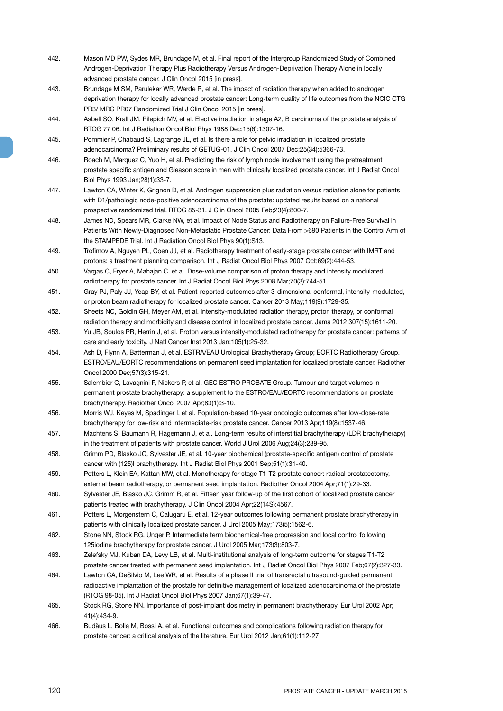- 442. Mason MD PW, Sydes MR, Brundage M, et al. Final report of the Intergroup Randomized Study of Combined Androgen-Deprivation Therapy Plus Radiotherapy Versus Androgen-Deprivation Therapy Alone in locally advanced prostate cancer. J Clin Oncol 2015 [in press].
- 443. Brundage M SM, Parulekar WR, Warde R, et al. The impact of radiation therapy when added to androgen deprivation therapy for locally advanced prostate cancer: Long-term quality of life outcomes from the NCIC CTG PR3/ MRC PR07 Randomized Trial J Clin Oncol 2015 [in press].
- 444. Asbell SO, Krall JM, Pilepich MV, et al. Elective irradiation in stage A2, B carcinoma of the prostate:analysis of RTOG 77 06. Int J Radiation Oncol Biol Phys 1988 Dec;15(6):1307-16.
- 445. Pommier P, Chabaud S, Lagrange JL, et al. Is there a role for pelvic irradiation in localized prostate adenocarcinoma? Preliminary results of GETUG-01. J Clin Oncol 2007 Dec;25(34):5366-73.
- 446. Roach M, Marquez C, Yuo H, et al. Predicting the risk of lymph node involvement using the pretreatment prostate specific antigen and Gleason score in men with clinically localized prostate cancer. Int J Radiat Oncol Biol Phys 1993 Jan;28(1):33-7.
- 447. Lawton CA, Winter K, Grignon D, et al. Androgen suppression plus radiation versus radiation alone for patients with D1/pathologic node-positive adenocarcinoma of the prostate: updated results based on a national prospective randomized trial, RTOG 85-31. J Clin Oncol 2005 Feb;23(4):800-7.
- 448. James ND, Spears MR, Clarke NW, et al. Impact of Node Status and Radiotherapy on Failure-Free Survival in Patients With Newly-Diagnosed Non-Metastatic Prostate Cancer: Data From >690 Patients in the Control Arm of the STAMPEDE Trial. Int J Radiation Oncol Biol Phys 90(1):S13.
- 449. Trofimov A, Nguyen PL, Coen JJ, et al. Radiotherapy treatment of early-stage prostate cancer with IMRT and protons: a treatment planning comparison. Int J Radiat Oncol Biol Phys 2007 Oct;69(2):444-53.
- 450. Vargas C, Fryer A, Mahajan C, et al. Dose-volume comparison of proton therapy and intensity modulated radiotherapy for prostate cancer. Int J Radiat Oncol Biol Phys 2008 Mar;70(3):744-51.
- 451. Gray PJ, Paly JJ, Yeap BY, et al. Patient-reported outcomes after 3-dimensional conformal, intensity-modulated, or proton beam radiotherapy for localized prostate cancer. Cancer 2013 May;119(9):1729-35.
- 452. Sheets NC, Goldin GH, Meyer AM, et al. Intensity-modulated radiation therapy, proton therapy, or conformal radiation therapy and morbidity and disease control in localized prostate cancer. Jama 2012 307(15):1611-20.
- 453. Yu JB, Soulos PR, Herrin J, et al. Proton versus intensity-modulated radiotherapy for prostate cancer: patterns of care and early toxicity. J Natl Cancer Inst 2013 Jan;105(1):25-32.
- 454. Ash D, Flynn A, Batterman J, et al. ESTRA/EAU Urological Brachytherapy Group; EORTC Radiotherapy Group. ESTRO/EAU/EORTC recommendations on permanent seed implantation for localized prostate cancer. Radiother Oncol 2000 Dec;57(3):315-21.
- 455. Salembier C, Lavagnini P, Nickers P, et al. GEC ESTRO PROBATE Group. Tumour and target volumes in permanent prostate brachytherapy: a supplement to the ESTRO/EAU/EORTC recommendations on prostate brachytherapy. Radiother Oncol 2007 Apr;83(1):3-10.
- 456. Morris WJ, Keyes M, Spadinger I, et al. Population-based 10-year oncologic outcomes after low-dose-rate brachytherapy for low-risk and intermediate-risk prostate cancer. Cancer 2013 Apr;119(8):1537-46.
- 457. Machtens S, Baumann R, Hagemann J, et al. Long-term results of interstitial brachytherapy (LDR brachytherapy) in the treatment of patients with prostate cancer. World J Urol 2006 Aug;24(3):289-95.
- 458. Grimm PD, Blasko JC, Sylvester JE, et al. 10-year biochemical (prostate-specific antigen) control of prostate cancer with (125)I brachytherapy. Int J Radiat Biol Phys 2001 Sep;51(1):31-40.
- 459. Potters L, Klein EA, Kattan MW, et al. Monotherapy for stage T1-T2 prostate cancer: radical prostatectomy, external beam radiotherapy, or permanent seed implantation. Radiother Oncol 2004 Apr;71(1):29-33.
- 460. Sylvester JE, Blasko JC, Grimm R, et al. Fifteen year follow-up of the first cohort of localized prostate cancer patients treated with brachytherapy. J Clin Oncol 2004 Apr;22(14S):4567.
- 461. Potters L, Morgenstern C, Calugaru E, et al. 12-year outcomes following permanent prostate brachytherapy in patients with clinically localized prostate cancer. J Urol 2005 May;173(5):1562-6.
- 462. Stone NN, Stock RG, Unger P. Intermediate term biochemical-free progression and local control following 125iodine brachytherapy for prostate cancer. J Urol 2005 Mar;173(3):803-7.
- 463. Zelefsky MJ, Kuban DA, Levy LB, et al. Multi-institutional analysis of long-term outcome for stages T1-T2 prostate cancer treated with permanent seed implantation. Int J Radiat Oncol Biol Phys 2007 Feb;67(2):327-33.
- 464. Lawton CA, DeSilvio M, Lee WR, et al. Results of a phase II trial of transrectal ultrasound-guided permanent radioactive implantation of the prostate for definitive management of localized adenocarcinoma of the prostate (RTOG 98-05). Int J Radiat Oncol Biol Phys 2007 Jan;67(1):39-47.
- 465. Stock RG, Stone NN. Importance of post-implant dosimetry in permanent brachytherapy. Eur Urol 2002 Apr; 41(4):434-9.
- 466. Budäus L, Bolla M, Bossi A, et al. Functional outcomes and complications following radiation therapy for prostate cancer: a critical analysis of the literature. Eur Urol 2012 Jan;61(1):112-27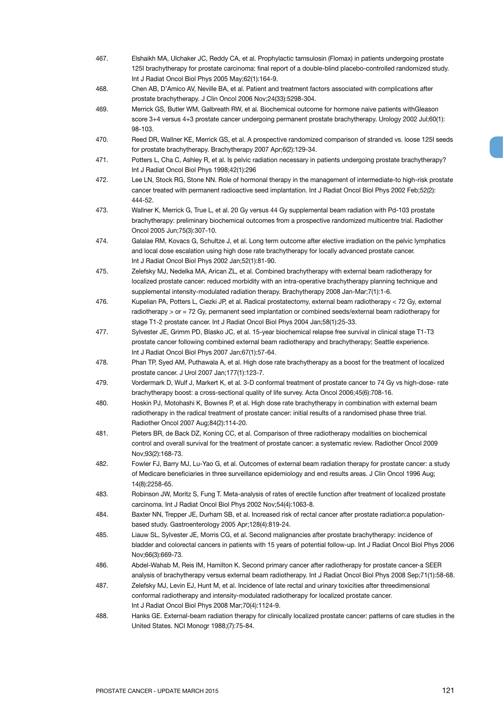- 467. Elshaikh MA, Ulchaker JC, Reddy CA, et al. Prophylactic tamsulosin (Flomax) in patients undergoing prostate 125I brachytherapy for prostate carcinoma: final report of a double-blind placebo-controlled randomized study. Int J Radiat Oncol Biol Phys 2005 May;62(1):164-9.
- 468. Chen AB, D'Amico AV, Neville BA, et al. Patient and treatment factors associated with complications after prostate brachytherapy. J Clin Oncol 2006 Nov;24(33):5298-304.
- 469. Merrick GS, Butler WM, Galbreath RW, et al. Biochemical outcome for hormone naive patients withGleason score 3+4 versus 4+3 prostate cancer undergoing permanent prostate brachytherapy. Urology 2002 Jul;60(1): 98-103.
- 470. Reed DR, Wallner KE, Merrick GS, et al. A prospective randomized comparison of stranded vs. loose 125I seeds for prostate brachytherapy. Brachytherapy 2007 Apr;6(2):129-34.
- 471. Potters L, Cha C, Ashley R, et al. Is pelvic radiation necessary in patients undergoing prostate brachytherapy? Int J Radiat Oncol Biol Phys 1998;42(1):296
- 472. Lee LN, Stock RG, Stone NN. Role of hormonal therapy in the management of intermediate-to high-risk prostate cancer treated with permanent radioactive seed implantation. Int J Radiat Oncol Biol Phys 2002 Feb;52(2): 444-52.
- 473. Wallner K, Merrick G, True L, et al. 20 Gy versus 44 Gy supplemental beam radiation with Pd-103 prostate brachytherapy: preliminary biochemical outcomes from a prospective randomized multicentre trial. Radiother Oncol 2005 Jun;75(3):307-10.
- 474. Galalae RM, Kovacs G, Schultze J, et al. Long term outcome after elective irradiation on the pelvic lymphatics and local dose escalation using high dose rate brachytherapy for locally advanced prostate cancer. Int J Radiat Oncol Biol Phys 2002 Jan;52(1):81-90.
- 475. Zelefsky MJ, Nedelka MA, Arican ZL, et al. Combined brachytherapy with external beam radiotherapy for localized prostate cancer: reduced morbidity with an intra-operative brachytherapy planning technique and supplemental intensity-modulated radiation therapy. Brachytherapy 2008 Jan-Mar;7(1):1-6.
- 476. Kupelian PA, Potters L, Ciezki JP, et al. Radical prostatectomy, external beam radiotherapy < 72 Gy, external radiotherapy > or = 72 Gy, permanent seed implantation or combined seeds/external beam radiotherapy for stage T1-2 prostate cancer. Int J Radiat Oncol Biol Phys 2004 Jan;58(1):25-33.
- 477. Sylvester JE, Grimm PD, Blasko JC, et al. 15-year biochemical relapse free survival in clinical stage T1-T3 prostate cancer following combined external beam radiotherapy and brachytherapy; Seattle experience. Int J Radiat Oncol Biol Phys 2007 Jan;67(1):57-64.
- 478. Phan TP, Syed AM, Puthawala A, et al. High dose rate brachytherapy as a boost for the treatment of localized prostate cancer. J Urol 2007 Jan;177(1):123-7.
- 479. Vordermark D, Wulf J, Markert K, et al. 3-D conformal treatment of prostate cancer to 74 Gy vs high-dose- rate brachytherapy boost: a cross-sectional quality of life survey. Acta Oncol 2006;45(6):708-16.
- 480. Hoskin PJ, Motohashi K, Bownes P, et al. High dose rate brachytherapy in combination with external beam radiotherapy in the radical treatment of prostate cancer: initial results of a randomised phase three trial. Radiother Oncol 2007 Aug;84(2):114-20.
- 481. Pieters BR, de Back DZ, Koning CC, et al. Comparison of three radiotherapy modalities on biochemical control and overall survival for the treatment of prostate cancer: a systematic review. Radiother Oncol 2009 Nov;93(2):168-73.
- 482. Fowler FJ, Barry MJ, Lu-Yao G, et al. Outcomes of external beam radiation therapy for prostate cancer: a study of Medicare beneficiaries in three surveillance epidemiology and end results areas. J Clin Oncol 1996 Aug; 14(8):2258-65.
- 483. Robinson JW, Moritz S, Fung T. Meta-analysis of rates of erectile function after treatment of localized prostate carcinoma. Int J Radiat Oncol Biol Phys 2002 Nov;54(4):1063-8.
- 484. Baxter NN, Trepper JE, Durham SB, et al. Increased risk of rectal cancer after prostate radiation:a populationbased study. Gastroenterology 2005 Apr;128(4):819-24.
- 485. Liauw SL, Sylvester JE, Morris CG, et al. Second malignancies after prostate brachytherapy: incidence of bladder and colorectal cancers in patients with 15 years of potential follow-up. Int J Radiat Oncol Biol Phys 2006 Nov;66(3):669-73.
- 486. Abdel-Wahab M, Reis IM, Hamilton K. Second primary cancer after radiotherapy for prostate cancer-a SEER analysis of brachytherapy versus external beam radiotherapy. Int J Radiat Oncol Biol Phys 2008 Sep;71(1):58-68.
- 487. Zelefsky MJ, Levin EJ, Hunt M, et al. Incidence of late rectal and urinary toxicities after threedimensional conformal radiotherapy and intensity-modulated radiotherapy for localized prostate cancer. Int J Radiat Oncol Biol Phys 2008 Mar;70(4):1124-9.
- 488. Hanks GE. External-beam radiation therapy for clinically localized prostate cancer: patterns of care studies in the United States. NCI Monogr 1988;(7):75-84.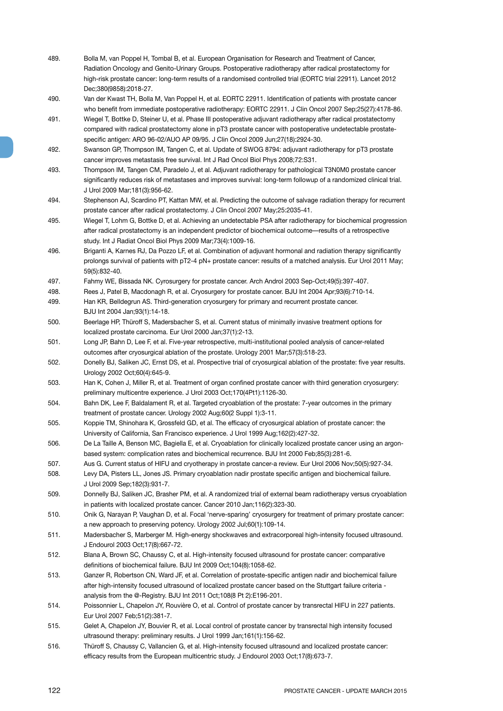- 489. Bolla M, van Poppel H, Tombal B, et al. European Organisation for Research and Treatment of Cancer, Radiation Oncology and Genito-Urinary Groups. Postoperative radiotherapy after radical prostatectomy for high-risk prostate cancer: long-term results of a randomised controlled trial (EORTC trial 22911). Lancet 2012 Dec;380(9858):2018-27.
- 490. Van der Kwast TH, Bolla M, Van Poppel H, et al. EORTC 22911. Identification of patients with prostate cancer who benefit from immediate postoperative radiotherapy: EORTC 22911. J Clin Oncol 2007 Sep;25(27):4178-86.
- 491. Wiegel T, Bottke D, Steiner U, et al. Phase III postoperative adjuvant radiotherapy after radical prostatectomy compared with radical prostatectomy alone in pT3 prostate cancer with postoperative undetectable prostatespecific antigen: ARO 96-02/AUO AP 09/95. J Clin Oncol 2009 Jun;27(18):2924-30.
- 492. Swanson GP, Thompson IM, Tangen C, et al. Update of SWOG 8794: adjuvant radiotherapy for pT3 prostate cancer improves metastasis free survival. Int J Rad Oncol Biol Phys 2008;72:S31.
- 493. Thompson IM, Tangen CM, Paradelo J, et al. Adjuvant radiotherapy for pathological T3N0M0 prostate cancer significantly reduces risk of metastases and improves survival: long-term followup of a randomized clinical trial. J Urol 2009 Mar;181(3):956-62.
- 494. Stephenson AJ, Scardino PT, Kattan MW, et al. Predicting the outcome of salvage radiation therapy for recurrent prostate cancer after radical prostatectomy. J Clin Oncol 2007 May;25:2035-41.
- 495. Wiegel T, Lohm G, Bottke D, et al. Achieving an undetectable PSA after radiotherapy for biochemical progression after radical prostatectomy is an independent predictor of biochemical outcome—results of a retrospective study. Int J Radiat Oncol Biol Phys 2009 Mar;73(4):1009-16.
- 496. Briganti A, Karnes RJ, Da Pozzo LF, et al. Combination of adjuvant hormonal and radiation therapy significantly prolongs survival of patients with pT2-4 pN+ prostate cancer: results of a matched analysis. Eur Urol 2011 May; 59(5):832-40.
- 497. Fahmy WE, Bissada NK. Cyrosurgery for prostate cancer. Arch Androl 2003 Sep-Oct;49(5):397-407.
- 498. Rees J, Patel B, Macdonagh R, et al. Cryosurgery for prostate cancer. BJU Int 2004 Apr;93(6):710-14.
- 499. Han KR, Belldegrun AS. Third-generation cryosurgery for primary and recurrent prostate cancer. BJU Int 2004 Jan;93(1):14-18.
- 500. Beerlage HP, Thüroff S, Madersbacher S, et al. Current status of minimally invasive treatment options for localized prostate carcinoma. Eur Urol 2000 Jan;37(1):2-13.
- 501. Long JP, Bahn D, Lee F, et al. Five-year retrospective, multi-institutional pooled analysis of cancer-related outcomes after cryosurgical ablation of the prostate. Urology 2001 Mar;57(3):518-23.
- 502. Donelly BJ, Saliken JC, Ernst DS, et al. Prospective trial of cryosurgical ablation of the prostate: five year results. Urology 2002 Oct;60(4):645-9.
- 503. Han K, Cohen J, Miller R, et al. Treatment of organ confined prostate cancer with third generation cryosurgery: preliminary multicentre experience. J Urol 2003 Oct;170(4Pt1):1126-30.
- 504. Bahn DK, Lee F, Baldalament R, et al. Targeted cryoablation of the prostate: 7-year outcomes in the primary treatment of prostate cancer. Urology 2002 Aug;60(2 Suppl 1):3-11.
- 505. Koppie TM, Shinohara K, Grossfeld GD, et al. The efficacy of cryosurgical ablation of prostate cancer: the University of California, San Francisco experience. J Urol 1999 Aug;162(2):427-32.
- 506. De La Taille A, Benson MC, Bagiella E, et al. Cryoablation for clinically localized prostate cancer using an argonbased system: complication rates and biochemical recurrence. BJU Int 2000 Feb;85(3):281-6.
- 507. Aus G. Current status of HIFU and cryotherapy in prostate cancer-a review. Eur Urol 2006 Nov;50(5):927-34.
- 508. Levy DA, Pisters LL, Jones JS. Primary cryoablation nadir prostate specific antigen and biochemical failure. J Urol 2009 Sep;182(3):931-7.
- 509. Donnelly BJ, Saliken JC, Brasher PM, et al. A randomized trial of external beam radiotherapy versus cryoablation in patients with localized prostate cancer. Cancer 2010 Jan;116(2):323-30.
- 510. Onik G, Narayan P, Vaughan D, et al. Focal 'nerve-sparing' cryosurgery for treatment of primary prostate cancer: a new approach to preserving potency. Urology 2002 Jul;60(1):109-14.
- 511. Madersbacher S, Marberger M. High-energy shockwaves and extracorporeal high-intensity focused ultrasound. J Endourol 2003 Oct;17(8):667-72.
- 512. Blana A, Brown SC, Chaussy C, et al. High-intensity focused ultrasound for prostate cancer: comparative definitions of biochemical failure. BJU Int 2009 Oct;104(8):1058-62.
- 513. Ganzer R, Robertson CN, Ward JF, et al. Correlation of prostate-specific antigen nadir and biochemical failure after high-intensity focused ultrasound of localized prostate cancer based on the Stuttgart failure criteria analysis from the @-Registry. BJU Int 2011 Oct;108(8 Pt 2):E196-201.
- 514. Poissonnier L, Chapelon JY, Rouvière O, et al. Control of prostate cancer by transrectal HIFU in 227 patients. Eur Urol 2007 Feb;51(2):381-7.
- 515. Gelet A, Chapelon JY, Bouvier R, et al. Local control of prostate cancer by transrectal high intensity focused ultrasound therapy: preliminary results. J Urol 1999 Jan;161(1):156-62.
- 516. Thüroff S, Chaussy C, Vallancien G, et al. High-intensity focused ultrasound and localized prostate cancer: efficacy results from the European multicentric study. J Endourol 2003 Oct;17(8):673-7.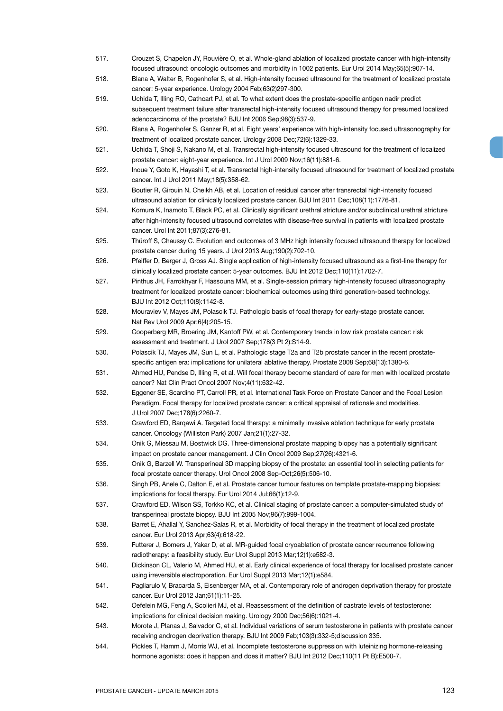- 517. Crouzet S, Chapelon JY, Rouvière O, et al. Whole-gland ablation of localized prostate cancer with high-intensity focused ultrasound: oncologic outcomes and morbidity in 1002 patients. Eur Urol 2014 May;65(5):907-14.
- 518. Blana A, Walter B, Rogenhofer S, et al. High-intensity focused ultrasound for the treatment of localized prostate cancer: 5-year experience. Urology 2004 Feb;63(2)297-300.
- 519. Uchida T, Illing RO, Cathcart PJ, et al. To what extent does the prostate-specific antigen nadir predict subsequent treatment failure after transrectal high-intensity focused ultrasound therapy for presumed localized adenocarcinoma of the prostate? BJU Int 2006 Sep;98(3):537-9.
- 520. Blana A, Rogenhofer S, Ganzer R, et al. Eight years' experience with high-intensity focused ultrasonography for treatment of localized prostate cancer. Urology 2008 Dec;72(6):1329-33.
- 521. Uchida T, Shoji S, Nakano M, et al. Transrectal high-intensity focused ultrasound for the treatment of localized prostate cancer: eight-year experience. Int J Urol 2009 Nov;16(11):881-6.
- 522. Inoue Y, Goto K, Hayashi T, et al. Transrectal high-intensity focused ultrasound for treatment of localized prostate cancer. Int J Urol 2011 May;18(5):358-62.
- 523. Boutier R, Girouin N, Cheikh AB, et al. Location of residual cancer after transrectal high-intensity focused ultrasound ablation for clinically localized prostate cancer. BJU Int 2011 Dec;108(11):1776-81.
- 524. Komura K, Inamoto T, Black PC, et al. Clinically significant urethral stricture and/or subclinical urethral stricture after high-intensity focused ultrasound correlates with disease-free survival in patients with localized prostate cancer. Urol Int 2011;87(3):276-81.
- 525. Thüroff S, Chaussy C. Evolution and outcomes of 3 MHz high intensity focused ultrasound therapy for localized prostate cancer during 15 years. J Urol 2013 Aug;190(2):702-10.
- 526. Pfeiffer D, Berger J, Gross AJ. Single application of high-intensity focused ultrasound as a first-line therapy for clinically localized prostate cancer: 5-year outcomes. BJU Int 2012 Dec;110(11):1702-7.
- 527. Pinthus JH, Farrokhyar F, Hassouna MM, et al. Single-session primary high-intensity focused ultrasonography treatment for localized prostate cancer: biochemical outcomes using third generation-based technology. BJU Int 2012 Oct;110(8):1142-8.
- 528. Mouraviev V, Mayes JM, Polascik TJ. Pathologic basis of focal therapy for early-stage prostate cancer. Nat Rev Urol 2009 Apr;6(4):205-15.
- 529. Cooperberg MR, Broering JM, Kantoff PW, et al. Contemporary trends in low risk prostate cancer: risk assessment and treatment. J Urol 2007 Sep;178(3 Pt 2):S14-9.
- 530. Polascik TJ, Mayes JM, Sun L, et al. Pathologic stage T2a and T2b prostate cancer in the recent prostatespecific antigen era: implications for unilateral ablative therapy. Prostate 2008 Sep;68(13):1380-6.
- 531. Ahmed HU, Pendse D, Illing R, et al. Will focal therapy become standard of care for men with localized prostate cancer? Nat Clin Pract Oncol 2007 Nov;4(11):632-42.
- 532. Eggener SE, Scardino PT, Carroll PR, et al. International Task Force on Prostate Cancer and the Focal Lesion Paradigm. Focal therapy for localized prostate cancer: a critical appraisal of rationale and modalities. J Urol 2007 Dec;178(6):2260-7.
- 533. Crawford ED, Barqawi A. Targeted focal therapy: a minimally invasive ablation technique for early prostate cancer. Oncology (Williston Park) 2007 Jan;21(1):27-32.
- 534. Onik G, Miessau M, Bostwick DG. Three-dimensional prostate mapping biopsy has a potentially significant impact on prostate cancer management. J Clin Oncol 2009 Sep;27(26):4321-6.
- 535. Onik G, Barzell W. Transperineal 3D mapping biopsy of the prostate: an essential tool in selecting patients for focal prostate cancer therapy. Urol Oncol 2008 Sep-Oct;26(5):506-10.
- 536. Singh PB, Anele C, Dalton E, et al. Prostate cancer tumour features on template prostate-mapping biopsies: implications for focal therapy. Eur Urol 2014 Jul;66(1):12-9.
- 537. Crawford ED, Wilson SS, Torkko KC, et al. Clinical staging of prostate cancer: a computer-simulated study of transperineal prostate biopsy. BJU Int 2005 Nov;96(7):999-1004.
- 538. Barret E, Ahallal Y, Sanchez-Salas R, et al. Morbidity of focal therapy in the treatment of localized prostate cancer. Eur Urol 2013 Apr;63(4):618-22.
- 539. Futterer J, Bomers J, Yakar D, et al. MR-guided focal cryoablation of prostate cancer recurrence following radiotherapy: a feasibility study. Eur Urol Suppl 2013 Mar;12(1):e582-3.
- 540. Dickinson CL, Valerio M, Ahmed HU, et al. Early clinical experience of focal therapy for localised prostate cancer using irreversible electroporation. Eur Urol Suppl 2013 Mar;12(1):e584.
- 541. Pagliarulo V, Bracarda S, Eisenberger MA, et al. Contemporary role of androgen deprivation therapy for prostate cancer. Eur Urol 2012 Jan;61(1):11-25.
- 542. Oefelein MG, Feng A, Scolieri MJ, et al. Reassessment of the definition of castrate levels of testosterone: implications for clinical decision making. Urology 2000 Dec;56(6):1021-4.
- 543. Morote J, Planas J, Salvador C, et al. Individual variations of serum testosterone in patients with prostate cancer receiving androgen deprivation therapy. BJU Int 2009 Feb;103(3):332-5;discussion 335.
- 544. Pickles T, Hamm J, Morris WJ, et al. Incomplete testosterone suppression with luteinizing hormone-releasing hormone agonists: does it happen and does it matter? BJU Int 2012 Dec;110(11 Pt B):E500-7.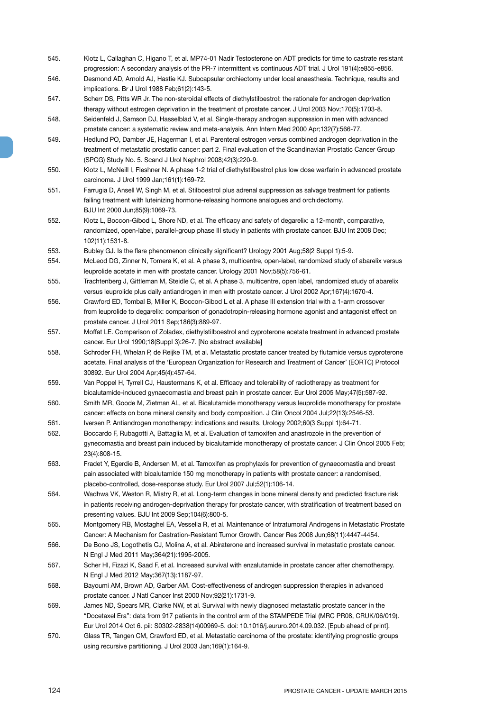- 545. Klotz L, Callaghan C, Higano T, et al. MP74-01 Nadir Testosterone on ADT predicts for time to castrate resistant progression: A secondary analysis of the PR-7 intermittent vs continuous ADT trial. J Urol 191(4):e855-e856.
- 546. Desmond AD, Arnold AJ, Hastie KJ. Subcapsular orchiectomy under local anaesthesia. Technique, results and implications. Br J Urol 1988 Feb;61(2):143-5.
- 547. Scherr DS, Pitts WR Jr. The non-steroidal effects of diethylstilbestrol: the rationale for androgen deprivation therapy without estrogen deprivation in the treatment of prostate cancer. J Urol 2003 Nov;170(5):1703-8.
- 548. Seidenfeld J, Samson DJ, Hasselblad V, et al. Single-therapy androgen suppression in men with advanced prostate cancer: a systematic review and meta-analysis. Ann Intern Med 2000 Apr;132(7):566-77.
- 549. Hedlund PO, Damber JE, Hagerman I, et al. Parenteral estrogen versus combined androgen deprivation in the treatment of metastatic prostatic cancer: part 2. Final evaluation of the Scandinavian Prostatic Cancer Group (SPCG) Study No. 5. Scand J Urol Nephrol 2008;42(3):220-9.
- 550. Klotz L, McNeill I, Fleshner N. A phase 1-2 trial of diethylstilbestrol plus low dose warfarin in advanced prostate carcinoma. J Urol 1999 Jan;161(1):169-72.
- 551. Farrugia D, Ansell W, Singh M, et al. Stilboestrol plus adrenal suppression as salvage treatment for patients failing treatment with luteinizing hormone-releasing hormone analogues and orchidectomy. BJU Int 2000 Jun;85(9):1069-73.
- 552. Klotz L, Boccon-Gibod L, Shore ND, et al. The efficacy and safety of degarelix: a 12-month, comparative, randomized, open-label, parallel-group phase III study in patients with prostate cancer. BJU Int 2008 Dec; 102(11):1531-8.
- 553. Bubley GJ. Is the flare phenomenon clinically significant? Urology 2001 Aug;58(2 Suppl 1):5-9.
- 554. McLeod DG, Zinner N, Tomera K, et al. A phase 3, multicentre, open-label, randomized study of abarelix versus leuprolide acetate in men with prostate cancer. Urology 2001 Nov;58(5):756-61.
- 555. Trachtenberg J, Gittleman M, Steidle C, et al. A phase 3, multicentre, open label, randomized study of abarelix versus leuprolide plus daily antiandrogen in men with prostate cancer. J Urol 2002 Apr;167(4):1670-4.
- 556. Crawford ED, Tombal B, Miller K, Boccon-Gibod L et al. A phase III extension trial with a 1-arm crossover from leuprolide to degarelix: comparison of gonadotropin-releasing hormone agonist and antagonist effect on prostate cancer. J Urol 2011 Sep;186(3):889-97.
- 557. Moffat LE. Comparison of Zoladex, diethylstilboestrol and cyproterone acetate treatment in advanced prostate cancer. Eur Urol 1990;18(Suppl 3):26-7. [No abstract available]
- 558. Schroder FH, Whelan P, de Reijke TM, et al. Metastatic prostate cancer treated by flutamide versus cyproterone acetate. Final analysis of the 'European Organization for Research and Treatment of Cancer' (EORTC) Protocol 30892. Eur Urol 2004 Apr;45(4):457-64.
- 559. Van Poppel H, Tyrrell CJ, Haustermans K, et al. Efficacy and tolerability of radiotherapy as treatment for bicalutamide-induced gynaecomastia and breast pain in prostate cancer. Eur Urol 2005 May;47(5):587-92.
- 560. Smith MR, Goode M, Zietman AL, et al. Bicalutamide monotherapy versus leuprolide monotherapy for prostate cancer: effects on bone mineral density and body composition. J Clin Oncol 2004 Jul;22(13):2546-53.
- 561. Iversen P. Antiandrogen monotherapy: indications and results. Urology 2002;60(3 Suppl 1):64-71.
- 562. Boccardo F, Rubagotti A, Battaglia M, et al. Evaluation of tamoxifen and anastrozole in the prevention of gynecomastia and breast pain induced by bicalutamide monotherapy of prostate cancer. J Clin Oncol 2005 Feb; 23(4):808-15.
- 563. Fradet Y, Egerdie B, Andersen M, et al. Tamoxifen as prophylaxis for prevention of gynaecomastia and breast pain associated with bicalutamide 150 mg monotherapy in patients with prostate cancer: a randomised, placebo-controlled, dose-response study. Eur Urol 2007 Jul;52(1):106-14.
- 564. Wadhwa VK, Weston R, Mistry R, et al. Long-term changes in bone mineral density and predicted fracture risk in patients receiving androgen-deprivation therapy for prostate cancer, with stratification of treatment based on presenting values. BJU Int 2009 Sep;104(6):800-5.
- 565. Montgomery RB, Mostaghel EA, Vessella R, et al. Maintenance of Intratumoral Androgens in Metastatic Prostate Cancer: A Mechanism for Castration-Resistant Tumor Growth. Cancer Res 2008 Jun;68(11):4447-4454.
- 566. De Bono JS, Logothetis CJ, Molina A, et al. Abiraterone and increased survival in metastatic prostate cancer. N Engl J Med 2011 May;364(21):1995-2005.
- 567. Scher HI, Fizazi K, Saad F, et al. Increased survival with enzalutamide in prostate cancer after chemotherapy. N Engl J Med 2012 May;367(13):1187-97.
- 568. Bayoumi AM, Brown AD, Garber AM. Cost-effectiveness of androgen suppression therapies in advanced prostate cancer. J Natl Cancer Inst 2000 Nov;92(21):1731-9.
- 569. James ND, Spears MR, Clarke NW, et al. Survival with newly diagnosed metastatic prostate cancer in the "Docetaxel Era": data from 917 patients in the control arm of the STAMPEDE Trial (MRC PR08, CRUK/06/019). Eur Urol 2014 Oct 6. pii: S0302-2838(14)00969-5. doi: 10.1016/j.eururo.2014.09.032. [Epub ahead of print].
- 570. Glass TR, Tangen CM, Crawford ED, et al. Metastatic carcinoma of the prostate: identifying prognostic groups using recursive partitioning. J Urol 2003 Jan;169(1):164-9.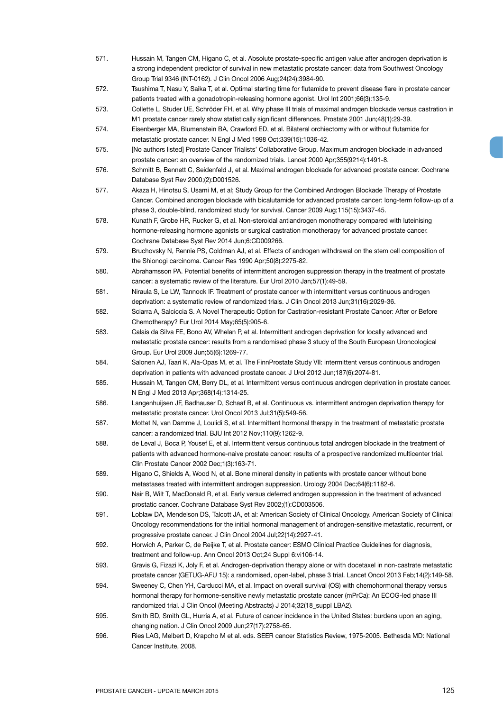- 571. Hussain M, Tangen CM, Higano C, et al. Absolute prostate-specific antigen value after androgen deprivation is a strong independent predictor of survival in new metastatic prostate cancer: data from Southwest Oncology Group Trial 9346 (INT-0162). J Clin Oncol 2006 Aug;24(24):3984-90.
- 572. Tsushima T, Nasu Y, Saika T, et al. Optimal starting time for flutamide to prevent disease flare in prostate cancer patients treated with a gonadotropin-releasing hormone agonist. Urol Int 2001;66(3):135-9.
- 573. Collette L, Studer UE, Schröder FH, et al. Why phase III trials of maximal androgen blockade versus castration in M1 prostate cancer rarely show statistically significant differences. Prostate 2001 Jun;48(1):29-39.
- 574. Eisenberger MA, Blumenstein BA, Crawford ED, et al. Bilateral orchiectomy with or without flutamide for metastatic prostate cancer. N Engl J Med 1998 Oct;339(15):1036-42.
- 575. [No authors listed] Prostate Cancer Trialists' Collaborative Group. Maximum androgen blockade in advanced prostate cancer: an overview of the randomized trials. Lancet 2000 Apr;355(9214):1491-8.
- 576. Schmitt B, Bennett C, Seidenfeld J, et al. Maximal androgen blockade for advanced prostate cancer. Cochrane Database Syst Rev 2000;(2):D001526.
- 577. Akaza H, Hinotsu S, Usami M, et al; Study Group for the Combined Androgen Blockade Therapy of Prostate Cancer. Combined androgen blockade with bicalutamide for advanced prostate cancer: long-term follow-up of a phase 3, double-blind, randomized study for survival. Cancer 2009 Aug;115(15):3437-45.
- 578. Kunath F, Grobe HR, Rucker G, et al. Non-steroidal antiandrogen monotherapy compared with luteinising hormone-releasing hormone agonists or surgical castration monotherapy for advanced prostate cancer. Cochrane Database Syst Rev 2014 Jun;6:CD009266.
- 579. Bruchovsky N, Rennie PS, Coldman AJ, et al. Effects of androgen withdrawal on the stem cell composition of the Shionogi carcinoma. Cancer Res 1990 Apr;50(8):2275-82.
- 580. Abrahamsson PA. Potential benefits of intermittent androgen suppression therapy in the treatment of prostate cancer: a systematic review of the literature. Eur Urol 2010 Jan;57(1):49-59.
- 581. Niraula S, Le LW, Tannock IF. Treatment of prostate cancer with intermittent versus continuous androgen deprivation: a systematic review of randomized trials. J Clin Oncol 2013 Jun;31(16):2029-36.
- 582. Sciarra A, Salciccia S. A Novel Therapeutic Option for Castration-resistant Prostate Cancer: After or Before Chemotherapy? Eur Urol 2014 May;65(5):905-6.
- 583. Calais da Silva FE, Bono AV, Whelan P, et al. Intermittent androgen deprivation for locally advanced and metastatic prostate cancer: results from a randomised phase 3 study of the South European Uroncological Group. Eur Urol 2009 Jun;55(6):1269-77.
- 584. Salonen AJ, Taari K, Ala-Opas M, et al. The FinnProstate Study VII: intermittent versus continuous androgen deprivation in patients with advanced prostate cancer. J Urol 2012 Jun;187(6):2074-81.
- 585. Hussain M, Tangen CM, Berry DL, et al. Intermittent versus continuous androgen deprivation in prostate cancer. N Engl J Med 2013 Apr;368(14):1314-25.
- 586. Langenhuijsen JF, Badhauser D, Schaaf B, et al. Continuous vs. intermittent androgen deprivation therapy for metastatic prostate cancer. Urol Oncol 2013 Jul;31(5):549-56.
- 587. Mottet N, van Damme J, Loulidi S, et al. Intermittent hormonal therapy in the treatment of metastatic prostate cancer: a randomized trial. BJU Int 2012 Nov;110(9):1262-9.
- 588. de Leval J, Boca P, Yousef E, et al. Intermittent versus continuous total androgen blockade in the treatment of patients with advanced hormone-naive prostate cancer: results of a prospective randomized multicenter trial. Clin Prostate Cancer 2002 Dec;1(3):163-71.
- 589. Higano C, Shields A, Wood N, et al. Bone mineral density in patients with prostate cancer without bone metastases treated with intermittent androgen suppression. Urology 2004 Dec;64(6):1182-6.
- 590. Nair B, Wilt T, MacDonald R, et al. Early versus deferred androgen suppression in the treatment of advanced prostatic cancer. Cochrane Database Syst Rev 2002;(1):CD003506.
- 591. Loblaw DA, Mendelson DS, Talcott JA, et al: American Society of Clinical Oncology. American Society of Clinical Oncology recommendations for the initial hormonal management of androgen-sensitive metastatic, recurrent, or progressive prostate cancer. J Clin Oncol 2004 Jul;22(14):2927-41.
- 592. Horwich A, Parker C, de Reijke T, et al. Prostate cancer: ESMO Clinical Practice Guidelines for diagnosis, treatment and follow-up. Ann Oncol 2013 Oct;24 Suppl 6:vi106-14.
- 593. Gravis G, Fizazi K, Joly F, et al. Androgen-deprivation therapy alone or with docetaxel in non-castrate metastatic prostate cancer (GETUG-AFU 15): a randomised, open-label, phase 3 trial. Lancet Oncol 2013 Feb;14(2):149-58.
- 594. Sweeney C, Chen YH, Carducci MA, et al. Impact on overall survival (OS) with chemohormonal therapy versus hormonal therapy for hormone-sensitive newly metastatic prostate cancer (mPrCa): An ECOG-led phase III randomized trial. J Clin Oncol (Meeting Abstracts) J 2014;32(18\_suppl LBA2).
- 595. Smith BD, Smith GL, Hurria A, et al. Future of cancer incidence in the United States: burdens upon an aging, changing nation. J Clin Oncol 2009 Jun;27(17):2758-65.
- 596. Ries LAG, Melbert D, Krapcho M et al. eds. SEER cancer Statistics Review, 1975-2005. Bethesda MD: National Cancer Institute, 2008.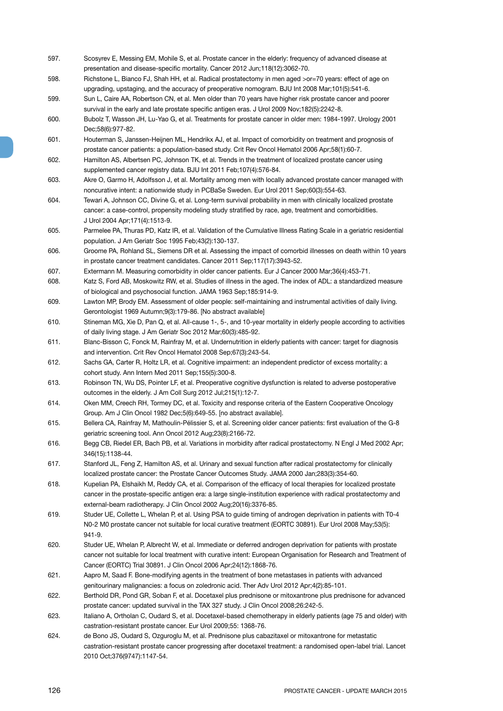- 597. Scosyrev E, Messing EM, Mohile S, et al. Prostate cancer in the elderly: frequency of advanced disease at presentation and disease-specific mortality. Cancer 2012 Jun;118(12):3062-70.
- 598. Richstone L, Bianco FJ, Shah HH, et al. Radical prostatectomy in men aged >or=70 years: effect of age on upgrading, upstaging, and the accuracy of preoperative nomogram. BJU Int 2008 Mar;101(5):541-6.
- 599. Sun L, Caire AA, Robertson CN, et al. Men older than 70 years have higher risk prostate cancer and poorer survival in the early and late prostate specific antigen eras. J Urol 2009 Nov;182(5):2242-8.
- 600. Bubolz T, Wasson JH, Lu-Yao G, et al. Treatments for prostate cancer in older men: 1984-1997. Urology 2001 Dec;58(6):977-82.
- 601. Houterman S, Janssen-Heijnen ML, Hendrikx AJ, et al. Impact of comorbidity on treatment and prognosis of prostate cancer patients: a population-based study. Crit Rev Oncol Hematol 2006 Apr;58(1):60-7.
- 602. Hamilton AS, Albertsen PC, Johnson TK, et al. Trends in the treatment of localized prostate cancer using supplemented cancer registry data. BJU Int 2011 Feb;107(4):576-84.
- 603. Akre O, Garmo H, Adolfsson J, et al. Mortality among men with locally advanced prostate cancer managed with noncurative intent: a nationwide study in PCBaSe Sweden. Eur Urol 2011 Sep;60(3):554-63.
- 604. Tewari A, Johnson CC, Divine G, et al. Long-term survival probability in men with clinically localized prostate cancer: a case-control, propensity modeling study stratified by race, age, treatment and comorbidities. J Urol 2004 Apr;171(4):1513-9.
- 605. Parmelee PA, Thuras PD, Katz IR, et al. Validation of the Cumulative Illness Rating Scale in a geriatric residential population. J Am Geriatr Soc 1995 Feb;43(2):130-137.
- 606. Groome PA, Rohland SL, Siemens DR et al. Assessing the impact of comorbid illnesses on death within 10 years in prostate cancer treatment candidates. Cancer 2011 Sep;117(17):3943-52.
- 607. Extermann M. Measuring comorbidity in older cancer patients. Eur J Cancer 2000 Mar;36(4):453-71.
- 608. Katz S, Ford AB, Moskowitz RW, et al. Studies of illness in the aged. The index of ADL: a standardized measure of biological and psychosocial function. JAMA 1963 Sep;185:914-9.
- 609. Lawton MP, Brody EM. Assessment of older people: self-maintaining and instrumental activities of daily living. Gerontologist 1969 Autumn;9(3):179-86. [No abstract available]
- 610. Stineman MG, Xie D, Pan Q, et al. All-cause 1-, 5-, and 10-year mortality in elderly people according to activities of daily living stage. J Am Geriatr Soc 2012 Mar;60(3):485-92.
- 611. Blanc-Bisson C, Fonck M, Rainfray M, et aI. Undernutrition in elderly patients with cancer: target for diagnosis and intervention. Crit Rev Oncol Hematol 2008 Sep;67(3):243-54.
- 612. Sachs GA, Carter R, Holtz LR, et al. Cognitive impairment: an independent predictor of excess mortality: a cohort study. Ann Intern Med 2011 Sep;155(5):300-8.
- 613. Robinson TN, Wu DS, Pointer LF, et al. Preoperative cognitive dysfunction is related to adverse postoperative outcomes in the elderly. J Am Coll Surg 2012 Jul;215(1):12-7.
- 614. Oken MM, Creech RH, Tormey DC, et al. Toxicity and response criteria of the Eastern Cooperative Oncology Group. Am J Clin Oncol 1982 Dec;5(6):649-55. [no abstract available].
- 615. Bellera CA, Rainfray M, Mathoulin-Pélissier S, et al. Screening older cancer patients: first evaluation of the G-8 geriatric screening tool. Ann Oncol 2012 Aug;23(8):2166-72.
- 616. Begg CB, Riedel ER, Bach PB, et al. Variations in morbidity after radical prostatectomy. N Engl J Med 2002 Apr; 346(15):1138-44.
- 617. Stanford JL, Feng Z, Hamilton AS, et al. Urinary and sexual function after radical prostatectomy for clinically localized prostate cancer: the Prostate Cancer Outcomes Study. JAMA 2000 Jan;283(3):354-60.
- 618. Kupelian PA, Elshaikh M, Reddy CA, et al. Comparison of the efficacy of local therapies for localized prostate cancer in the prostate-specific antigen era: a large single-institution experience with radical prostatectomy and external-beam radiotherapy. J Clin Oncol 2002 Aug;20(16):3376-85.
- 619. Studer UE, Collette L, Whelan P, et al. Using PSA to guide timing of androgen deprivation in patients with T0-4 N0-2 M0 prostate cancer not suitable for local curative treatment (EORTC 30891). Eur Urol 2008 May;53(5):  $0.11 - 0.9$
- 620. Studer UE, Whelan P, Albrecht W, et al. Immediate or deferred androgen deprivation for patients with prostate cancer not suitable for local treatment with curative intent: European Organisation for Research and Treatment of Cancer (EORTC) Trial 30891. J Clin Oncol 2006 Apr;24(12):1868-76.
- 621. Aapro M, Saad F. Bone-modifying agents in the treatment of bone metastases in patients with advanced genitourinary malignancies: a focus on zoledronic acid. Ther Adv Urol 2012 Apr;4(2):85-101.
- 622. Berthold DR, Pond GR, Soban F, et al. Docetaxel plus prednisone or mitoxantrone plus prednisone for advanced prostate cancer: updated survival in the TAX 327 study. J Clin Oncol 2008;26:242-5.
- 623. Italiano A, Ortholan C, Oudard S, et al. Docetaxel-based chemotherapy in elderly patients (age 75 and older) with castration-resistant prostate cancer. Eur Urol 2009;55: 1368-76.
- 624. de Bono JS, Oudard S, Ozguroglu M, et al. Prednisone plus cabazitaxel or mitoxantrone for metastatic castration-resistant prostate cancer progressing after docetaxel treatment: a randomised open-label trial. Lancet 2010 Oct;376(9747):1147-54.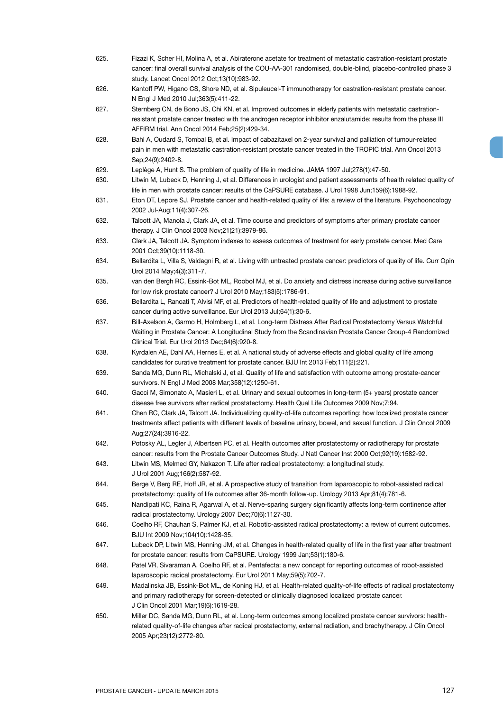- 625. Fizazi K, Scher HI, Molina A, et al. Abiraterone acetate for treatment of metastatic castration-resistant prostate cancer: final overall survival analysis of the COU-AA-301 randomised, double-blind, placebo-controlled phase 3 study. Lancet Oncol 2012 Oct;13(10):983-92.
- 626. Kantoff PW, Higano CS, Shore ND, et al. Sipuleucel-T immunotherapy for castration-resistant prostate cancer. N Engl J Med 2010 Jul;363(5):411-22.
- 627. Sternberg CN, de Bono JS, Chi KN, et al. Improved outcomes in elderly patients with metastatic castrationresistant prostate cancer treated with the androgen receptor inhibitor enzalutamide: results from the phase III AFFIRM trial. Ann Oncol 2014 Feb;25(2):429-34.
- 628. Bahl A, Oudard S, Tombal B, et al. Impact of cabazitaxel on 2-year survival and palliation of tumour-related pain in men with metastatic castration-resistant prostate cancer treated in the TROPIC trial. Ann Oncol 2013 Sep;24(9):2402-8.
- 629. Leplège A, Hunt S. The problem of quality of life in medicine. JAMA 1997 Jul;278(1):47-50.
- 630. Litwin M, Lubeck D, Henning J, et al. Differences in urologist and patient assessments of health related quality of life in men with prostate cancer: results of the CaPSURE database. J Urol 1998 Jun;159(6):1988-92.
- 631. Eton DT, Lepore SJ. Prostate cancer and health-related quality of life: a review of the literature. Psychooncology 2002 Jul-Aug;11(4):307-26.
- 632. Talcott JA, Manola J, Clark JA, et al. Time course and predictors of symptoms after primary prostate cancer therapy. J Clin Oncol 2003 Nov;21(21):3979-86.
- 633. Clark JA, Talcott JA. Symptom indexes to assess outcomes of treatment for early prostate cancer. Med Care 2001 Oct;39(10):1118-30.
- 634. Bellardita L, Villa S, Valdagni R, et al. Living with untreated prostate cancer: predictors of quality of life. Curr Opin Urol 2014 May;4(3):311-7.
- 635. van den Bergh RC, Essink-Bot ML, Roobol MJ, et al. Do anxiety and distress increase during active surveillance for low risk prostate cancer? J Urol 2010 May;183(5):1786-91.
- 636. Bellardita L, Rancati T, Alvisi MF, et al. Predictors of health-related quality of life and adjustment to prostate cancer during active surveillance. Eur Urol 2013 Jul;64(1):30-6.
- 637. Bill-Axelson A, Garmo H, Holmberg L, et al. Long-term Distress After Radical Prostatectomy Versus Watchful Waiting in Prostate Cancer: A Longitudinal Study from the Scandinavian Prostate Cancer Group-4 Randomized Clinical Trial. Eur Urol 2013 Dec;64(6):920-8.
- 638. Kyrdalen AE, Dahl AA, Hernes E, et al. A national study of adverse effects and global quality of life among candidates for curative treatment for prostate cancer. BJU Int 2013 Feb;111(2):221.
- 639. Sanda MG, Dunn RL, Michalski J, et al. Quality of life and satisfaction with outcome among prostate-cancer survivors. N Engl J Med 2008 Mar;358(12):1250-61.
- 640. Gacci M, Simonato A, Masieri L, et al. Urinary and sexual outcomes in long-term (5+ years) prostate cancer disease free survivors after radical prostatectomy. Health Qual Life Outcomes 2009 Nov;7:94.
- 641. Chen RC, Clark JA, Talcott JA. Individualizing quality-of-life outcomes reporting: how localized prostate cancer treatments affect patients with different levels of baseline urinary, bowel, and sexual function. J Clin Oncol 2009 Aug;27(24):3916-22.
- 642. Potosky AL, Legler J, Albertsen PC, et al. Health outcomes after prostatectomy or radiotherapy for prostate cancer: results from the Prostate Cancer Outcomes Study. J Natl Cancer Inst 2000 Oct;92(19):1582-92.
- 643. Litwin MS, Melmed GY, Nakazon T. Life after radical prostatectomy: a longitudinal study. J Urol 2001 Aug;166(2):587-92.
- 644. Berge V, Berg RE, Hoff JR, et al. A prospective study of transition from laparoscopic to robot-assisted radical prostatectomy: quality of life outcomes after 36-month follow-up. Urology 2013 Apr;81(4):781-6.
- 645. Nandipati KC, Raina R, Agarwal A, et al. Nerve-sparing surgery significantly affects long-term continence after radical prostatectomy. Urology 2007 Dec;70(6):1127-30.
- 646. Coelho RF, Chauhan S, Palmer KJ, et al. Robotic-assisted radical prostatectomy: a review of current outcomes. BJU Int 2009 Nov;104(10):1428-35.
- 647. Lubeck DP, Litwin MS, Henning JM, et al. Changes in health-related quality of life in the first year after treatment for prostate cancer: results from CaPSURE. Urology 1999 Jan;53(1):180-6.
- 648. Patel VR, Sivaraman A, Coelho RF, et al. Pentafecta: a new concept for reporting outcomes of robot-assisted laparoscopic radical prostatectomy. Eur Urol 2011 May;59(5):702-7.
- 649. Madalinska JB, Essink-Bot ML, de Koning HJ, et al. Health-related quality-of-life effects of radical prostatectomy and primary radiotherapy for screen-detected or clinically diagnosed localized prostate cancer. J Clin Oncol 2001 Mar;19(6):1619-28.
- 650. Miller DC, Sanda MG, Dunn RL, et al. Long-term outcomes among localized prostate cancer survivors: healthrelated quality-of-life changes after radical prostatectomy, external radiation, and brachytherapy. J Clin Oncol 2005 Apr;23(12):2772-80.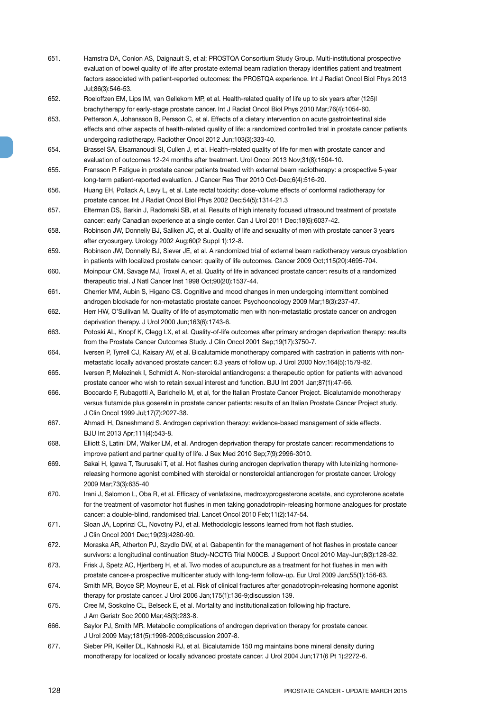- 651. Hamstra DA, Conlon AS, Daignault S, et al; PROSTQA Consortium Study Group. Multi-institutional prospective evaluation of bowel quality of life after prostate external beam radiation therapy identifies patient and treatment factors associated with patient-reported outcomes: the PROSTQA experience. Int J Radiat Oncol Biol Phys 2013 Jul;86(3):546-53.
- 652. Roeloffzen EM, Lips IM, van Gellekom MP, et al. Health-related quality of life up to six years after (125)I brachytherapy for early-stage prostate cancer. Int J Radiat Oncol Biol Phys 2010 Mar;76(4):1054-60.
- 653. Petterson A, Johansson B, Persson C, et al. Effects of a dietary intervention on acute gastrointestinal side effects and other aspects of health-related quality of life: a randomized controlled trial in prostate cancer patients undergoing radiotherapy. Radiother Oncol 2012 Jun;103(3):333-40.
- 654. Brassel SA, Elsamanoudi SI, Cullen J, et al. Health-related quality of life for men with prostate cancer and evaluation of outcomes 12-24 months after treatment. Urol Oncol 2013 Nov;31(8):1504-10.
- 655. Fransson P. Fatigue in prostate cancer patients treated with external beam radiotherapy: a prospective 5-year long-term patient-reported evaluation. J Cancer Res Ther 2010 Oct-Dec;6(4):516-20.
- 656. Huang EH, Pollack A, Levy L, et al. Late rectal toxicity: dose-volume effects of conformal radiotherapy for prostate cancer. Int J Radiat Oncol Biol Phys 2002 Dec;54(5):1314-21.3
- 657. Elterman DS, Barkin J, Radomski SB, et al. Results of high intensity focused ultrasound treatment of prostate cancer: early Canadian experience at a single center. Can J Urol 2011 Dec;18(6):6037-42.
- 658. Robinson JW, Donnelly BJ, Saliken JC, et al. Quality of life and sexuality of men with prostate cancer 3 years after cryosurgery. Urology 2002 Aug;60(2 Suppl 1):12-8.
- 659. Robinson JW, Donnelly BJ, Siever JE, et al. A randomized trial of external beam radiotherapy versus cryoablation in patients with localized prostate cancer: quality of life outcomes. Cancer 2009 Oct;115(20):4695-704.
- 660. Moinpour CM, Savage MJ, Troxel A, et al. Quality of life in advanced prostate cancer: results of a randomized therapeutic trial. J Natl Cancer Inst 1998 Oct;90(20):1537-44.
- 661. Cherrier MM, Aubin S, Higano CS. Cognitive and mood changes in men undergoing intermittent combined androgen blockade for non-metastatic prostate cancer. Psychooncology 2009 Mar;18(3):237-47.
- 662. Herr HW, O'Sullivan M. Quality of life of asymptomatic men with non-metastatic prostate cancer on androgen deprivation therapy. J Urol 2000 Jun;163(6):1743-6.
- 663. Potoski AL, Knopf K, Clegg LX, et al. Quality-of-life outcomes after primary androgen deprivation therapy: results from the Prostate Cancer Outcomes Study. J Clin Oncol 2001 Sep;19(17):3750-7.
- 664. Iversen P, Tyrrell CJ, Kaisary AV, et al. Bicalutamide monotherapy compared with castration in patients with nonmetastatic locally advanced prostate cancer: 6.3 years of follow up. J Urol 2000 Nov;164(5):1579-82.
- 665. Iversen P, Melezinek I, Schmidt A. Non-steroidal antiandrogens: a therapeutic option for patients with advanced prostate cancer who wish to retain sexual interest and function. BJU Int 2001 Jan;87(1):47-56.
- 666. Boccardo F, Rubagotti A, Barichello M, et al, for the Italian Prostate Cancer Project. Bicalutamide monotherapy versus flutamide plus goserelin in prostate cancer patients: results of an Italian Prostate Cancer Project study. J Clin Oncol 1999 Jul;17(7):2027-38.
- 667. Ahmadi H, Daneshmand S. Androgen deprivation therapy: evidence-based management of side effects. BJU Int 2013 Apr;111(4):543-8.
- 668. Elliott S, Latini DM, Walker LM, et al. Androgen deprivation therapy for prostate cancer: recommendations to improve patient and partner quality of life. J Sex Med 2010 Sep;7(9):2996-3010.
- 669. Sakai H, Igawa T, Tsurusaki T, et al. Hot flashes during androgen deprivation therapy with luteinizing hormonereleasing hormone agonist combined with steroidal or nonsteroidal antiandrogen for prostate cancer. Urology 2009 Mar;73(3):635-40
- 670. Irani J, Salomon L, Oba R, et al. Efficacy of venlafaxine, medroxyprogesterone acetate, and cyproterone acetate for the treatment of vasomotor hot flushes in men taking gonadotropin-releasing hormone analogues for prostate cancer: a double-blind, randomised trial. Lancet Oncol 2010 Feb;11(2):147-54.
- 671. Sloan JA, Loprinzi CL, Novotny PJ, et al. Methodologic lessons learned from hot flash studies. J Clin Oncol 2001 Dec;19(23):4280-90.
- 672. Moraska AR, Atherton PJ, Szydlo DW, et al. Gabapentin for the management of hot flashes in prostate cancer survivors: a longitudinal continuation Study-NCCTG Trial N00CB. J Support Oncol 2010 May-Jun;8(3):128-32.
- 673. Frisk J, Spetz AC, Hjertberg H, et al. Two modes of acupuncture as a treatment for hot flushes in men with prostate cancer-a prospective multicenter study with long-term follow-up. Eur Urol 2009 Jan;55(1):156-63.
- 674. Smith MR, Boyce SP, Moyneur E, et al. Risk of clinical fractures after gonadotropin-releasing hormone agonist therapy for prostate cancer. J Urol 2006 Jan;175(1):136-9;discussion 139.
- 675. Cree M, Soskolne CL, Belseck E, et al. Mortality and institutionalization following hip fracture. J Am Geriatr Soc 2000 Mar;48(3):283-8.
- 666. Saylor PJ, Smith MR. Metabolic complications of androgen deprivation therapy for prostate cancer. J Urol 2009 May;181(5):1998-2006;discussion 2007-8.
- 677. Sieber PR, Keiller DL, Kahnoski RJ, et al. Bicalutamide 150 mg maintains bone mineral density during monotherapy for localized or locally advanced prostate cancer. J Urol 2004 Jun;171(6 Pt 1):2272-6.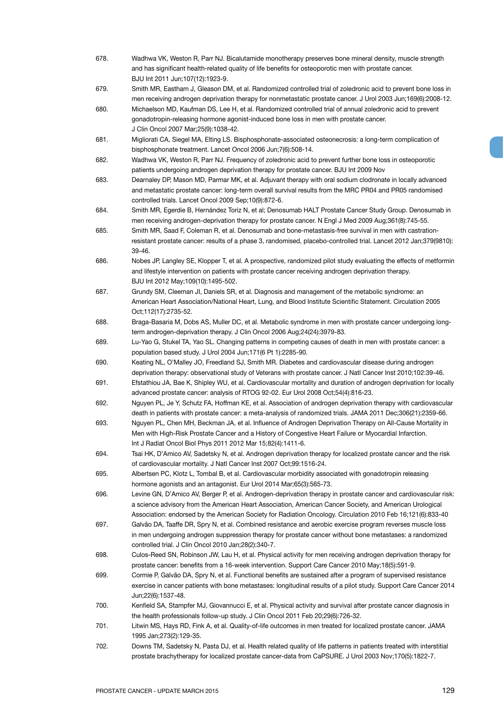- 678. Wadhwa VK, Weston R, Parr NJ. Bicalutamide monotherapy preserves bone mineral density, muscle strength and has significant health-related quality of life benefits for osteoporotic men with prostate cancer. BJU Int 2011 Jun;107(12):1923-9.
- 679. Smith MR, Eastham J, Gleason DM, et al. Randomized controlled trial of zoledronic acid to prevent bone loss in men receiving androgen deprivation therapy for nonmetastatic prostate cancer. J Urol 2003 Jun;169(6):2008-12.
- 680. Michaelson MD, Kaufman DS, Lee H, et al. Randomized controlled trial of annual zoledronic acid to prevent gonadotropin-releasing hormone agonist-induced bone loss in men with prostate cancer. J Clin Oncol 2007 Mar;25(9):1038-42.
- 681. Migliorati CA, Siegel MA, Elting LS. Bisphosphonate-associated osteonecrosis: a long-term complication of bisphosphonate treatment. Lancet Oncol 2006 Jun;7(6):508-14.
- 682. Wadhwa VK, Weston R, Parr NJ. Frequency of zoledronic acid to prevent further bone loss in osteoporotic patients undergoing androgen deprivation therapy for prostate cancer. BJU Int 2009 Nov
- 683. Dearnaley DP, Mason MD, Parmar MK, et al. Adjuvant therapy with oral sodium clodronate in locally advanced and metastatic prostate cancer: long-term overall survival results from the MRC PR04 and PR05 randomised controlled trials. Lancet Oncol 2009 Sep;10(9):872-6.
- 684. Smith MR, Egerdie B, Hernández Toriz N, et al; Denosumab HALT Prostate Cancer Study Group. Denosumab in men receiving androgen-deprivation therapy for prostate cancer. N Engl J Med 2009 Aug;361(8):745-55.
- 685. Smith MR, Saad F, Coleman R, et al. Denosumab and bone-metastasis-free survival in men with castrationresistant prostate cancer: results of a phase 3, randomised, placebo-controlled trial. Lancet 2012 Jan;379(9810): 39-46.
- 686. Nobes JP, Langley SE, Klopper T, et al. A prospective, randomized pilot study evaluating the effects of metformin and lifestyle intervention on patients with prostate cancer receiving androgen deprivation therapy. BJU Int 2012 May;109(10):1495-502.
- 687. Grundy SM, Cleeman JI, Daniels SR, et al. Diagnosis and management of the metabolic syndrome: an American Heart Association/National Heart, Lung, and Blood Institute Scientific Statement. Circulation 2005 Oct;112(17):2735-52.
- 688. Braga-Basaria M, Dobs AS, Muller DC, et al. Metabolic syndrome in men with prostate cancer undergoing longterm androgen-deprivation therapy. J Clin Oncol 2006 Aug;24(24):3979-83.
- 689. Lu-Yao G, Stukel TA, Yao SL. Changing patterns in competing causes of death in men with prostate cancer: a population based study. J Urol 2004 Jun;171(6 Pt 1):2285-90.
- 690. Keating NL, O'Malley JO, Freedland SJ, Smith MR. Diabetes and cardiovascular disease during androgen deprivation therapy: observational study of Veterans with prostate cancer. J Natl Cancer Inst 2010;102:39-46.
- 691. Efstathiou JA, Bae K, Shipley WU, et al. Cardiovascular mortality and duration of androgen deprivation for locally advanced prostate cancer: analysis of RTOG 92-02. Eur Urol 2008 Oct;54(4):816-23.
- 692. Nguyen PL, Je Y, Schutz FA, Hoffman KE, et al. Association of androgen deprivation therapy with cardiovascular death in patients with prostate cancer: a meta-analysis of randomized trials. JAMA 2011 Dec;306(21):2359-66.
- 693. Nguyen PL, Chen MH, Beckman JA, et al. Influence of Androgen Deprivation Therapy on All-Cause Mortality in Men with High-Risk Prostate Cancer and a History of Congestive Heart Failure or Myocardial Infarction. Int J Radiat Oncol Biol Phys 2011 2012 Mar 15;82(4):1411-6.
- 694. Tsai HK, D'Amico AV, Sadetsky N, et al. Androgen deprivation therapy for localized prostate cancer and the risk of cardiovascular mortality. J Natl Cancer Inst 2007 Oct;99:1516-24.
- 695. Albertsen PC, Klotz L, Tombal B, et al. Cardiovascular morbidity associated with gonadotropin releasing hormone agonists and an antagonist. Eur Urol 2014 Mar;65(3):565-73.
- 696. Levine GN, D'Amico AV, Berger P, et al. Androgen-deprivation therapy in prostate cancer and cardiovascular risk: a science advisory from the American Heart Association, American Cancer Society, and American Urological Association: endorsed by the American Society for Radiation Oncology. Circulation 2010 Feb 16;121(6):833-40
- 697. Galvão DA, Taaffe DR, Spry N, et al. Combined resistance and aerobic exercise program reverses muscle loss in men undergoing androgen suppression therapy for prostate cancer without bone metastases: a randomized controlled trial. J Clin Oncol 2010 Jan;28(2):340-7.
- 698. Culos-Reed SN, Robinson JW, Lau H, et al. Physical activity for men receiving androgen deprivation therapy for prostate cancer: benefits from a 16-week intervention. Support Care Cancer 2010 May;18(5):591-9.
- 699. Cormie P, Galvão DA, Spry N, et al. Functional benefits are sustained after a program of supervised resistance exercise in cancer patients with bone metastases: longitudinal results of a pilot study. Support Care Cancer 2014 Jun;22(6):1537-48.
- 700. Kenfield SA, Stampfer MJ, Giovannucci E, et al. Physical activity and survival after prostate cancer diagnosis in the health professionals follow-up study. J Clin Oncol 2011 Feb 20;29(6):726-32.
- 701. Litwin MS, Hays RD, Fink A, et al. Quality-of-life outcomes in men treated for localized prostate cancer. JAMA 1995 Jan;273(2):129-35.
- 702. Downs TM, Sadetsky N, Pasta DJ, et al. Health related quality of life patterns in patients treated with interstitial prostate brachytherapy for localized prostate cancer-data from CaPSURE. J Urol 2003 Nov;170(5):1822-7.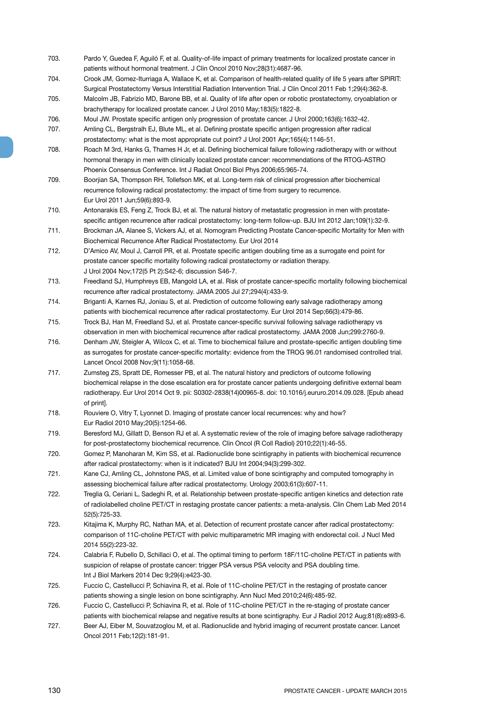- 703. Pardo Y, Guedea F, Aguiló F, et al. Quality-of-life impact of primary treatments for localized prostate cancer in patients without hormonal treatment. J Clin Oncol 2010 Nov;28(31):4687-96.
- 704. Crook JM, Gomez-Iturriaga A, Wallace K, et al. Comparison of health-related quality of life 5 years after SPIRIT: Surgical Prostatectomy Versus Interstitial Radiation Intervention Trial. J Clin Oncol 2011 Feb 1;29(4):362-8.
- 705. Malcolm JB, Fabrizio MD, Barone BB, et al. Quality of life after open or robotic prostatectomy, cryoablation or brachytherapy for localized prostate cancer. J Urol 2010 May;183(5):1822-8.
- 706. Moul JW. Prostate specific antigen only progression of prostate cancer. J Urol 2000;163(6):1632-42.
- 707. Amling CL, Bergstralh EJ, Blute ML, et al. Defining prostate specific antigen progression after radical prostatectomy: what is the most appropriate cut point? J Urol 2001 Apr;165(4):1146-51.
- 708. Roach M 3rd, Hanks G, Thames H Jr, et al. Defining biochemical failure following radiotherapy with or without hormonal therapy in men with clinically localized prostate cancer: recommendations of the RTOG-ASTRO Phoenix Consensus Conference. Int J Radiat Oncol Biol Phys 2006;65:965-74.
- 709. Boorjian SA, Thompson RH, Tollefson MK, et al. Long-term risk of clinical progression after biochemical recurrence following radical prostatectomy: the impact of time from surgery to recurrence. Eur Urol 2011 Jun;59(6):893-9.
- 710. Antonarakis ES, Feng Z, Trock BJ, et al. The natural history of metastatic progression in men with prostatespecific antigen recurrence after radical prostatectomy: long-term follow-up. BJU Int 2012 Jan;109(1):32-9.
- 711. Brockman JA, Alanee S, Vickers AJ, et al. Nomogram Predicting Prostate Cancer-specific Mortality for Men with Biochemical Recurrence After Radical Prostatectomy. Eur Urol 2014
- 712. D'Amico AV, Moul J, Carroll PR, et al. Prostate specific antigen doubling time as a surrogate end point for prostate cancer specific mortality following radical prostatectomy or radiation therapy. J Urol 2004 Nov;172(5 Pt 2):S42-6; discussion S46-7.
- 713. Freedland SJ, Humphreys EB, Mangold LA, et al. Risk of prostate cancer-specific mortality following biochemical recurrence after radical prostatectomy. JAMA 2005 Jul 27;294(4):433-9.
- 714. Briganti A, Karnes RJ, Joniau S, et al. Prediction of outcome following early salvage radiotherapy among patients with biochemical recurrence after radical prostatectomy. Eur Urol 2014 Sep;66(3):479-86.
- 715. Trock BJ, Han M, Freedland SJ, et al. Prostate cancer-specific survival following salvage radiotherapy vs observation in men with biochemical recurrence after radical prostatectomy. JAMA 2008 Jun;299:2760-9.
- 716. Denham JW, Steigler A, Wilcox C, et al. Time to biochemical failure and prostate-specific antigen doubling time as surrogates for prostate cancer-specific mortality: evidence from the TROG 96.01 randomised controlled trial. Lancet Oncol 2008 Nov;9(11):1058-68.
- 717. Zumsteg ZS, Spratt DE, Romesser PB, et al. The natural history and predictors of outcome following biochemical relapse in the dose escalation era for prostate cancer patients undergoing definitive external beam radiotherapy. Eur Urol 2014 Oct 9. pii: S0302-2838(14)00965-8. doi: 10.1016/j.eururo.2014.09.028. [Epub ahead of print].
- 718. Rouviere O, Vitry T, Lyonnet D. Imaging of prostate cancer local recurrences: why and how? Eur Radiol 2010 May;20(5):1254-66.
- 719. Beresford MJ, Gillatt D, Benson RJ et al. A systematic review of the role of imaging before salvage radiotherapy for post-prostatectomy biochemical recurrence. Clin Oncol (R Coll Radiol) 2010;22(1):46-55.
- 720. Gomez P, Manoharan M, Kim SS, et al. Radionuclide bone scintigraphy in patients with biochemical recurrence after radical prostatectomy: when is it indicated? BJU Int 2004;94(3):299-302.
- 721. Kane CJ, Amling CL, Johnstone PAS, et al. Limited value of bone scintigraphy and computed tomography in assessing biochemical failure after radical prostatectomy. Urology 2003;61(3):607-11.
- 722. Treglia G, Ceriani L, Sadeghi R, et al. Relationship between prostate-specific antigen kinetics and detection rate of radiolabelled choline PET/CT in restaging prostate cancer patients: a meta-analysis. Clin Chem Lab Med 2014 52(5):725-33.
- 723. Kitajima K, Murphy RC, Nathan MA, et al. Detection of recurrent prostate cancer after radical prostatectomy: comparison of 11C-choline PET/CT with pelvic multiparametric MR imaging with endorectal coil. J Nucl Med 2014 55(2):223-32.
- 724. Calabria F, Rubello D, Schillaci O, et al. The optimal timing to perform 18F/11C-choline PET/CT in patients with suspicion of relapse of prostate cancer: trigger PSA versus PSA velocity and PSA doubling time. Int J Biol Markers 2014 Dec 9;29(4):e423-30.
- 725. Fuccio C, Castellucci P, Schiavina R, et al. Role of 11C-choline PET/CT in the restaging of prostate cancer patients showing a single lesion on bone scintigraphy. Ann Nucl Med 2010;24(6):485-92.
- 726. Fuccio C, Castellucci P, Schiavina R, et al. Role of 11C-choline PET/CT in the re-staging of prostate cancer patients with biochemical relapse and negative results at bone scintigraphy. Eur J Radiol 2012 Aug;81(8):e893-6.
- 727. Beer AJ, Eiber M, Souvatzoglou M, et al. Radionuclide and hybrid imaging of recurrent prostate cancer. Lancet Oncol 2011 Feb;12(2):181-91.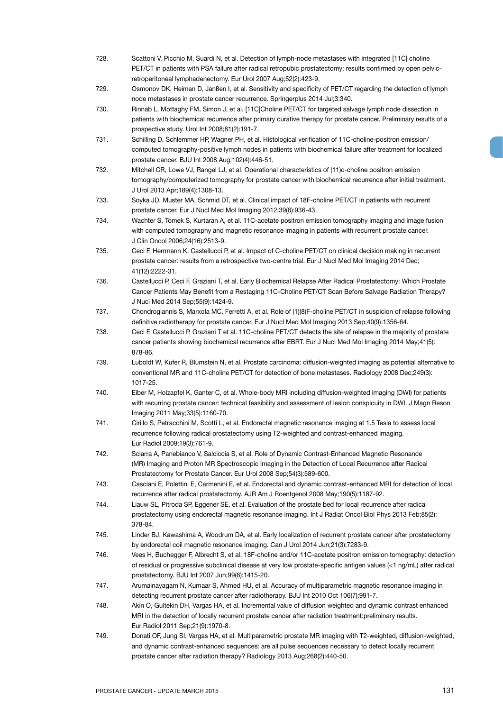- 728. Scattoni V, Picchio M, Suardi N, et al. Detection of lymph-node metastases with integrated [11C] choline PET/CT in patients with PSA failure after radical retropubic prostatectomy: results confirmed by open pelvicretroperitoneal lymphadenectomy. Eur Urol 2007 Aug;52(2):423-9.
- 729. Osmonov DK, Heiman D, Janßen I, et al. Sensitivity and specificity of PET/CT regarding the detection of lymph node metastases in prostate cancer recurrence. Springerplus 2014 Jul;3:340.
- 730. Rinnab L, Mottaghy FM, Simon J, et al. [11C]Choline PET/CT for targeted salvage lymph node dissection in patients with biochemical recurrence after primary curative therapy for prostate cancer. Preliminary results of a prospective study. Urol Int 2008;81(2):191-7.
- 731. Schilling D, Schlemmer HP, Wagner PH, et al. Histological verification of 11C-choline-positron emission/ computed tomography-positive lymph nodes in patients with biochemical failure after treatment for localized prostate cancer. BJU Int 2008 Aug;102(4):446-51.
- 732. Mitchell CR, Lowe VJ, Rangel LJ, et al. Operational characteristics of (11)c-choline positron emission tomography/computerized tomography for prostate cancer with biochemical recurrence after initial treatment. J Urol 2013 Apr;189(4):1308-13.
- 733. Soyka JD, Muster MA, Schmid DT, et al. Clinical impact of 18F-choline PET/CT in patients with recurrent prostate cancer. Eur J Nucl Med Mol Imaging 2012;39(6):936-43.
- 734. Wachter S, Tomek S, Kurtaran A, et al. 11C-acetate positron emission tomography imaging and image fusion with computed tomography and magnetic resonance imaging in patients with recurrent prostate cancer. J Clin Oncol 2006;24(16):2513-9.
- 735. Ceci F, Herrmann K, Castellucci P, et al. Impact of C-choline PET/CT on clinical decision making in recurrent prostate cancer: results from a retrospective two-centre trial. Eur J Nucl Med Mol Imaging 2014 Dec; 41(12):2222-31.
- 736. Castellucci P, Ceci F, Graziani T, et al. Early Biochemical Relapse After Radical Prostatectomy: Which Prostate Cancer Patients May Benefit from a Restaging 11C-Choline PET/CT Scan Before Salvage Radiation Therapy? J Nucl Med 2014 Sep;55(9):1424-9.
- 737. Chondrogiannis S, Marxola MC, Ferretti A, et al. Role of (1)(8)F-choline PET/CT in suspicion of relapse following definitive radiotherapy for prostate cancer. Eur J Nucl Med Mol Imaging 2013 Sep;40(9):1356-64.
- 738. Ceci F, Castellucci P, Graziani T et al. 11C-choline PET/CT detects the site of relapse in the majority of prostate cancer patients showing biochemical recurrence after EBRT. Eur J Nucl Med Mol Imaging 2014 May;41(5): 878-86.
- 739. Luboldt W, Kufer R, Blumstein N, et al. Prostate carcinoma: diffusion-weighted imaging as potential alternative to conventional MR and 11C-choline PET/CT for detection of bone metastases. Radiology 2008 Dec;249(3): 1017-25.
- 740. Eiber M, Holzapfel K, Ganter C, et al. Whole-body MRI including diffusion-weighted imaging (DWI) for patients with recurring prostate cancer: technical feasibility and assessment of lesion conspicuity in DWI. J Magn Reson Imaging 2011 May;33(5):1160-70.
- 741. Cirillo S, Petracchini M, Scotti L, et al. Endorectal magnetic resonance imaging at 1.5 Tesla to assess local recurrence following radical prostatectomy using T2-weighted and contrast-enhanced imaging. Eur Radiol 2009;19(3):761-9.
- 742. Sciarra A, Panebianco V, Salciccia S, et al. Role of Dynamic Contrast-Enhanced Magnetic Resonance (MR) Imaging and Proton MR Spectroscopic Imaging in the Detection of Local Recurrence after Radical Prostatectomy for Prostate Cancer. Eur Urol 2008 Sep;54(3):589-600.
- 743. Casciani E, Polettini E, Carmenini E, et al. Endorectal and dynamic contrast-enhanced MRI for detection of local recurrence after radical prostatectomy. AJR Am J Roentgenol 2008 May;190(5):1187-92.
- 744. Liauw SL, Pitroda SP, Eggener SE, et al. Evaluation of the prostate bed for local recurrence after radical prostatectomy using endorectal magnetic resonance imaging. Int J Radiat Oncol Biol Phys 2013 Feb;85(2): 378-84.
- 745. Linder BJ, Kawashima A, Woodrum DA, et al. Early localization of recurrent prostate cancer after prostatectomy by endorectal coil magnetic resonance imaging. Can J Urol 2014 Jun;21(3):7283-9.
- 746. Vees H, Buchegger F, Albrecht S, et al. 18F-choline and/or 11C-acetate positron emission tomography: detection of residual or progressive subclinical disease at very low prostate-specific antigen values (<1 ng/mL) after radical prostatectomy. BJU Int 2007 Jun;99(6):1415-20.
- 747. Arumainayagam N, Kumaar S, Ahmed HU, et al. Accuracy of multiparametric magnetic resonance imaging in detecting recurrent prostate cancer after radiotherapy. BJU Int 2010 Oct 106(7):991-7.
- 748. Akin O, Gultekin DH, Vargas HA, et al. Incremental value of diffusion weighted and dynamic contrast enhanced MRI in the detection of locally recurrent prostate cancer after radiation treatment:preliminary results. Eur Radiol 2011 Sep;21(9):1970-8.
- 749. Donati OF, Jung SI, Vargas HA, et al. Multiparametric prostate MR imaging with T2-weighted, diffusion-weighted, and dynamic contrast-enhanced sequences: are all pulse sequences necessary to detect locally recurrent prostate cancer after radiation therapy? Radiology 2013 Aug;268(2):440-50.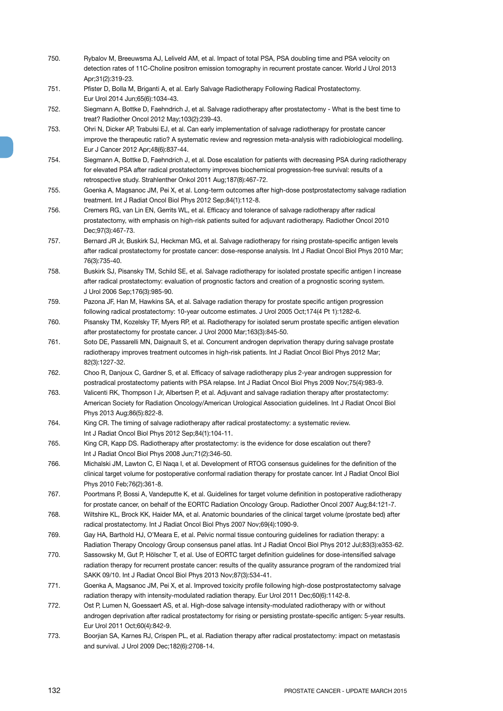- 750. Rybalov M, Breeuwsma AJ, Leliveld AM, et al. Impact of total PSA, PSA doubling time and PSA velocity on detection rates of 11C-Choline positron emission tomography in recurrent prostate cancer. World J Urol 2013 Apr;31(2):319-23.
- 751. Pfister D, Bolla M, Briganti A, et al. Early Salvage Radiotherapy Following Radical Prostatectomy. Eur Urol 2014 Jun;65(6):1034-43.
- 752. Siegmann A, Bottke D, Faehndrich J, et al. Salvage radiotherapy after prostatectomy What is the best time to treat? Radiother Oncol 2012 May;103(2):239-43.
- 753. Ohri N, Dicker AP, Trabulsi EJ, et al. Can early implementation of salvage radiotherapy for prostate cancer improve the therapeutic ratio? A systematic review and regression meta-analysis with radiobiological modelling. Eur J Cancer 2012 Apr;48(6):837-44.
- 754. Siegmann A, Bottke D, Faehndrich J, et al. Dose escalation for patients with decreasing PSA during radiotherapy for elevated PSA after radical prostatectomy improves biochemical progression-free survival: results of a retrospective study. Strahlenther Onkol 2011 Aug;187(8):467-72.
- 755. Goenka A, Magsanoc JM, Pei X, et al. Long-term outcomes after high-dose postprostatectomy salvage radiation treatment. Int J Radiat Oncol Biol Phys 2012 Sep;84(1):112-8.
- 756. Cremers RG, van Lin EN, Gerrits WL, et al. Efficacy and tolerance of salvage radiotherapy after radical prostatectomy, with emphasis on high-risk patients suited for adjuvant radiotherapy. Radiother Oncol 2010 Dec;97(3):467-73.
- 757. Bernard JR Jr, Buskirk SJ, Heckman MG, et al. Salvage radiotherapy for rising prostate-specific antigen levels after radical prostatectomy for prostate cancer: dose-response analysis. Int J Radiat Oncol Biol Phys 2010 Mar; 76(3):735-40.
- 758. Buskirk SJ, Pisansky TM, Schild SE, et al. Salvage radiotherapy for isolated prostate specific antigen I increase after radical prostatectomy: evaluation of prognostic factors and creation of a prognostic scoring system. J Urol 2006 Sep;176(3):985-90.
- 759. Pazona JF, Han M, Hawkins SA, et al. Salvage radiation therapy for prostate specific antigen progression following radical prostatectomy: 10-year outcome estimates. J Urol 2005 Oct;174(4 Pt 1):1282-6.
- 760. Pisansky TM, Kozelsky TF, Myers RP, et al. Radiotherapy for isolated serum prostate specific antigen elevation after prostatectomy for prostate cancer. J Urol 2000 Mar;163(3):845-50.
- 761. Soto DE, Passarelli MN, Daignault S, et al. Concurrent androgen deprivation therapy during salvage prostate radiotherapy improves treatment outcomes in high-risk patients. Int J Radiat Oncol Biol Phys 2012 Mar; 82(3):1227-32.
- 762. Choo R, Danjoux C, Gardner S, et al. Efficacy of salvage radiotherapy plus 2-year androgen suppression for postradical prostatectomy patients with PSA relapse. Int J Radiat Oncol Biol Phys 2009 Nov;75(4):983-9.
- 763. Valicenti RK, Thompson I Jr, Albertsen P, et al. Adjuvant and salvage radiation therapy after prostatectomy: American Society for Radiation Oncology/American Urological Association guidelines. Int J Radiat Oncol Biol Phys 2013 Aug;86(5):822-8.
- 764. King CR. The timing of salvage radiotherapy after radical prostatectomy: a systematic review. Int J Radiat Oncol Biol Phys 2012 Sep;84(1):104-11.
- 765. King CR, Kapp DS. Radiotherapy after prostatectomy: is the evidence for dose escalation out there? Int J Radiat Oncol Biol Phys 2008 Jun;71(2):346-50.
- 766. Michalski JM, Lawton C, El Naqa I, et al. Development of RTOG consensus guidelines for the definition of the clinical target volume for postoperative conformal radiation therapy for prostate cancer. Int J Radiat Oncol Biol Phys 2010 Feb;76(2):361-8.
- 767. Poortmans P, Bossi A, Vandeputte K, et al. Guidelines for target volume definition in postoperative radiotherapy for prostate cancer, on behalf of the EORTC Radiation Oncology Group. Radiother Oncol 2007 Aug;84:121-7.
- 768. Wiltshire KL, Brock KK, Haider MA, et al. Anatomic boundaries of the clinical target volume (prostate bed) after radical prostatectomy. Int J Radiat Oncol Biol Phys 2007 Nov;69(4):1090-9.
- 769. Gay HA, Barthold HJ, O'Meara E, et al. Pelvic normal tissue contouring guidelines for radiation therapy: a Radiation Therapy Oncology Group consensus panel atlas. Int J Radiat Oncol Biol Phys 2012 Jul;83(3):e353-62.
- 770. Sassowsky M, Gut P, Hölscher T, et al. Use of EORTC target definition guidelines for dose-intensified salvage radiation therapy for recurrent prostate cancer: results of the quality assurance program of the randomized trial SAKK 09/10. Int J Radiat Oncol Biol Phys 2013 Nov;87(3):534-41.
- 771. Goenka A, Magsanoc JM, Pei X, et al. Improved toxicity profile following high-dose postprostatectomy salvage radiation therapy with intensity-modulated radiation therapy. Eur Urol 2011 Dec;60(6):1142-8.
- 772. Ost P, Lumen N, Goessaert AS, et al. High-dose salvage intensity-modulated radiotherapy with or without androgen deprivation after radical prostatectomy for rising or persisting prostate-specific antigen: 5-year results. Eur Urol 2011 Oct;60(4):842-9.
- 773. Boorjian SA, Karnes RJ, Crispen PL, et al. Radiation therapy after radical prostatectomy: impact on metastasis and survival. J Urol 2009 Dec;182(6):2708-14.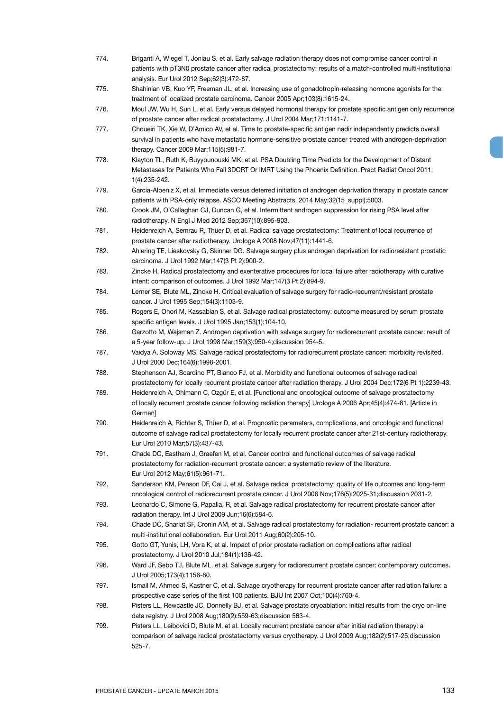- 774. Briganti A, Wiegel T, Joniau S, et al. Early salvage radiation therapy does not compromise cancer control in patients with pT3N0 prostate cancer after radical prostatectomy: results of a match-controlled multi-institutional analysis. Eur Urol 2012 Sep;62(3):472-87.
- 775. Shahinian VB, Kuo YF, Freeman JL, et al. Increasing use of gonadotropin-releasing hormone agonists for the treatment of localized prostate carcinoma. Cancer 2005 Apr;103(8):1615-24.
- 776. Moul JW, Wu H, Sun L, et al. Early versus delayed hormonal therapy for prostate specific antigen only recurrence of prostate cancer after radical prostatectomy. J Urol 2004 Mar;171:1141-7.
- 777. Choueiri TK, Xie W, D'Amico AV, et al. Time to prostate-specific antigen nadir independently predicts overall survival in patients who have metastatic hormone-sensitive prostate cancer treated with androgen-deprivation therapy. Cancer 2009 Mar;115(5):981-7.
- 778. Klayton TL, Ruth K, Buyyounouski MK, et al. PSA Doubling Time Predicts for the Development of Distant Metastases for Patients Who Fail 3DCRT Or IMRT Using the Phoenix Definition. Pract Radiat Oncol 2011; 1(4):235-242.
- 779. Garcia-Albeniz X, et al. Immediate versus deferred initiation of androgen deprivation therapy in prostate cancer patients with PSA-only relapse. ASCO Meeting Abstracts, 2014 May;32(15\_suppl):5003.
- 780. Crook JM, O'Callaghan CJ, Duncan G, et al. Intermittent androgen suppression for rising PSA level after radiotherapy. N Engl J Med 2012 Sep;367(10):895-903.
- 781. Heidenreich A, Semrau R, Thüer D, et al. Radical salvage prostatectomy: Treatment of local recurrence of prostate cancer after radiotherapy. Urologe A 2008 Nov;47(11):1441-6.
- 782. Ahlering TE, Lieskovsky G, Skinner DG. Salvage surgery plus androgen deprivation for radioresistant prostatic carcinoma. J Urol 1992 Mar;147(3 Pt 2):900-2.
- 783. Zincke H. Radical prostatectomy and exenterative procedures for local failure after radiotherapy with curative intent: comparison of outcomes. J Urol 1992 Mar;147(3 Pt 2):894-9.
- 784. Lerner SE, Blute ML, Zincke H. Critical evaluation of salvage surgery for radio-recurrent/resistant prostate cancer. J Urol 1995 Sep;154(3):1103-9.
- 785. Rogers E, Ohori M, Kassabian S, et al. Salvage radical prostatectomy: outcome measured by serum prostate specific antigen levels. J Urol 1995 Jan;153(1):104-10.
- 786. Garzotto M, Wajsman Z. Androgen deprivation with salvage surgery for radiorecurrent prostate cancer: result of a 5-year follow-up. J Urol 1998 Mar;159(3):950-4;discussion 954-5.
- 787. Vaidya A, Soloway MS. Salvage radical prostatectomy for radiorecurrent prostate cancer: morbidity revisited. J Urol 2000 Dec;164(6):1998-2001.
- 788. Stephenson AJ, Scardino PT, Bianco FJ, et al. Morbidity and functional outcomes of salvage radical prostatectomy for locally recurrent prostate cancer after radiation therapy. J Urol 2004 Dec;172(6 Pt 1):2239-43.
- 789. Heidenreich A, Ohlmann C, Ozgür E, et al. [Functional and oncological outcome of salvage prostatectomy of locally recurrent prostate cancer following radiation therapy] Urologe A 2006 Apr;45(4):474-81. [Article in German]
- 790. Heidenreich A, Richter S, Thüer D, et al. Prognostic parameters, complications, and oncologic and functional outcome of salvage radical prostatectomy for locally recurrent prostate cancer after 21st-century radiotherapy. Eur Urol 2010 Mar;57(3):437-43.
- 791. Chade DC, Eastham J, Graefen M, et al. Cancer control and functional outcomes of salvage radical prostatectomy for radiation-recurrent prostate cancer: a systematic review of the literature. Eur Urol 2012 May;61(5):961-71.
- 792. Sanderson KM, Penson DF, Cai J, et al. Salvage radical prostatectomy: quality of life outcomes and long-term oncological control of radiorecurrent prostate cancer. J Urol 2006 Nov;176(5):2025-31;discussion 2031-2.
- 793. Leonardo C, Simone G, Papalia, R, et al. Salvage radical prostatectomy for recurrent prostate cancer after radiation therapy. Int J Urol 2009 Jun;16(6):584-6.
- 794. Chade DC, Shariat SF, Cronin AM, et al. Salvage radical prostatectomy for radiation- recurrent prostate cancer: a multi-institutional collaboration. Eur Urol 2011 Aug;60(2):205-10.
- 795. Gotto GT, Yunis, LH, Vora K, et al. Impact of prior prostate radiation on complications after radical prostatectomy. J Urol 2010 Jul;184(1):136-42.
- 796. Ward JF, Sebo TJ, Blute ML, et al. Salvage surgery for radiorecurrent prostate cancer: contemporary outcomes. J Urol 2005;173(4):1156-60.
- 797. Ismail M, Ahmed S, Kastner C, et al. Salvage cryotherapy for recurrent prostate cancer after radiation failure: a prospective case series of the first 100 patients. BJU Int 2007 Oct;100(4):760-4.
- 798. Pisters LL, Rewcastle JC, Donnelly BJ, et al. Salvage prostate cryoablation: initial results from the cryo on-line data registry. J Urol 2008 Aug;180(2):559-63;discussion 563-4.
- 799. Pisters LL, Leibovici D, Blute M, et al. Locally recurrent prostate cancer after initial radiation therapy: a comparison of salvage radical prostatectomy versus cryotherapy. J Urol 2009 Aug;182(2):517-25;discussion 525-7.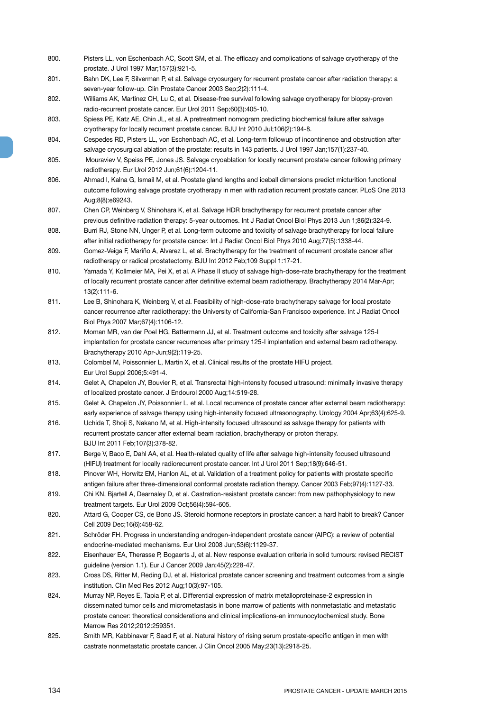- 800. Pisters LL, von Eschenbach AC, Scott SM, et al. The efficacy and complications of salvage cryotherapy of the prostate. J Urol 1997 Mar;157(3):921-5.
- 801. Bahn DK, Lee F, Silverman P, et al. Salvage cryosurgery for recurrent prostate cancer after radiation therapy: a seven-year follow-up. Clin Prostate Cancer 2003 Sep;2(2):111-4.
- 802. Williams AK, Martinez CH, Lu C, et al. Disease-free survival following salvage cryotherapy for biopsy-proven radio-recurrent prostate cancer. Eur Urol 2011 Sep;60(3):405-10.
- 803. Spiess PE, Katz AE, Chin JL, et al. A pretreatment nomogram predicting biochemical failure after salvage cryotherapy for locally recurrent prostate cancer. BJU Int 2010 Jul;106(2):194-8.
- 804. Cespedes RD, Pisters LL, von Eschenbach AC, et al. Long-term followup of incontinence and obstruction after salvage cryosurgical ablation of the prostate: results in 143 patients. J Urol 1997 Jan;157(1):237-40.
- 805. Mouraviev V, Speiss PE, Jones JS. Salvage cryoablation for locally recurrent prostate cancer following primary radiotherapy. Eur Urol 2012 Jun;61(6):1204-11.
- 806. Ahmad I, Kalna G, Ismail M, et al. Prostate gland lengths and iceball dimensions predict micturition functional outcome following salvage prostate cryotherapy in men with radiation recurrent prostate cancer. PLoS One 2013 Aug;8(8):e69243.
- 807. Chen CP, Weinberg V, Shinohara K, et al. Salvage HDR brachytherapy for recurrent prostate cancer after previous definitive radiation therapy: 5-year outcomes. Int J Radiat Oncol Biol Phys 2013 Jun 1;86(2):324-9.
- 808. Burri RJ, Stone NN, Unger P, et al. Long-term outcome and toxicity of salvage brachytherapy for local failure after initial radiotherapy for prostate cancer. Int J Radiat Oncol Biol Phys 2010 Aug;77(5):1338-44.
- 809. Gomez-Veiga F, Mariño A, Alvarez L, et al. Brachytherapy for the treatment of recurrent prostate cancer after radiotherapy or radical prostatectomy. BJU Int 2012 Feb;109 Suppl 1:17-21.
- 810. Yamada Y, Kollmeier MA, Pei X, et al. A Phase II study of salvage high-dose-rate brachytherapy for the treatment of locally recurrent prostate cancer after definitive external beam radiotherapy. Brachytherapy 2014 Mar-Apr; 13(2):111-6.
- 811. Lee B, Shinohara K, Weinberg V, et al. Feasibility of high-dose-rate brachytherapy salvage for local prostate cancer recurrence after radiotherapy: the University of California-San Francisco experience. Int J Radiat Oncol Biol Phys 2007 Mar;67(4):1106-12.
- 812. Moman MR, van der Poel HG, Battermann JJ, et al. Treatment outcome and toxicity after salvage 125-I implantation for prostate cancer recurrences after primary 125-I implantation and external beam radiotherapy. Brachytherapy 2010 Apr-Jun;9(2):119-25.
- 813. Colombel M, Poissonnier L, Martin X, et al. Clinical results of the prostate HIFU project. Eur Urol Suppl 2006;5:491-4.
- 814. Gelet A, Chapelon JY, Bouvier R, et al. Transrectal high-intensity focused ultrasound: minimally invasive therapy of localized prostate cancer. J Endourol 2000 Aug;14:519-28.
- 815. Gelet A, Chapelon JY, Poissonnier L, et al. Local recurrence of prostate cancer after external beam radiotherapy: early experience of salvage therapy using high-intensity focused ultrasonography. Urology 2004 Apr;63(4):625-9.
- 816. Uchida T, Shoji S, Nakano M, et al. High-intensity focused ultrasound as salvage therapy for patients with recurrent prostate cancer after external beam radiation, brachytherapy or proton therapy. BJU Int 2011 Feb;107(3):378-82.
- 817. Berge V, Baco E, Dahl AA, et al. Health-related quality of life after salvage high-intensity focused ultrasound (HIFU) treatment for locally radiorecurrent prostate cancer. Int J Urol 2011 Sep;18(9):646-51.
- 818. Pinover WH, Horwitz EM, Hanlon AL, et al. Validation of a treatment policy for patients with prostate specific antigen failure after three-dimensional conformal prostate radiation therapy. Cancer 2003 Feb;97(4):1127-33.
- 819. Chi KN, Bjartell A, Dearnaley D, et al. Castration-resistant prostate cancer: from new pathophysiology to new treatment targets. Eur Urol 2009 Oct;56(4):594-605.
- 820. Attard G, Cooper CS, de Bono JS. Steroid hormone receptors in prostate cancer: a hard habit to break? Cancer Cell 2009 Dec;16(6):458-62.
- 821. Schröder FH. Progress in understanding androgen-independent prostate cancer (AIPC): a review of potential endocrine-mediated mechanisms. Eur Urol 2008 Jun;53(6):1129-37.
- 822. Eisenhauer EA, Therasse P, Bogaerts J, et al. New response evaluation criteria in solid tumours: revised RECIST guideline (version 1.1). Eur J Cancer 2009 Jan;45(2):228-47.
- 823. Cross DS, Ritter M, Reding DJ, et al. Historical prostate cancer screening and treatment outcomes from a single institution. Clin Med Res 2012 Aug;10(3):97-105.
- 824. Murray NP, Reyes E, Tapia P, et al. Differential expression of matrix metalloproteinase-2 expression in disseminated tumor cells and micrometastasis in bone marrow of patients with nonmetastatic and metastatic prostate cancer: theoretical considerations and clinical implications-an immunocytochemical study. Bone Marrow Res 2012;2012:259351.
- 825. Smith MR, Kabbinavar F, Saad F, et al. Natural history of rising serum prostate-specific antigen in men with castrate nonmetastatic prostate cancer. J Clin Oncol 2005 May;23(13):2918-25.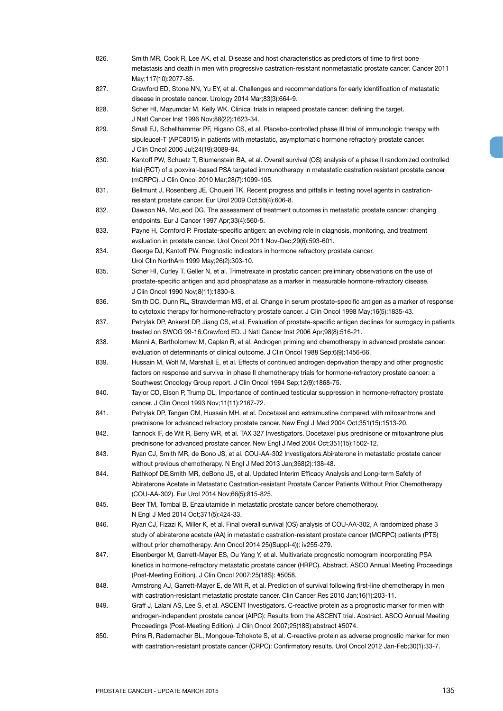| 826. | Smith MR, Cook R, Lee AK, et al. Disease and host characteristics as predictors of time to first bone                                                                        |
|------|------------------------------------------------------------------------------------------------------------------------------------------------------------------------------|
|      | metastasis and death in men with progressive castration-resistant nonmetastatic prostate cancer. Cancer 2011<br>May;117(10):2077-85.                                         |
| 827. | Crawford ED, Stone NN, Yu EY, et al. Challenges and recommendations for early identification of metastatic                                                                   |
| 828. | disease in prostate cancer. Urology 2014 Mar;83(3):664-9.<br>Scher HI, Mazumdar M, Kelly WK. Clinical trials in relapsed prostate cancer: defining the target.               |
|      | J Natl Cancer Inst 1996 Nov; 88(22): 1623-34.                                                                                                                                |
| 829. | Small EJ, Schellhammer PF, Higano CS, et al. Placebo-controlled phase III trial of immunologic therapy with                                                                  |
|      | sipuleucel-T (APC8015) in patients with metastatic, asymptomatic hormone refractory prostate cancer.                                                                         |
|      | J Clin Oncol 2006 Jul; 24(19): 3089-94.                                                                                                                                      |
| 830. | Kantoff PW, Schuetz T, Blumenstein BA, et al. Overall survival (OS) analysis of a phase II randomized controlled                                                             |
|      | trial (RCT) of a poxviral-based PSA targeted immunotherapy in metastatic castration resistant prostate cancer                                                                |
|      | (mCRPC). J Clin Oncol 2010 Mar;28(7):1099-105.                                                                                                                               |
| 831. | Bellmunt J, Rosenberg JE, Choueiri TK. Recent progress and pitfalls in testing novel agents in castration-<br>resistant prostate cancer. Eur Urol 2009 Oct;56(4):606-8.      |
| 832. | Dawson NA, McLeod DG. The assessment of treatment outcomes in metastatic prostate cancer: changing                                                                           |
|      | endpoints. Eur J Cancer 1997 Apr;33(4):560-5.                                                                                                                                |
| 833. | Payne H, Cornford P. Prostate-specific antigen: an evolving role in diagnosis, monitoring, and treatment                                                                     |
|      | evaluation in prostate cancer. Urol Oncol 2011 Nov-Dec; 29(6): 593-601.                                                                                                      |
| 834. | George DJ, Kantoff PW. Prognostic indicators in hormone refractory prostate cancer.                                                                                          |
|      | Urol Clin NorthAm 1999 May; 26(2): 303-10.                                                                                                                                   |
| 835. | Scher HI, Curley T, Geller N, et al. Trimetrexate in prostatic cancer: preliminary observations on the use of                                                                |
|      | prostate-specific antigen and acid phosphatase as a marker in measurable hormone-refractory disease.                                                                         |
| 836. | J Clin Oncol 1990 Nov;8(11):1830-8.<br>Smith DC, Dunn RL, Strawderman MS, et al. Change in serum prostate-specific antigen as a marker of response                           |
|      | to cytotoxic therapy for hormone-refractory prostate cancer. J Clin Oncol 1998 May;16(5):1835-43.                                                                            |
| 837. | Petrylak DP, Ankerst DP, Jiang CS, et al. Evaluation of prostate-specific antigen declines for surrogacy in patients                                                         |
|      | treated on SWOG 99-16.Crawford ED. J Natl Cancer Inst 2006 Apr;98(8):516-21.                                                                                                 |
| 838. | Manni A, Bartholomew M, Caplan R, et al. Androgen priming and chemotherapy in advanced prostate cancer:                                                                      |
|      | evaluation of determinants of clinical outcome. J Clin Oncol 1988 Sep;6(9):1456-66.                                                                                          |
| 839. | Hussain M, Wolf M, Marshall E, et al. Effects of continued androgen deprivation therapy and other prognostic                                                                 |
|      | factors on response and survival in phase II chemotherapy trials for hormone-refractory prostate cancer: a                                                                   |
| 840. | Southwest Oncology Group report. J Clin Oncol 1994 Sep;12(9):1868-75.                                                                                                        |
|      | Taylor CD, Elson P, Trump DL. Importance of continued testicular suppression in hormone-refractory prostate<br>cancer. J Clin Oncol 1993 Nov; 11(11): 2167-72.               |
| 841. | Petrylak DP, Tangen CM, Hussain MH, et al. Docetaxel and estramustine compared with mitoxantrone and                                                                         |
|      | prednisone for advanced refractory prostate cancer. New Engl J Med 2004 Oct;351(15):1513-20.                                                                                 |
| 842. | Tannock IF, de Wit R, Berry WR, et al. TAX 327 Investigators. Docetaxel plus prednisone or mitoxantrone plus                                                                 |
|      | prednisone for advanced prostate cancer. New Engl J Med 2004 Oct;351(15):1502-12.                                                                                            |
| 843. | Ryan CJ, Smith MR, de Bono JS, et al. COU-AA-302 Investigators. Abiraterone in metastatic prostate cancer                                                                    |
|      | without previous chemotherapy. N Engl J Med 2013 Jan;368(2):138-48.                                                                                                          |
| 844. | Rathkopf DE, Smith MR, deBono JS, et al. Updated Interim Efficacy Analysis and Long-term Safety of                                                                           |
|      | Abiraterone Acetate in Metastatic Castration-resistant Prostate Cancer Patients Without Prior Chemotherapy<br>(COU-AA-302). Eur Urol 2014 Nov;66(5):815-825.                 |
| 845. | Beer TM, Tombal B. Enzalutamide in metastatic prostate cancer before chemotherapy.                                                                                           |
|      | N Engl J Med 2014 Oct; 371(5): 424-33.                                                                                                                                       |
| 846. | Ryan CJ, Fizazi K, Miller K, et al. Final overall survival (OS) analysis of COU-AA-302, A randomized phase 3                                                                 |
|      | study of abiraterone acetate (AA) in metastatic castration-resistant prostate cancer (MCRPC) patients (PTS)                                                                  |
|      | without prior chemotherapy. Ann Oncol 2014 25((Suppl-4)): iv255-279.                                                                                                         |
| 847. | Eisenberger M, Garrett-Mayer ES, Ou Yang Y, et al. Multivariate prognostic nomogram incorporating PSA                                                                        |
|      | kinetics in hormone-refractory metastatic prostate cancer (HRPC). Abstract. ASCO Annual Meeting Proceedings                                                                  |
| 848. | (Post-Meeting Edition). J Clin Oncol 2007;25(18S): #5058.<br>Armstrong AJ, Garrett-Mayer E, de Wit R, et al. Prediction of survival following first-line chemotherapy in men |
|      | with castration-resistant metastatic prostate cancer. Clin Cancer Res 2010 Jan;16(1):203-11.                                                                                 |
| 849. | Graff J, Lalani AS, Lee S, et al. ASCENT Investigators. C-reactive protein as a prognostic marker for men with                                                               |
|      | androgen-independent prostate cancer (AIPC): Results from the ASCENT trial. Abstract. ASCO Annual Meeting                                                                    |
|      | Proceedings (Post-Meeting Edition). J Clin Oncol 2007;25(18S):abstract #5074.                                                                                                |
| 850. | Prins R, Rademacher BL, Mongoue-Tchokote S, et al. C-reactive protein as adverse prognostic marker for men                                                                   |
|      | with castration-resistant prostate cancer (CRPC): Confirmatory results. Urol Oncol 2012 Jan-Feb;30(1):33-7.                                                                  |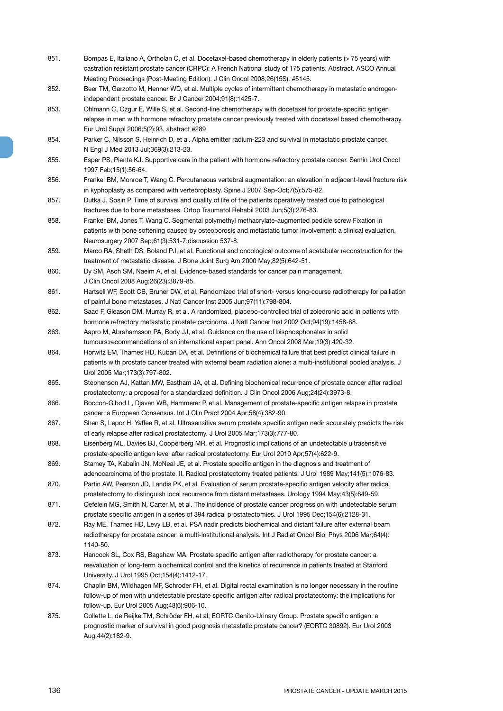- 851. Bompas E, Italiano A, Ortholan C, et al. Docetaxel-based chemotherapy in elderly patients (> 75 years) with castration resistant prostate cancer (CRPC): A French National study of 175 patients. Abstract. ASCO Annual Meeting Proceedings (Post-Meeting Edition). J Clin Oncol 2008;26(15S): #5145.
- 852. Beer TM, Garzotto M, Henner WD, et al. Multiple cycles of intermittent chemotherapy in metastatic androgenindependent prostate cancer. Br J Cancer 2004;91(8):1425-7.
- 853. Ohlmann C, Ozgur E, Wille S, et al. Second-line chemotherapy with docetaxel for prostate-specific antigen relapse in men with hormone refractory prostate cancer previously treated with docetaxel based chemotherapy. Eur Urol Suppl 2006;5(2):93, abstract #289
- 854. Parker C, Nilsson S, Heinrich D, et al. Alpha emitter radium-223 and survival in metastatic prostate cancer. N Engl J Med 2013 Jul;369(3):213-23.
- 855. Esper PS, Pienta KJ. Supportive care in the patient with hormone refractory prostate cancer. Semin Urol Oncol 1997 Feb;15(1):56-64.
- 856. Frankel BM, Monroe T, Wang C. Percutaneous vertebral augmentation: an elevation in adjacent-level fracture risk in kyphoplasty as compared with vertebroplasty. Spine J 2007 Sep-Oct;7(5):575-82.
- 857. Dutka J, Sosin P. Time of survival and quality of life of the patients operatively treated due to pathological fractures due to bone metastases. Ortop Traumatol Rehabil 2003 Jun;5(3):276-83.
- 858. Frankel BM, Jones T, Wang C. Segmental polymethyl methacrylate-augmented pedicle screw Fixation in patients with bone softening caused by osteoporosis and metastatic tumor involvement: a clinical evaluation. Neurosurgery 2007 Sep;61(3):531-7;discussion 537-8.
- 859. Marco RA, Sheth DS, Boland PJ, et al. Functional and oncological outcome of acetabular reconstruction for the treatment of metastatic disease. J Bone Joint Surg Am 2000 May;82(5):642-51.
- 860. Dy SM, Asch SM, Naeim A, et al. Evidence-based standards for cancer pain management. J Clin Oncol 2008 Aug;26(23):3879-85.
- 861. Hartsell WF, Scott CB, Bruner DW, et al. Randomized trial of short- versus long-course radiotherapy for palliation of painful bone metastases. J Natl Cancer Inst 2005 Jun;97(11):798-804.
- 862. Saad F, Gleason DM, Murray R, et al. A randomized, placebo-controlled trial of zoledronic acid in patients with hormone refractory metastatic prostate carcinoma. J Natl Cancer Inst 2002 Oct;94(19):1458-68.
- 863. Aapro M, Abrahamsson PA, Body JJ, et al. Guidance on the use of bisphosphonates in solid tumours:recommendations of an international expert panel. Ann Oncol 2008 Mar;19(3):420-32.
- 864. Horwitz EM, Thames HD, Kuban DA, et al. Definitions of biochemical failure that best predict clinical failure in patients with prostate cancer treated with external beam radiation alone: a multi-institutional pooled analysis. J Urol 2005 Mar;173(3):797-802.
- 865. Stephenson AJ, Kattan MW, Eastham JA, et al. Defining biochemical recurrence of prostate cancer after radical prostatectomy: a proposal for a standardized definition. J Clin Oncol 2006 Aug;24(24):3973-8.
- 866. Boccon-Gibod L, Diavan WB, Hammerer P, et al. Management of prostate-specific antigen relapse in prostate cancer: a European Consensus. Int J Clin Pract 2004 Apr;58(4):382-90.
- 867. Shen S, Lepor H, Yaffee R, et al. Ultrasensitive serum prostate specific antigen nadir accurately predicts the risk of early relapse after radical prostatectomy. J Urol 2005 Mar;173(3):777-80.
- 868. Eisenberg ML, Davies BJ, Cooperberg MR, et al. Prognostic implications of an undetectable ultrasensitive prostate-specific antigen level after radical prostatectomy. Eur Urol 2010 Apr;57(4):622-9.
- 869. Stamey TA, Kabalin JN, McNeal JE, et al. Prostate specific antigen in the diagnosis and treatment of adenocarcinoma of the prostate. II. Radical prostatectomy treated patients. J Urol 1989 May;141(5):1076-83.
- 870. Partin AW, Pearson JD, Landis PK, et al. Evaluation of serum prostate-specific antigen velocity after radical prostatectomy to distinguish local recurrence from distant metastases. Urology 1994 May;43(5):649-59.
- 871. Oefelein MG, Smith N, Carter M, et al. The incidence of prostate cancer progression with undetectable serum prostate specific antigen in a series of 394 radical prostatectomies. J Urol 1995 Dec;154(6):2128-31.
- 872. Ray ME, Thames HD, Levy LB, et al. PSA nadir predicts biochemical and distant failure after external beam radiotherapy for prostate cancer: a multi-institutional analysis. Int J Radiat Oncol Biol Phys 2006 Mar;64(4): 1140-50.
- 873. Hancock SL, Cox RS, Bagshaw MA. Prostate specific antigen after radiotherapy for prostate cancer: a reevaluation of long-term biochemical control and the kinetics of recurrence in patients treated at Stanford University. J Urol 1995 Oct;154(4):1412-17.
- 874. Chaplin BM, Wildhagen MF, Schroder FH, et al. Digital rectal examination is no longer necessary in the routine follow-up of men with undetectable prostate specific antigen after radical prostatectomy: the implications for follow-up. Eur Urol 2005 Aug;48(6):906-10.
- 875. Collette L, de Reijke TM, Schröder FH, et al; EORTC Genito-Urinary Group. Prostate specific antigen: a prognostic marker of survival in good prognosis metastatic prostate cancer? (EORTC 30892). Eur Urol 2003 Aug;44(2):182-9.